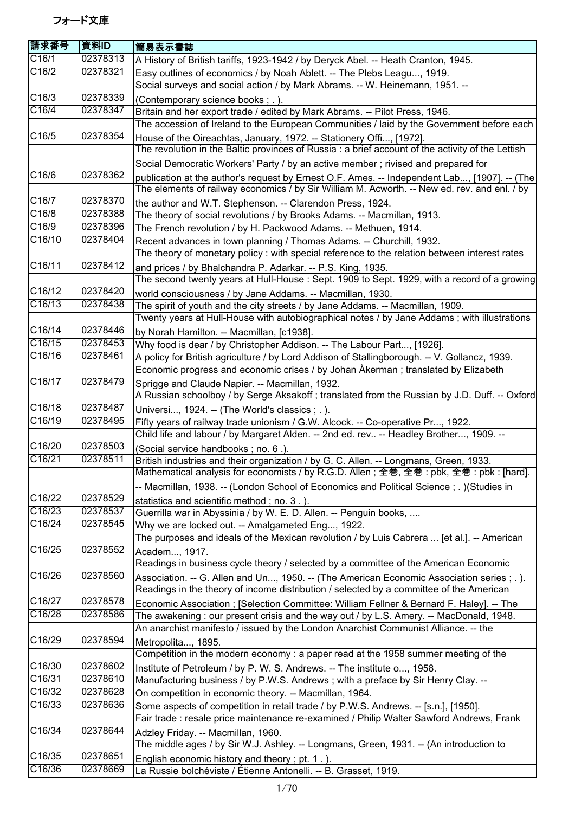| <b>請求番号</b> | 資料ID     | 簡易表示書誌                                                                                                                                                                   |
|-------------|----------|--------------------------------------------------------------------------------------------------------------------------------------------------------------------------|
| C16/1       | 02378313 | A History of British tariffs, 1923-1942 / by Deryck Abel. -- Heath Cranton, 1945.                                                                                        |
| C16/2       | 02378321 | Easy outlines of economics / by Noah Ablett. -- The Plebs Leagu, 1919.                                                                                                   |
|             |          | Social surveys and social action / by Mark Abrams. -- W. Heinemann, 1951. --                                                                                             |
| C16/3       | 02378339 | (Contemporary science books; .).                                                                                                                                         |
| C16/4       | 02378347 | Britain and her export trade / edited by Mark Abrams. -- Pilot Press, 1946.                                                                                              |
|             |          | The accession of Ireland to the European Communities / laid by the Government before each                                                                                |
| C16/5       | 02378354 | House of the Oireachtas, January, 1972. -- Stationery Offi, [1972].<br>The revolution in the Baltic provinces of Russia : a brief account of the activity of the Lettish |
|             |          | Social Democratic Workers' Party / by an active member; rivised and prepared for                                                                                         |
| C16/6       | 02378362 | publication at the author's request by Ernest O.F. Ames. -- Independent Lab, [1907]. -- (The                                                                             |
|             |          | The elements of railway economics / by Sir William M. Acworth. -- New ed. rev. and enl. / by                                                                             |
| C16/7       | 02378370 | the author and W.T. Stephenson. -- Clarendon Press, 1924.                                                                                                                |
| C16/8       | 02378388 | The theory of social revolutions / by Brooks Adams. -- Macmillan, 1913.                                                                                                  |
| C16/9       | 02378396 | The French revolution / by H. Packwood Adams. -- Methuen, 1914.                                                                                                          |
| C16/10      | 02378404 | Recent advances in town planning / Thomas Adams. -- Churchill, 1932.                                                                                                     |
|             |          | The theory of monetary policy : with special reference to the relation between interest rates                                                                            |
| C16/11      | 02378412 | and prices / by Bhalchandra P. Adarkar. -- P.S. King, 1935.<br>The second twenty years at Hull-House : Sept. 1909 to Sept. 1929, with a record of a growing              |
| C16/12      | 02378420 | world consciousness / by Jane Addams. -- Macmillan, 1930.                                                                                                                |
| C16/13      | 02378438 | The spirit of youth and the city streets / by Jane Addams. -- Macmillan, 1909.                                                                                           |
|             |          | Twenty years at Hull-House with autobiographical notes / by Jane Addams; with illustrations                                                                              |
| C16/14      | 02378446 | by Norah Hamilton. -- Macmillan, [c1938].                                                                                                                                |
| C16/15      | 02378453 | Why food is dear / by Christopher Addison. -- The Labour Part, [1926].                                                                                                   |
| C16/16      | 02378461 | A policy for British agriculture / by Lord Addison of Stallingborough. -- V. Gollancz, 1939.                                                                             |
|             |          | Economic progress and economic crises / by Johan Åkerman ; translated by Elizabeth                                                                                       |
| C16/17      | 02378479 | Sprigge and Claude Napier. -- Macmillan, 1932.                                                                                                                           |
|             |          | A Russian schoolboy / by Serge Aksakoff ; translated from the Russian by J.D. Duff. -- Oxford                                                                            |
| C16/18      | 02378487 | Universi, 1924. -- (The World's classics ; .).                                                                                                                           |
| C16/19      | 02378495 | Fifty years of railway trade unionism / G.W. Alcock. -- Co-operative Pr, 1922.                                                                                           |
|             |          | Child life and labour / by Margaret Alden. -- 2nd ed. rev -- Headley Brother, 1909. --                                                                                   |
| C16/20      | 02378503 | (Social service handbooks; no. 6.).                                                                                                                                      |
| C16/21      | 02378511 | British industries and their organization / by G. C. Allen. -- Longmans, Green, 1933.                                                                                    |
|             |          | Mathematical analysis for economists / by R.G.D. Allen; 全巻, 全巻: pbk, 全巻: pbk: [hard].                                                                                    |
|             |          | -- Macmillan, 1938. -- (London School of Economics and Political Science; .) (Studies in                                                                                 |
| C16/22      | 02378529 | statistics and scientific method; no. 3.).                                                                                                                               |
| C16/23      | 02378537 | Guerrilla war in Abyssinia / by W. E. D. Allen. -- Penguin books,                                                                                                        |
| C16/24      | 02378545 | Why we are locked out. -- Amalgameted Eng, 1922.                                                                                                                         |
|             |          | The purposes and ideals of the Mexican revolution / by Luis Cabrera  [et al.]. -- American                                                                               |
| C16/25      | 02378552 | Academ, 1917.                                                                                                                                                            |
|             |          | Readings in business cycle theory / selected by a committee of the American Economic                                                                                     |
| C16/26      | 02378560 | Association. -- G. Allen and Un, 1950. -- (The American Economic Association series ; . ).                                                                               |
|             |          | Readings in the theory of income distribution / selected by a committee of the American                                                                                  |
| C16/27      | 02378578 | Economic Association; [Selection Committee: William Fellner & Bernard F. Haley]. -- The                                                                                  |
| C16/28      | 02378586 | The awakening: our present crisis and the way out / by L.S. Amery. -- MacDonald, 1948.                                                                                   |
|             |          | An anarchist manifesto / issued by the London Anarchist Communist Alliance. -- the                                                                                       |
| C16/29      | 02378594 | Metropolita, 1895.                                                                                                                                                       |
|             |          | Competition in the modern economy: a paper read at the 1958 summer meeting of the                                                                                        |
| C16/30      | 02378602 | Institute of Petroleum / by P. W. S. Andrews. -- The institute o, 1958.                                                                                                  |
| C16/31      | 02378610 | Manufacturing business / by P.W.S. Andrews; with a preface by Sir Henry Clay. --                                                                                         |
| C16/32      | 02378628 | On competition in economic theory. -- Macmillan, 1964.                                                                                                                   |
| C16/33      | 02378636 | Some aspects of competition in retail trade / by P.W.S. Andrews. -- [s.n.], [1950].                                                                                      |
|             |          | Fair trade : resale price maintenance re-examined / Philip Walter Sawford Andrews, Frank                                                                                 |
| C16/34      | 02378644 | Adzley Friday. -- Macmillan, 1960.                                                                                                                                       |
|             |          | The middle ages / by Sir W.J. Ashley. -- Longmans, Green, 1931. -- (An introduction to                                                                                   |
| C16/35      | 02378651 | English economic history and theory; pt. 1.).                                                                                                                            |
| C16/36      | 02378669 | La Russie bolchéviste / Étienne Antonelli. -- B. Grasset, 1919.                                                                                                          |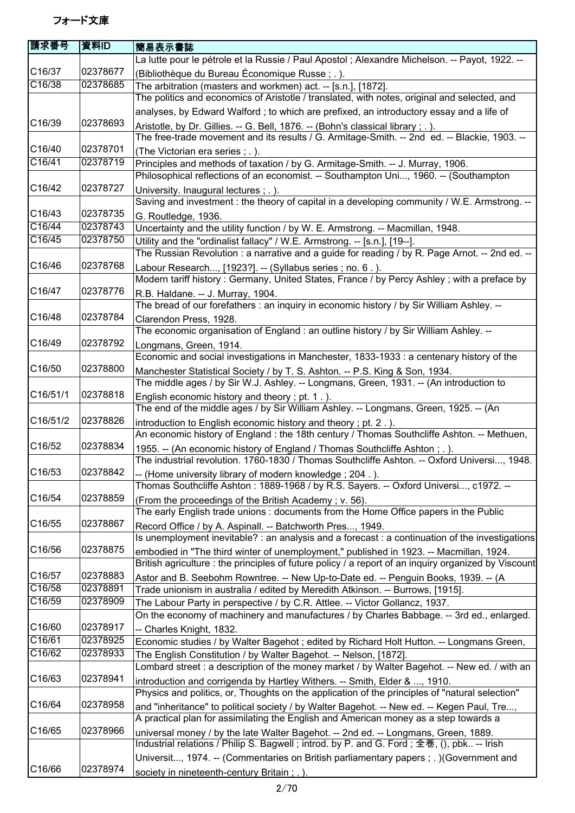| 請求番号                  | 資料ID     | 簡易表示書誌                                                                                                                                                                         |
|-----------------------|----------|--------------------------------------------------------------------------------------------------------------------------------------------------------------------------------|
|                       |          | La lutte pour le pétrole et la Russie / Paul Apostol ; Alexandre Michelson. -- Payot, 1922. --                                                                                 |
| C16/37                | 02378677 | (Bibliothèque du Bureau Économique Russe; .).                                                                                                                                  |
| C16/38                | 02378685 | The arbitration (masters and workmen) act. -- [s.n.], [1872].                                                                                                                  |
|                       |          | The politics and economics of Aristotle / translated, with notes, original and selected, and                                                                                   |
|                       |          | analyses, by Edward Walford; to which are prefixed, an introductory essay and a life of                                                                                        |
| C16/39                | 02378693 | Aristotle, by Dr. Gillies. -- G. Bell, 1876. -- (Bohn's classical library; .).<br>The free-trade movement and its results / G. Armitage-Smith. -- 2nd ed. -- Blackie, 1903. -- |
| C16/40                | 02378701 | (The Victorian era series; .).                                                                                                                                                 |
| C16/41                | 02378719 | Principles and methods of taxation / by G. Armitage-Smith. -- J. Murray, 1906.                                                                                                 |
|                       |          | Philosophical reflections of an economist. -- Southampton Uni, 1960. -- (Southampton                                                                                           |
| C16/42                | 02378727 | University. Inaugural lectures ; . ).<br>Saving and investment : the theory of capital in a developing community / W.E. Armstrong. --                                          |
| C16/43                | 02378735 | G. Routledge, 1936.                                                                                                                                                            |
| C16/44                | 02378743 | Uncertainty and the utility function / by W. E. Armstrong. -- Macmillan, 1948.                                                                                                 |
| C16/45                | 02378750 | Utility and the "ordinalist fallacy" / W.E. Armstrong. -- [s.n.], [19--].                                                                                                      |
|                       |          | The Russian Revolution : a narrative and a guide for reading / by R. Page Arnot. -- 2nd ed. --                                                                                 |
| C16/46                | 02378768 | Labour Research, [1923?]. -- (Syllabus series ; no. 6.).                                                                                                                       |
|                       |          | Modern tariff history: Germany, United States, France / by Percy Ashley; with a preface by                                                                                     |
| C16/47                | 02378776 | R.B. Haldane. -- J. Murray, 1904.                                                                                                                                              |
|                       |          | The bread of our forefathers : an inquiry in economic history / by Sir William Ashley. --                                                                                      |
| C16/48                | 02378784 | Clarendon Press, 1928.                                                                                                                                                         |
|                       |          | The economic organisation of England: an outline history / by Sir William Ashley. --                                                                                           |
| C16/49                | 02378792 | Longmans, Green, 1914.                                                                                                                                                         |
|                       |          | Economic and social investigations in Manchester, 1833-1933 : a centenary history of the                                                                                       |
| C16/50                | 02378800 | Manchester Statistical Society / by T. S. Ashton. -- P.S. King & Son, 1934.                                                                                                    |
|                       |          | The middle ages / by Sir W.J. Ashley. -- Longmans, Green, 1931. -- (An introduction to                                                                                         |
| C <sub>16</sub> /51/1 | 02378818 | English economic history and theory; pt. 1.).                                                                                                                                  |
|                       |          | The end of the middle ages / by Sir William Ashley. -- Longmans, Green, 1925. -- (An                                                                                           |
| C16/51/2              | 02378826 | introduction to English economic history and theory; pt. 2.).                                                                                                                  |
|                       |          | An economic history of England: the 18th century / Thomas Southcliffe Ashton. -- Methuen,                                                                                      |
| C16/52                | 02378834 | 1955. -- (An economic history of England / Thomas Southcliffe Ashton; .).<br>The industrial revolution. 1760-1830 / Thomas Southcliffe Ashton. -- Oxford Universi, 1948.       |
| C16/53                | 02378842 | -- (Home university library of modern knowledge; 204.).                                                                                                                        |
|                       |          | Thomas Southcliffe Ashton: 1889-1968 / by R.S. Sayers. -- Oxford Universi, c1972. --                                                                                           |
| C16/54                | 02378859 | (From the proceedings of the British Academy; v. 56).                                                                                                                          |
|                       |          | The early English trade unions: documents from the Home Office papers in the Public                                                                                            |
| C16/55                | 02378867 | Record Office / by A. Aspinall. -- Batchworth Pres, 1949.                                                                                                                      |
|                       |          | Is unemployment inevitable? : an analysis and a forecast : a continuation of the investigations                                                                                |
| C16/56                | 02378875 | embodied in "The third winter of unemployment," published in 1923. -- Macmillan, 1924.                                                                                         |
|                       |          | British agriculture : the principles of future policy / a report of an inquiry organized by Viscount                                                                           |
| C16/57                | 02378883 | Astor and B. Seebohm Rowntree. -- New Up-to-Date ed. -- Penguin Books, 1939. -- (A                                                                                             |
| C16/58                | 02378891 | Trade unionism in australia / edited by Meredith Atkinson. -- Burrows, [1915].                                                                                                 |
| C16/59                | 02378909 | The Labour Party in perspective / by C.R. Attlee. -- Victor Gollancz, 1937.                                                                                                    |
|                       |          | On the economy of machinery and manufactures / by Charles Babbage. -- 3rd ed., enlarged.                                                                                       |
| C16/60                | 02378917 | -- Charles Knight, 1832.                                                                                                                                                       |
| C16/61                | 02378925 | Economic studies / by Walter Bagehot ; edited by Richard Holt Hutton. -- Longmans Green,                                                                                       |
| C16/62                | 02378933 | The English Constitution / by Walter Bagehot. -- Nelson, [1872].                                                                                                               |
|                       |          | Lombard street : a description of the money market / by Walter Bagehot. -- New ed. / with an                                                                                   |
| C16/63                | 02378941 | introduction and corrigenda by Hartley Withers. -- Smith, Elder & , 1910.                                                                                                      |
|                       |          | Physics and politics, or, Thoughts on the application of the principles of "natural selection"                                                                                 |
| C16/64                | 02378958 | and "inheritance" to political society / by Walter Bagehot. -- New ed. -- Kegen Paul, Tre,                                                                                     |
|                       |          | A practical plan for assimilating the English and American money as a step towards a                                                                                           |
| C16/65                | 02378966 | universal money / by the late Walter Bagehot. -- 2nd ed. -- Longmans, Green, 1889.                                                                                             |
|                       |          | Industrial relations / Philip S. Bagwell; introd. by P. and G. Ford; 全巻, (), pbk -- Irish                                                                                      |
|                       |          | Universit, 1974. -- (Commentaries on British parliamentary papers ; . ) (Government and                                                                                        |
| C16/66                | 02378974 | society in nineteenth-century Britain ; . ).                                                                                                                                   |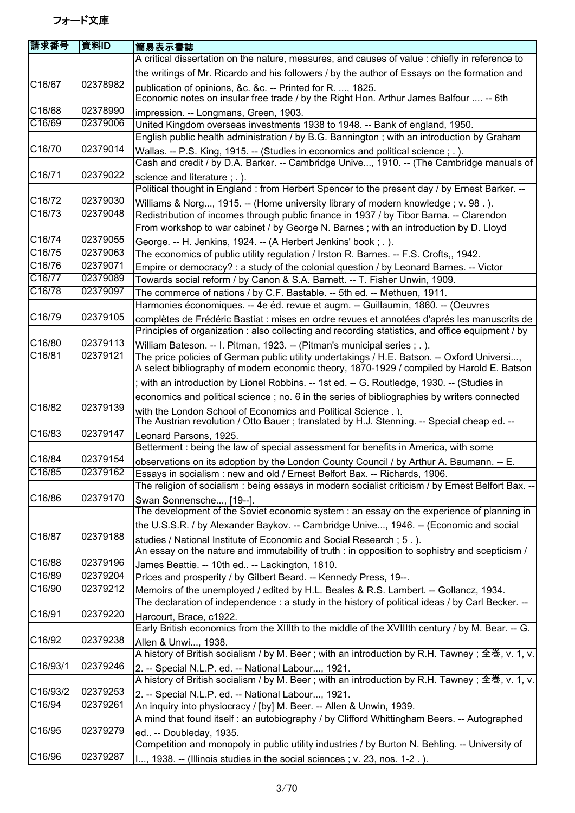| 請求番号     | 資料ID     | <b> 簡易表示書誌</b>                                                                                                                                                                           |
|----------|----------|------------------------------------------------------------------------------------------------------------------------------------------------------------------------------------------|
|          |          | A critical dissertation on the nature, measures, and causes of value : chiefly in reference to                                                                                           |
|          |          | the writings of Mr. Ricardo and his followers / by the author of Essays on the formation and                                                                                             |
| C16/67   | 02378982 | publication of opinions, &c. &c. -- Printed for R. , 1825.<br>Economic notes on insular free trade / by the Right Hon. Arthur James Balfour  -- 6th                                      |
| C16/68   | 02378990 | impression. -- Longmans, Green, 1903.                                                                                                                                                    |
| C16/69   | 02379006 | United Kingdom overseas investments 1938 to 1948. -- Bank of england, 1950.                                                                                                              |
|          |          | English public health administration / by B.G. Bannington; with an introduction by Graham                                                                                                |
| C16/70   | 02379014 | Wallas. -- P.S. King, 1915. -- (Studies in economics and political science; .).                                                                                                          |
|          |          | Cash and credit / by D.A. Barker. -- Cambridge Unive, 1910. -- (The Cambridge manuals of                                                                                                 |
| C16/71   | 02379022 | science and literature ; . ).                                                                                                                                                            |
| C16/72   | 02379030 | Political thought in England : from Herbert Spencer to the present day / by Ernest Barker. --                                                                                            |
| C16/73   | 02379048 | Williams & Norg, 1915. -- (Home university library of modern knowledge; v. 98.).<br>Redistribution of incomes through public finance in 1937 / by Tibor Barna. -- Clarendon              |
|          |          | From workshop to war cabinet / by George N. Barnes ; with an introduction by D. Lloyd                                                                                                    |
| C16/74   | 02379055 | George. -- H. Jenkins, 1924. -- (A Herbert Jenkins' book; .).                                                                                                                            |
| C16/75   | 02379063 | The economics of public utility regulation / Irston R. Barnes. -- F.S. Crofts,, 1942.                                                                                                    |
| C16/76   | 02379071 | Empire or democracy? : a study of the colonial question / by Leonard Barnes. -- Victor                                                                                                   |
| C16/77   | 02379089 | Towards social reform / by Canon & S.A. Barnett. -- T. Fisher Unwin, 1909.                                                                                                               |
| C16/78   | 02379097 | The commerce of nations / by C.F. Bastable. -- 5th ed. -- Methuen, 1911.                                                                                                                 |
|          |          | Harmonies économiques. -- 4e éd. revue et augm. -- Guillaumin, 1860. -- (Oeuvres                                                                                                         |
| C16/79   | 02379105 | complètes de Frédéric Bastiat : mises en ordre revues et annotées d'aprés les manuscrits de                                                                                              |
|          |          | Principles of organization : also collecting and recording statistics, and office equipment / by                                                                                         |
| C16/80   | 02379113 | William Bateson. -- I. Pitman, 1923. -- (Pitman's municipal series; .).                                                                                                                  |
| C16/81   | 02379121 | The price policies of German public utility undertakings / H.E. Batson. -- Oxford Universi,<br>A select bibliography of modern economic theory, 1870-1929 / compiled by Harold E. Batson |
|          |          | ; with an introduction by Lionel Robbins. -- 1st ed. -- G. Routledge, 1930. -- (Studies in                                                                                               |
|          |          | economics and political science; no. 6 in the series of bibliographies by writers connected                                                                                              |
| C16/82   | 02379139 | with the London School of Economics and Political Science.).                                                                                                                             |
| C16/83   | 02379147 | The Austrian revolution / Otto Bauer ; translated by H.J. Stenning. -- Special cheap ed. --                                                                                              |
|          |          | Leonard Parsons, 1925.<br>Betterment : being the law of special assessment for benefits in America, with some                                                                            |
| C16/84   | 02379154 | observations on its adoption by the London County Council / by Arthur A. Baumann. -- E.                                                                                                  |
| C16/85   | 02379162 | Essays in socialism : new and old / Ernest Belfort Bax. -- Richards, 1906.                                                                                                               |
|          |          | The religion of socialism: being essays in modern socialist criticism / by Ernest Belfort Bax. --                                                                                        |
| C16/86   | 02379170 | Swan Sonnensche, [19--].                                                                                                                                                                 |
|          |          | The development of the Soviet economic system : an essay on the experience of planning in                                                                                                |
|          |          | the U.S.S.R. / by Alexander Baykov. -- Cambridge Unive, 1946. -- (Economic and social                                                                                                    |
| C16/87   | 02379188 | studies / National Institute of Economic and Social Research; 5.).                                                                                                                       |
|          |          | An essay on the nature and immutability of truth : in opposition to sophistry and scepticism /                                                                                           |
| C16/88   | 02379196 | James Beattie. -- 10th ed -- Lackington, 1810.                                                                                                                                           |
| C16/89   | 02379204 | Prices and prosperity / by Gilbert Beard. -- Kennedy Press, 19--.                                                                                                                        |
| C16/90   | 02379212 | Memoirs of the unemployed / edited by H.L. Beales & R.S. Lambert. -- Gollancz, 1934.                                                                                                     |
| C16/91   | 02379220 | The declaration of independence : a study in the history of political ideas / by Carl Becker. --                                                                                         |
|          |          | Harcourt, Brace, c1922.<br>Early British economics from the XIIIth to the middle of the XVIIIth century / by M. Bear. -- G.                                                              |
| C16/92   | 02379238 |                                                                                                                                                                                          |
|          |          | Allen & Unwi, 1938.<br>A history of British socialism / by M. Beer; with an introduction by R.H. Tawney; 全巻, v. 1, v.                                                                    |
| C16/93/1 | 02379246 | 2. -- Special N.L.P. ed. -- National Labour, 1921.                                                                                                                                       |
|          |          | A history of British socialism / by M. Beer ; with an introduction by R.H. Tawney ; 全巻, v. 1, v.                                                                                         |
| C16/93/2 | 02379253 | 2. -- Special N.L.P. ed. -- National Labour, 1921.                                                                                                                                       |
| C16/94   | 02379261 | An inquiry into physiocracy / [by] M. Beer. -- Allen & Unwin, 1939.                                                                                                                      |
|          |          | A mind that found itself : an autobiography / by Clifford Whittingham Beers. -- Autographed                                                                                              |
| C16/95   | 02379279 | ed -- Doubleday, 1935.                                                                                                                                                                   |
|          |          | Competition and monopoly in public utility industries / by Burton N. Behling. -- University of                                                                                           |
| C16/96   | 02379287 | I, 1938. -- (Illinois studies in the social sciences; v. 23, nos. 1-2.).                                                                                                                 |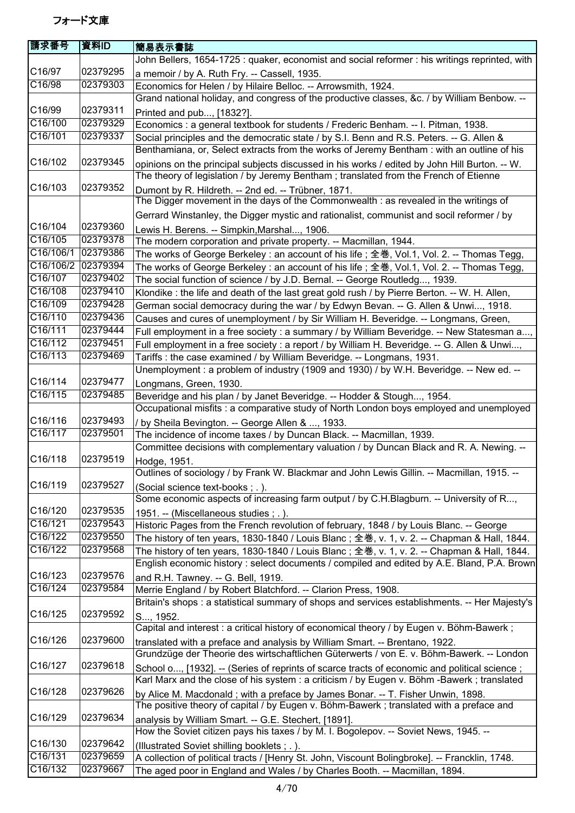| 請求番号               | 資料ID                 | 簡易表示書誌                                                                                                                                                          |
|--------------------|----------------------|-----------------------------------------------------------------------------------------------------------------------------------------------------------------|
|                    |                      | John Bellers, 1654-1725 : quaker, economist and social reformer : his writings reprinted, with                                                                  |
| C16/97             | 02379295             | a memoir / by A. Ruth Fry. -- Cassell, 1935.                                                                                                                    |
| C16/98             | 02379303             | Economics for Helen / by Hilaire Belloc. -- Arrowsmith, 1924.                                                                                                   |
|                    |                      | Grand national holiday, and congress of the productive classes, &c. / by William Benbow. --                                                                     |
| C16/99             | 02379311             | Printed and pub, [1832?].                                                                                                                                       |
| C16/100            | 02379329             | Economics : a general textbook for students / Frederic Benham. -- I. Pitman, 1938.                                                                              |
| C16/101            | 02379337             | Social principles and the democratic state / by S.I. Benn and R.S. Peters. -- G. Allen &                                                                        |
|                    |                      | Benthamiana, or, Select extracts from the works of Jeremy Bentham : with an outline of his                                                                      |
| C16/102            | 02379345             | opinions on the principal subjects discussed in his works / edited by John Hill Burton. -- W.                                                                   |
|                    |                      | The theory of legislation / by Jeremy Bentham; translated from the French of Etienne                                                                            |
| C16/103            | 02379352             | Dumont by R. Hildreth. -- 2nd ed. -- Trübner, 1871.                                                                                                             |
|                    |                      | The Digger movement in the days of the Commonwealth : as revealed in the writings of                                                                            |
|                    |                      | Gerrard Winstanley, the Digger mystic and rationalist, communist and socil reformer / by                                                                        |
| C16/104            | 02379360             | Lewis H. Berens. -- Simpkin, Marshal, 1906.                                                                                                                     |
| C16/105            | 02379378             | The modern corporation and private property. -- Macmillan, 1944.                                                                                                |
| C16/106/1          | 02379386             | The works of George Berkeley : an account of his life ; 全巻, Vol.1, Vol. 2. -- Thomas Tegg,                                                                      |
| C16/106/2          | 02379394             | The works of George Berkeley : an account of his life ; 全巻, Vol.1, Vol. 2. -- Thomas Tegg,                                                                      |
| C16/107            | 02379402             | The social function of science / by J.D. Bernal. -- George Routledg, 1939.                                                                                      |
| C16/108            | 02379410             | Klondike : the life and death of the last great gold rush / by Pierre Berton. -- W. H. Allen,                                                                   |
| C16/109            | 02379428             | German social democracy during the war / by Edwyn Bevan. -- G. Allen & Unwi, 1918.                                                                              |
| C16/110            | 02379436             | Causes and cures of unemployment / by Sir William H. Beveridge. -- Longmans, Green,                                                                             |
| C16/111            | 02379444             | Full employment in a free society : a summary / by William Beveridge. -- New Statesman a,                                                                       |
| C16/112            | 02379451             | Full employment in a free society : a report / by William H. Beveridge. -- G. Allen & Unwi,                                                                     |
| C16/113            | 02379469             | Tariffs: the case examined / by William Beveridge. -- Longmans, 1931.                                                                                           |
|                    |                      | Unemployment : a problem of industry (1909 and 1930) / by W.H. Beveridge. -- New ed. --                                                                         |
| C16/114<br>C16/115 | 02379477<br>02379485 | Longmans, Green, 1930.                                                                                                                                          |
|                    |                      | Beveridge and his plan / by Janet Beveridge. -- Hodder & Stough, 1954.                                                                                          |
| C16/116            | 02379493             | Occupational misfits : a comparative study of North London boys employed and unemployed                                                                         |
| C16/117            | 02379501             | / by Sheila Bevington. -- George Allen & , 1933.                                                                                                                |
|                    |                      | The incidence of income taxes / by Duncan Black. -- Macmillan, 1939.<br>Committee decisions with complementary valuation / by Duncan Black and R. A. Newing. -- |
| C16/118            | 02379519             |                                                                                                                                                                 |
|                    |                      | Hodge, 1951.<br>Outlines of sociology / by Frank W. Blackmar and John Lewis Gillin. -- Macmillan, 1915. --                                                      |
| C16/119            | 02379527             | (Social science text-books; .).                                                                                                                                 |
|                    |                      | Some economic aspects of increasing farm output / by C.H.Blagburn. -- University of R,                                                                          |
| C16/120            | 02379535             | 1951. -- (Miscellaneous studies; .).                                                                                                                            |
| C16/121            | 02379543             | Historic Pages from the French revolution of february, 1848 / by Louis Blanc. -- George                                                                         |
| C16/122            | 02379550             | The history of ten years, 1830-1840 / Louis Blanc ; 全巻, v. 1, v. 2. -- Chapman & Hall, 1844.                                                                    |
| C16/122            | 02379568             | The history of ten years, 1830-1840 / Louis Blanc ; 全巻, v. 1, v. 2. -- Chapman & Hall, 1844.                                                                    |
|                    |                      | English economic history : select documents / compiled and edited by A.E. Bland, P.A. Brown                                                                     |
| C16/123            | 02379576             | and R.H. Tawney. -- G. Bell, 1919.                                                                                                                              |
| C16/124            | 02379584             | Merrie England / by Robert Blatchford. -- Clarion Press, 1908.                                                                                                  |
|                    |                      | Britain's shops : a statistical summary of shops and services establishments. -- Her Majesty's                                                                  |
| C16/125            | 02379592             | S, 1952.                                                                                                                                                        |
|                    |                      | Capital and interest : a critical history of economical theory / by Eugen v. Böhm-Bawerk;                                                                       |
| C16/126            | 02379600             | translated with a preface and analysis by William Smart. -- Brentano, 1922.                                                                                     |
|                    |                      | Grundzüge der Theorie des wirtschaftlichen Güterwerts / von E. v. Böhm-Bawerk. -- London                                                                        |
| C16/127            | 02379618             | School o, [1932]. -- (Series of reprints of scarce tracts of economic and political science;                                                                    |
|                    |                      | Karl Marx and the close of his system : a criticism / by Eugen v. Böhm -Bawerk ; translated                                                                     |
| C16/128            | 02379626             | by Alice M. Macdonald; with a preface by James Bonar. -- T. Fisher Unwin, 1898.                                                                                 |
|                    |                      | The positive theory of capital / by Eugen v. Böhm-Bawerk; translated with a preface and                                                                         |
| C16/129            | 02379634             | analysis by William Smart. -- G.E. Stechert, [1891].                                                                                                            |
|                    |                      | How the Soviet citizen pays his taxes / by M. I. Bogolepov. -- Soviet News, 1945. --                                                                            |
| C16/130            | 02379642             | (Illustrated Soviet shilling booklets; .).                                                                                                                      |
| C16/131            | 02379659             | A collection of political tracts / [Henry St. John, Viscount Bolingbroke]. -- Francklin, 1748.                                                                  |
| C16/132            | 02379667             | The aged poor in England and Wales / by Charles Booth. -- Macmillan, 1894.                                                                                      |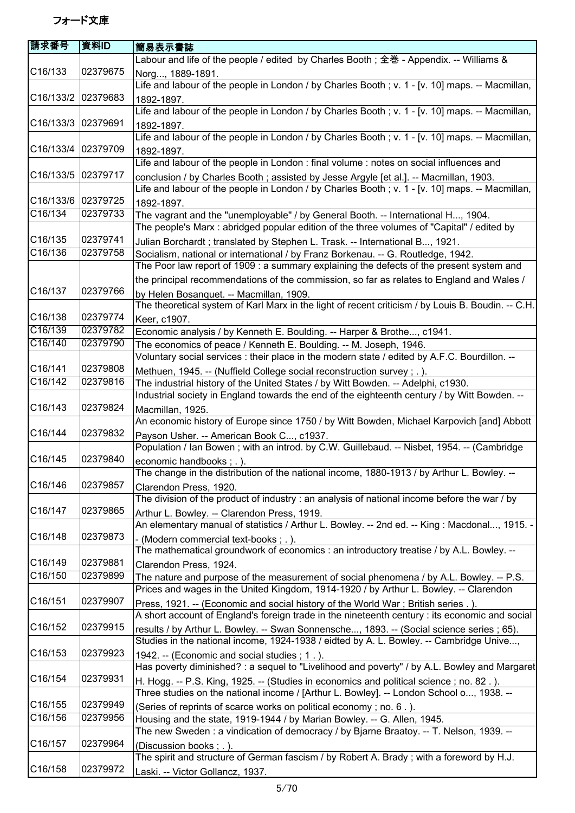| 請求番号               | 資料ID                 | 簡易表示書誌                                                                                                                                                                           |
|--------------------|----------------------|----------------------------------------------------------------------------------------------------------------------------------------------------------------------------------|
|                    |                      | Labour and life of the people / edited by Charles Booth; 全巻 - Appendix. -- Williams &                                                                                            |
| C16/133            | 02379675             | Norg, 1889-1891.                                                                                                                                                                 |
|                    |                      | Life and labour of the people in London / by Charles Booth; v. 1 - [v. 10] maps. -- Macmillan,                                                                                   |
| C16/133/2 02379683 |                      | 1892-1897.                                                                                                                                                                       |
|                    |                      | Life and labour of the people in London / by Charles Booth; v. 1 - [v. 10] maps. -- Macmillan,                                                                                   |
| C16/133/3          | 02379691             | 1892-1897.                                                                                                                                                                       |
|                    |                      | Life and labour of the people in London / by Charles Booth; v. 1 - [v. 10] maps. -- Macmillan,                                                                                   |
| C16/133/4          | 02379709             | 1892-1897.                                                                                                                                                                       |
|                    |                      | Life and labour of the people in London : final volume : notes on social influences and                                                                                          |
| C16/133/5 02379717 |                      | conclusion / by Charles Booth ; assisted by Jesse Argyle [et al.]. -- Macmillan, 1903.                                                                                           |
|                    |                      | Life and labour of the people in London / by Charles Booth; v. 1 - [v. 10] maps. -- Macmillan,                                                                                   |
| C16/133/6          | 02379725             | 1892-1897.                                                                                                                                                                       |
| C16/134            | 02379733             | The vagrant and the "unemployable" / by General Booth. -- International H, 1904.                                                                                                 |
|                    |                      | The people's Marx: abridged popular edition of the three volumes of "Capital" / edited by                                                                                        |
| C16/135            | 02379741             | Julian Borchardt; translated by Stephen L. Trask. -- International B, 1921.                                                                                                      |
| C16/136            | 02379758             | Socialism, national or international / by Franz Borkenau. -- G. Routledge, 1942.                                                                                                 |
|                    |                      | The Poor law report of 1909 : a summary explaining the defects of the present system and                                                                                         |
|                    |                      | the principal recommendations of the commission, so far as relates to England and Wales /                                                                                        |
| C16/137            | 02379766             | by Helen Bosanquet. -- Macmillan, 1909.                                                                                                                                          |
|                    |                      | The theoretical system of Karl Marx in the light of recent criticism / by Louis B. Boudin. -- C.H.                                                                               |
| C16/138<br>C16/139 | 02379774<br>02379782 | Keer, c1907.                                                                                                                                                                     |
| C16/140            | 02379790             | Economic analysis / by Kenneth E. Boulding. -- Harper & Brothe, c1941.                                                                                                           |
|                    |                      | The economics of peace / Kenneth E. Boulding. -- M. Joseph, 1946.                                                                                                                |
| C16/141            | 02379808             | Voluntary social services: their place in the modern state / edited by A.F.C. Bourdillon. --                                                                                     |
| C16/142            | 02379816             | Methuen, 1945. -- (Nuffield College social reconstruction survey ; . ).                                                                                                          |
|                    |                      | The industrial history of the United States / by Witt Bowden. -- Adelphi, c1930.<br>Industrial society in England towards the end of the eighteenth century / by Witt Bowden. -- |
| C16/143            | 02379824             |                                                                                                                                                                                  |
|                    |                      | Macmillan, 1925.<br>An economic history of Europe since 1750 / by Witt Bowden, Michael Karpovich [and] Abbott                                                                    |
| C16/144            | 02379832             | Payson Usher. -- American Book C, c1937.                                                                                                                                         |
|                    |                      | Population / Ian Bowen; with an introd. by C.W. Guillebaud. -- Nisbet, 1954. -- (Cambridge                                                                                       |
| C16/145            | 02379840             | economic handbooks ; . ).                                                                                                                                                        |
|                    |                      | The change in the distribution of the national income, 1880-1913 / by Arthur L. Bowley. --                                                                                       |
| C16/146            | 02379857             | Clarendon Press, 1920.                                                                                                                                                           |
|                    |                      | The division of the product of industry : an analysis of national income before the war / by                                                                                     |
| C16/147            | 02379865             | Arthur L. Bowley. -- Clarendon Press, 1919.                                                                                                                                      |
|                    |                      | An elementary manual of statistics / Arthur L. Bowley. -- 2nd ed. -- King : Macdonal, 1915. -                                                                                    |
| C16/148            | 02379873             | (Modern commercial text-books; .).                                                                                                                                               |
|                    |                      | The mathematical groundwork of economics : an introductory treatise / by A.L. Bowley. --                                                                                         |
| C16/149            | 02379881             | Clarendon Press, 1924.                                                                                                                                                           |
| C16/150            | 02379899             | The nature and purpose of the measurement of social phenomena / by A.L. Bowley. -- P.S.                                                                                          |
|                    |                      | Prices and wages in the United Kingdom, 1914-1920 / by Arthur L. Bowley. -- Clarendon                                                                                            |
| C16/151            | 02379907             | Press, 1921. -- (Economic and social history of the World War; British series.).                                                                                                 |
|                    |                      | A short account of England's foreign trade in the nineteenth century : its economic and social                                                                                   |
| C16/152            | 02379915             | results / by Arthur L. Bowley. -- Swan Sonnensche, 1893. -- (Social science series ; 65).                                                                                        |
|                    |                      | Studies in the national income, 1924-1938 / eidted by A. L. Bowley. -- Cambridge Unive,                                                                                          |
| C16/153            | 02379923             | 1942. -- (Economic and social studies; 1.).                                                                                                                                      |
|                    |                      | Has poverty diminished? : a sequel to "Livelihood and poverty" / by A.L. Bowley and Margaret                                                                                     |
| C16/154            | 02379931             | H. Hogg. -- P.S. King, 1925. -- (Studies in economics and political science; no. 82.).                                                                                           |
|                    |                      | Three studies on the national income / [Arthur L. Bowley]. -- London School o, 1938. --                                                                                          |
| C16/155            | 02379949             | (Series of reprints of scarce works on political economy; no. 6.).                                                                                                               |
| C16/156            | 02379956             | Housing and the state, 1919-1944 / by Marian Bowley. -- G. Allen, 1945.                                                                                                          |
|                    |                      | The new Sweden : a vindication of democracy / by Bjarne Braatoy. -- T. Nelson, 1939. --                                                                                          |
| C16/157            | 02379964             | (Discussion books; .).                                                                                                                                                           |
|                    |                      | The spirit and structure of German fascism $\overline{\prime}$ by Robert A. Brady; with a foreword by H.J.                                                                       |
| C16/158            | 02379972             | Laski. -- Victor Gollancz, 1937.                                                                                                                                                 |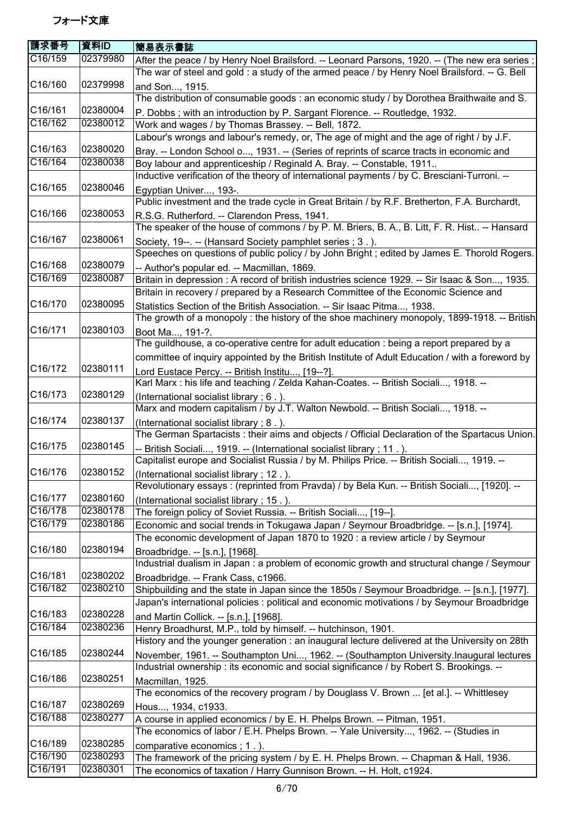| 請求番号    | 資料ID     | 簡易表示書誌                                                                                                                                                        |
|---------|----------|---------------------------------------------------------------------------------------------------------------------------------------------------------------|
| C16/159 | 02379980 | After the peace / by Henry Noel Brailsford. -- Leonard Parsons, 1920. -- (The new era series;                                                                 |
|         |          | The war of steel and gold : a study of the armed peace / by Henry Noel Brailsford. -- G. Bell                                                                 |
| C16/160 | 02379998 | and Son, 1915.                                                                                                                                                |
|         |          | The distribution of consumable goods : an economic study / by Dorothea Braithwaite and S.                                                                     |
| C16/161 | 02380004 | P. Dobbs; with an introduction by P. Sargant Florence. -- Routledge, 1932.                                                                                    |
| C16/162 | 02380012 | Work and wages / by Thomas Brassey. -- Bell, 1872.                                                                                                            |
|         |          | Labour's wrongs and labour's remedy, or, The age of might and the age of right / by J.F.                                                                      |
| C16/163 | 02380020 | Bray. -- London School o, 1931. -- (Series of reprints of scarce tracts in economic and                                                                       |
| C16/164 | 02380038 | Boy labour and apprenticeship / Reginald A. Bray. -- Constable, 1911                                                                                          |
| C16/165 | 02380046 | Inductive verification of the theory of international payments / by C. Bresciani-Turroni. --                                                                  |
|         |          | Egyptian Univer, 193-.<br>Public investment and the trade cycle in Great Britain / by R.F. Bretherton, F.A. Burchardt,                                        |
| C16/166 | 02380053 |                                                                                                                                                               |
|         |          | R.S.G. Rutherford. -- Clarendon Press, 1941.<br>The speaker of the house of commons / by P. M. Briers, B. A., B. Litt, F. R. Hist -- Hansard                  |
| C16/167 | 02380061 |                                                                                                                                                               |
|         |          | Society, 19--. -- (Hansard Society pamphlet series; 3.).<br>Speeches on questions of public policy / by John Bright ; edited by James E. Thorold Rogers.      |
| C16/168 | 02380079 |                                                                                                                                                               |
| C16/169 | 02380087 | -- Author's popular ed. -- Macmillan, 1869.<br>Britain in depression : A record of british industries science 1929. -- Sir Isaac & Son, 1935.                 |
|         |          | Britain in recovery / prepared by a Research Committee of the Economic Science and                                                                            |
| C16/170 | 02380095 | Statistics Section of the British Association. -- Sir Isaac Pitma, 1938.                                                                                      |
|         |          | The growth of a monopoly : the history of the shoe machinery monopoly, 1899-1918. -- British                                                                  |
| C16/171 | 02380103 | Boot Ma, 191-?.                                                                                                                                               |
|         |          | The guildhouse, a co-operative centre for adult education : being a report prepared by a                                                                      |
|         |          | committee of inquiry appointed by the British Institute of Adult Education / with a foreword by                                                               |
| C16/172 | 02380111 | Lord Eustace Percy. -- British Institu, [19--?].                                                                                                              |
|         |          | Karl Marx : his life and teaching / Zelda Kahan-Coates. -- British Sociali, 1918. --                                                                          |
| C16/173 | 02380129 | (International socialist library; 6.).                                                                                                                        |
|         |          | Marx and modern capitalism / by J.T. Walton Newbold. -- British Sociali, 1918. --                                                                             |
| C16/174 | 02380137 | (International socialist library; 8.).                                                                                                                        |
|         |          | The German Spartacists: their aims and objects / Official Declaration of the Spartacus Union.                                                                 |
| C16/175 | 02380145 | -- British Sociali, 1919. -- (International socialist library ; 11.).                                                                                         |
|         |          | Capitalist europe and Socialist Russia / by M. Philips Price. -- British Sociali, 1919. --                                                                    |
| C16/176 | 02380152 | (International socialist library; 12.).                                                                                                                       |
| C16/177 | 02380160 | Revolutionary essays: (reprinted from Pravda) / by Bela Kun. -- British Sociali, [1920]. --                                                                   |
| C16/178 | 02380178 | (International socialist library; 15.).                                                                                                                       |
| C16/179 | 02380186 | The foreign policy of Soviet Russia. -- British Sociali, [19--].<br>Economic and social trends in Tokugawa Japan / Seymour Broadbridge. -- [s.n.], [1974].    |
|         |          | The economic development of Japan 1870 to 1920 : a review article / by Seymour                                                                                |
| C16/180 | 02380194 | Broadbridge. -- [s.n.], [1968].                                                                                                                               |
|         |          | Industrial dualism in Japan : a problem of economic growth and structural change / Seymour                                                                    |
| C16/181 | 02380202 | Broadbridge. -- Frank Cass, c1966.                                                                                                                            |
| C16/182 | 02380210 | Shipbuilding and the state in Japan since the 1850s / Seymour Broadbridge. -- [s.n.], [1977].                                                                 |
|         |          | Japan's international policies : political and economic motivations / by Seymour Broadbridge                                                                  |
| C16/183 | 02380228 | and Martin Collick. -- [s.n.], [1968].                                                                                                                        |
| C16/184 | 02380236 | Henry Broadhurst, M.P., told by himself. -- hutchinson, 1901.                                                                                                 |
|         |          | History and the younger generation : an inaugural lecture delivered at the University on 28th                                                                 |
| C16/185 | 02380244 | November, 1961. -- Southampton Uni, 1962. -- (Southampton University.Inaugural lectures                                                                       |
|         |          | Industrial ownership : its economic and social significance / by Robert S. Brookings. --                                                                      |
| C16/186 | 02380251 | Macmillan, 1925.                                                                                                                                              |
|         |          | The economics of the recovery program / by Douglass V. Brown  [et al.]. -- Whittlesey                                                                         |
| C16/187 | 02380269 | Hous, 1934, c1933.                                                                                                                                            |
| C16/188 | 02380277 | A course in applied economics / by E. H. Phelps Brown. -- Pitman, 1951.                                                                                       |
| C16/189 | 02380285 | The economics of labor / E.H. Phelps Brown. -- Yale University, 1962. -- (Studies in                                                                          |
| C16/190 | 02380293 | comparative economics; 1.).                                                                                                                                   |
| C16/191 | 02380301 | The framework of the pricing system / by E. H. Phelps Brown. -- Chapman & Hall, 1936.<br>The economics of taxation / Harry Gunnison Brown. -- H. Holt, c1924. |
|         |          |                                                                                                                                                               |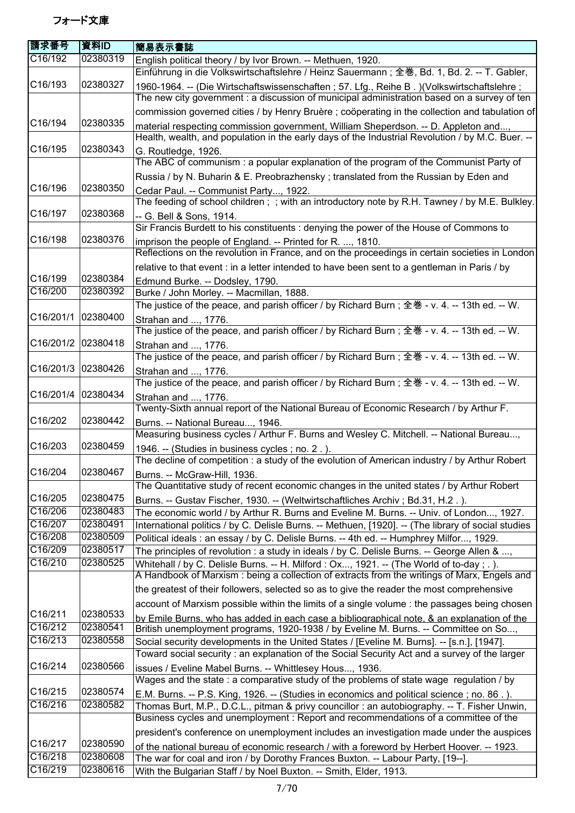| 請求番号                 | 資料ID                 | 簡易表示書誌                                                                                                                                                                                   |
|----------------------|----------------------|------------------------------------------------------------------------------------------------------------------------------------------------------------------------------------------|
| C16/192              | 02380319             | English political theory / by Ivor Brown. -- Methuen, 1920.                                                                                                                              |
|                      |                      | Einführung in die Volkswirtschaftslehre / Heinz Sauermann; 全巻, Bd. 1, Bd. 2. -- T. Gabler,                                                                                               |
| C <sub>16</sub> /193 | 02380327             | 1960-1964. -- (Die Wirtschaftswissenschaften; 57. Lfg., Reihe B.) (Volkswirtschaftslehre;<br>The new city government : a discussion of municipal administration based on a survey of ten |
|                      |                      | commission governed cities / by Henry Bruère ; coöperating in the collection and tabulation of                                                                                           |
| C16/194              | 02380335             | material respecting commission government, William Sheperdson. -- D. Appleton and,                                                                                                       |
|                      |                      | Health, wealth, and population in the early days of the Industrial Revolution / by M.C. Buer. --                                                                                         |
| C16/195              | 02380343             | G. Routledge, 1926.                                                                                                                                                                      |
|                      |                      | The ABC of communism: a popular explanation of the program of the Communist Party of                                                                                                     |
|                      |                      | Russia / by N. Buharin & E. Preobrazhensky; translated from the Russian by Eden and                                                                                                      |
| C16/196              | 02380350             | Cedar Paul. -- Communist Party, 1922.<br>The feeding of school children; ; with an introductory note by R.H. Tawney / by M.E. Bulkley.                                                   |
| C16/197              | 02380368             | -- G. Bell & Sons, 1914.<br>Sir Francis Burdett to his constituents : denying the power of the House of Commons to                                                                       |
| C16/198              | 02380376             | imprison the people of England. -- Printed for R. , 1810.<br>Reflections on the revolution in France, and on the proceedings in certain societies in London                              |
|                      |                      | relative to that event : in a letter intended to have been sent to a gentleman in Paris / by                                                                                             |
| C16/199              | 02380384             | Edmund Burke. -- Dodsley, 1790.                                                                                                                                                          |
| C16/200              | 02380392             | Burke / John Morley. -- Macmillan, 1888.<br>The justice of the peace, and parish officer / by Richard Burn; 全巻 - v. 4. -- 13th ed. -- W.                                                 |
| C16/201/1            | 02380400             | Strahan and , 1776.                                                                                                                                                                      |
|                      |                      | The justice of the peace, and parish officer / by Richard Burn; 全巻 - v. 4. -- 13th ed. -- W.                                                                                             |
| C16/201/2            | 02380418             | Strahan and , 1776.                                                                                                                                                                      |
|                      |                      | The justice of the peace, and parish officer / by Richard Burn; 全巻 - v. 4. -- 13th ed. -- W.                                                                                             |
| C16/201/3            | 02380426             | Strahan and , 1776.                                                                                                                                                                      |
|                      |                      | The justice of the peace, and parish officer / by Richard Burn; 全巻 - v. 4. -- 13th ed. -- W.                                                                                             |
| C16/201/4            | 02380434             | Strahan and , 1776.                                                                                                                                                                      |
|                      | 02380442             | Twenty-Sixth annual report of the National Bureau of Economic Research / by Arthur F.                                                                                                    |
| C <sub>16</sub> /202 |                      | Burns. -- National Bureau, 1946.                                                                                                                                                         |
| C16/203              | 02380459             | Measuring business cycles / Arthur F. Burns and Wesley C. Mitchell. -- National Bureau,                                                                                                  |
|                      |                      | 1946. -- (Studies in business cycles; no. 2.).<br>The decline of competition : a study of the evolution of American industry / by Arthur Robert                                          |
| C16/204              | 02380467             | Burns. -- McGraw-Hill, 1936.                                                                                                                                                             |
|                      |                      | The Quantitative study of recent economic changes in the united states / by Arthur Robert                                                                                                |
| C16/205              | 02380475             | Burns. -- Gustav Fischer, 1930. -- (Weltwirtschaftliches Archiv; Bd.31, H.2.).                                                                                                           |
| C16/206              | 02380483             | The economic world / by Arthur R. Burns and Eveline M. Burns. -- Univ. of London, 1927.                                                                                                  |
| C16/207              | 02380491             | International politics / by C. Delisle Burns. -- Methuen, [1920]. -- (The library of social studies                                                                                      |
| C16/208              | 02380509             | Political ideals : an essay / by C. Delisle Burns. -- 4th ed. -- Humphrey Milfor, 1929.                                                                                                  |
| C16/209              | 02380517             | The principles of revolution : a study in ideals / by C. Delisle Burns. -- George Allen & ,                                                                                              |
| C16/210              | 02380525             | Whitehall / by C. Delisle Burns. -- H. Milford: Ox, 1921. -- (The World of to-day; .).                                                                                                   |
|                      |                      | A Handbook of Marxism : being a collection of extracts from the writings of Marx, Engels and                                                                                             |
|                      |                      | the greatest of their followers, selected so as to give the reader the most comprehensive                                                                                                |
|                      |                      | account of Marxism possible within the limits of a single volume : the passages being chosen                                                                                             |
| C16/211              | 02380533             | by Emile Burns, who has added in each case a bibliographical note, & an explanation of the                                                                                               |
| C16/212              | 02380541             | British unemployment programs, 1920-1938 / by Eveline M. Burns. -- Committee on So,                                                                                                      |
| C16/213              | 02380558             | Social security developments in the United States / [Eveline M. Burns]. -- [s.n.], [1947].                                                                                               |
|                      |                      | Toward social security: an explanation of the Social Security Act and a survey of the larger                                                                                             |
| C16/214              | 02380566             | issues / Eveline Mabel Burns. -- Whittlesey Hous, 1936.                                                                                                                                  |
|                      |                      | Wages and the state : a comparative study of the problems of state wage regulation / by                                                                                                  |
| C16/215              | 02380574             | E.M. Burns. -- P.S. King, 1926. -- (Studies in economics and political science ; no. 86.).                                                                                               |
| C16/216              | 02380582             | Thomas Burt, M.P., D.C.L., pitman & privy councillor : an autobiography. -- T. Fisher Unwin,                                                                                             |
|                      |                      | Business cycles and unemployment : Report and recommendations of a committee of the                                                                                                      |
|                      |                      | president's conference on unemployment includes an investigation made under the auspices                                                                                                 |
| C16/217              | 02380590             | of the national bureau of economic research / with a foreword by Herbert Hoover. -- 1923.                                                                                                |
| C16/218<br>C16/219   | 02380608<br>02380616 | The war for coal and iron / by Dorothy Frances Buxton. -- Labour Party, [19--].                                                                                                          |
|                      |                      | With the Bulgarian Staff / by Noel Buxton. -- Smith, Elder, 1913.                                                                                                                        |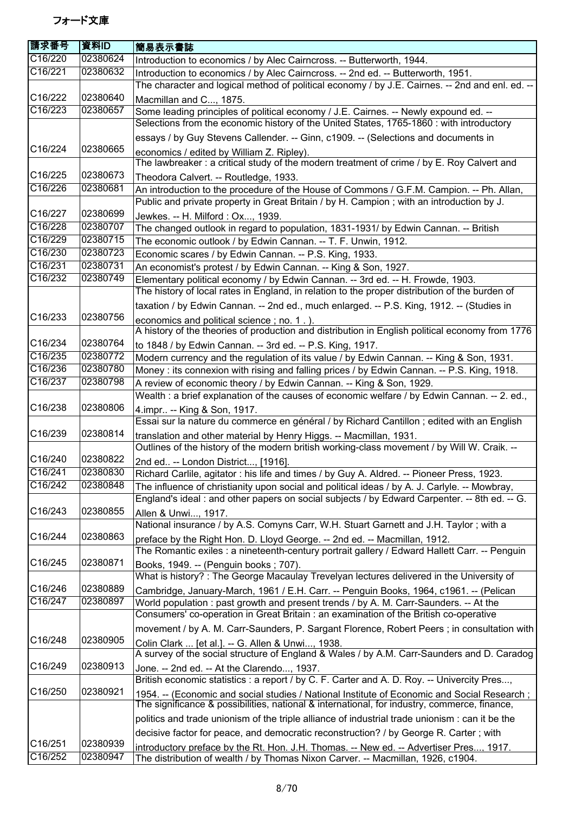| 請求番号                 | 資料ID     | 簡易表示書誌                                                                                                                                                                                         |
|----------------------|----------|------------------------------------------------------------------------------------------------------------------------------------------------------------------------------------------------|
| C16/220              | 02380624 | Introduction to economics / by Alec Cairncross. -- Butterworth, 1944.                                                                                                                          |
| C16/221              | 02380632 | Introduction to economics / by Alec Cairncross. -- 2nd ed. -- Butterworth, 1951.                                                                                                               |
|                      |          | The character and logical method of political economy / by J.E. Cairnes. -- 2nd and enl. ed. --                                                                                                |
| C16/222              | 02380640 | Macmillan and C, 1875.                                                                                                                                                                         |
| C16/223              | 02380657 | Some leading principles of political economy / J.E. Cairnes. -- Newly expound ed. --                                                                                                           |
|                      |          | Selections from the economic history of the United States, 1765-1860 : with introductory                                                                                                       |
|                      |          | essays / by Guy Stevens Callender. -- Ginn, c1909. -- (Selections and documents in                                                                                                             |
| C16/224              | 02380665 | economics / edited by William Z. Ripley).                                                                                                                                                      |
|                      |          | The lawbreaker: a critical study of the modern treatment of crime / by E. Roy Calvert and                                                                                                      |
| C16/225              | 02380673 | Theodora Calvert. -- Routledge, 1933.                                                                                                                                                          |
| C16/226              | 02380681 | An introduction to the procedure of the House of Commons / G.F.M. Campion. -- Ph. Allan,                                                                                                       |
|                      |          | Public and private property in Great Britain / by H. Campion; with an introduction by J.                                                                                                       |
| C16/227              | 02380699 | Jewkes. -- H. Milford : Ox, 1939.                                                                                                                                                              |
| C16/228              | 02380707 | The changed outlook in regard to population, 1831-1931/ by Edwin Cannan. -- British                                                                                                            |
| C16/229              | 02380715 | The economic outlook / by Edwin Cannan. -- T. F. Unwin, 1912.                                                                                                                                  |
| C16/230              | 02380723 | Economic scares / by Edwin Cannan. -- P.S. King, 1933.                                                                                                                                         |
| C16/231              | 02380731 | An economist's protest / by Edwin Cannan. -- King & Son, 1927.                                                                                                                                 |
| C16/232              | 02380749 | Elementary political economy / by Edwin Cannan. -- 3rd ed. -- H. Frowde, 1903.                                                                                                                 |
|                      |          | The history of local rates in England, in relation to the proper distribution of the burden of                                                                                                 |
|                      |          | taxation / by Edwin Cannan. -- 2nd ed., much enlarged. -- P.S. King, 1912. -- (Studies in                                                                                                      |
| C16/233              | 02380756 | economics and political science; no. 1.).                                                                                                                                                      |
|                      |          | A history of the theories of production and distribution in English political economy from 1776                                                                                                |
| C16/234              | 02380764 | to 1848 / by Edwin Cannan. -- 3rd ed. -- P.S. King, 1917.                                                                                                                                      |
| $\overline{C16/235}$ | 02380772 | Modern currency and the regulation of its value / by Edwin Cannan. -- King & Son, 1931.                                                                                                        |
| C16/236              | 02380780 | Money : its connexion with rising and falling prices / by Edwin Cannan. -- P.S. King, 1918.                                                                                                    |
| C16/237              | 02380798 | A review of economic theory / by Edwin Cannan. -- King & Son, 1929.                                                                                                                            |
|                      |          | Wealth : a brief explanation of the causes of economic welfare / by Edwin Cannan. -- 2. ed.,                                                                                                   |
| C16/238              | 02380806 | 4. impr -- King & Son, 1917.                                                                                                                                                                   |
| C16/239              |          | Essai sur la nature du commerce en général / by Richard Cantillon ; edited with an English                                                                                                     |
|                      | 02380814 | translation and other material by Henry Higgs. -- Macmillan, 1931.                                                                                                                             |
| C16/240              | 02380822 | Outlines of the history of the modern british working-class movement / by Will W. Craik. --                                                                                                    |
| C16/241              | 02380830 | 2nd ed -- London District, [1916].                                                                                                                                                             |
| C16/242              | 02380848 | Richard Carlile, agitator : his life and times / by Guy A. Aldred. -- Pioneer Press, 1923.                                                                                                     |
|                      |          | The influence of christianity upon social and political ideas / by A. J. Carlyle. -- Mowbray,<br>England's ideal : and other papers on social subjects / by Edward Carpenter. -- 8th ed. -- G. |
| C16/243              | 02380855 |                                                                                                                                                                                                |
|                      |          | Allen & Unwi, 1917.<br>National insurance / by A.S. Comyns Carr, W.H. Stuart Garnett and J.H. Taylor; with a                                                                                   |
| C16/244              | 02380863 |                                                                                                                                                                                                |
|                      |          | preface by the Right Hon. D. Lloyd George. -- 2nd ed. -- Macmillan, 1912.<br>The Romantic exiles : a nineteenth-century portrait gallery / Edward Hallett Carr. -- Penguin                     |
| C16/245              | 02380871 | Books, 1949. -- (Penguin books; 707).                                                                                                                                                          |
|                      |          | What is history?: The George Macaulay Trevelyan lectures delivered in the University of                                                                                                        |
| C16/246              | 02380889 | Cambridge, January-March, 1961 / E.H. Carr. -- Penguin Books, 1964, c1961. -- (Pelican                                                                                                         |
| C16/247              | 02380897 | World population: past growth and present trends / by A. M. Carr-Saunders. -- At the                                                                                                           |
|                      |          | Consumers' co-operation in Great Britain : an examination of the British co-operative                                                                                                          |
|                      |          | movement / by A. M. Carr-Saunders, P. Sargant Florence, Robert Peers; in consultation with                                                                                                     |
| C16/248              | 02380905 | Colin Clark  [et al.]. -- G. Allen & Unwi, 1938.                                                                                                                                               |
|                      |          | A survey of the social structure of England & Wales / by A.M. Carr-Saunders and D. Caradog                                                                                                     |
| C16/249              | 02380913 | Jone. -- 2nd ed. -- At the Clarendo, 1937.                                                                                                                                                     |
|                      |          | British economic statistics : a report / by C. F. Carter and A. D. Roy. -- Univercity Pres,                                                                                                    |
| C <sub>16</sub> /250 | 02380921 | 1954. -- (Economic and social studies / National Institute of Economic and Social Research ;                                                                                                   |
|                      |          | The significance & possibilities, national & international, for industry, commerce, finance,                                                                                                   |
|                      |          | politics and trade unionism of the triple alliance of industrial trade unionism : can it be the                                                                                                |
|                      |          | decisive factor for peace, and democratic reconstruction? / by George R. Carter; with                                                                                                          |
| C16/251              | 02380939 | introductory preface by the Rt. Hon. J.H. Thomas. -- New ed. -- Advertiser Pres, 1917.                                                                                                         |
| C16/252              | 02380947 | The distribution of wealth / by Thomas Nixon Carver. -- Macmillan, 1926, c1904.                                                                                                                |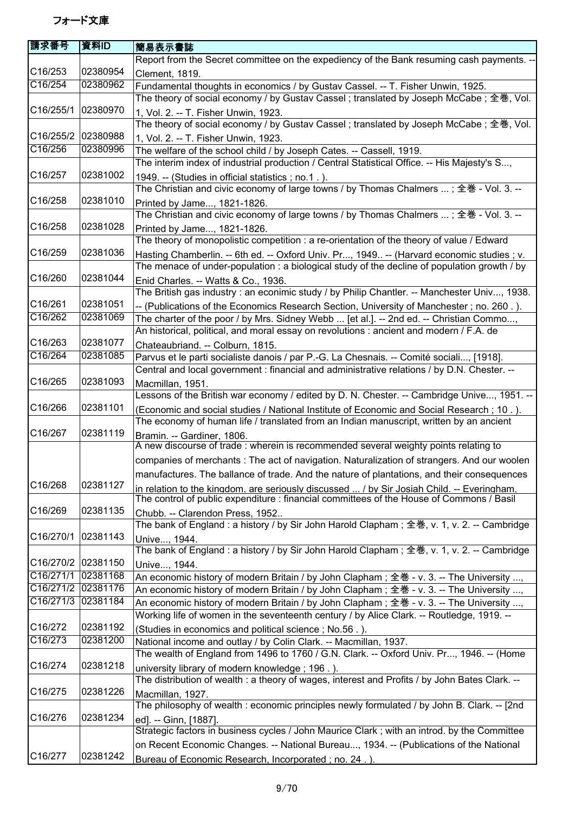| <b>請求番号</b>          | 資料ID     | 簡易表示書誌                                                                                         |
|----------------------|----------|------------------------------------------------------------------------------------------------|
|                      |          | Report from the Secret committee on the expediency of the Bank resuming cash payments. --      |
| C16/253              | 02380954 | Clement, 1819.                                                                                 |
| C16/254              | 02380962 | Fundamental thoughts in economics / by Gustav Cassel. -- T. Fisher Unwin, 1925.                |
|                      |          | The theory of social economy / by Gustav Cassel ; translated by Joseph McCabe ; 全巻, Vol.       |
| C16/255/1            | 02380970 | 1, Vol. 2. -- T. Fisher Unwin, 1923.                                                           |
|                      |          | The theory of social economy / by Gustav Cassel ; translated by Joseph McCabe ; 全巻, Vol.       |
| C16/255/2            | 02380988 | 1, Vol. 2. -- T. Fisher Unwin, 1923.                                                           |
| C16/256              | 02380996 | The welfare of the school child / by Joseph Cates. -- Cassell, 1919.                           |
|                      |          | The interim index of industrial production / Central Statistical Office. -- His Majesty's S,   |
| C16/257              | 02381002 | 1949. -- (Studies in official statistics ; no.1.).                                             |
|                      |          | The Christian and civic economy of large towns / by Thomas Chalmers  ; 全巻 - Vol. 3. --         |
| C16/258              | 02381010 | Printed by Jame, 1821-1826.                                                                    |
|                      |          | The Christian and civic economy of large towns / by Thomas Chalmers  ; 全巻 - Vol. 3. --         |
| C16/258              | 02381028 | Printed by Jame, 1821-1826.                                                                    |
|                      |          | The theory of monopolistic competition : a re-orientation of the theory of value / Edward      |
| C16/259              | 02381036 | Hasting Chamberlin. -- 6th ed. -- Oxford Univ. Pr, 1949 -- (Harvard economic studies ; v.      |
|                      |          | The menace of under-population : a biological study of the decline of population growth / by   |
| C16/260              | 02381044 | Enid Charles. -- Watts & Co., 1936.                                                            |
|                      |          | The British gas industry : an econimic study / by Philip Chantler. -- Manchester Univ, 1938.   |
| C16/261              | 02381051 | -- (Publications of the Economics Research Section, University of Manchester; no. 260.).       |
| C16/262              | 02381069 | The charter of the poor / by Mrs. Sidney Webb  [et al.]. -- 2nd ed. -- Christian Commo,        |
|                      |          | An historical, political, and moral essay on revolutions : ancient and modern / F.A. de        |
| C16/263              | 02381077 | Chateaubriand. -- Colburn, 1815.                                                               |
| C16/264              | 02381085 | Parvus et le parti socialiste danois / par P.-G. La Chesnais. -- Comité sociali, [1918].       |
|                      |          | Central and local government : financial and administrative relations / by D.N. Chester. --    |
| C16/265              | 02381093 | Macmillan, 1951.                                                                               |
|                      |          | Lessons of the British war economy / edited by D. N. Chester. -- Cambridge Unive, 1951. --     |
| C16/266              | 02381101 | (Economic and social studies / National Institute of Economic and Social Research; 10.).       |
|                      |          | The economy of human life / translated from an Indian manuscript, written by an ancient        |
| C16/267              | 02381119 | Bramin. -- Gardiner, 1806.                                                                     |
|                      |          | A new discourse of trade : wherein is recommended several weighty points relating to           |
|                      |          | companies of merchants: The act of navigation. Naturalization of strangers. And our woolen     |
|                      |          | manufactures. The ballance of trade. And the nature of plantations, and their consequences     |
| C16/268              | 02381127 | in relation to the kingdom, are seriously discussed  / by Sir Josiah Child. -- Everingham,     |
|                      |          | The control of public expenditure : financial committees of the House of Commons / Basil       |
| C16/269              | 02381135 | Chubb. -- Clarendon Press, 1952                                                                |
|                      |          | The bank of England : a history / by Sir John Harold Clapham; 全巻, v. 1, v. 2. -- Cambridge     |
| C16/270/1            | 02381143 | Unive, 1944.                                                                                   |
|                      |          | The bank of England : a history / by Sir John Harold Clapham ; 全巻, v. 1, v. 2. -- Cambridge    |
| C16/270/2            | 02381150 | Unive, 1944.                                                                                   |
| C16/271/1            | 02381168 | An economic history of modern Britain / by John Clapham; 全巻 - v. 3. -- The University ,        |
| C16/271/2            | 02381176 | An economic history of modern Britain / by John Clapham; 全巻 - v. 3. -- The University ,        |
| C16/271/3            | 02381184 | An economic history of modern Britain / by John Clapham; 全巻 - v. 3. -- The University ,        |
|                      |          | Working life of women in the seventeenth century / by Alice Clark. -- Routledge, 1919. --      |
| C16/272              | 02381192 | (Studies in economics and political science; No.56.).                                          |
| $\overline{C16/273}$ | 02381200 | National income and outlay / by Colin Clark. -- Macmillan, 1937.                               |
|                      |          | The wealth of England from 1496 to 1760 / G.N. Clark. -- Oxford Univ. Pr, 1946. -- (Home       |
| C16/274              | 02381218 | university library of modern knowledge; 196.).                                                 |
|                      |          | The distribution of wealth : a theory of wages, interest and Profits / by John Bates Clark. -- |
| C16/275              | 02381226 | Macmillan, 1927.                                                                               |
|                      |          | The philosophy of wealth : economic principles newly formulated / by John B. Clark. -- [2nd    |
| C16/276              | 02381234 | ed]. -- Ginn, [1887].                                                                          |
|                      |          | Strategic factors in business cycles / John Maurice Clark; with an introd. by the Committee    |
|                      |          | on Recent Economic Changes. -- National Bureau, 1934. -- (Publications of the National         |
| C16/277              | 02381242 | Bureau of Economic Research, Incorporated; no. 24.).                                           |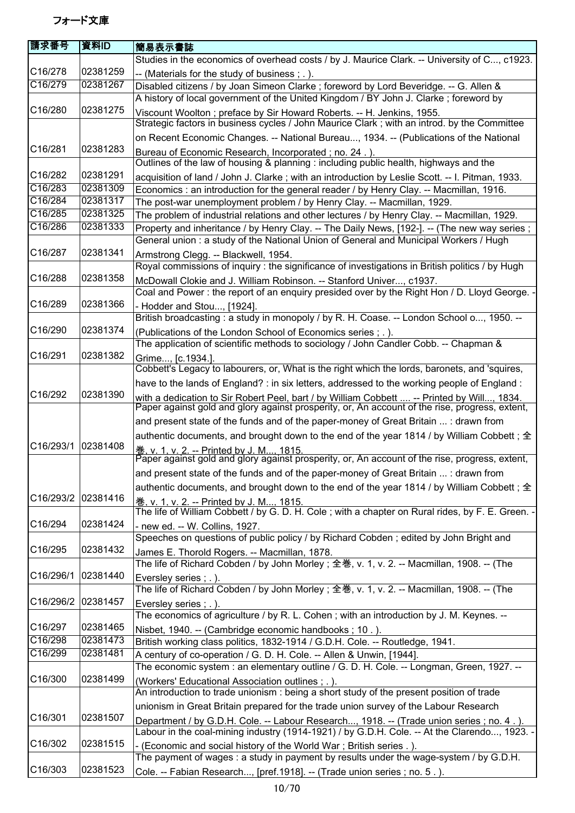| 請求番号                 | 資料ID     | 簡易表示書誌                                                                                                                                                                                       |
|----------------------|----------|----------------------------------------------------------------------------------------------------------------------------------------------------------------------------------------------|
|                      |          | Studies in the economics of overhead costs / by J. Maurice Clark. -- University of C, c1923.                                                                                                 |
| C16/278              | 02381259 | -- (Materials for the study of business; .).                                                                                                                                                 |
| C16/279              | 02381267 | Disabled citizens / by Joan Simeon Clarke ; foreword by Lord Beveridge. -- G. Allen &                                                                                                        |
|                      |          | A history of local government of the United Kingdom / BY John J. Clarke; foreword by                                                                                                         |
| C16/280              | 02381275 | Viscount Woolton; preface by Sir Howard Roberts. -- H. Jenkins, 1955.                                                                                                                        |
|                      |          | Strategic factors in business cycles / John Maurice Clark; with an introd. by the Committee                                                                                                  |
|                      |          | on Recent Economic Changes. -- National Bureau, 1934. -- (Publications of the National                                                                                                       |
| C16/281              | 02381283 | Bureau of Economic Research, Incorporated; no. 24.).                                                                                                                                         |
|                      |          | Outlines of the law of housing & planning : including public health, highways and the                                                                                                        |
| C16/282              | 02381291 | acquisition of land / John J. Clarke; with an introduction by Leslie Scott. -- I. Pitman, 1933.                                                                                              |
| C16/283              | 02381309 | Economics : an introduction for the general reader / by Henry Clay. -- Macmillan, 1916.                                                                                                      |
| C16/284              | 02381317 | The post-war unemployment problem / by Henry Clay. -- Macmillan, 1929.                                                                                                                       |
| C16/285              | 02381325 | The problem of industrial relations and other lectures / by Henry Clay. -- Macmillan, 1929.                                                                                                  |
| C16/286              | 02381333 | Property and inheritance / by Henry Clay. -- The Daily News, [192-]. -- (The new way series;                                                                                                 |
|                      |          | General union: a study of the National Union of General and Municipal Workers / Hugh                                                                                                         |
| C16/287              | 02381341 | Armstrong Clegg. -- Blackwell, 1954.                                                                                                                                                         |
|                      |          | Royal commissions of inquiry: the significance of investigations in British politics / by Hugh                                                                                               |
| C16/288              | 02381358 | McDowall Clokie and J. William Robinson. -- Stanford Univer, c1937.                                                                                                                          |
|                      |          | Coal and Power: the report of an enquiry presided over by the Right Hon / D. Lloyd George. -                                                                                                 |
| C16/289              | 02381366 | - Hodder and Stou, [1924].                                                                                                                                                                   |
|                      |          | British broadcasting: a study in monopoly / by R. H. Coase. -- London School o, 1950. --                                                                                                     |
| C16/290              | 02381374 | (Publications of the London School of Economics series ; . ).                                                                                                                                |
|                      |          | The application of scientific methods to sociology / John Candler Cobb. -- Chapman &                                                                                                         |
| C16/291              | 02381382 | Grime, [c.1934.].                                                                                                                                                                            |
|                      |          | Cobbett's Legacy to labourers, or, What is the right which the lords, baronets, and 'squires,                                                                                                |
|                      |          | have to the lands of England? : in six letters, addressed to the working people of England :                                                                                                 |
| C <sub>16</sub> /292 | 02381390 | with a dedication to Sir Robert Peel, bart / by William Cobbett  -- Printed by Will, 1834.<br>Paper against gold and glory against prosperity, or, An account of the rise, progress, extent, |
|                      |          |                                                                                                                                                                                              |
|                      |          | and present state of the funds and of the paper-money of Great Britain  : drawn from                                                                                                         |
| C16/293/1            | 02381408 | authentic documents, and brought down to the end of the year 1814 / by William Cobbett; $\pm$                                                                                                |
|                      |          | <u> 巻. v. 1. v. 2. -- Printed bv J. M 1815.</u><br>Paper against gold and glory against prosperity, or, An account of the rise, progress, extent,                                            |
|                      |          | and present state of the funds and of the paper-money of Great Britain  : drawn from                                                                                                         |
|                      |          |                                                                                                                                                                                              |
| C16/293/2 02381416   |          | authentic documents, and brought down to the end of the year 1814 / by William Cobbett; 全                                                                                                    |
|                      |          | 卷. v. 1. v. 2. -- Printed by J. M 1815.<br>The life of William Cobbett / by G. D. H. Cole; with a chapter on Rural rides, by F. E. Green. -                                                  |
| C16/294              | 02381424 | new ed. -- W. Collins, 1927.                                                                                                                                                                 |
|                      |          | Speeches on questions of public policy / by Richard Cobden; edited by John Bright and                                                                                                        |
| C16/295              | 02381432 | James E. Thorold Rogers. -- Macmillan, 1878.                                                                                                                                                 |
|                      |          | The life of Richard Cobden / by John Morley; 全巻, v. 1, v. 2. -- Macmillan, 1908. -- (The                                                                                                     |
| C16/296/1            | 02381440 | Eversley series; .).                                                                                                                                                                         |
|                      |          | The life of Richard Cobden / by John Morley ; 全巻, v. 1, v. 2. -- Macmillan, 1908. -- (The                                                                                                    |
| C16/296/2            | 02381457 | Eversley series; .).                                                                                                                                                                         |
|                      |          | The economics of agriculture / by R. L. Cohen; with an introduction by J. M. Keynes. --                                                                                                      |
| C16/297              | 02381465 | Nisbet, 1940. -- (Cambridge economic handbooks; 10.).                                                                                                                                        |
| C16/298              | 02381473 | British working class politics, 1832-1914 / G.D.H. Cole. -- Routledge, 1941.                                                                                                                 |
| C16/299              | 02381481 | A century of co-operation / G. D. H. Cole. -- Allen & Unwin, [1944].                                                                                                                         |
|                      |          | The economic system : an elementary outline / G. D. H. Cole. -- Longman, Green, 1927. --                                                                                                     |
| C16/300              | 02381499 | (Workers' Educational Association outlines; .).                                                                                                                                              |
|                      |          | An introduction to trade unionism : being a short study of the present position of trade                                                                                                     |
|                      |          | unionism in Great Britain prepared for the trade union survey of the Labour Research                                                                                                         |
| C16/301              | 02381507 | Department / by G.D.H. Cole. -- Labour Research, 1918. -- (Trade union series ; no. 4.).                                                                                                     |
|                      |          | Labour in the coal-mining industry (1914-1921) / by G.D.H. Cole. -- At the Clarendo, 1923. -                                                                                                 |
| C16/302              | 02381515 | (Economic and social history of the World War; British series.).                                                                                                                             |
|                      |          | The payment of wages : a study in payment by results under the wage-system / by G.D.H.                                                                                                       |
| C16/303              | 02381523 | Cole. -- Fabian Research, [pref.1918]. -- (Trade union series ; no. 5.).                                                                                                                     |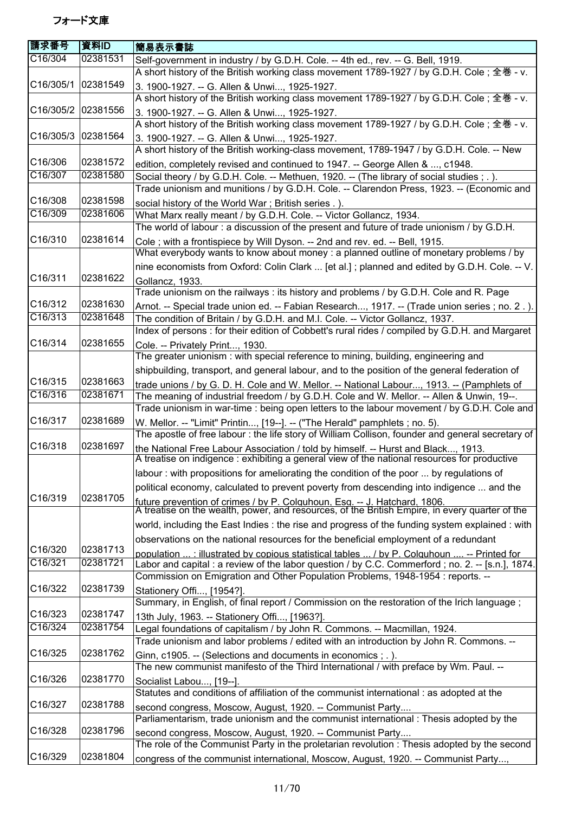| 請求番号               | 資料ID     | 簡易表示書誌                                                                                                                                                                      |
|--------------------|----------|-----------------------------------------------------------------------------------------------------------------------------------------------------------------------------|
| C16/304            | 02381531 | Self-government in industry / by G.D.H. Cole. -- 4th ed., rev. -- G. Bell, 1919.                                                                                            |
|                    |          | A short history of the British working class movement 1789-1927 / by G.D.H. Cole; 全巻 - v.                                                                                   |
| C16/305/1 02381549 |          | 3. 1900-1927. -- G. Allen & Unwi, 1925-1927.                                                                                                                                |
|                    |          | A short history of the British working class movement 1789-1927 / by G.D.H. Cole; 全巻 - v.                                                                                   |
| C16/305/2 02381556 |          | 3. 1900-1927. -- G. Allen & Unwi, 1925-1927.                                                                                                                                |
|                    |          | A short history of the British working class movement 1789-1927 / by G.D.H. Cole; 全巻 - v.                                                                                   |
| C16/305/3          | 02381564 | 3. 1900-1927. -- G. Allen & Unwi, 1925-1927.                                                                                                                                |
|                    |          | A short history of the British working-class movement, 1789-1947 / by G.D.H. Cole. -- New                                                                                   |
| C16/306            | 02381572 | edition, completely revised and continued to 1947. -- George Allen & , c1948.                                                                                               |
| C16/307            | 02381580 | Social theory / by G.D.H. Cole. -- Methuen, 1920. -- (The library of social studies ; . ).                                                                                  |
|                    |          | Trade unionism and munitions / by G.D.H. Cole. -- Clarendon Press, 1923. -- (Economic and                                                                                   |
| C16/308            | 02381598 |                                                                                                                                                                             |
| C16/309            | 02381606 | social history of the World War; British series .).                                                                                                                         |
|                    |          | What Marx really meant / by G.D.H. Cole. -- Victor Gollancz, 1934.                                                                                                          |
| C16/310            | 02381614 | The world of labour: a discussion of the present and future of trade unionism / by G.D.H.                                                                                   |
|                    |          | Cole; with a frontispiece by Will Dyson. -- 2nd and rev. ed. -- Bell, 1915.                                                                                                 |
|                    |          | What everybody wants to know about money : a planned outline of monetary problems / by                                                                                      |
|                    |          | nine economists from Oxford: Colin Clark  [et al.]; planned and edited by G.D.H. Cole. -- V.                                                                                |
| C16/311            | 02381622 | Gollancz, 1933.                                                                                                                                                             |
|                    |          | Trade unionism on the railways: its history and problems / by G.D.H. Cole and R. Page                                                                                       |
| C16/312            | 02381630 | Arnot. -- Special trade union ed. -- Fabian Research, 1917. -- (Trade union series; no. 2.).                                                                                |
| C16/313            | 02381648 | The condition of Britain / by G.D.H. and M.I. Cole. -- Victor Gollancz, 1937.                                                                                               |
|                    |          | Index of persons : for their edition of Cobbett's rural rides / compiled by G.D.H. and Margaret                                                                             |
| C16/314            | 02381655 | Cole. -- Privately Print, 1930.                                                                                                                                             |
|                    |          | The greater unionism: with special reference to mining, building, engineering and                                                                                           |
|                    |          | shipbuilding, transport, and general labour, and to the position of the general federation of                                                                               |
| C16/315            | 02381663 | trade unions / by G. D. H. Cole and W. Mellor. -- National Labour, 1913. -- (Pamphlets of                                                                                   |
| C16/316            | 02381671 | The meaning of industrial freedom / by G.D.H. Cole and W. Mellor. -- Allen & Unwin, 19--.                                                                                   |
|                    |          | Trade unionism in war-time : being open letters to the labour movement / by G.D.H. Cole and                                                                                 |
| C16/317            | 02381689 | W. Mellor. -- "Limit" Printin, [19--]. -- ("The Herald" pamphlets ; no. 5).                                                                                                 |
|                    | 02381697 | The apostle of free labour: the life story of William Collison, founder and general secretary of                                                                            |
| C16/318            |          | the National Free Labour Association / told by himself. -- Hurst and Black, 1913.                                                                                           |
|                    |          | A treatise on indigence : exhibiting a general view of the national resources for productive                                                                                |
|                    | 02381705 | labour: with propositions for ameliorating the condition of the poor  by regulations of                                                                                     |
|                    |          | political economy, calculated to prevent poverty from descending into indigence  and the                                                                                    |
| C16/319            |          |                                                                                                                                                                             |
|                    |          | future prevention of crimes / by P. Colguhoun, Esg. -- J. Hatchard, 1806.<br>A treatise on the wealth, power, and resources, of the British Empire, in every quarter of the |
|                    |          | world, including the East Indies : the rise and progress of the funding system explained : with                                                                             |
|                    |          | observations on the national resources for the beneficial employment of a redundant                                                                                         |
| C16/320            | 02381713 | population : illustrated by copious statistical tables  / by P. Colquhoun  -- Printed for                                                                                   |
| C16/321            | 02381721 | Labor and capital : a review of the labor question / by C.C. Commerford ; no. 2. -- [s.n.], 1874.                                                                           |
|                    |          | Commission on Emigration and Other Population Problems, 1948-1954 : reports. --                                                                                             |
| C16/322            | 02381739 | Stationery Offi, [1954?].                                                                                                                                                   |
|                    |          | Summary, in English, of final report / Commission on the restoration of the Irich language;                                                                                 |
| C16/323            | 02381747 | 13th July, 1963. -- Stationery Offi, [1963?].                                                                                                                               |
| C16/324            | 02381754 | Legal foundations of capitalism / by John R. Commons. -- Macmillan, 1924.                                                                                                   |
|                    |          | Trade unionism and labor problems / edited with an introduction by John R. Commons. --                                                                                      |
| C16/325            | 02381762 |                                                                                                                                                                             |
|                    |          | Ginn, c1905. -- (Selections and documents in economics ; . ).<br>The new communist manifesto of the Third International / with preface by Wm. Paul. --                      |
| C16/326            | 02381770 |                                                                                                                                                                             |
|                    |          | Socialist Labou, [19--].                                                                                                                                                    |
|                    |          | Statutes and conditions of affiliation of the communist international : as adopted at the                                                                                   |
| C16/327            | 02381788 | second congress, Moscow, August, 1920. -- Communist Party                                                                                                                   |
|                    |          | Parliamentarism, trade unionism and the communist international : Thesis adopted by the                                                                                     |
| C16/328            | 02381796 | second congress, Moscow, August, 1920. -- Communist Party                                                                                                                   |
|                    |          | The role of the Communist Party in the proletarian revolution : Thesis adopted by the second                                                                                |
| C16/329            | 02381804 | congress of the communist international, Moscow, August, 1920. -- Communist Party,                                                                                          |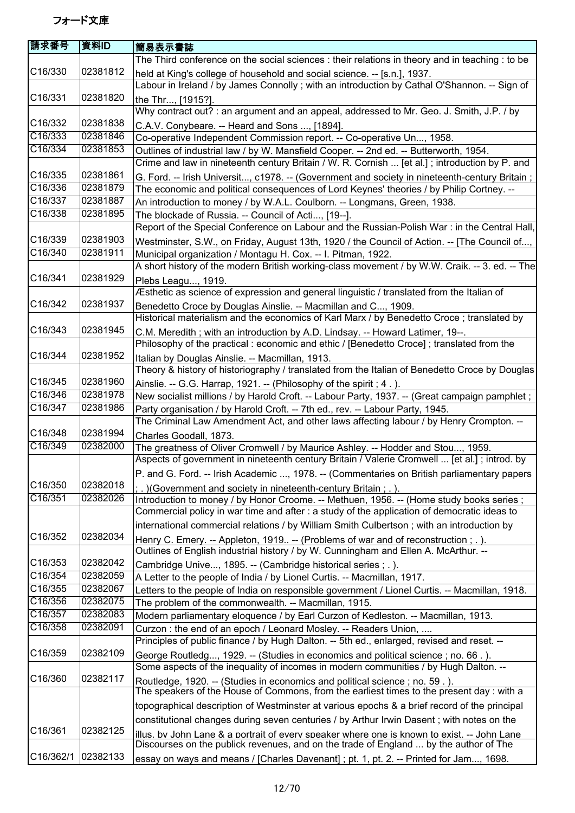| 請求番号      | 資料ID     | 簡易表示書誌                                                                                                                                                                               |
|-----------|----------|--------------------------------------------------------------------------------------------------------------------------------------------------------------------------------------|
|           |          | The Third conference on the social sciences : their relations in theory and in teaching : to be                                                                                      |
| C16/330   | 02381812 | held at King's college of household and social science. -- [s.n.], 1937.<br>Labour in Ireland / by James Connolly; with an introduction by Cathal O'Shannon. -- Sign of              |
| C16/331   | 02381820 | the Thr, [1915?].                                                                                                                                                                    |
|           |          | Why contract out? : an argument and an appeal, addressed to Mr. Geo. J. Smith, J.P. / by                                                                                             |
| C16/332   | 02381838 | C.A.V. Conybeare. -- Heard and Sons , [1894].                                                                                                                                        |
| C16/333   | 02381846 | Co-operative Independent Commission report. -- Co-operative Un, 1958.                                                                                                                |
| C16/334   | 02381853 | Outlines of industrial law / by W. Mansfield Cooper. -- 2nd ed. -- Butterworth, 1954.                                                                                                |
|           |          | Crime and law in nineteenth century Britain / W. R. Cornish  [et al.]; introduction by P. and                                                                                        |
| C16/335   | 02381861 | G. Ford. -- Irish Universit, c1978. -- (Government and society in nineteenth-century Britain;                                                                                        |
| C16/336   | 02381879 | The economic and political consequences of Lord Keynes' theories / by Philip Cortney. --                                                                                             |
| C16/337   | 02381887 | An introduction to money / by W.A.L. Coulborn. -- Longmans, Green, 1938.                                                                                                             |
| C16/338   | 02381895 | The blockade of Russia. -- Council of Acti, [19--].                                                                                                                                  |
|           |          | Report of the Special Conference on Labour and the Russian-Polish War : in the Central Hall,                                                                                         |
| C16/339   | 02381903 | Westminster, S.W., on Friday, August 13th, 1920 / the Council of Action. -- [The Council of,                                                                                         |
| C16/340   | 02381911 | Municipal organization / Montagu H. Cox. -- I. Pitman, 1922.                                                                                                                         |
|           |          | A short history of the modern British working-class movement / by W.W. Craik. -- 3. ed. -- The                                                                                       |
| C16/341   | 02381929 | Plebs Leagu, 1919.                                                                                                                                                                   |
|           |          | Æsthetic as science of expression and general linguistic / translated from the Italian of                                                                                            |
| C16/342   | 02381937 | Benedetto Croce by Douglas Ainslie. -- Macmillan and C, 1909.                                                                                                                        |
|           |          | Historical materialism and the economics of Karl Marx / by Benedetto Croce; translated by                                                                                            |
| C16/343   | 02381945 | C.M. Meredith; with an introduction by A.D. Lindsay. -- Howard Latimer, 19--.                                                                                                        |
|           |          | Philosophy of the practical : economic and ethic / [Benedetto Croce] ; translated from the                                                                                           |
| C16/344   | 02381952 | Italian by Douglas Ainslie. -- Macmillan, 1913.                                                                                                                                      |
|           |          | Theory & history of historiography / translated from the Italian of Benedetto Croce by Douglas                                                                                       |
| C16/345   | 02381960 | Ainslie. -- G.G. Harrap, 1921. -- (Philosophy of the spirit; 4.).                                                                                                                    |
| C16/346   | 02381978 | New socialist millions / by Harold Croft. -- Labour Party, 1937. -- (Great campaign pamphlet;                                                                                        |
| C16/347   | 02381986 | Party organisation / by Harold Croft. -- 7th ed., rev. -- Labour Party, 1945.                                                                                                        |
|           |          | The Criminal Law Amendment Act, and other laws affecting labour / by Henry Crompton. --                                                                                              |
| C16/348   | 02381994 | Charles Goodall, 1873.                                                                                                                                                               |
| C16/349   | 02382000 | The greatness of Oliver Cromwell / by Maurice Ashley. -- Hodder and Stou, 1959.                                                                                                      |
|           |          | Aspects of government in nineteenth century Britain / Valerie Cromwell  [et al.]; introd. by                                                                                         |
|           |          | P. and G. Ford. -- Irish Academic , 1978. -- (Commentaries on British parliamentary papers                                                                                           |
| C16/350   | 02382018 | . ) (Government and society in nineteenth-century Britain; .).                                                                                                                       |
| C16/351   | 02382026 | Introduction to money / by Honor Croome. -- Methuen, 1956. -- (Home study books series;                                                                                              |
|           |          | Commercial policy in war time and after : a study of the application of democratic ideas to                                                                                          |
|           |          | international commercial relations / by William Smith Culbertson; with an introduction by                                                                                            |
| C16/352   | 02382034 | Henry C. Emery. -- Appleton, 1919 -- (Problems of war and of reconstruction; .).                                                                                                     |
|           |          | Outlines of English industrial history / by W. Cunningham and Ellen A. McArthur. --                                                                                                  |
| C16/353   | 02382042 | Cambridge Unive, 1895. -- (Cambridge historical series; .).                                                                                                                          |
| C16/354   | 02382059 | A Letter to the people of India / by Lionel Curtis. -- Macmillan, 1917.                                                                                                              |
| C16/355   | 02382067 | Letters to the people of India on responsible government / Lionel Curtis. -- Macmillan, 1918.                                                                                        |
| C16/356   | 02382075 | The problem of the commonwealth. -- Macmillan, 1915.                                                                                                                                 |
| C16/357   | 02382083 | Modern parliamentary eloquence / by Earl Curzon of Kedleston. -- Macmillan, 1913.                                                                                                    |
| C16/358   | 02382091 | Curzon: the end of an epoch / Leonard Mosley. -- Readers Union,                                                                                                                      |
|           |          | Principles of public finance / by Hugh Dalton. -- 5th ed., enlarged, revised and reset. --                                                                                           |
| C16/359   | 02382109 | George Routledg, 1929. -- (Studies in economics and political science; no. 66.).                                                                                                     |
|           |          | Some aspects of the inequality of incomes in modern communities / by Hugh Dalton. --                                                                                                 |
| C16/360   | 02382117 | Routledge, 1920. -- (Studies in economics and political science; no. 59.).<br>The speakers of the House of Commons, from the earliest times to the present day: with a               |
|           |          |                                                                                                                                                                                      |
|           |          | topographical description of Westminster at various epochs & a brief record of the principal                                                                                         |
|           |          | constitutional changes during seven centuries / by Arthur Irwin Dasent; with notes on the                                                                                            |
| C16/361   | 02382125 | illus. by John Lane & a portrait of every speaker where one is known to exist. -- John Lane<br>Discourses on the publick revenues, and on the trade of England  by the author of The |
| C16/362/1 | 02382133 | essay on ways and means / [Charles Davenant]; pt. 1, pt. 2. -- Printed for Jam, 1698.                                                                                                |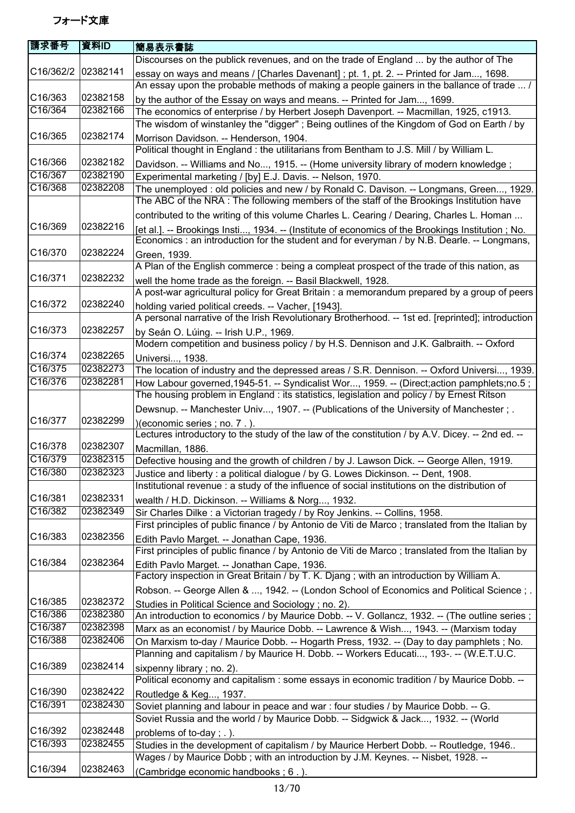| 請求番号                 | 資料ID     | 簡易表示書誌                                                                                                                                                                                          |
|----------------------|----------|-------------------------------------------------------------------------------------------------------------------------------------------------------------------------------------------------|
|                      |          | Discourses on the publick revenues, and on the trade of England  by the author of The                                                                                                           |
| C16/362/2            | 02382141 | essay on ways and means / [Charles Davenant] ; pt. 1, pt. 2. -- Printed for Jam, 1698.                                                                                                          |
|                      |          | An essay upon the probable methods of making a people gainers in the ballance of trade  /                                                                                                       |
| C16/363              | 02382158 | by the author of the Essay on ways and means. -- Printed for Jam, 1699.                                                                                                                         |
| C16/364              | 02382166 | The economics of enterprise / by Herbert Joseph Davenport. -- Macmillan, 1925, c1913.                                                                                                           |
|                      |          | The wisdom of winstanley the "digger"; Being outlines of the Kingdom of God on Earth / by                                                                                                       |
| C16/365              | 02382174 | Morrison Davidson. -- Henderson, 1904.<br>Political thought in England : the utilitarians from Bentham to J.S. Mill / by William L.                                                             |
| C16/366              | 02382182 | Davidson. -- Williams and No, 1915. -- (Home university library of modern knowledge;                                                                                                            |
| C16/367              | 02382190 | Experimental marketing / [by] E.J. Davis. -- Nelson, 1970.                                                                                                                                      |
| C16/368              | 02382208 | The unemployed : old policies and new / by Ronald C. Davison. -- Longmans, Green, 1929.                                                                                                         |
|                      |          | The ABC of the NRA : The following members of the staff of the Brookings Institution have                                                                                                       |
|                      |          | contributed to the writing of this volume Charles L. Cearing / Dearing, Charles L. Homan                                                                                                        |
| C16/369              | 02382216 | [et al.]. -- Brookings Insti, 1934. -- (Institute of economics of the Brookings Institution; No.<br>Economics : an introduction for the student and for everyman / by N.B. Dearle. -- Longmans, |
| C16/370              | 02382224 | Green, 1939.                                                                                                                                                                                    |
|                      |          | A Plan of the English commerce : being a compleat prospect of the trade of this nation, as                                                                                                      |
| C16/371              | 02382232 | well the home trade as the foreign. -- Basil Blackwell, 1928.                                                                                                                                   |
| C16/372              | 02382240 | A post-war agricultural policy for Great Britain : a memorandum prepared by a group of peers<br>holding varied political creeds. -- Vacher, [1943].                                             |
|                      |          | A personal narrative of the Irish Revolutionary Brotherhood. -- 1st ed. [reprinted]; introduction                                                                                               |
| C16/373              | 02382257 | by Seán O. Lúing. -- Irish U.P., 1969.                                                                                                                                                          |
|                      |          | Modern competition and business policy / by H.S. Dennison and J.K. Galbraith. -- Oxford                                                                                                         |
| C16/374              | 02382265 | Universi, 1938.                                                                                                                                                                                 |
| C16/375              | 02382273 | The location of industry and the depressed areas / S.R. Dennison. -- Oxford Universi, 1939.                                                                                                     |
| C16/376              | 02382281 | How Labour governed, 1945-51. -- Syndicalist Wor, 1959. -- (Direct; action pamphlets; no.5;                                                                                                     |
|                      |          | The housing problem in England : its statistics, legislation and policy / by Ernest Ritson                                                                                                      |
|                      |          | Dewsnup. -- Manchester Univ, 1907. -- (Publications of the University of Manchester ; .                                                                                                         |
| C16/377              | 02382299 | )(economic series ; no. 7.).                                                                                                                                                                    |
|                      |          | Lectures introductory to the study of the law of the constitution / by A.V. Dicey. -- 2nd ed. --                                                                                                |
| C16/378              | 02382307 | Macmillan, 1886.                                                                                                                                                                                |
| C16/379              | 02382315 | Defective housing and the growth of children / by J. Lawson Dick. -- George Allen, 1919.                                                                                                        |
| C16/380              | 02382323 | Justice and liberty : a political dialogue / by G. Lowes Dickinson. -- Dent, 1908.                                                                                                              |
|                      |          | Institutional revenue : a study of the influence of social institutions on the distribution of                                                                                                  |
| C16/381              | 02382331 | wealth / H.D. Dickinson. -- Williams & Norg, 1932.                                                                                                                                              |
| C16/382              | 02382349 | Sir Charles Dilke : a Victorian tragedy / by Roy Jenkins. -- Collins, 1958.                                                                                                                     |
|                      |          | First principles of public finance / by Antonio de Viti de Marco; translated from the Italian by                                                                                                |
| C16/383              | 02382356 | Edith Pavlo Marget. -- Jonathan Cape, 1936.                                                                                                                                                     |
|                      |          | First principles of public finance / by Antonio de Viti de Marco; translated from the Italian by                                                                                                |
| C <sub>16</sub> /384 | 02382364 | Edith Pavlo Marget. -- Jonathan Cape, 1936.<br>Factory inspection in Great Britain / by T. K. Djang ; with an introduction by William A.                                                        |
|                      |          | Robson. -- George Allen & , 1942. -- (London School of Economics and Political Science; .                                                                                                       |
| C16/385              | 02382372 | Studies in Political Science and Sociology; no. 2).                                                                                                                                             |
| C16/386              | 02382380 | An introduction to economics / by Maurice Dobb. -- V. Gollancz, 1932. -- (The outline series ;                                                                                                  |
| C16/387              | 02382398 | Marx as an economist / by Maurice Dobb. -- Lawrence & Wish, 1943. -- (Marxism today                                                                                                             |
| C16/388              | 02382406 | On Marxism to-day / Maurice Dobb. -- Hogarth Press, 1932. -- (Day to day pamphlets; No.                                                                                                         |
|                      |          | Planning and capitalism / by Maurice H. Dobb. -- Workers Educati, 193-. -- (W.E.T.U.C.                                                                                                          |
| C <sub>16</sub> /389 | 02382414 | sixpenny library; no. 2).                                                                                                                                                                       |
|                      |          | Political economy and capitalism : some essays in economic tradition / by Maurice Dobb. --                                                                                                      |
| C16/390              | 02382422 | Routledge & Keg, 1937.                                                                                                                                                                          |
| C16/391              | 02382430 | Soviet planning and labour in peace and war: four studies / by Maurice Dobb. -- G.                                                                                                              |
|                      |          | Soviet Russia and the world / by Maurice Dobb. -- Sidgwick & Jack, 1932. -- (World                                                                                                              |
| C16/392              | 02382448 | problems of to-day; .).                                                                                                                                                                         |
| C16/393              | 02382455 | Studies in the development of capitalism / by Maurice Herbert Dobb. -- Routledge, 1946                                                                                                          |
|                      |          | Wages / by Maurice Dobb; with an introduction by J.M. Keynes. -- Nisbet, 1928. --                                                                                                               |
| C16/394              | 02382463 | (Cambridge economic handbooks; 6.).                                                                                                                                                             |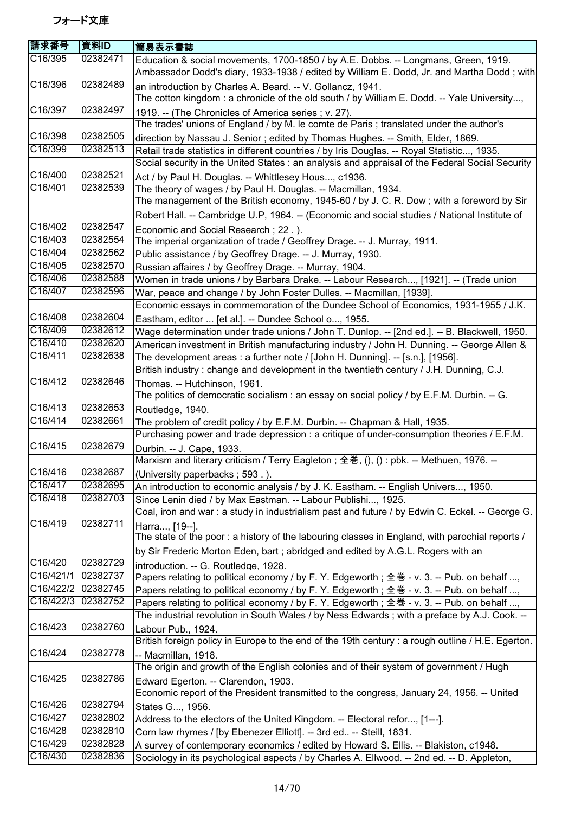| 請求番号       | 資料ID     | 簡易表示書誌                                                                                                                  |
|------------|----------|-------------------------------------------------------------------------------------------------------------------------|
| C16/395    | 02382471 | Education & social movements, 1700-1850 / by A.E. Dobbs. -- Longmans, Green, 1919.                                      |
|            |          | Ambassador Dodd's diary, 1933-1938 / edited by William E. Dodd, Jr. and Martha Dodd; with                               |
| C16/396    | 02382489 | an introduction by Charles A. Beard. -- V. Gollancz, 1941.                                                              |
|            |          | The cotton kingdom: a chronicle of the old south / by William E. Dodd. -- Yale University,                              |
| C16/397    | 02382497 | 1919. -- (The Chronicles of America series; v. 27).                                                                     |
|            |          | The trades' unions of England / by M. le comte de Paris ; translated under the author's                                 |
| C16/398    | 02382505 | direction by Nassau J. Senior; edited by Thomas Hughes. -- Smith, Elder, 1869.                                          |
| C16/399    | 02382513 | Retail trade statistics in different countries / by Iris Douglas. -- Royal Statistic, 1935.                             |
|            |          | Social security in the United States : an analysis and appraisal of the Federal Social Security                         |
| C16/400    | 02382521 | Act / by Paul H. Douglas. -- Whittlesey Hous, c1936.                                                                    |
| C16/401    | 02382539 | The theory of wages / by Paul H. Douglas. -- Macmillan, 1934.                                                           |
|            |          | The management of the British economy, 1945-60 / by J. C. R. Dow; with a foreword by Sir                                |
|            |          |                                                                                                                         |
| C16/402    | 02382547 | Robert Hall. -- Cambridge U.P, 1964. -- (Economic and social studies / National Institute of                            |
| C16/403    |          | Economic and Social Research; 22.).                                                                                     |
|            | 02382554 | The imperial organization of trade / Geoffrey Drage. -- J. Murray, 1911.                                                |
| C16/404    | 02382562 | Public assistance / by Geoffrey Drage. -- J. Murray, 1930.                                                              |
| C16/405    | 02382570 | Russian affaires / by Geoffrey Drage. -- Murray, 1904.                                                                  |
| C16/406    | 02382588 | Women in trade unions / by Barbara Drake. -- Labour Research, [1921]. -- (Trade union                                   |
| C16/407    | 02382596 | War, peace and change / by John Foster Dulles. -- Macmillan, [1939].                                                    |
|            |          | Economic essays in commemoration of the Dundee School of Economics, 1931-1955 / J.K.                                    |
| C16/408    | 02382604 | Eastham, editor  [et al.]. -- Dundee School o, 1955.                                                                    |
| C16/409    | 02382612 | Wage determination under trade unions / John T. Dunlop. -- [2nd ed.]. -- B. Blackwell, 1950.                            |
| C16/410    | 02382620 | American investment in British manufacturing industry / John H. Dunning. -- George Allen &                              |
| $C$ 16/411 | 02382638 | The development areas: a further note / [John H. Dunning]. -- [s.n.], [1956].                                           |
|            |          | British industry: change and development in the twentieth century / J.H. Dunning, C.J.                                  |
| C16/412    | 02382646 | Thomas. -- Hutchinson, 1961.                                                                                            |
|            |          | The politics of democratic socialism : an essay on social policy / by E.F.M. Durbin. -- G.                              |
| C16/413    | 02382653 | Routledge, 1940.                                                                                                        |
| C16/414    | 02382661 | The problem of credit policy / by E.F.M. Durbin. -- Chapman & Hall, 1935.                                               |
|            |          | Purchasing power and trade depression : a critique of under-consumption theories / E.F.M.                               |
| C16/415    | 02382679 | Durbin. -- J. Cape, 1933.                                                                                               |
|            |          | Marxism and literary criticism / Terry Eagleton; 全巻, (), () : pbk. -- Methuen, 1976. --                                 |
| C16/416    | 02382687 | (University paperbacks; 593.).                                                                                          |
| C16/417    | 02382695 | An introduction to economic analysis / by J. K. Eastham. -- English Univers, 1950.                                      |
| C16/418    | 02382703 | Since Lenin died / by Max Eastman. -- Labour Publishi, 1925.                                                            |
|            |          | Coal, iron and war : a study in industrialism past and future / by Edwin C. Eckel. -- George G.                         |
| C16/419    | 02382711 | Harra, [19--].                                                                                                          |
|            |          | The state of the poor: a history of the labouring classes in England, with parochial reports /                          |
|            |          | by Sir Frederic Morton Eden, bart; abridged and edited by A.G.L. Rogers with an                                         |
| C16/420    | 02382729 | introduction. -- G. Routledge, 1928.                                                                                    |
| C16/421/1  | 02382737 | Papers relating to political economy / by F. Y. Edgeworth; 全巻 - v. 3. -- Pub. on behalf ,                               |
| C16/422/2  | 02382745 | Papers relating to political economy / by F. Y. Edgeworth; 全巻 - v. 3. -- Pub. on behalf ,                               |
| C16/422/3  | 02382752 | Papers relating to political economy / by F. Y. Edgeworth; 全巻 - v. 3. -- Pub. on behalf ,                               |
|            |          | The industrial revolution in South Wales / by Ness Edwards; with a preface by A.J. Cook. --                             |
| C16/423    | 02382760 |                                                                                                                         |
|            |          | Labour Pub., 1924.<br>British foreign policy in Europe to the end of the 19th century : a rough outline / H.E. Egerton. |
| C16/424    | 02382778 |                                                                                                                         |
|            |          | -- Macmillan, 1918.                                                                                                     |
|            |          | The origin and growth of the English colonies and of their system of government / Hugh                                  |
| C16/425    | 02382786 | Edward Egerton. -- Clarendon, 1903.                                                                                     |
|            |          | Economic report of the President transmitted to the congress, January 24, 1956. -- United                               |
| C16/426    | 02382794 | States G, 1956.                                                                                                         |
| C16/427    | 02382802 | Address to the electors of the United Kingdom. -- Electoral refor, [1---].                                              |
| C16/428    | 02382810 | Corn law rhymes / [by Ebenezer Elliott]. -- 3rd ed -- Steill, 1831.                                                     |
| C16/429    | 02382828 | A survey of contemporary economics / edited by Howard S. Ellis. -- Blakiston, c1948.                                    |
| C16/430    | 02382836 | Sociology in its psychological aspects / by Charles A. Ellwood. -- 2nd ed. -- D. Appleton,                              |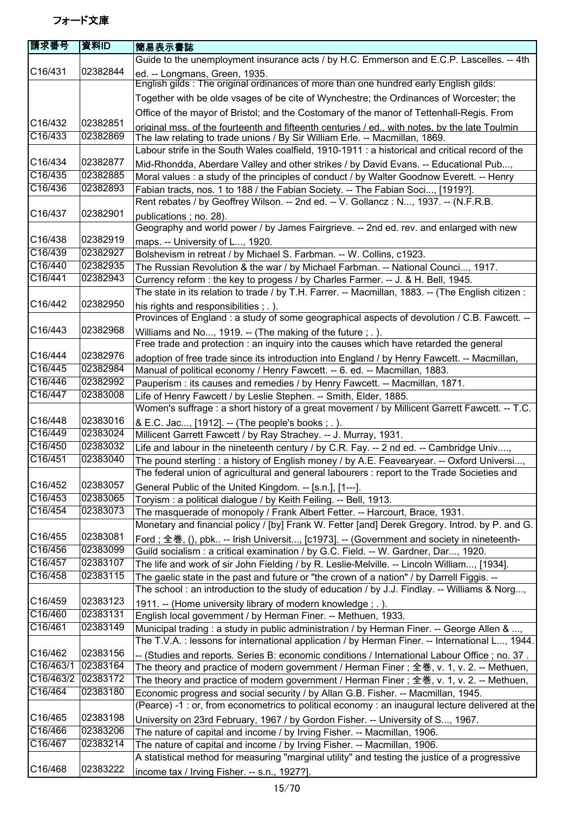| 請求番号                 | 資料ID     | 簡易表示書誌                                                                                                                                                      |
|----------------------|----------|-------------------------------------------------------------------------------------------------------------------------------------------------------------|
|                      |          | Guide to the unemployment insurance acts / by H.C. Emmerson and E.C.P. Lascelles. -- 4th                                                                    |
| C16/431              | 02382844 | ed. -- Longmans, Green, 1935.                                                                                                                               |
|                      |          | English gilds: The original ordinances of more than one hundred early English gilds:                                                                        |
|                      |          | Together with be olde vsages of be cite of Wynchestre; the Ordinances of Worcester; the                                                                     |
|                      |          | Office of the mayor of Bristol; and the Costomary of the manor of Tettenhall-Regis. From                                                                    |
| C16/432              | 02382851 | original mss. of the fourteenth and fifteenth centuries / ed., with notes, by the late Toulmin                                                              |
| C16/433              | 02382869 | The law relating to trade unions / By Sir William Erle. -- Macmillan, 1869.                                                                                 |
|                      |          | Labour strife in the South Wales coalfield, 1910-1911 : a historical and critical record of the                                                             |
| C16/434              | 02382877 | Mid-Rhondda, Aberdare Valley and other strikes / by David Evans. -- Educational Pub,                                                                        |
| C16/435              | 02382885 | Moral values: a study of the principles of conduct / by Walter Goodnow Everett. -- Henry                                                                    |
| C16/436              | 02382893 | Fabian tracts, nos. 1 to 188 / the Fabian Society. -- The Fabian Soci, [1919?].                                                                             |
|                      |          | Rent rebates / by Geoffrey Wilson. -- 2nd ed. -- V. Gollancz: N, 1937. -- (N.F.R.B.                                                                         |
| C16/437              | 02382901 | publications; no. 28).                                                                                                                                      |
|                      |          | Geography and world power / by James Fairgrieve. -- 2nd ed. rev. and enlarged with new                                                                      |
| C16/438              | 02382919 | maps. -- University of L, 1920.                                                                                                                             |
| C16/439              | 02382927 | Bolshevism in retreat / by Michael S. Farbman. -- W. Collins, c1923.                                                                                        |
| C16/440              | 02382935 | The Russian Revolution & the war / by Michael Farbman. -- National Counci, 1917.                                                                            |
| C16/441              | 02382943 | Currency reform : the key to progess / by Charles Farmer. -- J. & H. Bell, 1945.                                                                            |
|                      |          | The state in its relation to trade / by T.H. Farrer. -- Macmillan, 1883. -- (The English citizen :                                                          |
| C16/442              | 02382950 | his rights and responsibilities; .).                                                                                                                        |
|                      |          | Provinces of England: a study of some geographical aspects of devolution / C.B. Fawcett. --                                                                 |
| C <sub>16</sub> /443 | 02382968 | Williams and No, 1919. -- (The making of the future; .).                                                                                                    |
| C16/444              | 02382976 | Free trade and protection : an inquiry into the causes which have retarded the general                                                                      |
| C16/445              | 02382984 | adoption of free trade since its introduction into England / by Henry Fawcett. -- Macmillan,                                                                |
| C16/446              | 02382992 | Manual of political economy / Henry Fawcett. -- 6. ed. -- Macmillan, 1883.                                                                                  |
| C16/447              | 02383008 | Pauperism : its causes and remedies / by Henry Fawcett. -- Macmillan, 1871.                                                                                 |
|                      |          | Life of Henry Fawcett / by Leslie Stephen. -- Smith, Elder, 1885.                                                                                           |
| C16/448              | 02383016 | Women's suffrage : a short history of a great movement / by Millicent Garrett Fawcett. -- T.C.                                                              |
| C16/449              | 02383024 | & E.C. Jac, [1912]. -- (The people's books; .).                                                                                                             |
| C16/450              | 02383032 | Millicent Garrett Fawcett / by Ray Strachey. -- J. Murray, 1931.<br>Life and labour in the nineteenth century / by C.R. Fay. -- 2 nd ed. -- Cambridge Univ, |
| C16/451              | 02383040 | The pound sterling : a history of English money / by A.E. Feavearyear. -- Oxford Universi,                                                                  |
|                      |          | The federal union of agricultural and general labourers : report to the Trade Societies and                                                                 |
| C16/452              | 02383057 | General Public of the United Kingdom. -- [s.n.], [1---].                                                                                                    |
| C16/453              | 02383065 | Toryism : a political dialogue / by Keith Feiling. -- Bell, 1913.                                                                                           |
| C16/454              | 02383073 | The masquerade of monopoly / Frank Albert Fetter. -- Harcourt, Brace, 1931.                                                                                 |
|                      |          | Monetary and financial policy / [by] Frank W. Fetter [and] Derek Gregory. Introd. by P. and G.                                                              |
| C16/455              | 02383081 | Ford; 全巻, (), pbk -- Irish Universit, [c1973]. -- (Government and society in nineteenth-                                                                    |
| C16/456              | 02383099 | Guild socialism : a critical examination / by G.C. Field. -- W. Gardner, Dar, 1920.                                                                         |
| C16/457              | 02383107 | The life and work of sir John Fielding / by R. Leslie-Melville. -- Lincoln William, [1934].                                                                 |
| C16/458              | 02383115 | The gaelic state in the past and future or "the crown of a nation" / by Darrell Figgis. --                                                                  |
|                      |          | The school: an introduction to the study of education / by J.J. Findlay. -- Williams & Norg,                                                                |
| C16/459              | 02383123 | 1911. -- (Home university library of modern knowledge; .).                                                                                                  |
| C16/460              | 02383131 | English local government / by Herman Finer. -- Methuen, 1933.                                                                                               |
| C16/461              | 02383149 | Municipal trading : a study in public administration / by Herman Finer. -- George Allen & ,                                                                 |
|                      |          | The T.V.A. : lessons for international application / by Herman Finer. -- International L, 1944.                                                             |
| C16/462              | 02383156 | -- (Studies and reports. Series B: economic conditions / International Labour Office ; no. 37.                                                              |
| C16/463/1            | 02383164 | The theory and practice of modern government / Herman Finer; 全巻, v. 1, v. 2. -- Methuen,                                                                    |
| C16/463/2            | 02383172 | The theory and practice of modern government / Herman Finer; 全巻, v. 1, v. 2. -- Methuen,                                                                    |
| C16/464              | 02383180 | Economic progress and social security / by Allan G.B. Fisher. -- Macmillan, 1945.                                                                           |
|                      |          | (Pearce) -1 : or, from econometrics to political economy : an inaugural lecture delivered at the                                                            |
| C16/465              | 02383198 | University on 23rd February, 1967 / by Gordon Fisher. -- University of S, 1967.                                                                             |
| C16/466              | 02383206 | The nature of capital and income / by Irving Fisher. -- Macmillan, 1906.                                                                                    |
| C16/467              | 02383214 | The nature of capital and income / by Irving Fisher. -- Macmillan, 1906.                                                                                    |
|                      |          | A statistical method for measuring "marginal utility" and testing the justice of a progressive                                                              |
| C16/468              | 02383222 | income tax / Irving Fisher. -- s.n., 1927?].                                                                                                                |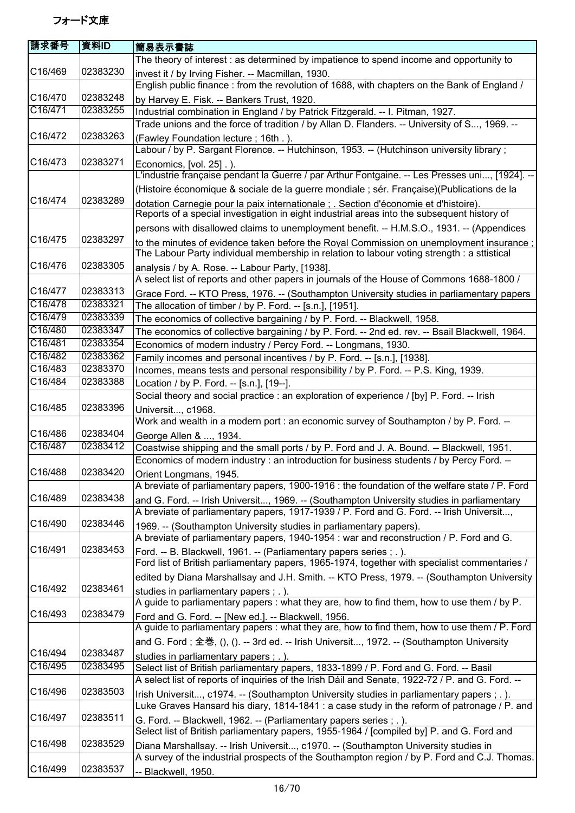| 請求番号                 | 資料ID     | <b> 簡易表示書誌</b>                                                                                                                                                      |
|----------------------|----------|---------------------------------------------------------------------------------------------------------------------------------------------------------------------|
|                      |          | The theory of interest: as determined by impatience to spend income and opportunity to                                                                              |
| C16/469              | 02383230 | invest it / by Irving Fisher. -- Macmillan, 1930.                                                                                                                   |
|                      |          | English public finance: from the revolution of 1688, with chapters on the Bank of England /                                                                         |
| C16/470              | 02383248 | by Harvey E. Fisk. -- Bankers Trust, 1920.                                                                                                                          |
| C16/471              | 02383255 | Industrial combination in England / by Patrick Fitzgerald. -- I. Pitman, 1927.                                                                                      |
|                      |          | Trade unions and the force of tradition / by Allan D. Flanders. -- University of S, 1969. --                                                                        |
| C16/472              | 02383263 |                                                                                                                                                                     |
|                      |          | (Fawley Foundation lecture; 16th.).                                                                                                                                 |
|                      |          | Labour / by P. Sargant Florence. -- Hutchinson, 1953. -- (Hutchinson university library;                                                                            |
| C16/473              | 02383271 | Economics, [vol. 25].).                                                                                                                                             |
|                      |          | L'industrie française pendant la Guerre / par Arthur Fontgaine. -- Les Presses uni, [1924]. --                                                                      |
|                      |          | (Histoire économique & sociale de la guerre mondiale ; sér. Française)(Publications de la                                                                           |
| C <sub>16</sub> /474 | 02383289 | dotation Carnegie pour la paix internationale; Section d'économie et d'histoire).                                                                                   |
|                      |          | Reports of a special investigation in eight industrial areas into the subsequent history of                                                                         |
|                      |          | persons with disallowed claims to unemployment benefit. -- H.M.S.O., 1931. -- (Appendices                                                                           |
| C16/475              | 02383297 | to the minutes of evidence taken before the Royal Commission on unemployment insurance;                                                                             |
|                      |          | The Labour Party individual membership in relation to labour voting strength : a sttistical                                                                         |
| C16/476              | 02383305 | analysis / by A. Rose. -- Labour Party, [1938].                                                                                                                     |
|                      |          | A select list of reports and other papers in journals of the House of Commons 1688-1800 /                                                                           |
| C16/477              | 02383313 | Grace Ford. -- KTO Press, 1976. -- (Southampton University studies in parliamentary papers                                                                          |
| C16/478              | 02383321 | The allocation of timber / by P. Ford. -- [s.n.], [1951].                                                                                                           |
| C16/479              | 02383339 | The economics of collective bargaining / by P. Ford. -- Blackwell, 1958.                                                                                            |
| C16/480              | 02383347 | The economics of collective bargaining / by P. Ford. -- 2nd ed. rev. -- Bsail Blackwell, 1964.                                                                      |
| C16/481              | 02383354 | Economics of modern industry / Percy Ford. -- Longmans, 1930.                                                                                                       |
| C16/482              | 02383362 | Family incomes and personal incentives / by P. Ford. -- [s.n.], [1938].                                                                                             |
| C16/483              | 02383370 |                                                                                                                                                                     |
|                      |          | Incomes, means tests and personal responsibility / by P. Ford. -- P.S. King, 1939.                                                                                  |
| C16/484              | 02383388 | Location / by P. Ford. -- [s.n.], [19--].                                                                                                                           |
|                      |          | Social theory and social practice : an exploration of experience / [by] P. Ford. -- Irish                                                                           |
| C16/485              | 02383396 | Universit, c1968.                                                                                                                                                   |
|                      |          | Work and wealth in a modern port : an economic survey of Southampton / by P. Ford. --                                                                               |
| C16/486              | 02383404 | George Allen & , 1934.                                                                                                                                              |
| C16/487              | 02383412 | Coastwise shipping and the small ports / by P. Ford and J. A. Bound. -- Blackwell, 1951.                                                                            |
|                      |          | Economics of modern industry : an introduction for business students / by Percy Ford. --                                                                            |
| C16/488              | 02383420 | Orient Longmans, 1945.                                                                                                                                              |
|                      |          | A breviate of parliamentary papers, 1900-1916 : the foundation of the welfare state / P. Ford                                                                       |
| C16/489              | 02383438 | and G. Ford. -- Irish Universit, 1969. -- (Southampton University studies in parliamentary                                                                          |
|                      |          | A breviate of parliamentary papers, 1917-1939 / P. Ford and G. Ford. -- Irish Universit,                                                                            |
| C16/490              | 02383446 | 1969. -- (Southampton University studies in parliamentary papers).                                                                                                  |
|                      |          | A breviate of parliamentary papers, 1940-1954 : war and reconstruction / P. Ford and G.                                                                             |
| C16/491              | 02383453 |                                                                                                                                                                     |
|                      |          | Ford. -- B. Blackwell, 1961. -- (Parliamentary papers series ; .).<br>Ford list of British parliamentary papers, 1965-1974, together with specialist commentaries / |
|                      |          |                                                                                                                                                                     |
| C16/492              | 02383461 | edited by Diana Marshallsay and J.H. Smith. -- KTO Press, 1979. -- (Southampton University                                                                          |
|                      |          | studies in parliamentary papers; .).                                                                                                                                |
|                      |          | A guide to parliamentary papers : what they are, how to find them, how to use them / by P.                                                                          |
| C16/493              | 02383479 | Ford and G. Ford. -- [New ed.]. -- Blackwell, 1956.                                                                                                                 |
|                      |          | A guide to parliamentary papers : what they are, how to find them, how to use them / P. Ford                                                                        |
|                      |          | and G. Ford; 全巻, (), (). -- 3rd ed. -- Irish Universit, 1972. -- (Southampton University                                                                            |
| C16/494              | 02383487 | studies in parliamentary papers; .).                                                                                                                                |
| C16/495              | 02383495 | Select list of British parliamentary papers, 1833-1899 / P. Ford and G. Ford. -- Basil                                                                              |
|                      |          | A select list of reports of inquiries of the Irish Dáil and Senate, 1922-72 / P. and G. Ford. --                                                                    |
| C16/496              | 02383503 | Irish Universit, c1974. -- (Southampton University studies in parliamentary papers ; .).                                                                            |
|                      |          | Luke Graves Hansard his diary, 1814-1841 : a case study in the reform of patronage / P. and                                                                         |
| C16/497              | 02383511 |                                                                                                                                                                     |
|                      |          | G. Ford. -- Blackwell, 1962. -- (Parliamentary papers series; .).<br>Select list of British parliamentary papers, 1955-1964 / [compiled by] P. and G. Ford and      |
|                      |          |                                                                                                                                                                     |
| C16/498              | 02383529 | Diana Marshallsay. -- Irish Universit, c1970. -- (Southampton University studies in                                                                                 |
|                      |          | A survey of the industrial prospects of the Southampton region / by P. Ford and C.J. Thomas.                                                                        |
| C16/499              | 02383537 | -- Blackwell, 1950.                                                                                                                                                 |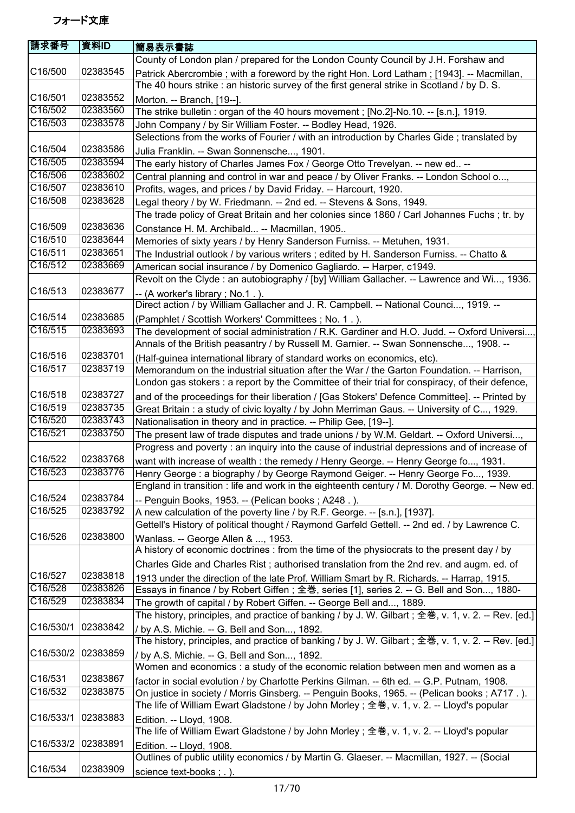| 請求番号      | 資料ID     | 簡易表示書誌                                                                                                                   |
|-----------|----------|--------------------------------------------------------------------------------------------------------------------------|
|           |          | County of London plan / prepared for the London County Council by J.H. Forshaw and                                       |
| C16/500   | 02383545 | Patrick Abercrombie; with a foreword by the right Hon. Lord Latham; [1943]. -- Macmillan,                                |
|           |          | The 40 hours strike : an historic survey of the first general strike in Scotland / by D. S.                              |
| C16/501   | 02383552 | Morton. -- Branch, [19--].                                                                                               |
| C16/502   | 02383560 | The strike bulletin : organ of the 40 hours movement ; [No.2]-No.10. -- [s.n.], 1919.                                    |
| C16/503   | 02383578 | John Company / by Sir William Foster. -- Bodley Head, 1926.                                                              |
|           |          | Selections from the works of Fourier / with an introduction by Charles Gide; translated by                               |
| C16/504   | 02383586 | Julia Franklin. -- Swan Sonnensche, 1901.                                                                                |
| C16/505   | 02383594 | The early history of Charles James Fox / George Otto Trevelyan. -- new ed --                                             |
| C16/506   | 02383602 | Central planning and control in war and peace / by Oliver Franks. -- London School o,                                    |
| C16/507   | 02383610 | Profits, wages, and prices / by David Friday. -- Harcourt, 1920.                                                         |
| C16/508   | 02383628 | Legal theory / by W. Friedmann. -- 2nd ed. -- Stevens & Sons, 1949.                                                      |
|           |          | The trade policy of Great Britain and her colonies since 1860 / Carl Johannes Fuchs ; tr. by                             |
| C16/509   | 02383636 | Constance H. M. Archibald -- Macmillan, 1905                                                                             |
| C16/510   | 02383644 | Memories of sixty years / by Henry Sanderson Furniss. -- Metuhen, 1931.                                                  |
| C16/511   | 02383651 | The Industrial outlook / by various writers; edited by H. Sanderson Furniss. -- Chatto &                                 |
| C16/512   | 02383669 | American social insurance / by Domenico Gagliardo. -- Harper, c1949.                                                     |
|           |          | Revolt on the Clyde: an autobiography / [by] William Gallacher. -- Lawrence and Wi, 1936.                                |
| C16/513   | 02383677 |                                                                                                                          |
|           |          | -- (A worker's library; No.1.).<br>Direct action / by William Gallacher and J. R. Campbell. -- National Counci, 1919. -- |
| C16/514   | 02383685 |                                                                                                                          |
| C16/515   | 02383693 | (Pamphlet / Scottish Workers' Committees; No. 1.).                                                                       |
|           |          | The development of social administration / R.K. Gardiner and H.O. Judd. -- Oxford Universi,                              |
| C16/516   | 02383701 | Annals of the British peasantry / by Russell M. Garnier. -- Swan Sonnensche, 1908. --                                    |
| C16/517   | 02383719 | (Half-guinea international library of standard works on economics, etc).                                                 |
|           |          | Memorandum on the industrial situation after the War / the Garton Foundation. -- Harrison,                               |
|           |          | London gas stokers : a report by the Committee of their trial for conspiracy, of their defence,                          |
| C16/518   | 02383727 | and of the proceedings for their liberation / [Gas Stokers' Defence Committee]. -- Printed by                            |
| C16/519   | 02383735 | Great Britain: a study of civic loyalty / by John Merriman Gaus. -- University of C, 1929.                               |
| C16/520   | 02383743 | Nationalisation in theory and in practice. -- Philip Gee, [19--].                                                        |
| C16/521   | 02383750 | The present law of trade disputes and trade unions / by W.M. Geldart. -- Oxford Universi,                                |
|           |          | Progress and poverty : an inquiry into the cause of industrial depressions and of increase of                            |
| C16/522   | 02383768 | want with increase of wealth : the remedy / Henry George. -- Henry George fo, 1931.                                      |
| C16/523   | 02383776 | Henry George: a biography / by George Raymond Geiger. -- Henry George Fo, 1939.                                          |
|           |          | England in transition : life and work in the eighteenth century / M. Dorothy George. -- New ed.                          |
| C16/524   | 02383784 | -- Penguin Books, 1953. -- (Pelican books; A248.).                                                                       |
| C16/525   | 02383792 | A new calculation of the poverty line / by R.F. George. -- [s.n.], [1937].                                               |
|           |          | Gettell's History of political thought / Raymond Garfeld Gettell. -- 2nd ed. / by Lawrence C.                            |
| C16/526   | 02383800 | Wanlass. -- George Allen & , 1953.                                                                                       |
|           |          | A history of economic doctrines : from the time of the physiocrats to the present day / by                               |
|           |          | Charles Gide and Charles Rist; authorised translation from the 2nd rev. and augm. ed. of                                 |
| C16/527   | 02383818 | 1913 under the direction of the late Prof. William Smart by R. Richards. -- Harrap, 1915.                                |
| C16/528   | 02383826 | Essays in finance / by Robert Giffen; 全巻, series [1], series 2. -- G. Bell and Son, 1880-                                |
| C16/529   | 02383834 | The growth of capital / by Robert Giffen. -- George Bell and, 1889.                                                      |
|           |          | The history, principles, and practice of banking / by J. W. Gilbart ; 全巻, v. 1, v. 2. -- Rev. [ed.]                      |
| C16/530/1 | 02383842 | / by A.S. Michie. -- G. Bell and Son, 1892.                                                                              |
|           |          | The history, principles, and practice of banking / by J. W. Gilbart ; 全巻, v. 1, v. 2. -- Rev. [ed.]                      |
| C16/530/2 | 02383859 | / by A.S. Michie. -- G. Bell and Son, 1892.                                                                              |
|           |          | Women and economics : a study of the economic relation between men and women as a                                        |
| C16/531   | 02383867 | factor in social evolution / by Charlotte Perkins Gilman. -- 6th ed. -- G.P. Putnam, 1908.                               |
| C16/532   | 02383875 | On justice in society / Morris Ginsberg. -- Penguin Books, 1965. -- (Pelican books; A717.).                              |
|           |          | The life of William Ewart Gladstone / by John Morley ; 全巻, v. 1, v. 2. -- Lloyd's popular                                |
| C16/533/1 | 02383883 | Edition. -- Lloyd, 1908.                                                                                                 |
|           |          | The life of William Ewart Gladstone / by John Morley ; 全巻, v. 1, v. 2. -- Lloyd's popular                                |
| C16/533/2 | 02383891 | Edition. -- Lloyd, 1908.                                                                                                 |
|           |          | Outlines of public utility economics / by Martin G. Glaeser. -- Macmillan, 1927. -- (Social                              |
| C16/534   | 02383909 | science text-books; .).                                                                                                  |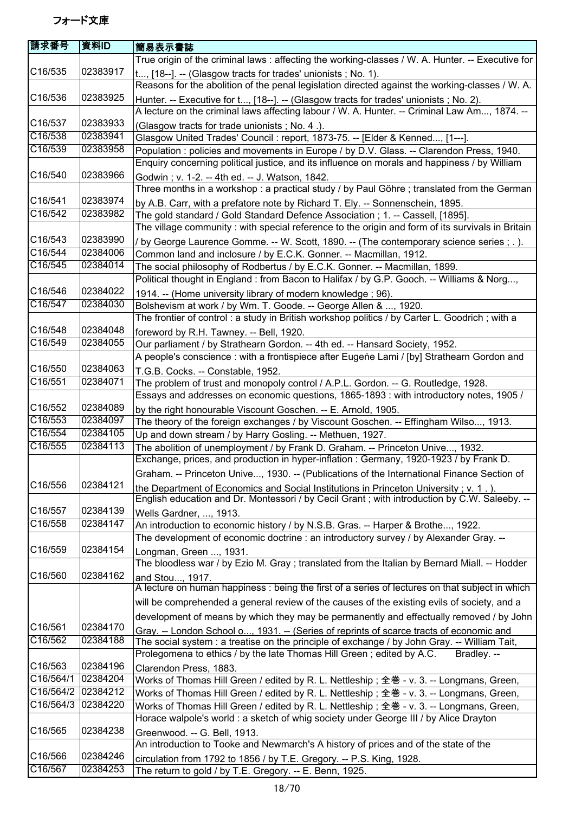| 請求番号      | 資料ID     | 簡易表示書誌                                                                                                                                                                       |
|-----------|----------|------------------------------------------------------------------------------------------------------------------------------------------------------------------------------|
|           |          | True origin of the criminal laws: affecting the working-classes / W. A. Hunter. -- Executive for                                                                             |
| C16/535   | 02383917 | t, [18--]. -- (Glasgow tracts for trades' unionists; No. 1).                                                                                                                 |
|           |          | Reasons for the abolition of the penal legislation directed against the working-classes / W. A.                                                                              |
| C16/536   | 02383925 | Hunter. -- Executive for t, [18--]. -- (Glasgow tracts for trades' unionists; No. 2).                                                                                        |
|           |          | A lecture on the criminal laws affecting labour / W. A. Hunter. -- Criminal Law Am, 1874. --                                                                                 |
| C16/537   | 02383933 | (Glasgow tracts for trade unionists; No. 4.).                                                                                                                                |
| C16/538   | 02383941 | Glasgow United Trades' Council: report, 1873-75. -- [Elder & Kenned, [1---].                                                                                                 |
| C16/539   | 02383958 | Population: policies and movements in Europe / by D.V. Glass. -- Clarendon Press, 1940.                                                                                      |
|           |          | Enquiry concerning political justice, and its influence on morals and happiness / by William                                                                                 |
| C16/540   | 02383966 | Godwin; v. 1-2. -- 4th ed. -- J. Watson, 1842.                                                                                                                               |
|           |          | Three months in a workshop : a practical study / by Paul Göhre ; translated from the German                                                                                  |
| C16/541   | 02383974 | by A.B. Carr, with a prefatore note by Richard T. Ely. -- Sonnenschein, 1895.                                                                                                |
| C16/542   | 02383982 | The gold standard / Gold Standard Defence Association ; 1. -- Cassell, [1895].                                                                                               |
|           |          | The village community : with special reference to the origin and form of its survivals in Britain                                                                            |
| C16/543   | 02383990 | / by George Laurence Gomme. -- W. Scott, 1890. -- (The contemporary science series ; . ).                                                                                    |
| C16/544   | 02384006 | Common land and inclosure / by E.C.K. Gonner. -- Macmillan, 1912.                                                                                                            |
| C16/545   | 02384014 | The social philosophy of Rodbertus / by E.C.K. Gonner. -- Macmillan, 1899.                                                                                                   |
|           |          | Political thought in England : from Bacon to Halifax / by G.P. Gooch. -- Williams & Norg,                                                                                    |
| C16/546   | 02384022 | 1914. -- (Home university library of modern knowledge; 96).                                                                                                                  |
| C16/547   | 02384030 | Bolshevism at work / by Wm. T. Goode. -- George Allen & , 1920.                                                                                                              |
| C16/548   | 02384048 | The frontier of control : a study in British workshop politics / by Carter L. Goodrich ; with a                                                                              |
| C16/549   | 02384055 | foreword by R.H. Tawney. -- Bell, 1920.                                                                                                                                      |
|           |          | Our parliament / by Strathearn Gordon. -- 4th ed. -- Hansard Society, 1952.                                                                                                  |
| C16/550   | 02384063 | A people's conscience : with a frontispiece after Eugene Lami / [by] Strathearn Gordon and                                                                                   |
| C16/551   | 02384071 | T.G.B. Cocks. -- Constable, 1952.                                                                                                                                            |
|           |          | The problem of trust and monopoly control / A.P.L. Gordon. -- G. Routledge, 1928.<br>Essays and addresses on economic questions, 1865-1893 : with introductory notes, 1905 / |
| C16/552   | 02384089 |                                                                                                                                                                              |
| C16/553   | 02384097 | by the right honourable Viscount Goschen. -- E. Arnold, 1905.<br>The theory of the foreign exchanges / by Viscount Goschen. -- Effingham Wilso, 1913.                        |
| C16/554   | 02384105 | Up and down stream / by Harry Gosling. -- Methuen, 1927.                                                                                                                     |
| C16/555   | 02384113 | The abolition of unemployment / by Frank D. Graham. -- Princeton Unive, 1932.                                                                                                |
|           |          | Exchange, prices, and production in hyper-inflation : Germany, 1920-1923 / by Frank D.                                                                                       |
|           |          | Graham. -- Princeton Unive, 1930. -- (Publications of the International Finance Section of                                                                                   |
| C16/556   | 02384121 | the Department of Economics and Social Institutions in Princeton University; v. 1.).                                                                                         |
|           |          | English education and Dr. Montessori / by Cecil Grant; with introduction by C.W. Saleeby. --                                                                                 |
| C16/557   | 02384139 | Wells Gardner, , 1913.                                                                                                                                                       |
| C16/558   | 02384147 | An introduction to economic history / by N.S.B. Gras. -- Harper & Brothe, 1922.                                                                                              |
|           |          | The development of economic doctrine: an introductory survey / by Alexander Gray. --                                                                                         |
| C16/559   | 02384154 | Longman, Green , 1931.                                                                                                                                                       |
|           |          | The bloodless war / by Ezio M. Gray; translated from the Italian by Bernard Miall. -- Hodder                                                                                 |
| C16/560   | 02384162 | and Stou, 1917.                                                                                                                                                              |
|           |          | A lecture on human happiness : being the first of a series of lectures on that subject in which                                                                              |
|           |          | will be comprehended a general review of the causes of the existing evils of society, and a                                                                                  |
|           |          | development of means by which they may be permanently and effectually removed / by John                                                                                      |
| C16/561   | 02384170 | Gray. -- London School o, 1931. -- (Series of reprints of scarce tracts of economic and                                                                                      |
| C16/562   | 02384188 | The social system : a treatise on the principle of exchange / by John Gray. -- William Tait,                                                                                 |
|           |          | Prolegomena to ethics / by the late Thomas Hill Green; edited by A.C.<br>Bradlev. --                                                                                         |
| C16/563   | 02384196 | Clarendon Press, 1883.                                                                                                                                                       |
| C16/564/1 | 02384204 | Works of Thomas Hill Green / edited by R. L. Nettleship; 全巻 - v. 3. -- Longmans, Green,                                                                                      |
| C16/564/2 | 02384212 | Works of Thomas Hill Green / edited by R. L. Nettleship; 全巻 - v. 3. -- Longmans, Green,                                                                                      |
| C16/564/3 | 02384220 | Works of Thomas Hill Green / edited by R. L. Nettleship; 全巻 - v. 3. -- Longmans, Green,                                                                                      |
|           |          | Horace walpole's world : a sketch of whig society under George III / by Alice Drayton                                                                                        |
| C16/565   | 02384238 | Greenwood. -- G. Bell, 1913.                                                                                                                                                 |
|           |          | An introduction to Tooke and Newmarch's A history of prices and of the state of the                                                                                          |
| C16/566   | 02384246 | circulation from 1792 to 1856 / by T.E. Gregory. -- P.S. King, 1928.                                                                                                         |
| C16/567   | 02384253 | The return to gold / by T.E. Gregory. -- E. Benn, 1925.                                                                                                                      |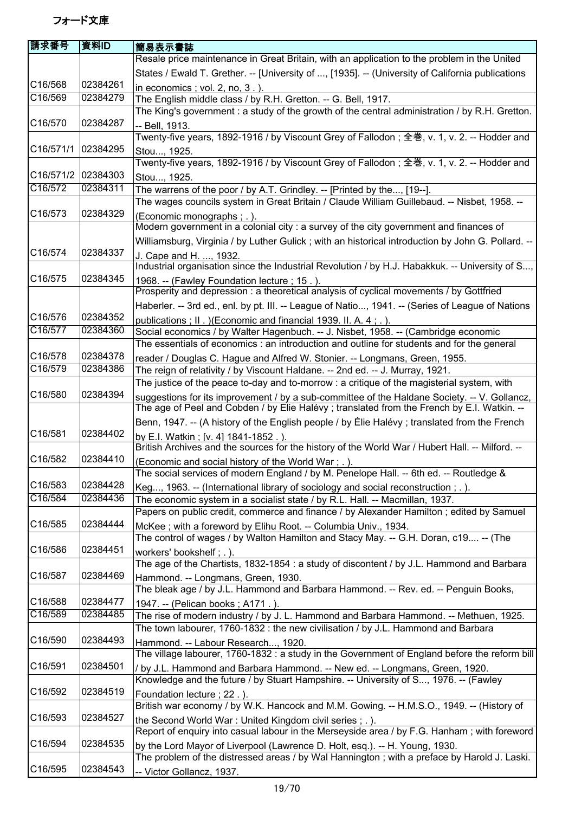| 請求番号      | 資料ID     | 簡易表示書誌                                                                                                                                                                                     |
|-----------|----------|--------------------------------------------------------------------------------------------------------------------------------------------------------------------------------------------|
|           |          | Resale price maintenance in Great Britain, with an application to the problem in the United                                                                                                |
|           |          | States / Ewald T. Grether. -- [University of , [1935]. -- (University of California publications                                                                                           |
| C16/568   | 02384261 | in economics; vol. 2, no, 3.).                                                                                                                                                             |
| C16/569   | 02384279 | The English middle class / by R.H. Gretton. -- G. Bell, 1917.                                                                                                                              |
|           |          | The King's government : a study of the growth of the central administration / by R.H. Gretton.                                                                                             |
| C16/570   | 02384287 | -- Bell, 1913.                                                                                                                                                                             |
|           |          | Twenty-five years, 1892-1916 / by Viscount Grey of Fallodon ; 全巻, v. 1, v. 2. -- Hodder and                                                                                                |
| C16/571/1 | 02384295 | Stou, 1925.                                                                                                                                                                                |
|           |          | Twenty-five years, 1892-1916 / by Viscount Grey of Fallodon ; 全巻, v. 1, v. 2. -- Hodder and                                                                                                |
| C16/571/2 | 02384303 | Stou, 1925.                                                                                                                                                                                |
| C16/572   | 02384311 | The warrens of the poor / by A.T. Grindley. -- [Printed by the, [19--].                                                                                                                    |
|           |          | The wages councils system in Great Britain / Claude William Guillebaud. -- Nisbet, 1958. --                                                                                                |
| C16/573   | 02384329 | (Economic monographs ; .).                                                                                                                                                                 |
|           |          | Modern government in a colonial city : a survey of the city government and finances of                                                                                                     |
|           |          | Williamsburg, Virginia / by Luther Gulick; with an historical introduction by John G. Pollard. --                                                                                          |
| C16/574   | 02384337 | J. Cape and H. , 1932.                                                                                                                                                                     |
|           |          | Industrial organisation since the Industrial Revolution / by H.J. Habakkuk. -- University of S,                                                                                            |
| C16/575   | 02384345 | 1968. -- (Fawley Foundation lecture; 15.).                                                                                                                                                 |
|           |          | Prosperity and depression : a theoretical analysis of cyclical movements / by Gottfried                                                                                                    |
|           |          | Haberler. -- 3rd ed., enl. by pt. III. -- League of Natio, 1941. -- (Series of League of Nations                                                                                           |
| C16/576   | 02384352 | publications; II. ) (Economic and financial 1939. II. A. 4; .).                                                                                                                            |
| C16/577   | 02384360 | Social economics / by Walter Hagenbuch. -- J. Nisbet, 1958. -- (Cambridge economic                                                                                                         |
| C16/578   | 02384378 | The essentials of economics : an introduction and outline for students and for the general                                                                                                 |
| C16/579   | 02384386 | reader / Douglas C. Hague and Alfred W. Stonier. -- Longmans, Green, 1955.                                                                                                                 |
|           |          | The reign of relativity / by Viscount Haldane. -- 2nd ed. -- J. Murray, 1921.                                                                                                              |
| C16/580   | 02384394 | The justice of the peace to-day and to-morrow : a critique of the magisterial system, with                                                                                                 |
|           |          | suggestions for its improvement / by a sub-committee of the Haldane Society. -- V. Gollancz,<br>The age of Peel and Cobden / by Elie Halévy; translated from the French by E.I. Watkin. -- |
|           |          | Benn, 1947. -- (A history of the English people / by Élie Halévy ; translated from the French                                                                                              |
| C16/581   | 02384402 |                                                                                                                                                                                            |
|           |          | by E.I. Watkin; [v. 4] 1841-1852.).<br>British Archives and the sources for the history of the World War / Hubert Hall. -- Milford. --                                                     |
| C16/582   | 02384410 | (Economic and social history of the World War; .).                                                                                                                                         |
|           |          | The social services of modern England / by M. Penelope Hall. -- 6th ed. -- Routledge &                                                                                                     |
| C16/583   | 02384428 | Keg, 1963. -- (International library of sociology and social reconstruction ; . ).                                                                                                         |
| C16/584   | 02384436 | The economic system in a socialist state / by R.L. Hall. -- Macmillan, 1937.                                                                                                               |
|           |          | Papers on public credit, commerce and finance / by Alexander Hamilton ; edited by Samuel                                                                                                   |
| C16/585   | 02384444 | McKee; with a foreword by Elihu Root. -- Columbia Univ., 1934.                                                                                                                             |
|           |          | The control of wages / by Walton Hamilton and Stacy May. -- G.H. Doran, c19 -- (The                                                                                                        |
| C16/586   | 02384451 | workers' bookshelf; .).                                                                                                                                                                    |
|           |          | The age of the Chartists, 1832-1854 : a study of discontent / by J.L. Hammond and Barbara                                                                                                  |
| C16/587   | 02384469 | Hammond. -- Longmans, Green, 1930.                                                                                                                                                         |
|           |          | The bleak age / by J.L. Hammond and Barbara Hammond. -- Rev. ed. -- Penguin Books,                                                                                                         |
| C16/588   | 02384477 | 1947. -- (Pelican books; A171.).                                                                                                                                                           |
| C16/589   | 02384485 | The rise of modern industry / by J. L. Hammond and Barbara Hammond. -- Methuen, 1925.                                                                                                      |
|           |          | The town labourer, 1760-1832 : the new civilisation / by J.L. Hammond and Barbara                                                                                                          |
| C16/590   | 02384493 | Hammond. -- Labour Research, 1920.                                                                                                                                                         |
|           |          | The village labourer, 1760-1832 : a study in the Government of England before the reform bill                                                                                              |
| C16/591   | 02384501 | / by J.L. Hammond and Barbara Hammond. -- New ed. -- Longmans, Green, 1920.                                                                                                                |
|           |          | Knowledge and the future / by Stuart Hampshire. -- University of S, 1976. -- (Fawley                                                                                                       |
| C16/592   | 02384519 | Foundation lecture; 22.).                                                                                                                                                                  |
| C16/593   | 02384527 | British war economy / by W.K. Hancock and M.M. Gowing. -- H.M.S.O., 1949. -- (History of                                                                                                   |
|           |          | the Second World War: United Kingdom civil series ; . ).<br>Report of enquiry into casual labour in the Merseyside area / by F.G. Hanham; with foreword                                    |
| C16/594   | 02384535 |                                                                                                                                                                                            |
|           |          | by the Lord Mayor of Liverpool (Lawrence D. Holt, esq.). -- H. Young, 1930.<br>The problem of the distressed areas / by Wal Hannington; with a preface by Harold J. Laski.                 |
| C16/595   | 02384543 |                                                                                                                                                                                            |
|           |          | -- Victor Gollancz, 1937.                                                                                                                                                                  |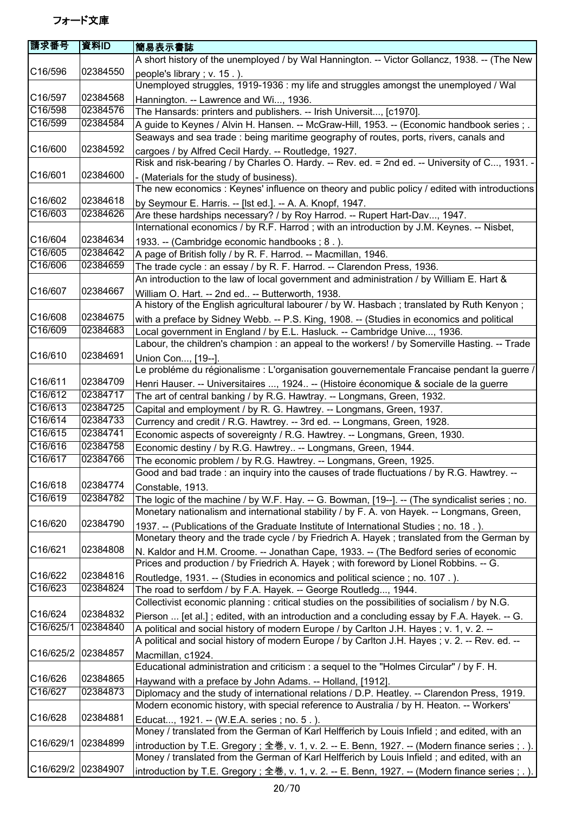| 請求番号                 | 資料ID     | 簡易表示書誌                                                                                                                                          |
|----------------------|----------|-------------------------------------------------------------------------------------------------------------------------------------------------|
|                      |          | A short history of the unemployed / by Wal Hannington. -- Victor Gollancz, 1938. -- (The New                                                    |
| C16/596              | 02384550 | people's library; v. 15.).<br>Unemployed struggles, 1919-1936 : my life and struggles amongst the unemployed / Wal                              |
| C16/597              | 02384568 | Hannington. -- Lawrence and Wi, 1936.                                                                                                           |
| C16/598              | 02384576 | The Hansards: printers and publishers. -- Irish Universit, [c1970].                                                                             |
| C16/599              | 02384584 | A guide to Keynes / Alvin H. Hansen. -- McGraw-Hill, 1953. -- (Economic handbook series; .                                                      |
|                      |          | Seaways and sea trade : being maritime geography of routes, ports, rivers, canals and                                                           |
| C16/600              | 02384592 | cargoes / by Alfred Cecil Hardy. -- Routledge, 1927.                                                                                            |
|                      |          | Risk and risk-bearing / by Charles O. Hardy. -- Rev. ed. = 2nd ed. -- University of C, 1931. -                                                  |
| C16/601              | 02384600 | - (Materials for the study of business).                                                                                                        |
|                      |          | The new economics: Keynes' influence on theory and public policy / edited with introductions                                                    |
| C16/602              | 02384618 | by Seymour E. Harris. -- [Ist ed.]. -- A. A. Knopf, 1947.                                                                                       |
| C16/603              | 02384626 | Are these hardships necessary? / by Roy Harrod. -- Rupert Hart-Dav, 1947.                                                                       |
|                      |          | International economics / by R.F. Harrod; with an introduction by J.M. Keynes. -- Nisbet,                                                       |
| C16/604              | 02384634 | 1933. -- (Cambridge economic handbooks; 8.).                                                                                                    |
| C16/605              | 02384642 | A page of British folly / by R. F. Harrod. -- Macmillan, 1946.                                                                                  |
| C16/606              | 02384659 | The trade cycle : an essay / by R. F. Harrod. -- Clarendon Press, 1936.                                                                         |
|                      |          | An introduction to the law of local government and administration / by William E. Hart &                                                        |
| C16/607              | 02384667 | William O. Hart. -- 2nd ed -- Butterworth, 1938.                                                                                                |
| C16/608              | 02384675 | A history of the English agricultural labourer / by W. Hasbach; translated by Ruth Kenyon;                                                      |
| C16/609              | 02384683 | with a preface by Sidney Webb. -- P.S. King, 1908. -- (Studies in economics and political                                                       |
|                      |          | Local government in England / by E.L. Hasluck. -- Cambridge Unive, 1936.                                                                        |
| C16/610              | 02384691 | Labour, the children's champion : an appeal to the workers! / by Somerville Hasting. -- Trade                                                   |
|                      |          | Union Con, [19--].<br>Le probléme du régionalisme : L'organisation gouvernementale Francaise pendant la guerre /                                |
| C16/611              | 02384709 |                                                                                                                                                 |
| C16/612              | 02384717 | Henri Hauser. -- Universitaires , 1924 -- (Histoire économique & sociale de la guerre                                                           |
| C16/613              | 02384725 | The art of central banking / by R.G. Hawtray. -- Longmans, Green, 1932.<br>Capital and employment / by R. G. Hawtrey. -- Longmans, Green, 1937. |
| C16/614              | 02384733 | Currency and credit / R.G. Hawtrey. -- 3rd ed. -- Longmans, Green, 1928.                                                                        |
| $\overline{C16/615}$ | 02384741 | Economic aspects of sovereignty / R.G. Hawtrey. -- Longmans, Green, 1930.                                                                       |
| C16/616              | 02384758 | Economic destiny / by R.G. Hawtrey -- Longmans, Green, 1944.                                                                                    |
| C16/617              | 02384766 | The economic problem / by R.G. Hawtrey. -- Longmans, Green, 1925.                                                                               |
|                      |          | Good and bad trade: an inquiry into the causes of trade fluctuations / by R.G. Hawtrey. --                                                      |
| C16/618              | 02384774 | Constable, 1913.                                                                                                                                |
| C16/619              | 02384782 | The logic of the machine / by W.F. Hay. -- G. Bowman, [19--]. -- (The syndicalist series; no.                                                   |
|                      |          | Monetary nationalism and international stability / by F. A. von Hayek. -- Longmans, Green,                                                      |
| C16/620              | 02384790 | 1937. -- (Publications of the Graduate Institute of International Studies; no. 18.).                                                            |
|                      |          | Monetary theory and the trade cycle / by Friedrich A. Hayek; translated from the German by                                                      |
| C16/621              | 02384808 | N. Kaldor and H.M. Croome. -- Jonathan Cape, 1933. -- (The Bedford series of economic                                                           |
|                      |          | Prices and production / by Friedrich A. Hayek; with foreword by Lionel Robbins. -- G.                                                           |
| C16/622              | 02384816 | Routledge, 1931. -- (Studies in economics and political science; no. 107.).                                                                     |
| C16/623              | 02384824 | The road to serfdom / by F.A. Hayek. -- George Routledg, 1944.                                                                                  |
|                      |          | Collectivist economic planning : critical studies on the possibilities of socialism / by N.G.                                                   |
| C16/624              | 02384832 | Pierson  [et al.]; edited, with an introduction and a concluding essay by F.A. Hayek. -- G.                                                     |
| C16/625/1            | 02384840 | A political and social history of modern Europe / by Carlton J.H. Hayes; v. 1, v. 2. --                                                         |
|                      |          | A political and social history of modern Europe / by Carlton J.H. Hayes; v. 2. -- Rev. ed. --                                                   |
| C16/625/2            | 02384857 | Macmillan, c1924.                                                                                                                               |
|                      |          | Educational administration and criticism : a sequel to the "Holmes Circular" / by F. H.                                                         |
| C16/626              | 02384865 | Haywand with a preface by John Adams. -- Holland, [1912].                                                                                       |
| C16/627              | 02384873 | Diplomacy and the study of international relations / D.P. Heatley. -- Clarendon Press, 1919.                                                    |
|                      |          | Modern economic history, with special reference to Australia / by H. Heaton. -- Workers'                                                        |
| C16/628              | 02384881 | Educat, 1921. -- (W.E.A. series; no. 5.).                                                                                                       |
|                      |          | Money / translated from the German of Karl Helfferich by Louis Infield; and edited, with an                                                     |
| C16/629/1            | 02384899 | introduction by T.E. Gregory; 全巻, v. 1, v. 2. -- E. Benn, 1927. -- (Modern finance series ; . ).                                                |
|                      |          | Money / translated from the German of Karl Helfferich by Louis Infield; and edited, with an                                                     |
| C16/629/2            | 02384907 | introduction by T.E. Gregory; 全巻, v. 1, v. 2. -- E. Benn, 1927. -- (Modern finance series ; . ).                                                |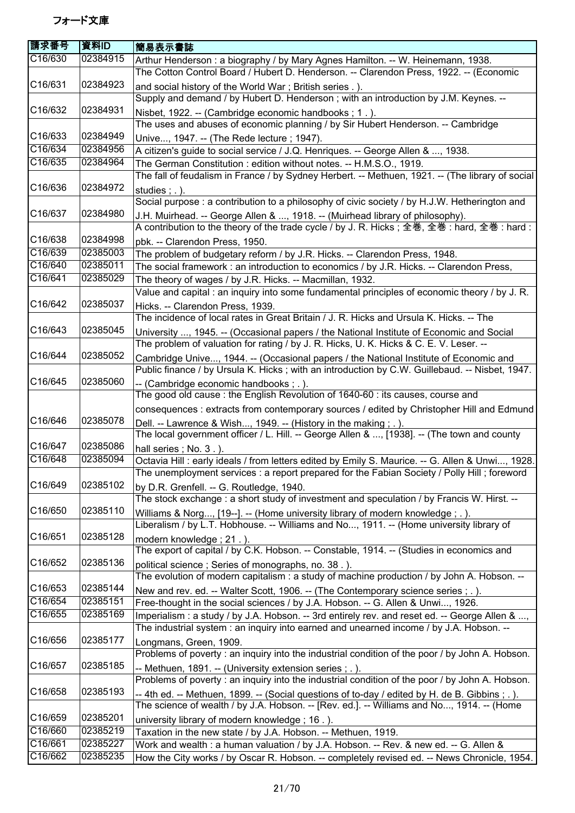| C16/630<br>02384915<br>Arthur Henderson: a biography / by Mary Agnes Hamilton. -- W. Heinemann, 1938.<br>The Cotton Control Board / Hubert D. Henderson. -- Clarendon Press, 1922. -- (Economic<br>C16/631<br>02384923<br>and social history of the World War; British series .).<br>Supply and demand / by Hubert D. Henderson; with an introduction by J.M. Keynes. --<br>C16/632<br>02384931<br>Nisbet, 1922. -- (Cambridge economic handbooks; 1.).<br>The uses and abuses of economic planning / by Sir Hubert Henderson. -- Cambridge<br>C16/633<br>02384949<br>Unive, 1947. -- (The Rede lecture ; 1947).<br>C16/634<br>02384956<br>A citizen's guide to social service / J.Q. Henriques. -- George Allen & , 1938.<br>C16/635<br>02384964<br>The German Constitution: edition without notes. -- H.M.S.O., 1919.<br>The fall of feudalism in France / by Sydney Herbert. -- Methuen, 1921. -- (The library of social<br>C16/636<br>02384972<br>studies $;$ $\ldots$ ).<br>Social purpose : a contribution to a philosophy of civic society / by H.J.W. Hetherington and<br>C16/637<br>02384980<br>J.H. Muirhead. -- George Allen & , 1918. -- (Muirhead library of philosophy).<br>A contribution to the theory of the trade cycle / by J. R. Hicks; 全巻, 全巻: hard, 全巻: hard:<br>C16/638<br>02384998<br>pbk. -- Clarendon Press, 1950.<br>C16/639<br>02385003<br>The problem of budgetary reform / by J.R. Hicks. -- Clarendon Press, 1948.<br>C16/640<br>02385011<br>The social framework: an introduction to economics / by J.R. Hicks. -- Clarendon Press,<br>C16/641<br>02385029<br>The theory of wages / by J.R. Hicks. -- Macmillan, 1932.<br>Value and capital: an inquiry into some fundamental principles of economic theory / by J. R.<br>C16/642<br>02385037<br>Hicks. -- Clarendon Press, 1939.<br>The incidence of local rates in Great Britain / J. R. Hicks and Ursula K. Hicks. -- The<br>C16/643<br>02385045<br>University , 1945. -- (Occasional papers / the National Institute of Economic and Social<br>The problem of valuation for rating / by J. R. Hicks, U. K. Hicks & C. E. V. Leser. --<br>C16/644<br>02385052<br>Cambridge Unive, 1944. -- (Occasional papers / the National Institute of Economic and<br>Public finance / by Ursula K. Hicks; with an introduction by C.W. Guillebaud. -- Nisbet, 1947.<br>C16/645<br>02385060<br>-- (Cambridge economic handbooks; .).<br>The good old cause: the English Revolution of 1640-60 : its causes, course and<br>consequences : extracts from contemporary sources / edited by Christopher Hill and Edmund<br>C16/646<br>02385078<br>Dell. -- Lawrence & Wish, 1949. -- (History in the making ; . ).<br>The local government officer / L. Hill. -- George Allen & , [1938]. -- (The town and county<br>C16/647<br>02385086<br>hall series; No. 3.).<br>C16/648<br>02385094<br>Octavia Hill : early ideals / from letters edited by Emily S. Maurice. -- G. Allen & Unwi, 1928.<br>The unemployment services : a report prepared for the Fabian Society / Polly Hill ; foreword<br>C16/649<br>02385102<br>by D.R. Grenfell. -- G. Routledge, 1940.<br>The stock exchange: a short study of investment and speculation / by Francis W. Hirst. --<br>C16/650<br>02385110<br>Williams & Norg, [19--]. -- (Home university library of modern knowledge; .).<br>Liberalism / by L.T. Hobhouse. -- Williams and No, 1911. -- (Home university library of<br>C16/651<br>02385128<br>modern knowledge; 21.).<br>The export of capital / by C.K. Hobson. -- Constable, 1914. -- (Studies in economics and<br>02385136<br>C <sub>16</sub> /652<br>political science; Series of monographs, no. 38.).<br>The evolution of modern capitalism : a study of machine production / by John A. Hobson. --<br>02385144<br>C16/653<br>New and rev. ed. -- Walter Scott, 1906. -- (The Contemporary science series ; . ).<br>C16/654<br>02385151<br>Free-thought in the social sciences / by J.A. Hobson. -- G. Allen & Unwi, 1926.<br>C16/655<br>02385169<br>Imperialism : a study / by J.A. Hobson. -- 3rd entirely rev. and reset ed. -- George Allen & ,<br>The industrial system: an inquiry into earned and unearned income / by J.A. Hobson. --<br>C16/656<br>02385177<br>Longmans, Green, 1909.<br>Problems of poverty : an inquiry into the industrial condition of the poor / by John A. Hobson.<br>02385185<br>C <sub>16</sub> /657<br>-- Methuen, 1891. -- (University extension series; .).<br>Problems of poverty : an inquiry into the industrial condition of the poor / by John A. Hobson.<br>C16/658<br>02385193<br>-- 4th ed. -- Methuen, 1899. -- (Social questions of to-day / edited by H. de B. Gibbins ; . ).<br>The science of wealth / by J.A. Hobson. -- [Rev. ed.]. -- Williams and No, 1914. -- (Home<br>02385201<br>C16/659<br>university library of modern knowledge; 16.).<br>C16/660<br>02385219<br>Taxation in the new state / by J.A. Hobson. -- Methuen, 1919.<br>C16/661<br>02385227<br>Work and wealth : a human valuation / by J.A. Hobson. -- Rev. & new ed. -- G. Allen & | 請求番号    | 資料ID     | 簡易表示書誌                                                                                      |
|--------------------------------------------------------------------------------------------------------------------------------------------------------------------------------------------------------------------------------------------------------------------------------------------------------------------------------------------------------------------------------------------------------------------------------------------------------------------------------------------------------------------------------------------------------------------------------------------------------------------------------------------------------------------------------------------------------------------------------------------------------------------------------------------------------------------------------------------------------------------------------------------------------------------------------------------------------------------------------------------------------------------------------------------------------------------------------------------------------------------------------------------------------------------------------------------------------------------------------------------------------------------------------------------------------------------------------------------------------------------------------------------------------------------------------------------------------------------------------------------------------------------------------------------------------------------------------------------------------------------------------------------------------------------------------------------------------------------------------------------------------------------------------------------------------------------------------------------------------------------------------------------------------------------------------------------------------------------------------------------------------------------------------------------------------------------------------------------------------------------------------------------------------------------------------------------------------------------------------------------------------------------------------------------------------------------------------------------------------------------------------------------------------------------------------------------------------------------------------------------------------------------------------------------------------------------------------------------------------------------------------------------------------------------------------------------------------------------------------------------------------------------------------------------------------------------------------------------------------------------------------------------------------------------------------------------------------------------------------------------------------------------------------------------------------------------------------------------------------------------------------------------------------------------------------------------------------------------------------------------------------------------------------------------------------------------------------------------------------------------------------------------------------------------------------------------------------------------------------------------------------------------------------------------------------------------------------------------------------------------------------------------------------------------------------------------------------------------------------------------------------------------------------------------------------------------------------------------------------------------------------------------------------------------------------------------------------------------------------------------------------------------------------------------------------------------------------------------------------------------------------------------------------------------------------------------------------------------------------------------------------------------------------------------------------------------------------------------------------------------------------------------------------------------------------------------------------------------------------------------------------------------------------------------------------------------------------------------------------------------------------------------------------------------------------------------------------------------------------------------------------------------------------------------------------------------------------------------------------------------------------------------------------------------------------------------------------------------------------------------------------------------------------------------------------------------------------|---------|----------|---------------------------------------------------------------------------------------------|
|                                                                                                                                                                                                                                                                                                                                                                                                                                                                                                                                                                                                                                                                                                                                                                                                                                                                                                                                                                                                                                                                                                                                                                                                                                                                                                                                                                                                                                                                                                                                                                                                                                                                                                                                                                                                                                                                                                                                                                                                                                                                                                                                                                                                                                                                                                                                                                                                                                                                                                                                                                                                                                                                                                                                                                                                                                                                                                                                                                                                                                                                                                                                                                                                                                                                                                                                                                                                                                                                                                                                                                                                                                                                                                                                                                                                                                                                                                                                                                                                                                                                                                                                                                                                                                                                                                                                                                                                                                                                                                                                                                                                                                                                                                                                                                                                                                                                                                                                                                                                                                                                                |         |          |                                                                                             |
|                                                                                                                                                                                                                                                                                                                                                                                                                                                                                                                                                                                                                                                                                                                                                                                                                                                                                                                                                                                                                                                                                                                                                                                                                                                                                                                                                                                                                                                                                                                                                                                                                                                                                                                                                                                                                                                                                                                                                                                                                                                                                                                                                                                                                                                                                                                                                                                                                                                                                                                                                                                                                                                                                                                                                                                                                                                                                                                                                                                                                                                                                                                                                                                                                                                                                                                                                                                                                                                                                                                                                                                                                                                                                                                                                                                                                                                                                                                                                                                                                                                                                                                                                                                                                                                                                                                                                                                                                                                                                                                                                                                                                                                                                                                                                                                                                                                                                                                                                                                                                                                                                |         |          |                                                                                             |
|                                                                                                                                                                                                                                                                                                                                                                                                                                                                                                                                                                                                                                                                                                                                                                                                                                                                                                                                                                                                                                                                                                                                                                                                                                                                                                                                                                                                                                                                                                                                                                                                                                                                                                                                                                                                                                                                                                                                                                                                                                                                                                                                                                                                                                                                                                                                                                                                                                                                                                                                                                                                                                                                                                                                                                                                                                                                                                                                                                                                                                                                                                                                                                                                                                                                                                                                                                                                                                                                                                                                                                                                                                                                                                                                                                                                                                                                                                                                                                                                                                                                                                                                                                                                                                                                                                                                                                                                                                                                                                                                                                                                                                                                                                                                                                                                                                                                                                                                                                                                                                                                                |         |          |                                                                                             |
|                                                                                                                                                                                                                                                                                                                                                                                                                                                                                                                                                                                                                                                                                                                                                                                                                                                                                                                                                                                                                                                                                                                                                                                                                                                                                                                                                                                                                                                                                                                                                                                                                                                                                                                                                                                                                                                                                                                                                                                                                                                                                                                                                                                                                                                                                                                                                                                                                                                                                                                                                                                                                                                                                                                                                                                                                                                                                                                                                                                                                                                                                                                                                                                                                                                                                                                                                                                                                                                                                                                                                                                                                                                                                                                                                                                                                                                                                                                                                                                                                                                                                                                                                                                                                                                                                                                                                                                                                                                                                                                                                                                                                                                                                                                                                                                                                                                                                                                                                                                                                                                                                |         |          |                                                                                             |
|                                                                                                                                                                                                                                                                                                                                                                                                                                                                                                                                                                                                                                                                                                                                                                                                                                                                                                                                                                                                                                                                                                                                                                                                                                                                                                                                                                                                                                                                                                                                                                                                                                                                                                                                                                                                                                                                                                                                                                                                                                                                                                                                                                                                                                                                                                                                                                                                                                                                                                                                                                                                                                                                                                                                                                                                                                                                                                                                                                                                                                                                                                                                                                                                                                                                                                                                                                                                                                                                                                                                                                                                                                                                                                                                                                                                                                                                                                                                                                                                                                                                                                                                                                                                                                                                                                                                                                                                                                                                                                                                                                                                                                                                                                                                                                                                                                                                                                                                                                                                                                                                                |         |          |                                                                                             |
|                                                                                                                                                                                                                                                                                                                                                                                                                                                                                                                                                                                                                                                                                                                                                                                                                                                                                                                                                                                                                                                                                                                                                                                                                                                                                                                                                                                                                                                                                                                                                                                                                                                                                                                                                                                                                                                                                                                                                                                                                                                                                                                                                                                                                                                                                                                                                                                                                                                                                                                                                                                                                                                                                                                                                                                                                                                                                                                                                                                                                                                                                                                                                                                                                                                                                                                                                                                                                                                                                                                                                                                                                                                                                                                                                                                                                                                                                                                                                                                                                                                                                                                                                                                                                                                                                                                                                                                                                                                                                                                                                                                                                                                                                                                                                                                                                                                                                                                                                                                                                                                                                |         |          |                                                                                             |
|                                                                                                                                                                                                                                                                                                                                                                                                                                                                                                                                                                                                                                                                                                                                                                                                                                                                                                                                                                                                                                                                                                                                                                                                                                                                                                                                                                                                                                                                                                                                                                                                                                                                                                                                                                                                                                                                                                                                                                                                                                                                                                                                                                                                                                                                                                                                                                                                                                                                                                                                                                                                                                                                                                                                                                                                                                                                                                                                                                                                                                                                                                                                                                                                                                                                                                                                                                                                                                                                                                                                                                                                                                                                                                                                                                                                                                                                                                                                                                                                                                                                                                                                                                                                                                                                                                                                                                                                                                                                                                                                                                                                                                                                                                                                                                                                                                                                                                                                                                                                                                                                                |         |          |                                                                                             |
|                                                                                                                                                                                                                                                                                                                                                                                                                                                                                                                                                                                                                                                                                                                                                                                                                                                                                                                                                                                                                                                                                                                                                                                                                                                                                                                                                                                                                                                                                                                                                                                                                                                                                                                                                                                                                                                                                                                                                                                                                                                                                                                                                                                                                                                                                                                                                                                                                                                                                                                                                                                                                                                                                                                                                                                                                                                                                                                                                                                                                                                                                                                                                                                                                                                                                                                                                                                                                                                                                                                                                                                                                                                                                                                                                                                                                                                                                                                                                                                                                                                                                                                                                                                                                                                                                                                                                                                                                                                                                                                                                                                                                                                                                                                                                                                                                                                                                                                                                                                                                                                                                |         |          |                                                                                             |
|                                                                                                                                                                                                                                                                                                                                                                                                                                                                                                                                                                                                                                                                                                                                                                                                                                                                                                                                                                                                                                                                                                                                                                                                                                                                                                                                                                                                                                                                                                                                                                                                                                                                                                                                                                                                                                                                                                                                                                                                                                                                                                                                                                                                                                                                                                                                                                                                                                                                                                                                                                                                                                                                                                                                                                                                                                                                                                                                                                                                                                                                                                                                                                                                                                                                                                                                                                                                                                                                                                                                                                                                                                                                                                                                                                                                                                                                                                                                                                                                                                                                                                                                                                                                                                                                                                                                                                                                                                                                                                                                                                                                                                                                                                                                                                                                                                                                                                                                                                                                                                                                                |         |          |                                                                                             |
|                                                                                                                                                                                                                                                                                                                                                                                                                                                                                                                                                                                                                                                                                                                                                                                                                                                                                                                                                                                                                                                                                                                                                                                                                                                                                                                                                                                                                                                                                                                                                                                                                                                                                                                                                                                                                                                                                                                                                                                                                                                                                                                                                                                                                                                                                                                                                                                                                                                                                                                                                                                                                                                                                                                                                                                                                                                                                                                                                                                                                                                                                                                                                                                                                                                                                                                                                                                                                                                                                                                                                                                                                                                                                                                                                                                                                                                                                                                                                                                                                                                                                                                                                                                                                                                                                                                                                                                                                                                                                                                                                                                                                                                                                                                                                                                                                                                                                                                                                                                                                                                                                |         |          |                                                                                             |
|                                                                                                                                                                                                                                                                                                                                                                                                                                                                                                                                                                                                                                                                                                                                                                                                                                                                                                                                                                                                                                                                                                                                                                                                                                                                                                                                                                                                                                                                                                                                                                                                                                                                                                                                                                                                                                                                                                                                                                                                                                                                                                                                                                                                                                                                                                                                                                                                                                                                                                                                                                                                                                                                                                                                                                                                                                                                                                                                                                                                                                                                                                                                                                                                                                                                                                                                                                                                                                                                                                                                                                                                                                                                                                                                                                                                                                                                                                                                                                                                                                                                                                                                                                                                                                                                                                                                                                                                                                                                                                                                                                                                                                                                                                                                                                                                                                                                                                                                                                                                                                                                                |         |          |                                                                                             |
|                                                                                                                                                                                                                                                                                                                                                                                                                                                                                                                                                                                                                                                                                                                                                                                                                                                                                                                                                                                                                                                                                                                                                                                                                                                                                                                                                                                                                                                                                                                                                                                                                                                                                                                                                                                                                                                                                                                                                                                                                                                                                                                                                                                                                                                                                                                                                                                                                                                                                                                                                                                                                                                                                                                                                                                                                                                                                                                                                                                                                                                                                                                                                                                                                                                                                                                                                                                                                                                                                                                                                                                                                                                                                                                                                                                                                                                                                                                                                                                                                                                                                                                                                                                                                                                                                                                                                                                                                                                                                                                                                                                                                                                                                                                                                                                                                                                                                                                                                                                                                                                                                |         |          |                                                                                             |
|                                                                                                                                                                                                                                                                                                                                                                                                                                                                                                                                                                                                                                                                                                                                                                                                                                                                                                                                                                                                                                                                                                                                                                                                                                                                                                                                                                                                                                                                                                                                                                                                                                                                                                                                                                                                                                                                                                                                                                                                                                                                                                                                                                                                                                                                                                                                                                                                                                                                                                                                                                                                                                                                                                                                                                                                                                                                                                                                                                                                                                                                                                                                                                                                                                                                                                                                                                                                                                                                                                                                                                                                                                                                                                                                                                                                                                                                                                                                                                                                                                                                                                                                                                                                                                                                                                                                                                                                                                                                                                                                                                                                                                                                                                                                                                                                                                                                                                                                                                                                                                                                                |         |          |                                                                                             |
|                                                                                                                                                                                                                                                                                                                                                                                                                                                                                                                                                                                                                                                                                                                                                                                                                                                                                                                                                                                                                                                                                                                                                                                                                                                                                                                                                                                                                                                                                                                                                                                                                                                                                                                                                                                                                                                                                                                                                                                                                                                                                                                                                                                                                                                                                                                                                                                                                                                                                                                                                                                                                                                                                                                                                                                                                                                                                                                                                                                                                                                                                                                                                                                                                                                                                                                                                                                                                                                                                                                                                                                                                                                                                                                                                                                                                                                                                                                                                                                                                                                                                                                                                                                                                                                                                                                                                                                                                                                                                                                                                                                                                                                                                                                                                                                                                                                                                                                                                                                                                                                                                |         |          |                                                                                             |
|                                                                                                                                                                                                                                                                                                                                                                                                                                                                                                                                                                                                                                                                                                                                                                                                                                                                                                                                                                                                                                                                                                                                                                                                                                                                                                                                                                                                                                                                                                                                                                                                                                                                                                                                                                                                                                                                                                                                                                                                                                                                                                                                                                                                                                                                                                                                                                                                                                                                                                                                                                                                                                                                                                                                                                                                                                                                                                                                                                                                                                                                                                                                                                                                                                                                                                                                                                                                                                                                                                                                                                                                                                                                                                                                                                                                                                                                                                                                                                                                                                                                                                                                                                                                                                                                                                                                                                                                                                                                                                                                                                                                                                                                                                                                                                                                                                                                                                                                                                                                                                                                                |         |          |                                                                                             |
|                                                                                                                                                                                                                                                                                                                                                                                                                                                                                                                                                                                                                                                                                                                                                                                                                                                                                                                                                                                                                                                                                                                                                                                                                                                                                                                                                                                                                                                                                                                                                                                                                                                                                                                                                                                                                                                                                                                                                                                                                                                                                                                                                                                                                                                                                                                                                                                                                                                                                                                                                                                                                                                                                                                                                                                                                                                                                                                                                                                                                                                                                                                                                                                                                                                                                                                                                                                                                                                                                                                                                                                                                                                                                                                                                                                                                                                                                                                                                                                                                                                                                                                                                                                                                                                                                                                                                                                                                                                                                                                                                                                                                                                                                                                                                                                                                                                                                                                                                                                                                                                                                |         |          |                                                                                             |
|                                                                                                                                                                                                                                                                                                                                                                                                                                                                                                                                                                                                                                                                                                                                                                                                                                                                                                                                                                                                                                                                                                                                                                                                                                                                                                                                                                                                                                                                                                                                                                                                                                                                                                                                                                                                                                                                                                                                                                                                                                                                                                                                                                                                                                                                                                                                                                                                                                                                                                                                                                                                                                                                                                                                                                                                                                                                                                                                                                                                                                                                                                                                                                                                                                                                                                                                                                                                                                                                                                                                                                                                                                                                                                                                                                                                                                                                                                                                                                                                                                                                                                                                                                                                                                                                                                                                                                                                                                                                                                                                                                                                                                                                                                                                                                                                                                                                                                                                                                                                                                                                                |         |          |                                                                                             |
|                                                                                                                                                                                                                                                                                                                                                                                                                                                                                                                                                                                                                                                                                                                                                                                                                                                                                                                                                                                                                                                                                                                                                                                                                                                                                                                                                                                                                                                                                                                                                                                                                                                                                                                                                                                                                                                                                                                                                                                                                                                                                                                                                                                                                                                                                                                                                                                                                                                                                                                                                                                                                                                                                                                                                                                                                                                                                                                                                                                                                                                                                                                                                                                                                                                                                                                                                                                                                                                                                                                                                                                                                                                                                                                                                                                                                                                                                                                                                                                                                                                                                                                                                                                                                                                                                                                                                                                                                                                                                                                                                                                                                                                                                                                                                                                                                                                                                                                                                                                                                                                                                |         |          |                                                                                             |
|                                                                                                                                                                                                                                                                                                                                                                                                                                                                                                                                                                                                                                                                                                                                                                                                                                                                                                                                                                                                                                                                                                                                                                                                                                                                                                                                                                                                                                                                                                                                                                                                                                                                                                                                                                                                                                                                                                                                                                                                                                                                                                                                                                                                                                                                                                                                                                                                                                                                                                                                                                                                                                                                                                                                                                                                                                                                                                                                                                                                                                                                                                                                                                                                                                                                                                                                                                                                                                                                                                                                                                                                                                                                                                                                                                                                                                                                                                                                                                                                                                                                                                                                                                                                                                                                                                                                                                                                                                                                                                                                                                                                                                                                                                                                                                                                                                                                                                                                                                                                                                                                                |         |          |                                                                                             |
|                                                                                                                                                                                                                                                                                                                                                                                                                                                                                                                                                                                                                                                                                                                                                                                                                                                                                                                                                                                                                                                                                                                                                                                                                                                                                                                                                                                                                                                                                                                                                                                                                                                                                                                                                                                                                                                                                                                                                                                                                                                                                                                                                                                                                                                                                                                                                                                                                                                                                                                                                                                                                                                                                                                                                                                                                                                                                                                                                                                                                                                                                                                                                                                                                                                                                                                                                                                                                                                                                                                                                                                                                                                                                                                                                                                                                                                                                                                                                                                                                                                                                                                                                                                                                                                                                                                                                                                                                                                                                                                                                                                                                                                                                                                                                                                                                                                                                                                                                                                                                                                                                |         |          |                                                                                             |
|                                                                                                                                                                                                                                                                                                                                                                                                                                                                                                                                                                                                                                                                                                                                                                                                                                                                                                                                                                                                                                                                                                                                                                                                                                                                                                                                                                                                                                                                                                                                                                                                                                                                                                                                                                                                                                                                                                                                                                                                                                                                                                                                                                                                                                                                                                                                                                                                                                                                                                                                                                                                                                                                                                                                                                                                                                                                                                                                                                                                                                                                                                                                                                                                                                                                                                                                                                                                                                                                                                                                                                                                                                                                                                                                                                                                                                                                                                                                                                                                                                                                                                                                                                                                                                                                                                                                                                                                                                                                                                                                                                                                                                                                                                                                                                                                                                                                                                                                                                                                                                                                                |         |          |                                                                                             |
|                                                                                                                                                                                                                                                                                                                                                                                                                                                                                                                                                                                                                                                                                                                                                                                                                                                                                                                                                                                                                                                                                                                                                                                                                                                                                                                                                                                                                                                                                                                                                                                                                                                                                                                                                                                                                                                                                                                                                                                                                                                                                                                                                                                                                                                                                                                                                                                                                                                                                                                                                                                                                                                                                                                                                                                                                                                                                                                                                                                                                                                                                                                                                                                                                                                                                                                                                                                                                                                                                                                                                                                                                                                                                                                                                                                                                                                                                                                                                                                                                                                                                                                                                                                                                                                                                                                                                                                                                                                                                                                                                                                                                                                                                                                                                                                                                                                                                                                                                                                                                                                                                |         |          |                                                                                             |
|                                                                                                                                                                                                                                                                                                                                                                                                                                                                                                                                                                                                                                                                                                                                                                                                                                                                                                                                                                                                                                                                                                                                                                                                                                                                                                                                                                                                                                                                                                                                                                                                                                                                                                                                                                                                                                                                                                                                                                                                                                                                                                                                                                                                                                                                                                                                                                                                                                                                                                                                                                                                                                                                                                                                                                                                                                                                                                                                                                                                                                                                                                                                                                                                                                                                                                                                                                                                                                                                                                                                                                                                                                                                                                                                                                                                                                                                                                                                                                                                                                                                                                                                                                                                                                                                                                                                                                                                                                                                                                                                                                                                                                                                                                                                                                                                                                                                                                                                                                                                                                                                                |         |          |                                                                                             |
|                                                                                                                                                                                                                                                                                                                                                                                                                                                                                                                                                                                                                                                                                                                                                                                                                                                                                                                                                                                                                                                                                                                                                                                                                                                                                                                                                                                                                                                                                                                                                                                                                                                                                                                                                                                                                                                                                                                                                                                                                                                                                                                                                                                                                                                                                                                                                                                                                                                                                                                                                                                                                                                                                                                                                                                                                                                                                                                                                                                                                                                                                                                                                                                                                                                                                                                                                                                                                                                                                                                                                                                                                                                                                                                                                                                                                                                                                                                                                                                                                                                                                                                                                                                                                                                                                                                                                                                                                                                                                                                                                                                                                                                                                                                                                                                                                                                                                                                                                                                                                                                                                |         |          |                                                                                             |
|                                                                                                                                                                                                                                                                                                                                                                                                                                                                                                                                                                                                                                                                                                                                                                                                                                                                                                                                                                                                                                                                                                                                                                                                                                                                                                                                                                                                                                                                                                                                                                                                                                                                                                                                                                                                                                                                                                                                                                                                                                                                                                                                                                                                                                                                                                                                                                                                                                                                                                                                                                                                                                                                                                                                                                                                                                                                                                                                                                                                                                                                                                                                                                                                                                                                                                                                                                                                                                                                                                                                                                                                                                                                                                                                                                                                                                                                                                                                                                                                                                                                                                                                                                                                                                                                                                                                                                                                                                                                                                                                                                                                                                                                                                                                                                                                                                                                                                                                                                                                                                                                                |         |          |                                                                                             |
|                                                                                                                                                                                                                                                                                                                                                                                                                                                                                                                                                                                                                                                                                                                                                                                                                                                                                                                                                                                                                                                                                                                                                                                                                                                                                                                                                                                                                                                                                                                                                                                                                                                                                                                                                                                                                                                                                                                                                                                                                                                                                                                                                                                                                                                                                                                                                                                                                                                                                                                                                                                                                                                                                                                                                                                                                                                                                                                                                                                                                                                                                                                                                                                                                                                                                                                                                                                                                                                                                                                                                                                                                                                                                                                                                                                                                                                                                                                                                                                                                                                                                                                                                                                                                                                                                                                                                                                                                                                                                                                                                                                                                                                                                                                                                                                                                                                                                                                                                                                                                                                                                |         |          |                                                                                             |
|                                                                                                                                                                                                                                                                                                                                                                                                                                                                                                                                                                                                                                                                                                                                                                                                                                                                                                                                                                                                                                                                                                                                                                                                                                                                                                                                                                                                                                                                                                                                                                                                                                                                                                                                                                                                                                                                                                                                                                                                                                                                                                                                                                                                                                                                                                                                                                                                                                                                                                                                                                                                                                                                                                                                                                                                                                                                                                                                                                                                                                                                                                                                                                                                                                                                                                                                                                                                                                                                                                                                                                                                                                                                                                                                                                                                                                                                                                                                                                                                                                                                                                                                                                                                                                                                                                                                                                                                                                                                                                                                                                                                                                                                                                                                                                                                                                                                                                                                                                                                                                                                                |         |          |                                                                                             |
|                                                                                                                                                                                                                                                                                                                                                                                                                                                                                                                                                                                                                                                                                                                                                                                                                                                                                                                                                                                                                                                                                                                                                                                                                                                                                                                                                                                                                                                                                                                                                                                                                                                                                                                                                                                                                                                                                                                                                                                                                                                                                                                                                                                                                                                                                                                                                                                                                                                                                                                                                                                                                                                                                                                                                                                                                                                                                                                                                                                                                                                                                                                                                                                                                                                                                                                                                                                                                                                                                                                                                                                                                                                                                                                                                                                                                                                                                                                                                                                                                                                                                                                                                                                                                                                                                                                                                                                                                                                                                                                                                                                                                                                                                                                                                                                                                                                                                                                                                                                                                                                                                |         |          |                                                                                             |
|                                                                                                                                                                                                                                                                                                                                                                                                                                                                                                                                                                                                                                                                                                                                                                                                                                                                                                                                                                                                                                                                                                                                                                                                                                                                                                                                                                                                                                                                                                                                                                                                                                                                                                                                                                                                                                                                                                                                                                                                                                                                                                                                                                                                                                                                                                                                                                                                                                                                                                                                                                                                                                                                                                                                                                                                                                                                                                                                                                                                                                                                                                                                                                                                                                                                                                                                                                                                                                                                                                                                                                                                                                                                                                                                                                                                                                                                                                                                                                                                                                                                                                                                                                                                                                                                                                                                                                                                                                                                                                                                                                                                                                                                                                                                                                                                                                                                                                                                                                                                                                                                                |         |          |                                                                                             |
|                                                                                                                                                                                                                                                                                                                                                                                                                                                                                                                                                                                                                                                                                                                                                                                                                                                                                                                                                                                                                                                                                                                                                                                                                                                                                                                                                                                                                                                                                                                                                                                                                                                                                                                                                                                                                                                                                                                                                                                                                                                                                                                                                                                                                                                                                                                                                                                                                                                                                                                                                                                                                                                                                                                                                                                                                                                                                                                                                                                                                                                                                                                                                                                                                                                                                                                                                                                                                                                                                                                                                                                                                                                                                                                                                                                                                                                                                                                                                                                                                                                                                                                                                                                                                                                                                                                                                                                                                                                                                                                                                                                                                                                                                                                                                                                                                                                                                                                                                                                                                                                                                |         |          |                                                                                             |
|                                                                                                                                                                                                                                                                                                                                                                                                                                                                                                                                                                                                                                                                                                                                                                                                                                                                                                                                                                                                                                                                                                                                                                                                                                                                                                                                                                                                                                                                                                                                                                                                                                                                                                                                                                                                                                                                                                                                                                                                                                                                                                                                                                                                                                                                                                                                                                                                                                                                                                                                                                                                                                                                                                                                                                                                                                                                                                                                                                                                                                                                                                                                                                                                                                                                                                                                                                                                                                                                                                                                                                                                                                                                                                                                                                                                                                                                                                                                                                                                                                                                                                                                                                                                                                                                                                                                                                                                                                                                                                                                                                                                                                                                                                                                                                                                                                                                                                                                                                                                                                                                                |         |          |                                                                                             |
|                                                                                                                                                                                                                                                                                                                                                                                                                                                                                                                                                                                                                                                                                                                                                                                                                                                                                                                                                                                                                                                                                                                                                                                                                                                                                                                                                                                                                                                                                                                                                                                                                                                                                                                                                                                                                                                                                                                                                                                                                                                                                                                                                                                                                                                                                                                                                                                                                                                                                                                                                                                                                                                                                                                                                                                                                                                                                                                                                                                                                                                                                                                                                                                                                                                                                                                                                                                                                                                                                                                                                                                                                                                                                                                                                                                                                                                                                                                                                                                                                                                                                                                                                                                                                                                                                                                                                                                                                                                                                                                                                                                                                                                                                                                                                                                                                                                                                                                                                                                                                                                                                |         |          |                                                                                             |
|                                                                                                                                                                                                                                                                                                                                                                                                                                                                                                                                                                                                                                                                                                                                                                                                                                                                                                                                                                                                                                                                                                                                                                                                                                                                                                                                                                                                                                                                                                                                                                                                                                                                                                                                                                                                                                                                                                                                                                                                                                                                                                                                                                                                                                                                                                                                                                                                                                                                                                                                                                                                                                                                                                                                                                                                                                                                                                                                                                                                                                                                                                                                                                                                                                                                                                                                                                                                                                                                                                                                                                                                                                                                                                                                                                                                                                                                                                                                                                                                                                                                                                                                                                                                                                                                                                                                                                                                                                                                                                                                                                                                                                                                                                                                                                                                                                                                                                                                                                                                                                                                                |         |          |                                                                                             |
|                                                                                                                                                                                                                                                                                                                                                                                                                                                                                                                                                                                                                                                                                                                                                                                                                                                                                                                                                                                                                                                                                                                                                                                                                                                                                                                                                                                                                                                                                                                                                                                                                                                                                                                                                                                                                                                                                                                                                                                                                                                                                                                                                                                                                                                                                                                                                                                                                                                                                                                                                                                                                                                                                                                                                                                                                                                                                                                                                                                                                                                                                                                                                                                                                                                                                                                                                                                                                                                                                                                                                                                                                                                                                                                                                                                                                                                                                                                                                                                                                                                                                                                                                                                                                                                                                                                                                                                                                                                                                                                                                                                                                                                                                                                                                                                                                                                                                                                                                                                                                                                                                |         |          |                                                                                             |
|                                                                                                                                                                                                                                                                                                                                                                                                                                                                                                                                                                                                                                                                                                                                                                                                                                                                                                                                                                                                                                                                                                                                                                                                                                                                                                                                                                                                                                                                                                                                                                                                                                                                                                                                                                                                                                                                                                                                                                                                                                                                                                                                                                                                                                                                                                                                                                                                                                                                                                                                                                                                                                                                                                                                                                                                                                                                                                                                                                                                                                                                                                                                                                                                                                                                                                                                                                                                                                                                                                                                                                                                                                                                                                                                                                                                                                                                                                                                                                                                                                                                                                                                                                                                                                                                                                                                                                                                                                                                                                                                                                                                                                                                                                                                                                                                                                                                                                                                                                                                                                                                                |         |          |                                                                                             |
|                                                                                                                                                                                                                                                                                                                                                                                                                                                                                                                                                                                                                                                                                                                                                                                                                                                                                                                                                                                                                                                                                                                                                                                                                                                                                                                                                                                                                                                                                                                                                                                                                                                                                                                                                                                                                                                                                                                                                                                                                                                                                                                                                                                                                                                                                                                                                                                                                                                                                                                                                                                                                                                                                                                                                                                                                                                                                                                                                                                                                                                                                                                                                                                                                                                                                                                                                                                                                                                                                                                                                                                                                                                                                                                                                                                                                                                                                                                                                                                                                                                                                                                                                                                                                                                                                                                                                                                                                                                                                                                                                                                                                                                                                                                                                                                                                                                                                                                                                                                                                                                                                |         |          |                                                                                             |
|                                                                                                                                                                                                                                                                                                                                                                                                                                                                                                                                                                                                                                                                                                                                                                                                                                                                                                                                                                                                                                                                                                                                                                                                                                                                                                                                                                                                                                                                                                                                                                                                                                                                                                                                                                                                                                                                                                                                                                                                                                                                                                                                                                                                                                                                                                                                                                                                                                                                                                                                                                                                                                                                                                                                                                                                                                                                                                                                                                                                                                                                                                                                                                                                                                                                                                                                                                                                                                                                                                                                                                                                                                                                                                                                                                                                                                                                                                                                                                                                                                                                                                                                                                                                                                                                                                                                                                                                                                                                                                                                                                                                                                                                                                                                                                                                                                                                                                                                                                                                                                                                                |         |          |                                                                                             |
|                                                                                                                                                                                                                                                                                                                                                                                                                                                                                                                                                                                                                                                                                                                                                                                                                                                                                                                                                                                                                                                                                                                                                                                                                                                                                                                                                                                                                                                                                                                                                                                                                                                                                                                                                                                                                                                                                                                                                                                                                                                                                                                                                                                                                                                                                                                                                                                                                                                                                                                                                                                                                                                                                                                                                                                                                                                                                                                                                                                                                                                                                                                                                                                                                                                                                                                                                                                                                                                                                                                                                                                                                                                                                                                                                                                                                                                                                                                                                                                                                                                                                                                                                                                                                                                                                                                                                                                                                                                                                                                                                                                                                                                                                                                                                                                                                                                                                                                                                                                                                                                                                |         |          |                                                                                             |
|                                                                                                                                                                                                                                                                                                                                                                                                                                                                                                                                                                                                                                                                                                                                                                                                                                                                                                                                                                                                                                                                                                                                                                                                                                                                                                                                                                                                                                                                                                                                                                                                                                                                                                                                                                                                                                                                                                                                                                                                                                                                                                                                                                                                                                                                                                                                                                                                                                                                                                                                                                                                                                                                                                                                                                                                                                                                                                                                                                                                                                                                                                                                                                                                                                                                                                                                                                                                                                                                                                                                                                                                                                                                                                                                                                                                                                                                                                                                                                                                                                                                                                                                                                                                                                                                                                                                                                                                                                                                                                                                                                                                                                                                                                                                                                                                                                                                                                                                                                                                                                                                                |         |          |                                                                                             |
|                                                                                                                                                                                                                                                                                                                                                                                                                                                                                                                                                                                                                                                                                                                                                                                                                                                                                                                                                                                                                                                                                                                                                                                                                                                                                                                                                                                                                                                                                                                                                                                                                                                                                                                                                                                                                                                                                                                                                                                                                                                                                                                                                                                                                                                                                                                                                                                                                                                                                                                                                                                                                                                                                                                                                                                                                                                                                                                                                                                                                                                                                                                                                                                                                                                                                                                                                                                                                                                                                                                                                                                                                                                                                                                                                                                                                                                                                                                                                                                                                                                                                                                                                                                                                                                                                                                                                                                                                                                                                                                                                                                                                                                                                                                                                                                                                                                                                                                                                                                                                                                                                |         |          |                                                                                             |
|                                                                                                                                                                                                                                                                                                                                                                                                                                                                                                                                                                                                                                                                                                                                                                                                                                                                                                                                                                                                                                                                                                                                                                                                                                                                                                                                                                                                                                                                                                                                                                                                                                                                                                                                                                                                                                                                                                                                                                                                                                                                                                                                                                                                                                                                                                                                                                                                                                                                                                                                                                                                                                                                                                                                                                                                                                                                                                                                                                                                                                                                                                                                                                                                                                                                                                                                                                                                                                                                                                                                                                                                                                                                                                                                                                                                                                                                                                                                                                                                                                                                                                                                                                                                                                                                                                                                                                                                                                                                                                                                                                                                                                                                                                                                                                                                                                                                                                                                                                                                                                                                                |         |          |                                                                                             |
|                                                                                                                                                                                                                                                                                                                                                                                                                                                                                                                                                                                                                                                                                                                                                                                                                                                                                                                                                                                                                                                                                                                                                                                                                                                                                                                                                                                                                                                                                                                                                                                                                                                                                                                                                                                                                                                                                                                                                                                                                                                                                                                                                                                                                                                                                                                                                                                                                                                                                                                                                                                                                                                                                                                                                                                                                                                                                                                                                                                                                                                                                                                                                                                                                                                                                                                                                                                                                                                                                                                                                                                                                                                                                                                                                                                                                                                                                                                                                                                                                                                                                                                                                                                                                                                                                                                                                                                                                                                                                                                                                                                                                                                                                                                                                                                                                                                                                                                                                                                                                                                                                |         |          |                                                                                             |
|                                                                                                                                                                                                                                                                                                                                                                                                                                                                                                                                                                                                                                                                                                                                                                                                                                                                                                                                                                                                                                                                                                                                                                                                                                                                                                                                                                                                                                                                                                                                                                                                                                                                                                                                                                                                                                                                                                                                                                                                                                                                                                                                                                                                                                                                                                                                                                                                                                                                                                                                                                                                                                                                                                                                                                                                                                                                                                                                                                                                                                                                                                                                                                                                                                                                                                                                                                                                                                                                                                                                                                                                                                                                                                                                                                                                                                                                                                                                                                                                                                                                                                                                                                                                                                                                                                                                                                                                                                                                                                                                                                                                                                                                                                                                                                                                                                                                                                                                                                                                                                                                                |         |          |                                                                                             |
|                                                                                                                                                                                                                                                                                                                                                                                                                                                                                                                                                                                                                                                                                                                                                                                                                                                                                                                                                                                                                                                                                                                                                                                                                                                                                                                                                                                                                                                                                                                                                                                                                                                                                                                                                                                                                                                                                                                                                                                                                                                                                                                                                                                                                                                                                                                                                                                                                                                                                                                                                                                                                                                                                                                                                                                                                                                                                                                                                                                                                                                                                                                                                                                                                                                                                                                                                                                                                                                                                                                                                                                                                                                                                                                                                                                                                                                                                                                                                                                                                                                                                                                                                                                                                                                                                                                                                                                                                                                                                                                                                                                                                                                                                                                                                                                                                                                                                                                                                                                                                                                                                |         |          |                                                                                             |
|                                                                                                                                                                                                                                                                                                                                                                                                                                                                                                                                                                                                                                                                                                                                                                                                                                                                                                                                                                                                                                                                                                                                                                                                                                                                                                                                                                                                                                                                                                                                                                                                                                                                                                                                                                                                                                                                                                                                                                                                                                                                                                                                                                                                                                                                                                                                                                                                                                                                                                                                                                                                                                                                                                                                                                                                                                                                                                                                                                                                                                                                                                                                                                                                                                                                                                                                                                                                                                                                                                                                                                                                                                                                                                                                                                                                                                                                                                                                                                                                                                                                                                                                                                                                                                                                                                                                                                                                                                                                                                                                                                                                                                                                                                                                                                                                                                                                                                                                                                                                                                                                                |         |          |                                                                                             |
|                                                                                                                                                                                                                                                                                                                                                                                                                                                                                                                                                                                                                                                                                                                                                                                                                                                                                                                                                                                                                                                                                                                                                                                                                                                                                                                                                                                                                                                                                                                                                                                                                                                                                                                                                                                                                                                                                                                                                                                                                                                                                                                                                                                                                                                                                                                                                                                                                                                                                                                                                                                                                                                                                                                                                                                                                                                                                                                                                                                                                                                                                                                                                                                                                                                                                                                                                                                                                                                                                                                                                                                                                                                                                                                                                                                                                                                                                                                                                                                                                                                                                                                                                                                                                                                                                                                                                                                                                                                                                                                                                                                                                                                                                                                                                                                                                                                                                                                                                                                                                                                                                |         |          |                                                                                             |
|                                                                                                                                                                                                                                                                                                                                                                                                                                                                                                                                                                                                                                                                                                                                                                                                                                                                                                                                                                                                                                                                                                                                                                                                                                                                                                                                                                                                                                                                                                                                                                                                                                                                                                                                                                                                                                                                                                                                                                                                                                                                                                                                                                                                                                                                                                                                                                                                                                                                                                                                                                                                                                                                                                                                                                                                                                                                                                                                                                                                                                                                                                                                                                                                                                                                                                                                                                                                                                                                                                                                                                                                                                                                                                                                                                                                                                                                                                                                                                                                                                                                                                                                                                                                                                                                                                                                                                                                                                                                                                                                                                                                                                                                                                                                                                                                                                                                                                                                                                                                                                                                                |         |          |                                                                                             |
|                                                                                                                                                                                                                                                                                                                                                                                                                                                                                                                                                                                                                                                                                                                                                                                                                                                                                                                                                                                                                                                                                                                                                                                                                                                                                                                                                                                                                                                                                                                                                                                                                                                                                                                                                                                                                                                                                                                                                                                                                                                                                                                                                                                                                                                                                                                                                                                                                                                                                                                                                                                                                                                                                                                                                                                                                                                                                                                                                                                                                                                                                                                                                                                                                                                                                                                                                                                                                                                                                                                                                                                                                                                                                                                                                                                                                                                                                                                                                                                                                                                                                                                                                                                                                                                                                                                                                                                                                                                                                                                                                                                                                                                                                                                                                                                                                                                                                                                                                                                                                                                                                |         |          |                                                                                             |
|                                                                                                                                                                                                                                                                                                                                                                                                                                                                                                                                                                                                                                                                                                                                                                                                                                                                                                                                                                                                                                                                                                                                                                                                                                                                                                                                                                                                                                                                                                                                                                                                                                                                                                                                                                                                                                                                                                                                                                                                                                                                                                                                                                                                                                                                                                                                                                                                                                                                                                                                                                                                                                                                                                                                                                                                                                                                                                                                                                                                                                                                                                                                                                                                                                                                                                                                                                                                                                                                                                                                                                                                                                                                                                                                                                                                                                                                                                                                                                                                                                                                                                                                                                                                                                                                                                                                                                                                                                                                                                                                                                                                                                                                                                                                                                                                                                                                                                                                                                                                                                                                                |         |          |                                                                                             |
|                                                                                                                                                                                                                                                                                                                                                                                                                                                                                                                                                                                                                                                                                                                                                                                                                                                                                                                                                                                                                                                                                                                                                                                                                                                                                                                                                                                                                                                                                                                                                                                                                                                                                                                                                                                                                                                                                                                                                                                                                                                                                                                                                                                                                                                                                                                                                                                                                                                                                                                                                                                                                                                                                                                                                                                                                                                                                                                                                                                                                                                                                                                                                                                                                                                                                                                                                                                                                                                                                                                                                                                                                                                                                                                                                                                                                                                                                                                                                                                                                                                                                                                                                                                                                                                                                                                                                                                                                                                                                                                                                                                                                                                                                                                                                                                                                                                                                                                                                                                                                                                                                |         |          |                                                                                             |
|                                                                                                                                                                                                                                                                                                                                                                                                                                                                                                                                                                                                                                                                                                                                                                                                                                                                                                                                                                                                                                                                                                                                                                                                                                                                                                                                                                                                                                                                                                                                                                                                                                                                                                                                                                                                                                                                                                                                                                                                                                                                                                                                                                                                                                                                                                                                                                                                                                                                                                                                                                                                                                                                                                                                                                                                                                                                                                                                                                                                                                                                                                                                                                                                                                                                                                                                                                                                                                                                                                                                                                                                                                                                                                                                                                                                                                                                                                                                                                                                                                                                                                                                                                                                                                                                                                                                                                                                                                                                                                                                                                                                                                                                                                                                                                                                                                                                                                                                                                                                                                                                                |         |          |                                                                                             |
|                                                                                                                                                                                                                                                                                                                                                                                                                                                                                                                                                                                                                                                                                                                                                                                                                                                                                                                                                                                                                                                                                                                                                                                                                                                                                                                                                                                                                                                                                                                                                                                                                                                                                                                                                                                                                                                                                                                                                                                                                                                                                                                                                                                                                                                                                                                                                                                                                                                                                                                                                                                                                                                                                                                                                                                                                                                                                                                                                                                                                                                                                                                                                                                                                                                                                                                                                                                                                                                                                                                                                                                                                                                                                                                                                                                                                                                                                                                                                                                                                                                                                                                                                                                                                                                                                                                                                                                                                                                                                                                                                                                                                                                                                                                                                                                                                                                                                                                                                                                                                                                                                |         |          |                                                                                             |
|                                                                                                                                                                                                                                                                                                                                                                                                                                                                                                                                                                                                                                                                                                                                                                                                                                                                                                                                                                                                                                                                                                                                                                                                                                                                                                                                                                                                                                                                                                                                                                                                                                                                                                                                                                                                                                                                                                                                                                                                                                                                                                                                                                                                                                                                                                                                                                                                                                                                                                                                                                                                                                                                                                                                                                                                                                                                                                                                                                                                                                                                                                                                                                                                                                                                                                                                                                                                                                                                                                                                                                                                                                                                                                                                                                                                                                                                                                                                                                                                                                                                                                                                                                                                                                                                                                                                                                                                                                                                                                                                                                                                                                                                                                                                                                                                                                                                                                                                                                                                                                                                                | C16/662 | 02385235 | How the City works / by Oscar R. Hobson. -- completely revised ed. -- News Chronicle, 1954. |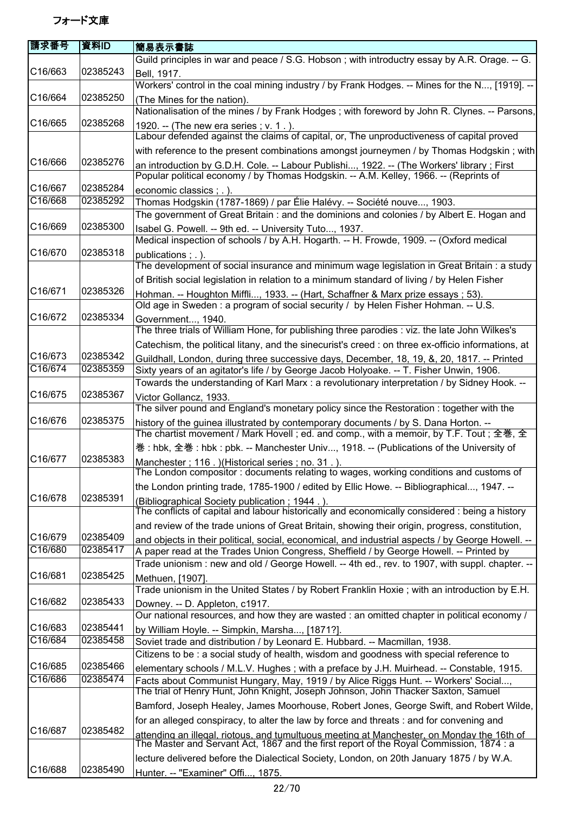| 請求番号    | 資料ID     | 簡易表示書誌                                                                                                                                                                             |
|---------|----------|------------------------------------------------------------------------------------------------------------------------------------------------------------------------------------|
|         |          | Guild principles in war and peace / S.G. Hobson; with introductry essay by A.R. Orage. -- G.                                                                                       |
| C16/663 | 02385243 | Bell, 1917.                                                                                                                                                                        |
|         |          | Workers' control in the coal mining industry / by Frank Hodges. -- Mines for the N, [1919]. --                                                                                     |
| C16/664 | 02385250 | (The Mines for the nation).                                                                                                                                                        |
|         |          | Nationalisation of the mines / by Frank Hodges; with foreword by John R. Clynes. -- Parsons,                                                                                       |
| C16/665 | 02385268 | 1920. -- (The new era series; v. 1.).                                                                                                                                              |
|         |          | Labour defended against the claims of capital, or, The unproductiveness of capital proved                                                                                          |
|         |          | with reference to the present combinations amongst journeymen / by Thomas Hodgskin; with                                                                                           |
| C16/666 | 02385276 | an introduction by G.D.H. Cole. -- Labour Publishi, 1922. -- (The Workers' library; First<br>Popular political economy / by Thomas Hodgskin. -- A.M. Kelley, 1966. -- (Reprints of |
| C16/667 | 02385284 | economic classics ; . ).                                                                                                                                                           |
| C16/668 | 02385292 | Thomas Hodgskin (1787-1869) / par Élie Halévy. -- Société nouve, 1903.                                                                                                             |
|         |          | The government of Great Britain: and the dominions and colonies / by Albert E. Hogan and                                                                                           |
| C16/669 | 02385300 | Isabel G. Powell. -- 9th ed. -- University Tuto, 1937.                                                                                                                             |
|         |          | Medical inspection of schools / by A.H. Hogarth. -- H. Frowde, 1909. -- (Oxford medical                                                                                            |
| C16/670 | 02385318 | publications; .).                                                                                                                                                                  |
|         |          | The development of social insurance and minimum wage legislation in Great Britain : a study                                                                                        |
|         |          | of British social legislation in relation to a minimum standard of living / by Helen Fisher                                                                                        |
| C16/671 | 02385326 | Hohman. -- Houghton Miffli, 1933. -- (Hart, Schaffner & Marx prize essays; 53).                                                                                                    |
|         |          | Old age in Sweden : a program of social security / by Helen Fisher Hohman. -- U.S.                                                                                                 |
| C16/672 | 02385334 | Government, 1940.                                                                                                                                                                  |
|         |          | The three trials of William Hone, for publishing three parodies : viz. the late John Wilkes's                                                                                      |
|         |          | Catechism, the political litany, and the sinecurist's creed : on three ex-officio informations, at                                                                                 |
| C16/673 | 02385342 | Guildhall, London, during three successive days, December, 18, 19, &, 20, 1817. -- Printed                                                                                         |
| C16/674 | 02385359 | Sixty years of an agitator's life / by George Jacob Holyoake. -- T. Fisher Unwin, 1906.                                                                                            |
|         |          | Towards the understanding of Karl Marx : a revolutionary interpretation / by Sidney Hook. --                                                                                       |
| C16/675 | 02385367 | Victor Gollancz, 1933.<br>The silver pound and England's monetary policy since the Restoration : together with the                                                                 |
| C16/676 | 02385375 |                                                                                                                                                                                    |
|         |          | history of the guinea illustrated by contemporary documents / by S. Dana Horton. --<br>The chartist movement / Mark Hovell ; ed. and comp., with a memoir, by T.F. Tout ; 全巻, 全    |
|         |          | 巻: hbk, 全巻: hbk: pbk. -- Manchester Univ, 1918. -- (Publications of the University of                                                                                              |
| C16/677 | 02385383 | Manchester; 116. )(Historical series; no. 31.).                                                                                                                                    |
|         |          | The London compositor: documents relating to wages, working conditions and customs of                                                                                              |
| C16/678 | 02385391 | the London printing trade, 1785-1900 / edited by Ellic Howe. -- Bibliographical, 1947. --                                                                                          |
|         |          | (Bibliographical Society publication; 1944.).<br>The conflicts of capital and labour historically and economically considered : being a history                                    |
|         |          | and review of the trade unions of Great Britain, showing their origin, progress, constitution,                                                                                     |
| C16/679 | 02385409 | and objects in their political, social, economical, and industrial aspects / by George Howell. --                                                                                  |
| C16/680 | 02385417 | A paper read at the Trades Union Congress, Sheffield / by George Howell. -- Printed by                                                                                             |
| C16/681 |          | Trade unionism: new and old / George Howell. -- 4th ed., rev. to 1907, with suppl. chapter. --                                                                                     |
|         | 02385425 | Methuen, [1907].<br>Trade unionism in the United States / by Robert Franklin Hoxie; with an introduction by E.H.                                                                   |
| C16/682 | 02385433 |                                                                                                                                                                                    |
|         |          | Downey. -- D. Appleton, c1917.<br>Our national resources, and how they are wasted : an omitted chapter in political economy /                                                      |
| C16/683 | 02385441 |                                                                                                                                                                                    |
| C16/684 | 02385458 | by William Hoyle. -- Simpkin, Marsha, [1871?].<br>Soviet trade and distribution / by Leonard E. Hubbard. -- Macmillan, 1938.                                                       |
|         |          | Citizens to be: a social study of health, wisdom and goodness with special reference to                                                                                            |
| C16/685 | 02385466 | elementary schools / M.L.V. Hughes; with a preface by J.H. Muirhead. -- Constable, 1915.                                                                                           |
| C16/686 | 02385474 | Facts about Communist Hungary, May, 1919 / by Alice Riggs Hunt. -- Workers' Social,                                                                                                |
|         |          | The trial of Henry Hunt, John Knight, Joseph Johnson, John Thacker Saxton, Samuel                                                                                                  |
|         |          | Bamford, Joseph Healey, James Moorhouse, Robert Jones, George Swift, and Robert Wilde,                                                                                             |
|         |          | for an alleged conspiracy, to alter the law by force and threats : and for convening and                                                                                           |
| C16/687 | 02385482 |                                                                                                                                                                                    |
|         |          | attending an illegal, riotous, and tumultuous meeting at Manchester, on Monday the 16th of The Master and Servant Act, 1867 and the first report of the Royal Commission, 1874 : a |
| C16/688 | 02385490 | lecture delivered before the Dialectical Society, London, on 20th January 1875 / by W.A.                                                                                           |
|         |          | Hunter. -- "Examiner" Offi, 1875.                                                                                                                                                  |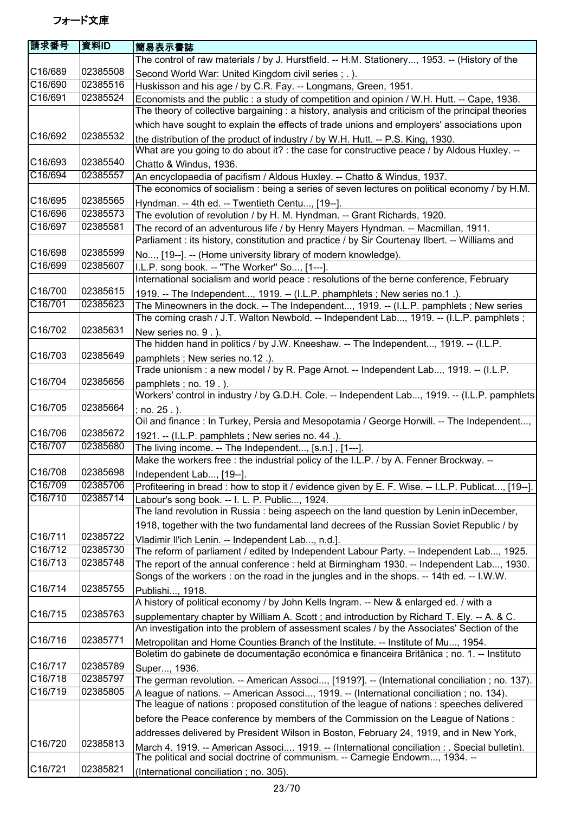| 請求番号    | 資料ID     | 簡易表示書誌                                                                                                                                                                                  |
|---------|----------|-----------------------------------------------------------------------------------------------------------------------------------------------------------------------------------------|
|         |          | The control of raw materials / by J. Hurstfield. -- H.M. Stationery, 1953. -- (History of the                                                                                           |
| C16/689 | 02385508 | Second World War: United Kingdom civil series ; . ).                                                                                                                                    |
| C16/690 | 02385516 | Huskisson and his age / by C.R. Fay. -- Longmans, Green, 1951.                                                                                                                          |
| C16/691 | 02385524 | Economists and the public : a study of competition and opinion / W.H. Hutt. -- Cape, 1936.                                                                                              |
|         |          | The theory of collective bargaining : a history, analysis and criticism of the principal theories                                                                                       |
|         |          | which have sought to explain the effects of trade unions and employers' associations upon                                                                                               |
| C16/692 | 02385532 |                                                                                                                                                                                         |
|         |          | the distribution of the product of industry / by W.H. Hutt. -- P.S. King, 1930.<br>What are you going to do about it? : the case for constructive peace / by Aldous Huxley. --          |
| C16/693 | 02385540 |                                                                                                                                                                                         |
| C16/694 | 02385557 | Chatto & Windus, 1936.                                                                                                                                                                  |
|         |          | An encyclopaedia of pacifism / Aldous Huxley. -- Chatto & Windus, 1937.                                                                                                                 |
| C16/695 | 02385565 | The economics of socialism : being a series of seven lectures on political economy / by H.M.                                                                                            |
| C16/696 | 02385573 | Hyndman. -- 4th ed. -- Twentieth Centu, [19--].                                                                                                                                         |
|         |          | The evolution of revolution / by H. M. Hyndman. -- Grant Richards, 1920.                                                                                                                |
| C16/697 | 02385581 | The record of an adventurous life / by Henry Mayers Hyndman. -- Macmillan, 1911.                                                                                                        |
|         |          | Parliament : its history, constitution and practice / by Sir Courtenay Ilbert. -- Williams and                                                                                          |
| C16/698 | 02385599 | No, [19--]. -- (Home university library of modern knowledge).                                                                                                                           |
| C16/699 | 02385607 | I.L.P. song book. -- "The Worker" So, [1---].                                                                                                                                           |
|         |          | International socialism and world peace : resolutions of the berne conference, February                                                                                                 |
| C16/700 | 02385615 | 1919. -- The Independent, 1919. -- (I.L.P. phamphlets; New series no.1.).                                                                                                               |
| C16/701 | 02385623 | The Mineowners in the dock. -- The Independent, 1919. -- (I.L.P. pamphlets; New series                                                                                                  |
|         |          | The coming crash / J.T. Walton Newbold. -- Independent Lab, 1919. -- (I.L.P. pamphlets;                                                                                                 |
| C16/702 | 02385631 | New series no. 9.).                                                                                                                                                                     |
|         |          | The hidden hand in politics / by J.W. Kneeshaw. -- The Independent, 1919. -- (I.L.P.                                                                                                    |
| C16/703 | 02385649 | pamphlets; New series no.12.).                                                                                                                                                          |
|         |          | Trade unionism : a new model / by R. Page Arnot. -- Independent Lab, 1919. -- (I.L.P.                                                                                                   |
| C16/704 | 02385656 | pamphlets; no. 19.).                                                                                                                                                                    |
|         |          | Workers' control in industry / by G.D.H. Cole. -- Independent Lab, 1919. -- (I.L.P. pamphlets                                                                                           |
| C16/705 | 02385664 | no. 25.).                                                                                                                                                                               |
|         |          | Oil and finance: In Turkey, Persia and Mesopotamia / George Horwill. -- The Independent,                                                                                                |
| C16/706 | 02385672 | 1921. -- (I.L.P. pamphlets; New series no. 44.).                                                                                                                                        |
| C16/707 | 02385680 | The living income. -- The Independent, [s.n.], [1---].                                                                                                                                  |
|         |          | Make the workers free : the industrial policy of the I.L.P. / by A. Fenner Brockway. --                                                                                                 |
| C16/708 | 02385698 | Independent Lab, [19--].                                                                                                                                                                |
| C16/709 | 02385706 | Profiteering in bread : how to stop it / evidence given by E. F. Wise. -- I.L.P. Publicat, [19--].                                                                                      |
| C16/710 | 02385714 | Labour's song book. -- I. L. P. Public, 1924.                                                                                                                                           |
|         |          | The land revolution in Russia: being aspeech on the land question by Lenin inDecember,                                                                                                  |
|         |          | 1918, together with the two fundamental land decrees of the Russian Soviet Republic / by                                                                                                |
| C16/711 | 02385722 |                                                                                                                                                                                         |
| C16/712 | 02385730 | Vladimir Il'ich Lenin. -- Independent Lab, n.d.].<br>The reform of parliament / edited by Independent Labour Party. -- Independent Lab, 1925.                                           |
| C16/713 | 02385748 | The report of the annual conference : held at Birmingham 1930. -- Independent Lab, 1930.                                                                                                |
|         |          | Songs of the workers : on the road in the jungles and in the shops. -- 14th ed. -- I.W.W.                                                                                               |
| C16/714 | 02385755 |                                                                                                                                                                                         |
|         |          | Publishi, 1918.<br>A history of political economy / by John Kells Ingram. -- New & enlarged ed. / with a                                                                                |
| C16/715 | 02385763 |                                                                                                                                                                                         |
|         |          | supplementary chapter by William A. Scott; and introduction by Richard T. Ely. -- A. & C.<br>An investigation into the problem of assessment scales / by the Associates' Section of the |
| C16/716 | 02385771 |                                                                                                                                                                                         |
|         |          | Metropolitan and Home Counties Branch of the Institute. -- Institute of Mu, 1954.                                                                                                       |
|         |          | Boletim do gabinete de documentação económica e financeira Britânica ; no. 1. -- Instituto                                                                                              |
| C16/717 | 02385789 | Super, 1936.                                                                                                                                                                            |
| C16/718 | 02385797 | The german revolution. -- American Associ, [1919?]. -- (International conciliation; no. 137).                                                                                           |
| C16/719 | 02385805 | A league of nations. -- American Associ, 1919. -- (International conciliation; no. 134).                                                                                                |
|         |          | The league of nations : proposed constitution of the league of nations : speeches delivered                                                                                             |
|         |          | before the Peace conference by members of the Commission on the League of Nations :                                                                                                     |
|         |          | addresses delivered by President Wilson in Boston, February 24, 1919, and in New York,                                                                                                  |
| C16/720 | 02385813 | March 4. 1919. -- American Associ 1919. -- (International conciliation: . Special bulletin).                                                                                            |
|         |          | The political and social doctrine of communism. -- Carnegie Endowm, 1934. --                                                                                                            |
| C16/721 | 02385821 | (International conciliation; no. 305).                                                                                                                                                  |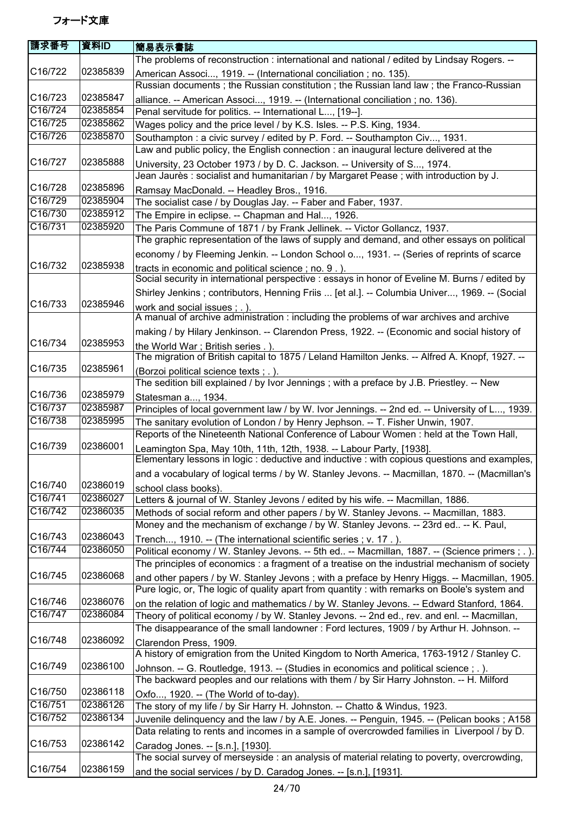| 請求番号                 | 資料ID     | 簡易表示書誌                                                                                                                                                               |
|----------------------|----------|----------------------------------------------------------------------------------------------------------------------------------------------------------------------|
|                      |          | The problems of reconstruction : international and national / edited by Lindsay Rogers. --                                                                           |
| C16/722              | 02385839 | American Associ, 1919. -- (International conciliation; no. 135).                                                                                                     |
|                      |          | Russian documents; the Russian constitution; the Russian land law; the Franco-Russian                                                                                |
| C16/723              | 02385847 | alliance. -- American Associ, 1919. -- (International conciliation ; no. 136).                                                                                       |
| C16/724              | 02385854 | Penal servitude for politics. -- International L, [19--].                                                                                                            |
| C16/725              | 02385862 | Wages policy and the price level / by K.S. Isles. -- P.S. King, 1934.                                                                                                |
| C16/726              | 02385870 | Southampton : a civic survey / edited by P. Ford. -- Southampton Civ, 1931.                                                                                          |
|                      |          | Law and public policy, the English connection : an inaugural lecture delivered at the                                                                                |
| C <sub>16</sub> /727 | 02385888 |                                                                                                                                                                      |
|                      |          | University, 23 October 1973 / by D. C. Jackson. -- University of S, 1974.                                                                                            |
| C16/728              | 02385896 | Jean Jaurès : socialist and humanitarian / by Margaret Pease ; with introduction by J.                                                                               |
| C16/729              | 02385904 | Ramsay MacDonald. -- Headley Bros., 1916.                                                                                                                            |
| C16/730              | 02385912 | The socialist case / by Douglas Jay. -- Faber and Faber, 1937.                                                                                                       |
|                      |          | The Empire in eclipse. -- Chapman and Hal, 1926.                                                                                                                     |
| C16/731              | 02385920 | The Paris Commune of 1871 / by Frank Jellinek. -- Victor Gollancz, 1937.                                                                                             |
|                      |          | The graphic representation of the laws of supply and demand, and other essays on political                                                                           |
|                      |          | economy / by Fleeming Jenkin. -- London School o, 1931. -- (Series of reprints of scarce                                                                             |
| C16/732              | 02385938 | tracts in economic and political science; no. 9. ).                                                                                                                  |
|                      |          | Social security in international perspective : essays in honor of Eveline M. Burns / edited by                                                                       |
|                      |          | Shirley Jenkins; contributors, Henning Friis  [et al.]. -- Columbia Univer, 1969. -- (Social                                                                         |
| C16/733              | 02385946 | work and social issues ; . ).                                                                                                                                        |
|                      |          | A manual of archive administration : including the problems of war archives and archive                                                                              |
|                      |          | making / by Hilary Jenkinson. -- Clarendon Press, 1922. -- (Economic and social history of                                                                           |
| C16/734              | 02385953 | the World War; British series .).                                                                                                                                    |
|                      |          | The migration of British capital to 1875 / Leland Hamilton Jenks. -- Alfred A. Knopf, 1927. --                                                                       |
| C16/735              | 02385961 | (Borzoi political science texts; .).                                                                                                                                 |
|                      |          | The sedition bill explained / by Ivor Jennings ; with a preface by J.B. Priestley. -- New                                                                            |
| C16/736              | 02385979 | Statesman a, 1934.                                                                                                                                                   |
| $\overline{C16/737}$ | 02385987 | Principles of local government law / by W. Ivor Jennings. -- 2nd ed. -- University of L, 1939.                                                                       |
| C16/738              | 02385995 | The sanitary evolution of London / by Henry Jephson. -- T. Fisher Unwin, 1907.                                                                                       |
|                      |          | Reports of the Nineteenth National Conference of Labour Women : held at the Town Hall,                                                                               |
| C16/739              | 02386001 |                                                                                                                                                                      |
|                      |          | Leamington Spa, May 10th, 11th, 12th, 1938. -- Labour Party, [1938].<br>Elementary lessons in logic : deductive and inductive : with copious questions and examples, |
|                      |          | and a vocabulary of logical terms / by W. Stanley Jevons. -- Macmillan, 1870. -- (Macmillan's                                                                        |
| C16/740              | 02386019 |                                                                                                                                                                      |
| C16/741              | 02386027 | school class books).                                                                                                                                                 |
| C16/742              | 02386035 | Letters & journal of W. Stanley Jevons / edited by his wife. -- Macmillan, 1886.                                                                                     |
|                      |          | Methods of social reform and other papers / by W. Stanley Jevons. -- Macmillan, 1883.                                                                                |
|                      |          | Money and the mechanism of exchange / by W. Stanley Jevons. -- 23rd ed -- K. Paul,                                                                                   |
| C16/743              | 02386043 | Trench, 1910. -- (The international scientific series ; v. 17.).                                                                                                     |
| C16/744              | 02386050 | Political economy / W. Stanley Jevons. -- 5th ed -- Macmillan, 1887. -- (Science primers ; . ).                                                                      |
|                      |          | The principles of economics : a fragment of a treatise on the industrial mechanism of society                                                                        |
| C16/745              | 02386068 | and other papers / by W. Stanley Jevons; with a preface by Henry Higgs. -- Macmillan, 1905.                                                                          |
|                      |          | Pure logic, or, The logic of quality apart from quantity : with remarks on Boole's system and                                                                        |
| C16/746              | 02386076 | on the relation of logic and mathematics / by W. Stanley Jevons. -- Edward Stanford, 1864.                                                                           |
| C16/747              | 02386084 | Theory of political economy / by W. Stanley Jevons. -- 2nd ed., rev. and enl. -- Macmillan,                                                                          |
|                      |          | The disappearance of the small landowner: Ford lectures, 1909 / by Arthur H. Johnson. --                                                                             |
| C16/748              | 02386092 | Clarendon Press, 1909.                                                                                                                                               |
|                      |          | A history of emigration from the United Kingdom to North America, 1763-1912 / Stanley C.                                                                             |
| C16/749              | 02386100 | Johnson. -- G. Routledge, 1913. -- (Studies in economics and political science; .).                                                                                  |
|                      |          | The backward peoples and our relations with them / by Sir Harry Johnston. -- H. Milford                                                                              |
| C16/750              | 02386118 | Oxfo, 1920. -- (The World of to-day).                                                                                                                                |
| C16/751              | 02386126 | The story of my life / by Sir Harry H. Johnston. -- Chatto & Windus, 1923.                                                                                           |
| C16/752              | 02386134 | Juvenile delinquency and the law / by A.E. Jones. -- Penguin, 1945. -- (Pelican books ; A158                                                                         |
|                      |          | Data relating to rents and incomes in a sample of overcrowded families in Liverpool / by D.                                                                          |
| C16/753              | 02386142 |                                                                                                                                                                      |
|                      |          | Caradog Jones. -- [s.n.], [1930].<br>The social survey of merseyside : an analysis of material relating to poverty, overcrowding,                                    |
| C16/754              | 02386159 |                                                                                                                                                                      |
|                      |          | and the social services / by D. Caradog Jones. -- [s.n.], [1931].                                                                                                    |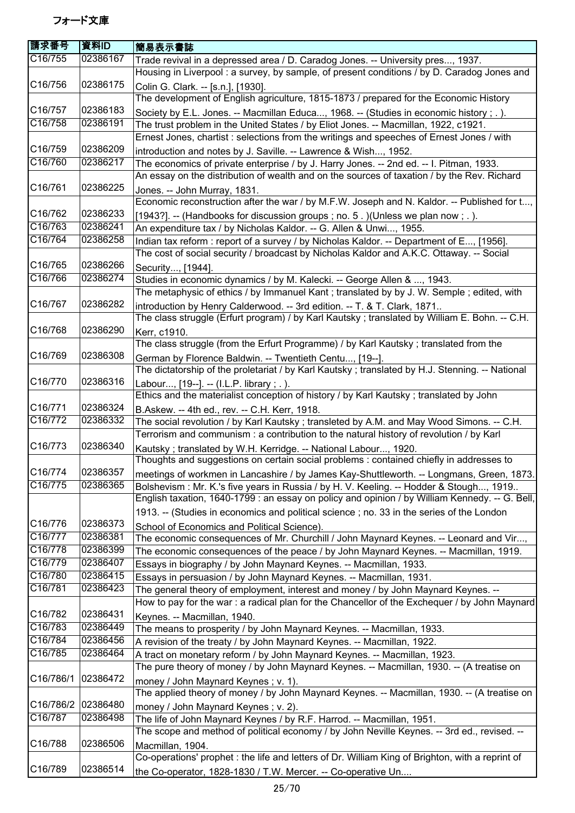| 請求番号                 | 資料ID                 | 簡易表示書誌                                                                                                                                                                    |
|----------------------|----------------------|---------------------------------------------------------------------------------------------------------------------------------------------------------------------------|
| C16/755              | 02386167             | Trade revival in a depressed area / D. Caradog Jones. -- University pres, 1937.                                                                                           |
|                      |                      | Housing in Liverpool: a survey, by sample, of present conditions / by D. Caradog Jones and                                                                                |
| C16/756              | 02386175             | Colin G. Clark. -- [s.n.], [1930].                                                                                                                                        |
|                      |                      | The development of English agriculture, 1815-1873 / prepared for the Economic History                                                                                     |
| C16/757              | 02386183             | Society by E.L. Jones. -- Macmillan Educa, 1968. -- (Studies in economic history ; . ).                                                                                   |
| C16/758              | 02386191             | The trust problem in the United States / by Eliot Jones. -- Macmillan, 1922, c1921.                                                                                       |
|                      |                      | Ernest Jones, chartist : selections from the writings and speeches of Ernest Jones / with                                                                                 |
| C16/759              | 02386209             | introduction and notes by J. Saville. -- Lawrence & Wish, 1952.                                                                                                           |
| C16/760              | 02386217             | The economics of private enterprise / by J. Harry Jones. -- 2nd ed. -- I. Pitman, 1933.                                                                                   |
|                      |                      | An essay on the distribution of wealth and on the sources of taxation / by the Rev. Richard                                                                               |
| C <sub>16</sub> /761 | 02386225             | Jones. -- John Murray, 1831.                                                                                                                                              |
|                      |                      | Economic reconstruction after the war / by M.F.W. Joseph and N. Kaldor. -- Published for t,                                                                               |
| C16/762              | 02386233             | [1943?]. -- (Handbooks for discussion groups ; no. 5.) (Unless we plan now ; .).                                                                                          |
| C16/763              | 02386241             | An expenditure tax / by Nicholas Kaldor. -- G. Allen & Unwi, 1955.                                                                                                        |
| C16/764              | 02386258             | Indian tax reform : report of a survey / by Nicholas Kaldor. -- Department of E, [1956].                                                                                  |
|                      |                      | The cost of social security / broadcast by Nicholas Kaldor and A.K.C. Ottaway. -- Social                                                                                  |
| C16/765<br>C16/766   | 02386266<br>02386274 | Security, [1944].                                                                                                                                                         |
|                      |                      | Studies in economic dynamics / by M. Kalecki. -- George Allen & , 1943.<br>The metaphysic of ethics / by Immanuel Kant; translated by by J. W. Semple; edited, with       |
| C16/767              | 02386282             |                                                                                                                                                                           |
|                      |                      | introduction by Henry Calderwood. -- 3rd edition. -- T. & T. Clark, 1871<br>The class struggle (Erfurt program) / by Karl Kautsky; translated by William E. Bohn. -- C.H. |
| C16/768              | 02386290             |                                                                                                                                                                           |
|                      |                      | Kerr, c1910.<br>The class struggle (from the Erfurt Programme) / by Karl Kautsky; translated from the                                                                     |
| C16/769              | 02386308             |                                                                                                                                                                           |
|                      |                      | German by Florence Baldwin. -- Twentieth Centu, [19--].<br>The dictatorship of the proletariat / by Karl Kautsky; translated by H.J. Stenning. -- National                |
| C16/770              | 02386316             | Labour, [19--]. -- (I.L.P. library; .).                                                                                                                                   |
|                      |                      | Ethics and the materialist conception of history / by Karl Kautsky; translated by John                                                                                    |
| C16/771              | 02386324             | B.Askew. -- 4th ed., rev. -- C.H. Kerr, 1918.                                                                                                                             |
| C16/772              | 02386332             | The social revolution / by Karl Kautsky; transleted by A.M. and May Wood Simons. -- C.H.                                                                                  |
|                      |                      | Terrorism and communism: a contribution to the natural history of revolution / by Karl                                                                                    |
| C16/773              | 02386340             | Kautsky; translated by W.H. Kerridge. -- National Labour, 1920.                                                                                                           |
|                      |                      | Thoughts and suggestions on certain social problems : contained chiefly in addresses to                                                                                   |
| C16/774              | 02386357             | meetings of workmen in Lancashire / by James Kay-Shuttleworth. -- Longmans, Green, 1873.                                                                                  |
| C16/775              | 02386365             | Bolshevism: Mr. K.'s five years in Russia / by H. V. Keeling. -- Hodder & Stough, 1919                                                                                    |
|                      |                      | English taxation, 1640-1799 : an essay on policy and opinion / by William Kennedy. -- G. Bell,                                                                            |
|                      |                      | 1913. -- (Studies in economics and political science ; no. 33 in the series of the London                                                                                 |
| C16/776              | 02386373             | School of Economics and Political Science).                                                                                                                               |
| C16/777              | 02386381             | The economic consequences of Mr. Churchill / John Maynard Keynes. -- Leonard and Vir,                                                                                     |
| C16/778              | 02386399             | The economic consequences of the peace / by John Maynard Keynes. -- Macmillan, 1919.                                                                                      |
| C16/779              | 02386407             | Essays in biography / by John Maynard Keynes. -- Macmillan, 1933.                                                                                                         |
| C16/780              | 02386415             | Essays in persuasion / by John Maynard Keynes. -- Macmillan, 1931.                                                                                                        |
| C16/781              | 02386423             | The general theory of employment, interest and money / by John Maynard Keynes. --                                                                                         |
|                      |                      | How to pay for the war : a radical plan for the Chancellor of the Exchequer / by John Maynard                                                                             |
| C16/782              | 02386431             | Keynes. -- Macmillan, 1940.                                                                                                                                               |
| C16/783              | 02386449             | The means to prosperity / by John Maynard Keynes. -- Macmillan, 1933.                                                                                                     |
| C16/784              | 02386456             | A revision of the treaty / by John Maynard Keynes. -- Macmillan, 1922.                                                                                                    |
| C16/785              | 02386464             | A tract on monetary reform / by John Maynard Keynes. -- Macmillan, 1923.                                                                                                  |
|                      |                      | The pure theory of money / by John Maynard Keynes. -- Macmillan, 1930. -- (A treatise on                                                                                  |
| C16/786/1            | 02386472             | money / John Maynard Keynes; v. 1).                                                                                                                                       |
|                      |                      | The applied theory of money / by John Maynard Keynes. -- Macmillan, 1930. -- (A treatise on                                                                               |
| C16/786/2<br>C16/787 | 02386480             | money / John Maynard Keynes; v. 2).                                                                                                                                       |
|                      | 02386498             | The life of John Maynard Keynes / by R.F. Harrod. -- Macmillan, 1951.                                                                                                     |
| C16/788              | 02386506             | The scope and method of political economy / by John Neville Keynes. -- 3rd ed., revised. --                                                                               |
|                      |                      | Macmillan, 1904.<br>Co-operations' prophet : the life and letters of Dr. William King of Brighton, with a reprint of                                                      |
| C16/789              | 02386514             |                                                                                                                                                                           |
|                      |                      | the Co-operator, 1828-1830 / T.W. Mercer. -- Co-operative Un                                                                                                              |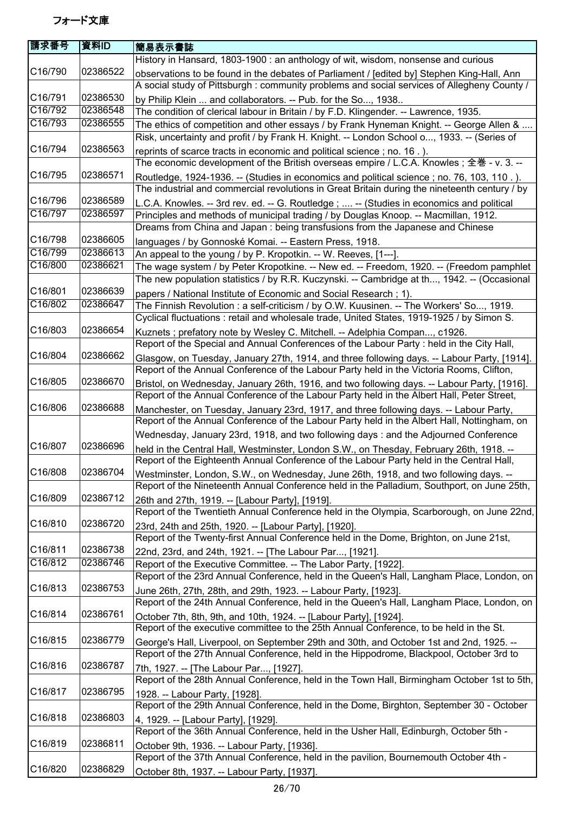| 請求番号    | 資料ID     | 簡易表示書誌                                                                                                                                                                                |
|---------|----------|---------------------------------------------------------------------------------------------------------------------------------------------------------------------------------------|
|         |          | History in Hansard, 1803-1900 : an anthology of wit, wisdom, nonsense and curious                                                                                                     |
| C16/790 | 02386522 | observations to be found in the debates of Parliament / [edited by] Stephen King-Hall, Ann                                                                                            |
|         |          | A social study of Pittsburgh : community problems and social services of Allegheny County /                                                                                           |
| C16/791 | 02386530 | by Philip Klein  and collaborators. -- Pub. for the So, 1938                                                                                                                          |
| C16/792 | 02386548 | The condition of clerical labour in Britain / by F.D. Klingender. -- Lawrence, 1935.                                                                                                  |
| C16/793 | 02386555 | The ethics of competition and other essays / by Frank Hyneman Knight. -- George Allen &                                                                                               |
|         |          | Risk, uncertainty and profit / by Frank H. Knight. -- London School o, 1933. -- (Series of                                                                                            |
| C16/794 | 02386563 | reprints of scarce tracts in economic and political science; no. 16.).                                                                                                                |
|         |          | The economic development of the British overseas empire / L.C.A. Knowles; 全巻 - v. 3. --                                                                                               |
| C16/795 | 02386571 | Routledge, 1924-1936. -- (Studies in economics and political science; no. 76, 103, 110.).                                                                                             |
|         |          | The industrial and commercial revolutions in Great Britain during the nineteenth century / by                                                                                         |
| C16/796 | 02386589 | L.C.A. Knowles. -- 3rd rev. ed. -- G. Routledge ;  -- (Studies in economics and political                                                                                             |
| C16/797 | 02386597 | Principles and methods of municipal trading / by Douglas Knoop. -- Macmillan, 1912.                                                                                                   |
|         |          | Dreams from China and Japan : being transfusions from the Japanese and Chinese                                                                                                        |
| C16/798 | 02386605 | languages / by Gonnoské Komai. -- Eastern Press, 1918.                                                                                                                                |
| C16/799 | 02386613 | An appeal to the young / by P. Kropotkin. -- W. Reeves, [1---].                                                                                                                       |
| C16/800 | 02386621 | The wage system / by Peter Kropotkine. -- New ed. -- Freedom, 1920. -- (Freedom pamphlet                                                                                              |
|         |          | The new population statistics / by R.R. Kuczynski. -- Cambridge at th, 1942. -- (Occasional                                                                                           |
| C16/801 | 02386639 | papers / National Institute of Economic and Social Research; 1).                                                                                                                      |
| C16/802 | 02386647 | The Finnish Revolution : a self-criticism / by O.W. Kuusinen. -- The Workers' So, 1919.                                                                                               |
|         |          | Cyclical fluctuations : retail and wholesale trade, United States, 1919-1925 / by Simon S.                                                                                            |
| C16/803 | 02386654 | Kuznets ; prefatory note by Wesley C. Mitchell. -- Adelphia Compan, c1926.                                                                                                            |
|         |          | Report of the Special and Annual Conferences of the Labour Party : held in the City Hall,                                                                                             |
| C16/804 | 02386662 | Glasgow, on Tuesday, January 27th, 1914, and three following days. -- Labour Party, [1914].                                                                                           |
|         |          | Report of the Annual Conference of the Labour Party held in the Victoria Rooms, Clifton,                                                                                              |
| C16/805 | 02386670 | Bristol, on Wednesday, January 26th, 1916, and two following days. -- Labour Party, [1916].                                                                                           |
| C16/806 | 02386688 | Report of the Annual Conference of the Labour Party held in the Albert Hall, Peter Street,                                                                                            |
|         |          | Manchester, on Tuesday, January 23rd, 1917, and three following days. -- Labour Party,<br>Report of the Annual Conference of the Labour Party held in the Albert Hall, Nottingham, on |
|         |          |                                                                                                                                                                                       |
| C16/807 | 02386696 | Wednesday, January 23rd, 1918, and two following days: and the Adjourned Conference                                                                                                   |
|         |          | held in the Central Hall, Westminster, London S.W., on Thesday, February 26th, 1918. --<br>Report of the Eighteenth Annual Conference of the Labour Party held in the Central Hall,   |
| C16/808 | 02386704 |                                                                                                                                                                                       |
|         |          | Westminster, London, S.W., on Wednesday, June 26th, 1918, and two following days. --<br>Report of the Nineteenth Annual Conference held in the Palladium, Southport, on June 25th,    |
| C16/809 | 02386712 |                                                                                                                                                                                       |
|         |          | 26th and 27th, 1919. -- [Labour Party], [1919].<br>Report of the Twentieth Annual Conference held in the Olympia, Scarborough, on June 22nd,                                          |
| C16/810 | 02386720 |                                                                                                                                                                                       |
|         |          | 23rd, 24th and 25th, 1920. -- [Labour Party], [1920].<br>Report of the Twenty-first Annual Conference held in the Dome, Brighton, on June 21st,                                       |
| C16/811 | 02386738 | 22nd, 23rd, and 24th, 1921. -- [The Labour Par, [1921].                                                                                                                               |
| C16/812 | 02386746 | Report of the Executive Committee. -- The Labor Party, [1922].                                                                                                                        |
|         |          | Report of the 23rd Annual Conference, held in the Queen's Hall, Langham Place, London, on                                                                                             |
| C16/813 | 02386753 | June 26th, 27th, 28th, and 29th, 1923. -- Labour Party, [1923].                                                                                                                       |
|         |          | Report of the 24th Annual Conference, held in the Queen's Hall, Langham Place, London, on                                                                                             |
| C16/814 | 02386761 | October 7th, 8th, 9th, and 10th, 1924. -- [Labour Party], [1924].                                                                                                                     |
|         |          | Report of the executive committee to the 25th Annual Conference, to be held in the St.                                                                                                |
| C16/815 | 02386779 | George's Hall, Liverpool, on September 29th and 30th, and October 1st and 2nd, 1925. --                                                                                               |
|         |          | Report of the 27th Annual Conference, held in the Hippodrome, Blackpool, October 3rd to                                                                                               |
| C16/816 | 02386787 | 7th, 1927. -- [The Labour Par, [1927].                                                                                                                                                |
|         |          | Report of the 28th Annual Conference, held in the Town Hall, Birmingham October 1st to 5th,                                                                                           |
| C16/817 | 02386795 | 1928. -- Labour Party, [1928].                                                                                                                                                        |
|         |          | Report of the 29th Annual Conference, held in the Dome, Birghton, September 30 - October                                                                                              |
| C16/818 | 02386803 | 4, 1929. -- [Labour Party], [1929].                                                                                                                                                   |
|         |          | Report of the 36th Annual Conference, held in the Usher Hall, Edinburgh, October 5th -                                                                                                |
| C16/819 | 02386811 | October 9th, 1936. -- Labour Party, [1936].                                                                                                                                           |
|         |          | Report of the 37th Annual Conference, held in the pavilion, Bournemouth October 4th -                                                                                                 |
| C16/820 | 02386829 | October 8th, 1937. -- Labour Party, [1937].                                                                                                                                           |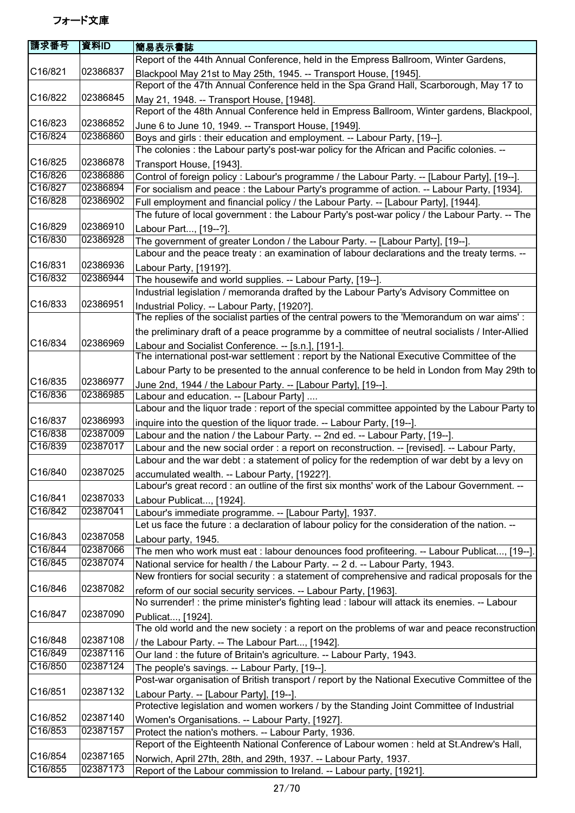| 請求番号    | 資料ID     | 簡易表示書誌                                                                                                                                           |
|---------|----------|--------------------------------------------------------------------------------------------------------------------------------------------------|
|         |          | Report of the 44th Annual Conference, held in the Empress Ballroom, Winter Gardens,                                                              |
| C16/821 | 02386837 | Blackpool May 21st to May 25th, 1945. -- Transport House, [1945].                                                                                |
|         |          | Report of the 47th Annual Conference held in the Spa Grand Hall, Scarborough, May 17 to                                                          |
| C16/822 | 02386845 | May 21, 1948. -- Transport House, [1948].                                                                                                        |
|         |          | Report of the 48th Annual Conference held in Empress Ballroom, Winter gardens, Blackpool,                                                        |
| C16/823 | 02386852 | June 6 to June 10, 1949. -- Transport House, [1949].                                                                                             |
| C16/824 | 02386860 | Boys and girls : their education and employment. -- Labour Party, [19--].                                                                        |
|         |          | The colonies: the Labour party's post-war policy for the African and Pacific colonies. --                                                        |
| C16/825 | 02386878 | Transport House, [1943].                                                                                                                         |
| C16/826 | 02386886 | Control of foreign policy : Labour's programme / the Labour Party. -- [Labour Party], [19--].                                                    |
| C16/827 | 02386894 | For socialism and peace : the Labour Party's programme of action. -- Labour Party, [1934].                                                       |
| C16/828 | 02386902 | Full employment and financial policy / the Labour Party. -- [Labour Party], [1944].                                                              |
|         |          | The future of local government : the Labour Party's post-war policy / the Labour Party. -- The                                                   |
| C16/829 | 02386910 | Labour Part, [19--?].                                                                                                                            |
| C16/830 | 02386928 | The government of greater London / the Labour Party. -- [Labour Party], [19--].                                                                  |
|         |          | Labour and the peace treaty : an examination of labour declarations and the treaty terms. --                                                     |
| C16/831 | 02386936 | Labour Party, [1919?].                                                                                                                           |
| C16/832 | 02386944 | The housewife and world supplies. -- Labour Party, [19--].                                                                                       |
|         |          | Industrial legislation / memoranda drafted by the Labour Party's Advisory Committee on                                                           |
| C16/833 | 02386951 | Industrial Policy. -- Labour Party, [1920?].                                                                                                     |
|         |          | The replies of the socialist parties of the central powers to the 'Memorandum on war aims':                                                      |
|         |          | the preliminary draft of a peace programme by a committee of neutral socialists / Inter-Allied                                                   |
| C16/834 | 02386969 | Labour and Socialist Conference. -- [s.n.], [191-].                                                                                              |
|         |          | The international post-war settlement : report by the National Executive Committee of the                                                        |
|         |          | Labour Party to be presented to the annual conference to be held in London from May 29th to                                                      |
| C16/835 | 02386977 | June 2nd, 1944 / the Labour Party. -- [Labour Party], [19--].                                                                                    |
| C16/836 | 02386985 | Labour and education. -- [Labour Party]                                                                                                          |
|         |          | Labour and the liquor trade : report of the special committee appointed by the Labour Party to                                                   |
| C16/837 | 02386993 | inquire into the question of the liquor trade. -- Labour Party, [19--].                                                                          |
| C16/838 | 02387009 | Labour and the nation / the Labour Party. -- 2nd ed. -- Labour Party, [19--].                                                                    |
| C16/839 | 02387017 | Labour and the new social order : a report on reconstruction. -- [revised]. -- Labour Party,                                                     |
|         |          | Labour and the war debt : a statement of policy for the redemption of war debt by a levy on                                                      |
| C16/840 | 02387025 | accumulated wealth. -- Labour Party, [1922?].                                                                                                    |
|         |          | Labour's great record : an outline of the first six months' work of the Labour Government. --                                                    |
| C16/841 | 02387033 | Labour Publicat, [1924].                                                                                                                         |
| C16/842 | 02387041 | Labour's immediate programme. -- [Labour Party], 1937.                                                                                           |
|         |          | Let us face the future : a declaration of labour policy for the consideration of the nation. --                                                  |
| C16/843 | 02387058 | Labour party, 1945.                                                                                                                              |
| C16/844 | 02387066 | The men who work must eat : labour denounces food profiteering. -- Labour Publicat, [19--].                                                      |
| C16/845 | 02387074 | National service for health / the Labour Party. -- 2 d. -- Labour Party, 1943.                                                                   |
|         |          | New frontiers for social security : a statement of comprehensive and radical proposals for the                                                   |
| C16/846 | 02387082 | reform of our social security services. -- Labour Party, [1963].                                                                                 |
|         |          | No surrender! : the prime minister's fighting lead : labour will attack its enemies. -- Labour                                                   |
| C16/847 | 02387090 | Publicat, [1924].                                                                                                                                |
|         |          | The old world and the new society: a report on the problems of war and peace reconstruction                                                      |
| C16/848 | 02387108 |                                                                                                                                                  |
| C16/849 | 02387116 | / the Labour Party. -- The Labour Part, [1942].<br>Our land : the future of Britain's agriculture. -- Labour Party, 1943.                        |
| C16/850 | 02387124 | The people's savings. -- Labour Party, [19--].                                                                                                   |
|         |          | Post-war organisation of British transport / report by the National Executive Committee of the                                                   |
| C16/851 | 02387132 |                                                                                                                                                  |
|         |          | Labour Party. -- [Labour Party], [19--].<br>Protective legislation and women workers / by the Standing Joint Committee of Industrial             |
| C16/852 | 02387140 |                                                                                                                                                  |
| C16/853 | 02387157 | Women's Organisations. -- Labour Party, [1927].                                                                                                  |
|         |          | Protect the nation's mothers. -- Labour Party, 1936.<br>Report of the Eighteenth National Conference of Labour women : held at St.Andrew's Hall, |
| C16/854 | 02387165 |                                                                                                                                                  |
| C16/855 | 02387173 | Norwich, April 27th, 28th, and 29th, 1937. -- Labour Party, 1937.                                                                                |
|         |          | Report of the Labour commission to Ireland. -- Labour party, [1921].                                                                             |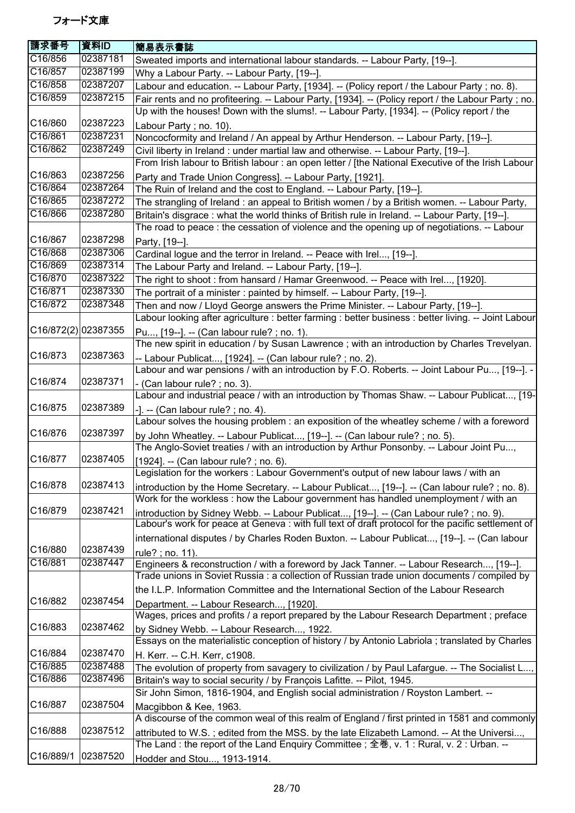| 請求番号                | 資料ID     | 簡易表示書誌                                                                                                                                                                                       |
|---------------------|----------|----------------------------------------------------------------------------------------------------------------------------------------------------------------------------------------------|
| C16/856             | 02387181 | Sweated imports and international labour standards. -- Labour Party, [19--].                                                                                                                 |
| C16/857             | 02387199 | Why a Labour Party. -- Labour Party, [19--].                                                                                                                                                 |
| C16/858             | 02387207 | Labour and education. -- Labour Party, [1934]. -- (Policy report / the Labour Party; no. 8).                                                                                                 |
| C16/859             | 02387215 | Fair rents and no profiteering. -- Labour Party, [1934]. -- (Policy report / the Labour Party ; no.                                                                                          |
|                     |          | Up with the houses! Down with the slums!. -- Labour Party, [1934]. -- (Policy report / the                                                                                                   |
| C16/860             | 02387223 | Labour Party; no. 10).                                                                                                                                                                       |
| C16/861             | 02387231 | Noncocformity and Ireland / An appeal by Arthur Henderson. -- Labour Party, [19--].                                                                                                          |
| C16/862             | 02387249 | Civil liberty in Ireland : under martial law and otherwise. -- Labour Party, [19--].                                                                                                         |
|                     |          | From Irish labour to British labour : an open letter / [the National Executive of the Irish Labour                                                                                           |
| C16/863             | 02387256 | Party and Trade Union Congress]. -- Labour Party, [1921].                                                                                                                                    |
| C16/864             | 02387264 | The Ruin of Ireland and the cost to England. -- Labour Party, [19--].                                                                                                                        |
| C16/865             | 02387272 | The strangling of Ireland : an appeal to British women / by a British women. -- Labour Party,                                                                                                |
| C16/866             | 02387280 | Britain's disgrace: what the world thinks of British rule in Ireland. -- Labour Party, [19--].                                                                                               |
|                     |          | The road to peace : the cessation of violence and the opening up of negotiations. -- Labour                                                                                                  |
| C16/867             | 02387298 | Party, [19--].                                                                                                                                                                               |
| C16/868             | 02387306 | Cardinal logue and the terror in Ireland. -- Peace with Irel, [19--].                                                                                                                        |
| C16/869             | 02387314 | The Labour Party and Ireland. -- Labour Party, [19--].                                                                                                                                       |
| C16/870             | 02387322 | The right to shoot : from hansard / Hamar Greenwood. -- Peace with Irel, [1920].                                                                                                             |
| C16/871             | 02387330 | The portrait of a minister: painted by himself. -- Labour Party, [19--].                                                                                                                     |
| C16/872             | 02387348 | Then and now / Lloyd George answers the Prime Minister. -- Labour Party, [19--].                                                                                                             |
|                     |          | Labour looking after agriculture : better farming : better business : better living. -- Joint Labour                                                                                         |
| C16/872(2) 02387355 |          | Pu, [19--]. -- (Can labour rule?; no. 1).                                                                                                                                                    |
|                     |          | The new spirit in education / by Susan Lawrence ; with an introduction by Charles Trevelyan.                                                                                                 |
| C16/873             | 02387363 | -- Labour Publicat, [1924]. -- (Can labour rule? ; no. 2).                                                                                                                                   |
|                     |          | Labour and war pensions / with an introduction by F.O. Roberts. -- Joint Labour Pu, [19--]. -                                                                                                |
| C16/874             | 02387371 | - (Can labour rule?; no. 3).                                                                                                                                                                 |
|                     |          | Labour and industrial peace / with an introduction by Thomas Shaw. -- Labour Publicat, [19-                                                                                                  |
| C16/875             | 02387389 | $-$ ]. $-$ (Can labour rule?; no. 4).                                                                                                                                                        |
|                     |          | Labour solves the housing problem : an exposition of the wheatley scheme / with a foreword                                                                                                   |
| C16/876             | 02387397 | by John Wheatley. -- Labour Publicat, [19--]. -- (Can labour rule?; no. 5).                                                                                                                  |
|                     |          | The Anglo-Soviet treaties / with an introduction by Arthur Ponsonby. -- Labour Joint Pu,                                                                                                     |
| C16/877             | 02387405 | [1924]. -- (Can labour rule?; no. 6).                                                                                                                                                        |
| C16/878             | 02387413 | Legislation for the workers : Labour Government's output of new labour laws / with an                                                                                                        |
|                     |          | introduction by the Home Secretary. -- Labour Publicat, [19--]. -- (Can labour rule?; no. 8).                                                                                                |
| C16/879             | 02387421 | Work for the workless: how the Labour government has handled unemployment / with an                                                                                                          |
|                     |          | introduction by Sidney Webb. -- Labour Publicat, [19--]. -- (Can Labour rule?; no. 9).<br>Labour's work for peace at Geneva : with full text of draft protocol for the pacific settlement of |
|                     |          |                                                                                                                                                                                              |
| C16/880             | 02387439 | international disputes / by Charles Roden Buxton. -- Labour Publicat, [19--]. -- (Can labour                                                                                                 |
| C16/881             | 02387447 | rule?; no. 11).                                                                                                                                                                              |
|                     |          | Engineers & reconstruction / with a foreword by Jack Tanner. -- Labour Research, [19--].<br>Trade unions in Soviet Russia : a collection of Russian trade union documents / compiled by      |
|                     |          |                                                                                                                                                                                              |
| C16/882             | 02387454 | the I.L.P. Information Committee and the International Section of the Labour Research                                                                                                        |
|                     |          | Department. -- Labour Research, [1920].<br>Wages, prices and profits / a report prepared by the Labour Research Department ; preface                                                         |
| C16/883             | 02387462 |                                                                                                                                                                                              |
|                     |          | by Sidney Webb. -- Labour Research, 1922.<br>Essays on the materialistic conception of history / by Antonio Labriola ; translated by Charles                                                 |
| C16/884             | 02387470 |                                                                                                                                                                                              |
| C16/885             | 02387488 | H. Kerr. -- C.H. Kerr, c1908.<br>The evolution of property from savagery to civilization / by Paul Lafargue. -- The Socialist L                                                              |
| C16/886             | 02387496 | Britain's way to social security / by François Lafitte. -- Pilot, 1945.                                                                                                                      |
|                     |          | Sir John Simon, 1816-1904, and English social administration / Royston Lambert. --                                                                                                           |
| C16/887             | 02387504 | Macgibbon & Kee, 1963.                                                                                                                                                                       |
|                     |          | A discourse of the common weal of this realm of England / first printed in 1581 and commonly                                                                                                 |
| C16/888             | 02387512 | attributed to W.S.; edited from the MSS. by the late Elizabeth Lamond. -- At the Universi,                                                                                                   |
|                     |          | The Land: the report of the Land Enquiry Committee; 全巻, v. 1: Rural, v. 2: Urban. --                                                                                                         |
| C16/889/1           | 02387520 | Hodder and Stou, 1913-1914.                                                                                                                                                                  |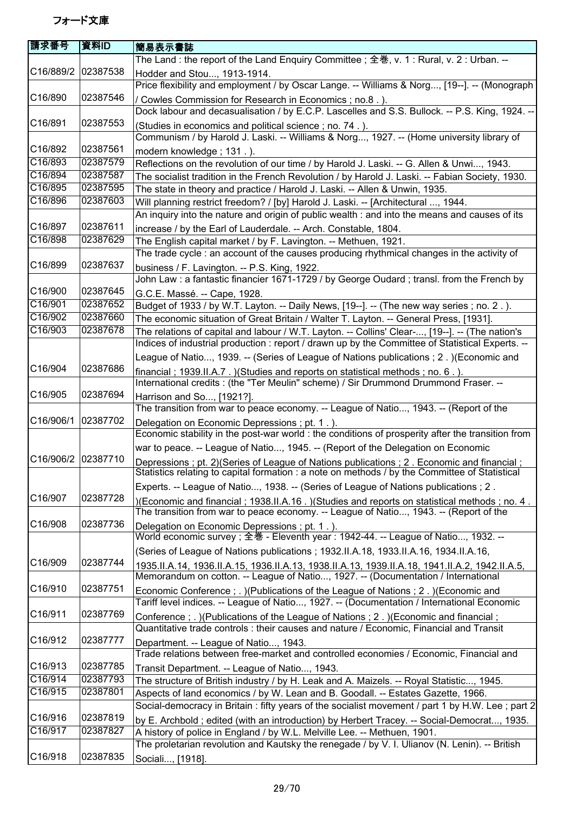| 請求番号               | 資料ID     | 簡易表示書誌                                                                                                                                                                                      |
|--------------------|----------|---------------------------------------------------------------------------------------------------------------------------------------------------------------------------------------------|
|                    |          | The Land : the report of the Land Enquiry Committee ; 全巻, v. 1 : Rural, v. 2 : Urban. --                                                                                                    |
| C16/889/2 02387538 |          | Hodder and Stou, 1913-1914.<br>Price flexibility and employment / by Oscar Lange. -- Williams & Norg, [19--]. -- (Monograph                                                                 |
| C16/890            | 02387546 | / Cowles Commission for Research in Economics; no.8. ).                                                                                                                                     |
|                    |          | Dock labour and decasualisation / by E.C.P. Lascelles and S.S. Bullock. -- P.S. King, 1924. --                                                                                              |
| C16/891            | 02387553 | (Studies in economics and political science; no. 74.).                                                                                                                                      |
|                    |          | Communism / by Harold J. Laski. -- Williams & Norg, 1927. -- (Home university library of                                                                                                    |
| C16/892            | 02387561 | modern knowledge; 131.).                                                                                                                                                                    |
| C16/893            | 02387579 | Reflections on the revolution of our time / by Harold J. Laski. -- G. Allen & Unwi, 1943.                                                                                                   |
| C16/894            | 02387587 | The socialist tradition in the French Revolution / by Harold J. Laski. -- Fabian Society, 1930.                                                                                             |
| C16/895            | 02387595 | The state in theory and practice / Harold J. Laski. -- Allen & Unwin, 1935.                                                                                                                 |
| C16/896            | 02387603 | Will planning restrict freedom? / [by] Harold J. Laski. -- [Architectural , 1944.                                                                                                           |
|                    |          | An inquiry into the nature and origin of public wealth : and into the means and causes of its                                                                                               |
| C16/897            | 02387611 | increase / by the Earl of Lauderdale. -- Arch. Constable, 1804.                                                                                                                             |
| C16/898            | 02387629 | The English capital market / by F. Lavington. -- Methuen, 1921.                                                                                                                             |
|                    |          | The trade cycle : an account of the causes producing rhythmical changes in the activity of                                                                                                  |
| C16/899            | 02387637 | business / F. Lavington. -- P.S. King, 1922.                                                                                                                                                |
|                    |          | John Law : a fantastic financier 1671-1729 / by George Oudard ; transl. from the French by                                                                                                  |
| C16/900            | 02387645 | G.C.E. Massé. -- Cape, 1928.                                                                                                                                                                |
| C16/901            | 02387652 | Budget of 1933 / by W.T. Layton. -- Daily News, [19--]. -- (The new way series; no. 2.).                                                                                                    |
| C16/902            | 02387660 | The economic situation of Great Britain / Walter T. Layton. -- General Press, [1931].                                                                                                       |
| C16/903            | 02387678 | The relations of capital and labour / W.T. Layton. -- Collins' Clear-, [19--]. -- (The nation's                                                                                             |
|                    |          | Indices of industrial production : report / drawn up by the Committee of Statistical Experts. --                                                                                            |
|                    |          | League of Natio, 1939. -- (Series of League of Nations publications ; 2. ) (Economic and                                                                                                    |
| C16/904            | 02387686 | financial; 1939.II.A.7. ) (Studies and reports on statistical methods; no. 6.).                                                                                                             |
|                    |          | International credits: (the "Ter Meulin" scheme) / Sir Drummond Drummond Fraser. --                                                                                                         |
| C16/905            | 02387694 | Harrison and So, [1921?].                                                                                                                                                                   |
|                    |          | The transition from war to peace economy. -- League of Natio, 1943. -- (Report of the                                                                                                       |
| C16/906/1          | 02387702 | Delegation on Economic Depressions; pt. 1.).                                                                                                                                                |
|                    |          | Economic stability in the post-war world : the conditions of prosperity after the transition from                                                                                           |
|                    |          | war to peace. -- League of Natio, 1945. -- (Report of the Delegation on Economic                                                                                                            |
| C16/906/2          | 02387710 | Depressions; pt. 2) (Series of League of Nations publications; 2. Economic and financial;<br>Statistics relating to capital formation : a note on methods / by the Committee of Statistical |
|                    |          | Experts. -- League of Natio, 1938. -- (Series of League of Nations publications ; 2.                                                                                                        |
| C16/907            | 02387728 | )(Economic and financial; 1938.II.A.16.)(Studies and reports on statistical methods; no. 4.                                                                                                 |
|                    |          | The transition from war to peace economy. -- League of Natio, 1943. -- (Report of the                                                                                                       |
| C16/908            | 02387736 | Delegation on Economic Depressions; pt. 1.).<br>World economic survey; 全巻 - Eleventh year: 1942-44. -- League of Natio, 1932. --                                                            |
|                    |          | (Series of League of Nations publications; 1932.II.A.18, 1933.II.A.16, 1934.II.A.16,                                                                                                        |
| C16/909            | 02387744 | 1935.II.A.14, 1936.II.A.15, 1936.II.A.13, 1938.II.A.13, 1939.II.A.18, 1941.II.A.2, 1942.II.A.5,<br>Memorandum on cotton. -- League of Natio, 1927. -- (Documentation / International        |
| C16/910            | 02387751 |                                                                                                                                                                                             |
|                    |          | Economic Conference ; . )(Publications of the League of Nations ; 2. )(Economic and<br>Tariff level indices. -- League of Natio, 1927. -- (Documentation / International Economic           |
| C16/911            | 02387769 |                                                                                                                                                                                             |
|                    |          | Conference; .) (Publications of the League of Nations; 2.) (Economic and financial;<br>Quantitative trade controls : their causes and nature / Economic, Financial and Transit              |
| C16/912            | 02387777 | Department. -- League of Natio, 1943.<br>Trade relations between free-market and controlled economies / Economic, Financial and                                                             |
| C16/913            | 02387785 |                                                                                                                                                                                             |
| C16/914            | 02387793 | Transit Department. -- League of Natio, 1943.                                                                                                                                               |
| C16/915            | 02387801 | The structure of British industry / by H. Leak and A. Maizels. -- Royal Statistic, 1945.                                                                                                    |
|                    |          | Aspects of land economics / by W. Lean and B. Goodall. -- Estates Gazette, 1966.                                                                                                            |
| C16/916            | 02387819 | Social-democracy in Britain: fifty years of the socialist movement / part 1 by H.W. Lee; part 2                                                                                             |
| C16/917            | 02387827 | by E. Archbold; edited (with an introduction) by Herbert Tracey. -- Social-Democrat, 1935.                                                                                                  |
|                    |          | A history of police in England / by W.L. Melville Lee. -- Methuen, 1901.                                                                                                                    |
|                    |          |                                                                                                                                                                                             |
| C16/918            | 02387835 | The proletarian revolution and Kautsky the renegade / by V. I. Ulianov (N. Lenin). -- British<br>Sociali, [1918].                                                                           |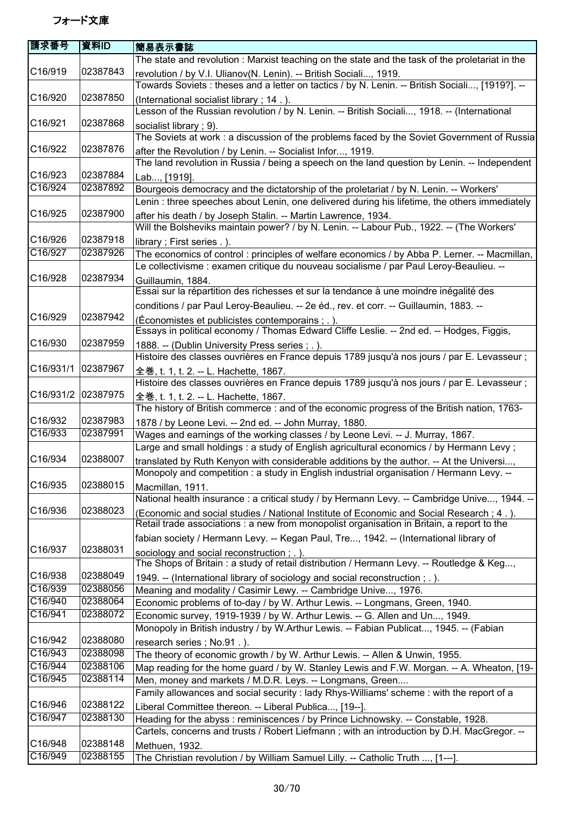| 請求番号                 | 資料ID     | 簡易表示書誌                                                                                                                                                                              |
|----------------------|----------|-------------------------------------------------------------------------------------------------------------------------------------------------------------------------------------|
|                      |          | The state and revolution: Marxist teaching on the state and the task of the proletariat in the                                                                                      |
| C16/919              | 02387843 | revolution / by V.I. Ulianov(N. Lenin). -- British Sociali, 1919.<br>Towards Soviets: theses and a letter on tactics / by N. Lenin. -- British Sociali, [1919?]. --                 |
| C16/920              | 02387850 | (International socialist library; 14.).                                                                                                                                             |
|                      |          | Lesson of the Russian revolution / by N. Lenin. -- British Sociali, 1918. -- (International                                                                                         |
| C <sub>16</sub> /921 | 02387868 | socialist library; 9).                                                                                                                                                              |
| C16/922              | 02387876 | The Soviets at work: a discussion of the problems faced by the Soviet Government of Russia<br>after the Revolution / by Lenin. -- Socialist Infor, 1919.                            |
| C16/923              | 02387884 | The land revolution in Russia / being a speech on the land question by Lenin. -- Independent                                                                                        |
| C16/924              | 02387892 | Lab, [1919].                                                                                                                                                                        |
|                      |          | Bourgeois democracy and the dictatorship of the proletariat / by N. Lenin. -- Workers'                                                                                              |
| C16/925              | 02387900 | Lenin : three speeches about Lenin, one delivered during his lifetime, the others immediately<br>after his death / by Joseph Stalin. -- Martin Lawrence, 1934.                      |
|                      |          | Will the Bolsheviks maintain power? / by N. Lenin. -- Labour Pub., 1922. -- (The Workers'                                                                                           |
| C16/926              | 02387918 | library; First series .).                                                                                                                                                           |
| C16/927              | 02387926 | The economics of control: principles of welfare economics / by Abba P. Lerner. -- Macmillan,                                                                                        |
|                      |          | Le collectivisme : examen critique du nouveau socialisme / par Paul Leroy-Beaulieu. --                                                                                              |
| C16/928              | 02387934 | Guillaumin, 1884.                                                                                                                                                                   |
|                      |          | Essai sur la répartition des richesses et sur la tendance à une moindre inégalité des                                                                                               |
|                      |          | conditions / par Paul Leroy-Beaulieu. -- 2e éd., rev. et corr. -- Guillaumin, 1883. --                                                                                              |
| C16/929              | 02387942 | (Économistes et publicistes contemporains; .).                                                                                                                                      |
|                      |          | Essays in political economy / Thomas Edward Cliffe Leslie. -- 2nd ed. -- Hodges, Figgis,                                                                                            |
| C16/930              | 02387959 | 1888. -- (Dublin University Press series; .).                                                                                                                                       |
|                      |          | Histoire des classes ouvrières en France depuis 1789 jusqu'à nos jours / par E. Levasseur ;                                                                                         |
| C16/931/1            | 02387967 |                                                                                                                                                                                     |
|                      |          | 全巻, t. 1, t. 2. -- L. Hachette, 1867.<br>Histoire des classes ouvrières en France depuis 1789 jusqu'à nos jours / par E. Levasseur ;                                                |
| C16/931/2 02387975   |          |                                                                                                                                                                                     |
|                      |          | 全巻, t. 1, t. 2. -- L. Hachette, 1867.                                                                                                                                               |
| C16/932              | 02387983 | The history of British commerce: and of the economic progress of the British nation, 1763-                                                                                          |
| C16/933              | 02387991 | 1878 / by Leone Levi. -- 2nd ed. -- John Murray, 1880.                                                                                                                              |
|                      |          | Wages and earnings of the working classes / by Leone Levi. -- J. Murray, 1867.                                                                                                      |
|                      |          | Large and small holdings : a study of English agricultural economics / by Hermann Levy;                                                                                             |
| C16/934              | 02388007 | translated by Ruth Kenyon with considerable additions by the author. -- At the Universi,<br>Monopoly and competition : a study in English industrial organisation / Hermann Levy. - |
| C16/935              | 02388015 | Macmillan, 1911.                                                                                                                                                                    |
|                      |          | National health insurance : a critical study / by Hermann Levy. -- Cambridge Unive, 1944. --                                                                                        |
| C16/936              | 02388023 | (Economic and social studies / National Institute of Economic and Social Research; 4.).                                                                                             |
|                      |          | Retail trade associations : a new from monopolist organisation in Britain, a report to the                                                                                          |
|                      |          | fabian society / Hermann Levy. -- Kegan Paul, Tre, 1942. -- (International library of                                                                                               |
| C16/937              | 02388031 | sociology and social reconstruction ; . ).                                                                                                                                          |
|                      |          | The Shops of Britain: a study of retail distribution / Hermann Levy. -- Routledge & Keg,                                                                                            |
| C16/938              | 02388049 | 1949. -- (International library of sociology and social reconstruction; .).                                                                                                         |
| C16/939              | 02388056 | Meaning and modality / Casimir Lewy. -- Cambridge Unive, 1976.                                                                                                                      |
| C16/940              | 02388064 | Economic problems of to-day / by W. Arthur Lewis. -- Longmans, Green, 1940.                                                                                                         |
| C16/941              | 02388072 | Economic survey, 1919-1939 / by W. Arthur Lewis. -- G. Allen and Un, 1949.                                                                                                          |
|                      |          | Monopoly in British industry / by W.Arthur Lewis. -- Fabian Publicat, 1945. -- (Fabian                                                                                              |
| C16/942              | 02388080 | research series; No.91.).                                                                                                                                                           |
| C16/943              | 02388098 | The theory of economic growth / by W. Arthur Lewis. -- Allen & Unwin, 1955.                                                                                                         |
| C16/944              | 02388106 | Map reading for the home guard / by W. Stanley Lewis and F.W. Morgan. -- A. Wheaton, [19-                                                                                           |
| C16/945              | 02388114 | Men, money and markets / M.D.R. Leys. -- Longmans, Green                                                                                                                            |
|                      |          | Family allowances and social security : lady Rhys-Williams' scheme : with the report of a                                                                                           |
| C16/946              | 02388122 | Liberal Committee thereon. -- Liberal Publica, [19--].                                                                                                                              |
| C16/947              | 02388130 | Heading for the abyss: reminiscences / by Prince Lichnowsky. -- Constable, 1928.                                                                                                    |
|                      |          | Cartels, concerns and trusts / Robert Liefmann; with an introduction by D.H. MacGregor. --                                                                                          |
| C16/948              | 02388148 | Methuen, 1932.                                                                                                                                                                      |
| C16/949              | 02388155 | The Christian revolution / by William Samuel Lilly. -- Catholic Truth , [1---].                                                                                                     |
|                      |          |                                                                                                                                                                                     |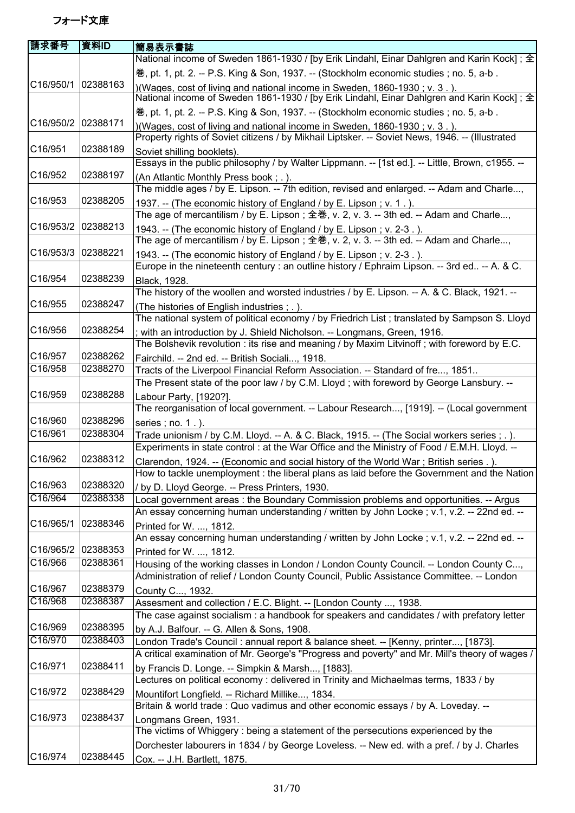| 請求番号                   | 資料ID     | 簡易表示書誌                                                                                                                                                                 |
|------------------------|----------|------------------------------------------------------------------------------------------------------------------------------------------------------------------------|
|                        |          | National income of Sweden 1861-1930 / [by Erik Lindahl, Einar Dahlgren and Karin Kock]; 全                                                                              |
| C16/950/1              |          | 卷, pt. 1, pt. 2. -- P.S. King & Son, 1937. -- (Stockholm economic studies ; no. 5, a-b.                                                                                |
|                        | 02388163 | )(Wages, cost of living and national income in Sweden, 1860-1930; v. 3.).<br>National income of Sweden 1861-1930 / [by Erik Lindahl, Einar Dahlgren and Karin Kock]; 全 |
|                        |          | 巻, pt. 1, pt. 2. -- P.S. King & Son, 1937. -- (Stockholm economic studies; no. 5, a-b.                                                                                 |
| C16/950/2              | 02388171 | )(Wages, cost of living and national income in Sweden, 1860-1930; v. 3.).                                                                                              |
|                        |          | Property rights of Soviet citizens / by Mikhail Liptsker. -- Soviet News, 1946. -- (Illustrated                                                                        |
| C16/951                | 02388189 | Soviet shilling booklets).                                                                                                                                             |
|                        |          | Essays in the public philosophy / by Walter Lippmann. -- [1st ed.]. -- Little, Brown, c1955. --                                                                        |
| C16/952                | 02388197 | (An Atlantic Monthly Press book; .).<br>The middle ages / by E. Lipson. -- 7th edition, revised and enlarged. -- Adam and Charle,                                      |
| C <sub>16</sub> /953   | 02388205 | 1937. -- (The economic history of England / by E. Lipson; v. 1.).                                                                                                      |
|                        |          | The age of mercantilism / by E. Lipson ; 全巻, v. 2, v. 3. -- 3th ed. -- Adam and Charle,                                                                                |
| C16/953/2              | 02388213 | 1943. -- (The economic history of England / by E. Lipson; v. 2-3.).                                                                                                    |
|                        |          | The age of mercantilism / by E. Lipson ; 全巻, v. 2, v. 3. -- 3th ed. -- Adam and Charle,                                                                                |
| C <sub>16</sub> /953/3 | 02388221 | 1943. -- (The economic history of England / by E. Lipson; v. 2-3.).                                                                                                    |
|                        |          | Europe in the nineteenth century : an outline history / Ephraim Lipson. -- 3rd ed -- A. & C.                                                                           |
| C16/954                | 02388239 | Black, 1928.                                                                                                                                                           |
|                        |          | The history of the woollen and worsted industries / by E. Lipson. -- A. & C. Black, 1921. --                                                                           |
| C16/955                | 02388247 | (The histories of English industries; .).                                                                                                                              |
|                        |          | The national system of political economy / by Friedrich List; translated by Sampson S. Lloyd                                                                           |
| C16/956                | 02388254 | with an introduction by J. Shield Nicholson. -- Longmans, Green, 1916.                                                                                                 |
|                        |          | The Bolshevik revolution : its rise and meaning / by Maxim Litvinoff; with foreword by E.C.                                                                            |
| C16/957                | 02388262 | Fairchild. -- 2nd ed. -- British Sociali, 1918.                                                                                                                        |
| C16/958                | 02388270 | Tracts of the Liverpool Financial Reform Association. -- Standard of fre, 1851                                                                                         |
|                        |          | The Present state of the poor law / by C.M. Lloyd; with foreword by George Lansbury. --                                                                                |
| C16/959                | 02388288 | Labour Party, [1920?].                                                                                                                                                 |
|                        |          | The reorganisation of local government. -- Labour Research, [1919]. -- (Local government                                                                               |
| C16/960                | 02388296 | series; no. 1.).                                                                                                                                                       |
| C16/961                | 02388304 | Trade unionism / by C.M. Lloyd. -- A. & C. Black, 1915. -- (The Social workers series; .).                                                                             |
|                        |          | Experiments in state control : at the War Office and the Ministry of Food / E.M.H. Lloyd. --                                                                           |
| C16/962                | 02388312 | Clarendon, 1924. -- (Economic and social history of the World War; British series.).                                                                                   |
|                        |          | How to tackle unemployment : the liberal plans as laid before the Government and the Nation                                                                            |
| C16/963                | 02388320 | / by D. Lloyd George. -- Press Printers, 1930.                                                                                                                         |
| C16/964                | 02388338 | Local government areas : the Boundary Commission problems and opportunities. -- Argus                                                                                  |
|                        |          | An essay concerning human understanding / written by John Locke; v.1, v.2. -- 22nd ed. --                                                                              |
| C16/965/1              | 02388346 | Printed for W. , 1812.                                                                                                                                                 |
|                        |          | An essay concerning human understanding / written by John Locke; v.1, v.2. -- 22nd ed. --                                                                              |
| C16/965/2              | 02388353 | Printed for W. , 1812.                                                                                                                                                 |
| C16/966                | 02388361 | Housing of the working classes in London / London County Council. -- London County C,                                                                                  |
|                        |          | Administration of relief / London County Council, Public Assistance Committee. -- London                                                                               |
| C16/967                | 02388379 | County C, 1932.                                                                                                                                                        |
| C16/968                | 02388387 | Assesment and collection / E.C. Blight. -- [London County , 1938.                                                                                                      |
|                        |          | The case against socialism : a handbook for speakers and candidates / with prefatory letter                                                                            |
| C16/969                | 02388395 | by A.J. Balfour. -- G. Allen & Sons, 1908.                                                                                                                             |
| C16/970                | 02388403 | London Trade's Council: annual report & balance sheet. -- [Kenny, printer, [1873].                                                                                     |
|                        |          | A critical examination of Mr. George's "Progress and poverty" and Mr. Mill's theory of wages /                                                                         |
| C16/971                | 02388411 | by Francis D. Longe. -- Simpkin & Marsh, [1883].                                                                                                                       |
|                        |          | Lectures on political economy : delivered in Trinity and Michaelmas terms, 1833 / by                                                                                   |
| C16/972                | 02388429 | Mountifort Longfield. -- Richard Millike, 1834.                                                                                                                        |
|                        |          | Britain & world trade: Quo vadimus and other economic essays / by A. Loveday. --                                                                                       |
| C16/973                | 02388437 | Longmans Green, 1931.                                                                                                                                                  |
|                        |          | The victims of Whiggery: being a statement of the persecutions experienced by the                                                                                      |
|                        |          | Dorchester labourers in 1834 / by George Loveless. -- New ed. with a pref. / by J. Charles                                                                             |
| C16/974                | 02388445 | Cox. -- J.H. Bartlett, 1875.                                                                                                                                           |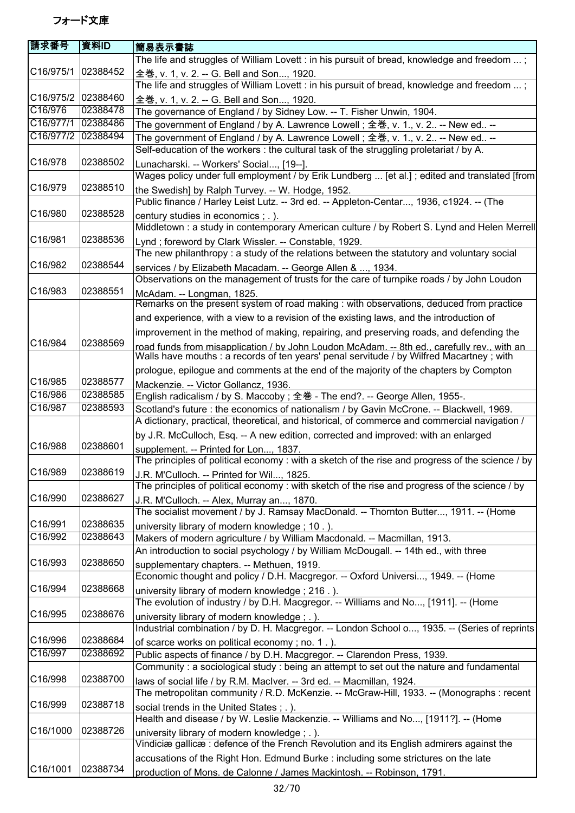| 請求番号                 | 資料ID     | 簡易表示書誌                                                                                                                                                                                   |
|----------------------|----------|------------------------------------------------------------------------------------------------------------------------------------------------------------------------------------------|
|                      |          | The life and struggles of William Lovett : in his pursuit of bread, knowledge and freedom ;                                                                                              |
| C16/975/1            | 02388452 | 全巻, v. 1, v. 2. -- G. Bell and Son, 1920.                                                                                                                                                |
|                      |          | The life and struggles of William Lovett : in his pursuit of bread, knowledge and freedom ;                                                                                              |
| C16/975/2            | 02388460 | 全巻, v. 1, v. 2. -- G. Bell and Son, 1920.                                                                                                                                                |
| C16/976              | 02388478 | The governance of England / by Sidney Low. -- T. Fisher Unwin, 1904.                                                                                                                     |
| C16/977/1            | 02388486 | The government of England / by A. Lawrence Lowell ; 全巻, v. 1., v. 2 -- New ed --                                                                                                         |
| C16/977/2            | 02388494 | The government of England / by A. Lawrence Lowell; 全巻, v. 1., v. 2 -- New ed --                                                                                                          |
|                      |          | Self-education of the workers : the cultural task of the struggling proletariat / by A.                                                                                                  |
| C16/978              | 02388502 | Lunacharski. -- Workers' Social, [19--].                                                                                                                                                 |
|                      |          | Wages policy under full employment / by Erik Lundberg  [et al.]; edited and translated [from                                                                                             |
| C16/979              | 02388510 | the Swedish] by Ralph Turvey. -- W. Hodge, 1952.                                                                                                                                         |
|                      |          | Public finance / Harley Leist Lutz. -- 3rd ed. -- Appleton-Centar, 1936, c1924. -- (The                                                                                                  |
| C16/980              | 02388528 | century studies in economics ; . ).                                                                                                                                                      |
|                      |          | Middletown : a study in contemporary American culture / by Robert S. Lynd and Helen Merrell                                                                                              |
| C16/981              | 02388536 | Lynd; foreword by Clark Wissler. -- Constable, 1929.                                                                                                                                     |
|                      |          | The new philanthropy: a study of the relations between the statutory and voluntary social                                                                                                |
| C16/982              | 02388544 | services / by Elizabeth Macadam. -- George Allen & , 1934.                                                                                                                               |
|                      |          | Observations on the management of trusts for the care of turnpike roads / by John Loudon                                                                                                 |
| C16/983              | 02388551 | McAdam. -- Longman, 1825.                                                                                                                                                                |
|                      |          | Remarks on the present system of road making : with observations, deduced from practice                                                                                                  |
|                      |          | and experience, with a view to a revision of the existing laws, and the introduction of                                                                                                  |
|                      |          | improvement in the method of making, repairing, and preserving roads, and defending the                                                                                                  |
| C16/984              | 02388569 |                                                                                                                                                                                          |
|                      |          | road funds from misapplication / by John Loudon McAdam. -- 8th ed., carefully rev., with an<br>Walls have mouths : a records of ten years' penal servitude / by Wilfred Macartney ; with |
|                      |          | prologue, epilogue and comments at the end of the majority of the chapters by Compton                                                                                                    |
| C16/985              | 02388577 | Mackenzie. -- Victor Gollancz, 1936.                                                                                                                                                     |
| C16/986              | 02388585 | English radicalism / by S. Maccoby; 全巻 - The end?. -- George Allen, 1955-.                                                                                                               |
| C16/987              | 02388593 | Scotland's future : the economics of nationalism / by Gavin McCrone. -- Blackwell, 1969.                                                                                                 |
|                      |          | A dictionary, practical, theoretical, and historical, of commerce and commercial navigation /                                                                                            |
|                      |          | by J.R. McCulloch, Esq. -- A new edition, corrected and improved: with an enlarged                                                                                                       |
| C16/988              | 02388601 | supplement. -- Printed for Lon, 1837.                                                                                                                                                    |
|                      |          | The principles of political economy : with a sketch of the rise and progress of the science / by                                                                                         |
| C16/989              | 02388619 | J.R. M'Culloch. -- Printed for Wil, 1825.                                                                                                                                                |
|                      |          | The principles of political economy : with sketch of the rise and progress of the science / by                                                                                           |
| C16/990              | 02388627 | J.R. M'Culloch. -- Alex, Murray an, 1870.                                                                                                                                                |
|                      |          | The socialist movement / by J. Ramsay MacDonald. -- Thornton Butter, 1911. -- (Home                                                                                                      |
| C16/991              | 02388635 | university library of modern knowledge; 10.).                                                                                                                                            |
| C16/992              | 02388643 | Makers of modern agriculture / by William Macdonald. -- Macmillan, 1913.                                                                                                                 |
|                      |          | An introduction to social psychology / by William McDougall. -- 14th ed., with three                                                                                                     |
| C16/993              | 02388650 | supplementary chapters. -- Methuen, 1919.                                                                                                                                                |
|                      |          | Economic thought and policy / D.H. Macgregor. -- Oxford Universi, 1949. -- (Home                                                                                                         |
| C16/994              | 02388668 | university library of modern knowledge; 216.).                                                                                                                                           |
|                      |          | The evolution of industry / by D.H. Macgregor. -- Williams and No, [1911]. -- (Home                                                                                                      |
| C16/995              | 02388676 | university library of modern knowledge; .).                                                                                                                                              |
|                      |          | Industrial combination / by D. H. Macgregor. -- London School o, 1935. -- (Series of reprints                                                                                            |
| C16/996<br>C16/997   | 02388684 | of scarce works on political economy; no. 1.).                                                                                                                                           |
|                      | 02388692 | Public aspects of finance / by D.H. Macgregor. -- Clarendon Press, 1939.                                                                                                                 |
| C <sub>16</sub> /998 | 02388700 | Community : a sociological study : being an attempt to set out the nature and fundamental                                                                                                |
|                      |          | laws of social life / by R.M. MacIver. -- 3rd ed. -- Macmillan, 1924.                                                                                                                    |
| C16/999              | 02388718 | The metropolitan community / R.D. McKenzie. -- McGraw-Hill, 1933. -- (Monographs : recent                                                                                                |
|                      |          | social trends in the United States ; . ).                                                                                                                                                |
| C16/1000             | 02388726 | Health and disease / by W. Leslie Mackenzie. -- Williams and No, [1911?]. -- (Home                                                                                                       |
|                      |          | university library of modern knowledge; .).<br>Vindiciæ gallicæ: defence of the French Revolution and its English admirers against the                                                   |
|                      |          | accusations of the Right Hon. Edmund Burke : including some strictures on the late                                                                                                       |
| C16/1001             | 02388734 |                                                                                                                                                                                          |
|                      |          | production of Mons. de Calonne / James Mackintosh. -- Robinson, 1791.                                                                                                                    |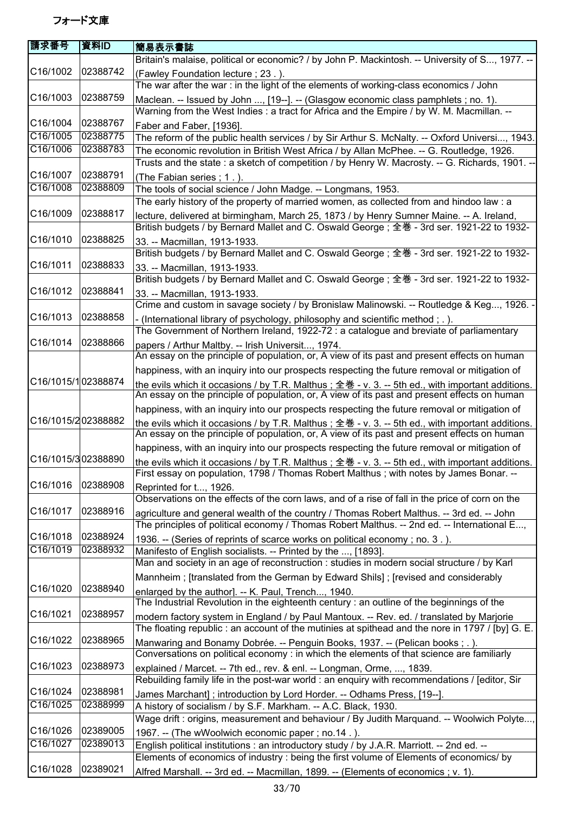| 請求番号                  | 資料ID     | 簡易表示書誌                                                                                                                                                                                                          |
|-----------------------|----------|-----------------------------------------------------------------------------------------------------------------------------------------------------------------------------------------------------------------|
|                       |          | Britain's malaise, political or economic? / by John P. Mackintosh. -- University of S, 1977. --                                                                                                                 |
| C16/1002              | 02388742 | (Fawley Foundation lecture ; 23.).                                                                                                                                                                              |
|                       |          | The war after the war: in the light of the elements of working-class economics / John                                                                                                                           |
| C16/1003              | 02388759 | Maclean. -- Issued by John , [19--]. -- (Glasgow economic class pamphlets ; no. 1).                                                                                                                             |
|                       |          | Warning from the West Indies : a tract for Africa and the Empire / by W. M. Macmillan. --                                                                                                                       |
| C16/1004              | 02388767 |                                                                                                                                                                                                                 |
| C16/1005              | 02388775 | Faber and Faber, [1936].<br>The reform of the public health services / by Sir Arthur S. McNalty. -- Oxford Universi, 1943.                                                                                      |
| C16/1006              | 02388783 | The economic revolution in British West Africa / by Allan McPhee. -- G. Routledge, 1926.                                                                                                                        |
|                       |          | Trusts and the state: a sketch of competition / by Henry W. Macrosty. -- G. Richards, 1901. --                                                                                                                  |
| C16/1007              | 02388791 | (The Fabian series; 1.).                                                                                                                                                                                        |
| C16/1008              | 02388809 | The tools of social science / John Madge. -- Longmans, 1953.                                                                                                                                                    |
|                       |          | The early history of the property of married women, as collected from and hindoo law : a                                                                                                                        |
| C16/1009              | 02388817 | lecture, delivered at birmingham, March 25, 1873 / by Henry Sumner Maine. -- A. Ireland,<br>British budgets / by Bernard Mallet and C. Oswald George; 全巻 - 3rd ser. 1921-22 to 1932-                            |
| C16/1010              | 02388825 | 33. -- Macmillan, 1913-1933.                                                                                                                                                                                    |
|                       |          | British budgets / by Bernard Mallet and C. Oswald George; 全巻 - 3rd ser. 1921-22 to 1932-                                                                                                                        |
| C16/1011              | 02388833 | 33. -- Macmillan, 1913-1933.                                                                                                                                                                                    |
|                       |          | British budgets / by Bernard Mallet and C. Oswald George; 全巻 - 3rd ser. 1921-22 to 1932-                                                                                                                        |
| C16/1012              | 02388841 | 33. -- Macmillan, 1913-1933.                                                                                                                                                                                    |
|                       |          | Crime and custom in savage society / by Bronislaw Malinowski. -- Routledge & Keg, 1926. -                                                                                                                       |
| C16/1013              | 02388858 |                                                                                                                                                                                                                 |
|                       |          | - (International library of psychology, philosophy and scientific method; .).<br>The Government of Northern Ireland, 1922-72 : a catalogue and breviate of parliamentary                                        |
| C16/1014              | 02388866 |                                                                                                                                                                                                                 |
|                       |          | papers / Arthur Maltby. -- Irish Universit, 1974.<br>An essay on the principle of population, or, A view of its past and present effects on human                                                               |
|                       |          |                                                                                                                                                                                                                 |
| C16/1015/102388874    |          | happiness, with an inquiry into our prospects respecting the future removal or mitigation of                                                                                                                    |
|                       |          | the evils which it occasions / by T.R. Malthus; $\pm \frac{4}{5}$ - v. 3. -- 5th ed., with important additions.<br>An essay on the principle of population, or, A view of its past and present effects on human |
|                       |          | happiness, with an inquiry into our prospects respecting the future removal or mitigation of                                                                                                                    |
| C16/1015/202388882    |          | the evils which it occasions / by T.R. Malthus ; 全巻 - v. 3. -- 5th ed., with important additions.<br>An essay on the principle of population, or, A view of its past and present effects on human               |
|                       |          | happiness, with an inquiry into our prospects respecting the future removal or mitigation of                                                                                                                    |
| C16/1015/302388890    |          | the evils which it occasions / by T.R. Malthus ; 全巻 - v. 3. -- 5th ed., with important additions.                                                                                                               |
|                       |          | First essay on population, 1798 / Thomas Robert Malthus; with notes by James Bonar. --                                                                                                                          |
| C <sub>16</sub> /1016 | 02388908 | Reprinted for t, 1926.                                                                                                                                                                                          |
|                       |          | Observations on the effects of the corn laws, and of a rise of fall in the price of corn on the                                                                                                                 |
| C16/1017              | 02388916 | agriculture and general wealth of the country / Thomas Robert Malthus. -- 3rd ed. -- John                                                                                                                       |
|                       |          | The principles of political economy / Thomas Robert Malthus. -- 2nd ed. -- International E,                                                                                                                     |
| C16/1018              | 02388924 | 1936. -- (Series of reprints of scarce works on political economy; no. 3.).                                                                                                                                     |
| C16/1019              | 02388932 | Manifesto of English socialists. -- Printed by the , [1893].                                                                                                                                                    |
|                       |          | Man and society in an age of reconstruction : studies in modern social structure / by Karl                                                                                                                      |
|                       |          | Mannheim; [translated from the German by Edward Shils]; [revised and considerably                                                                                                                               |
| C16/1020              | 02388940 | enlarged by the author]. -- K. Paul, Trench, 1940.                                                                                                                                                              |
|                       |          | The Industrial Revolution in the eighteenth century : an outline of the beginnings of the                                                                                                                       |
| C16/1021              | 02388957 | modern factory system in England / by Paul Mantoux. -- Rev. ed. / translated by Marjorie                                                                                                                        |
|                       |          | The floating republic : an account of the mutinies at spithead and the nore in 1797 / [by] G. E.                                                                                                                |
| C16/1022              | 02388965 | Manwaring and Bonamy Dobrée. -- Penguin Books, 1937. -- (Pelican books; .).                                                                                                                                     |
|                       |          | Conversations on political economy : in which the elements of that science are familiarly                                                                                                                       |
| C16/1023              | 02388973 | explained / Marcet. -- 7th ed., rev. & enl. -- Longman, Orme, , 1839.                                                                                                                                           |
|                       |          | Rebuilding family life in the post-war world : an enquiry with recommendations / [editor, Sir                                                                                                                   |
| C16/1024              | 02388981 | James Marchant]; introduction by Lord Horder. -- Odhams Press, [19--].                                                                                                                                          |
| C16/1025              | 02388999 | A history of socialism / by S.F. Markham. -- A.C. Black, 1930.                                                                                                                                                  |
|                       |          | Wage drift : origins, measurement and behaviour / By Judith Marquand. -- Woolwich Polyte,                                                                                                                       |
| C16/1026              | 02389005 | 1967. -- (The wWoolwich economic paper; no.14.).                                                                                                                                                                |
| C16/1027              | 02389013 | English political institutions : an introductory study / by J.A.R. Marriott. -- 2nd ed. --                                                                                                                      |
|                       |          | Elements of economics of industry : being the first volume of Elements of economics/ by                                                                                                                         |
| C16/1028              | 02389021 | Alfred Marshall. -- 3rd ed. -- Macmillan, 1899. -- (Elements of economics ; v. 1).                                                                                                                              |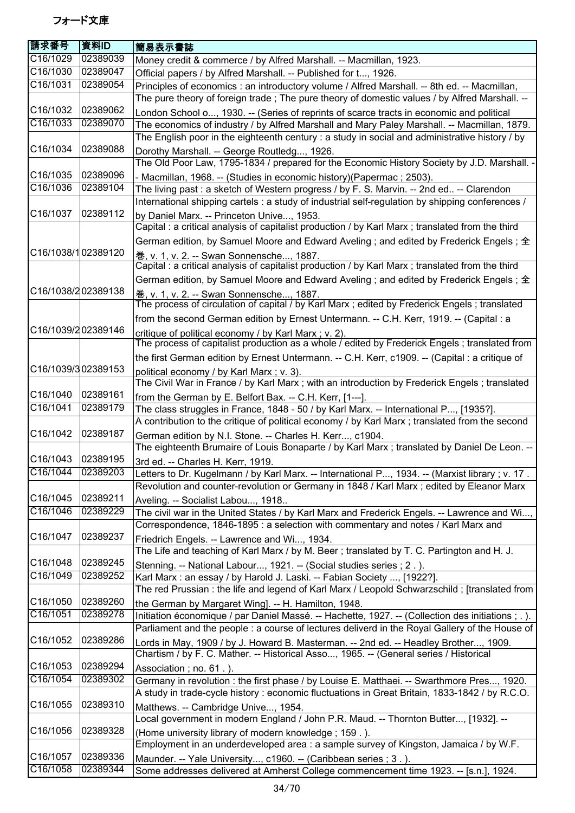| 請求番号               | 資料ID     | 簡易表示書誌                                                                                                                                                  |
|--------------------|----------|---------------------------------------------------------------------------------------------------------------------------------------------------------|
| C16/1029           | 02389039 | Money credit & commerce / by Alfred Marshall. -- Macmillan, 1923.                                                                                       |
| C16/1030           | 02389047 | Official papers / by Alfred Marshall. -- Published for t, 1926.                                                                                         |
| C16/1031           | 02389054 | Principles of economics : an introductory volume / Alfred Marshall. -- 8th ed. -- Macmillan,                                                            |
|                    |          | The pure theory of foreign trade; The pure theory of domestic values / by Alfred Marshall. --                                                           |
| C16/1032           | 02389062 | London School o, 1930. -- (Series of reprints of scarce tracts in economic and political                                                                |
| C16/1033           | 02389070 | The economics of industry / by Alfred Marshall and Mary Paley Marshall. -- Macmillan, 1879.                                                             |
|                    |          | The English poor in the eighteenth century : a study in social and administrative history / by                                                          |
| C16/1034           | 02389088 | Dorothy Marshall. -- George Routledg, 1926.                                                                                                             |
|                    |          | The Old Poor Law, 1795-1834 / prepared for the Economic History Society by J.D. Marshall. -                                                             |
| C16/1035           | 02389096 | - Macmillan, 1968. -- (Studies in economic history) (Papermac ; 2503).                                                                                  |
| C16/1036           | 02389104 | The living past : a sketch of Western progress / by F. S. Marvin. -- 2nd ed -- Clarendon                                                                |
|                    |          | International shipping cartels : a study of industrial self-regulation by shipping conferences /                                                        |
| C16/1037           | 02389112 | by Daniel Marx. -- Princeton Unive, 1953.                                                                                                               |
|                    |          | Capital : a critical analysis of capitalist production / by Karl Marx ; translated from the third                                                       |
| C16/1038/102389120 |          | German edition, by Samuel Moore and Edward Aveling ; and edited by Frederick Engels ; 全                                                                 |
|                    |          | 卷, v. 1, v. 2. -- Swan Sonnensche, 1887.<br>Capital : a critical analysis of capitalist production / by Karl Marx ; translated from the third           |
|                    |          |                                                                                                                                                         |
| C16/1038/202389138 |          | German edition, by Samuel Moore and Edward Aveling ; and edited by Frederick Engels ; 全                                                                 |
|                    |          | 卷, v. 1, v. 2. -- Swan Sonnensche, 1887.<br>The process of circulation of capital / by Karl Marx ; edited by Frederick Engels ; translated              |
|                    |          | from the second German edition by Ernest Untermann. -- C.H. Kerr, 1919. -- (Capital : a                                                                 |
| C16/1039/202389146 |          |                                                                                                                                                         |
|                    |          | critique of political economy / by Karl Marx ; v. 2).<br>The process of capitalist production as a whole / edited by Frederick Engels; translated from  |
|                    |          | the first German edition by Ernest Untermann. -- C.H. Kerr, c1909. -- (Capital : a critique of                                                          |
| C16/1039/302389153 |          | political economy / by Karl Marx; v. 3).                                                                                                                |
|                    |          | The Civil War in France / by Karl Marx ; with an introduction by Frederick Engels ; translated                                                          |
| C16/1040           | 02389161 | from the German by E. Belfort Bax. -- C.H. Kerr, [1---].                                                                                                |
| C16/1041           | 02389179 | The class struggles in France, 1848 - 50 / by Karl Marx. -- International P, [1935?].                                                                   |
|                    |          | A contribution to the critique of political economy / by Karl Marx ; translated from the second                                                         |
| C16/1042           | 02389187 | German edition by N.I. Stone. -- Charles H. Kerr, c1904.                                                                                                |
|                    |          | The eighteenth Brumaire of Louis Bonaparte / by Karl Marx ; translated by Daniel De Leon. --                                                            |
| C16/1043           | 02389195 | 3rd ed. -- Charles H. Kerr, 1919.                                                                                                                       |
| C16/1044 02389203  |          | Letters to Dr. Kugelmann / by Karl Marx. -- International P, 1934. -- (Marxist library ; v. 17.                                                         |
|                    |          | Revolution and counter-revolution or Germany in 1848 / Karl Marx ; edited by Eleanor Marx                                                               |
| C16/1045           | 02389211 | Aveling. -- Socialist Labou, 1918                                                                                                                       |
| C16/1046           | 02389229 | The civil war in the United States / by Karl Marx and Frederick Engels. -- Lawrence and Wi,                                                             |
|                    |          | Correspondence, 1846-1895 : a selection with commentary and notes / Karl Marx and                                                                       |
| C16/1047           | 02389237 | Friedrich Engels. -- Lawrence and Wi, 1934.                                                                                                             |
|                    |          | The Life and teaching of Karl Marx / by M. Beer; translated by T. C. Partington and H. J.                                                               |
| C16/1048           | 02389245 | Stenning. -- National Labour, 1921. -- (Social studies series ; 2.).                                                                                    |
| C16/1049           | 02389252 | Karl Marx: an essay / by Harold J. Laski. -- Fabian Society , [1922?].                                                                                  |
|                    |          | The red Prussian: the life and legend of Karl Marx / Leopold Schwarzschild; [translated from                                                            |
| C16/1050           | 02389260 | the German by Margaret Wing]. -- H. Hamilton, 1948.                                                                                                     |
| C16/1051           | 02389278 | Initiation économique / par Daniel Massé. -- Hachette, 1927. -- (Collection des initiations ; . ).                                                      |
|                    |          | Parliament and the people : a course of lectures deliverd in the Royal Gallery of the House of                                                          |
| C16/1052           | 02389286 | Lords in May, 1909 / by J. Howard B. Masterman. -- 2nd ed. -- Headley Brother, 1909.                                                                    |
|                    |          | Chartism / by F. C. Mather. -- Historical Asso, 1965. -- (General series / Historical                                                                   |
| C16/1053           | 02389294 | Association; no. 61.).                                                                                                                                  |
| C16/1054           | 02389302 | Germany in revolution : the first phase / by Louise E. Matthaei. -- Swarthmore Pres, 1920.                                                              |
|                    | 02389310 | A study in trade-cycle history : economic fluctuations in Great Britain, 1833-1842 / by R.C.O.                                                          |
| C16/1055           |          | Matthews. -- Cambridge Unive, 1954.                                                                                                                     |
| C16/1056           | 02389328 | Local government in modern England / John P.R. Maud. -- Thornton Butter, [1932]. --                                                                     |
|                    |          | (Home university library of modern knowledge; 159.).<br>Employment in an underdeveloped area : a sample survey of Kingston, Jamaica / by W.F.           |
| C16/1057           | 02389336 |                                                                                                                                                         |
| C16/1058           | 02389344 | Maunder. -- Yale University, c1960. -- (Caribbean series ; 3.).<br>Some addresses delivered at Amherst College commencement time 1923. -- [s.n.], 1924. |
|                    |          |                                                                                                                                                         |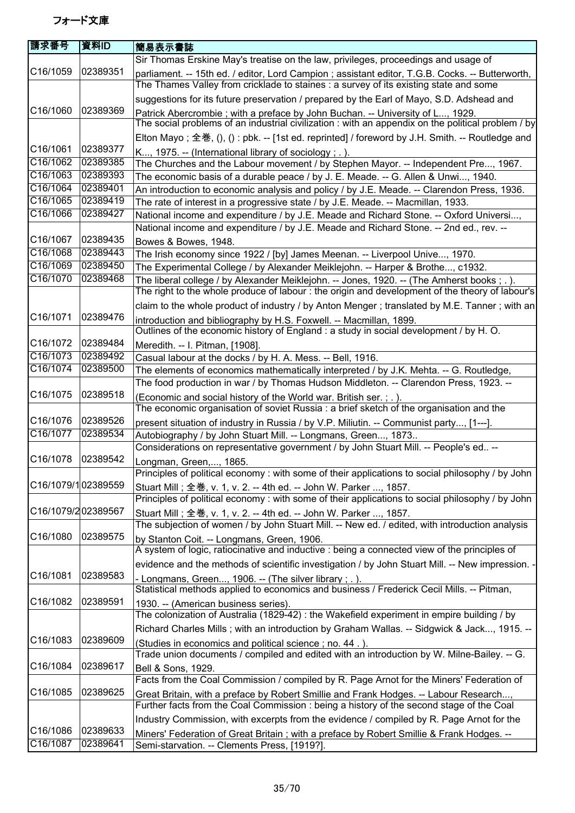| 請求番号               | 資料ID     | 簡易表示書誌                                                                                                                                                                                    |
|--------------------|----------|-------------------------------------------------------------------------------------------------------------------------------------------------------------------------------------------|
|                    |          | Sir Thomas Erskine May's treatise on the law, privileges, proceedings and usage of                                                                                                        |
| C16/1059           | 02389351 | parliament. -- 15th ed. / editor, Lord Campion ; assistant editor, T.G.B. Cocks. -- Butterworth,<br>The Thames Valley from cricklade to staines : a survey of its existing state and some |
|                    |          | suggestions for its future preservation / prepared by the Earl of Mayo, S.D. Adshead and                                                                                                  |
| C16/1060           | 02389369 | Patrick Abercrombie ; with a preface by John Buchan. -- University of L, 1929.<br>The social problems of an industrial civilization : with an appendix on the political problem / by      |
|                    |          | Elton Mayo; 全巻, (), () : pbk. -- [1st ed. reprinted] / foreword by J.H. Smith. -- Routledge and                                                                                           |
| C16/1061           | 02389377 | K, 1975. -- (International library of sociology; .).                                                                                                                                      |
| C16/1062           | 02389385 | The Churches and the Labour movement / by Stephen Mayor. -- Independent Pre, 1967.                                                                                                        |
| C16/1063           | 02389393 | The economic basis of a durable peace / by J. E. Meade. -- G. Allen & Unwi, 1940.                                                                                                         |
| C16/1064           | 02389401 | An introduction to economic analysis and policy / by J.E. Meade. -- Clarendon Press, 1936.                                                                                                |
| C16/1065           | 02389419 | The rate of interest in a progressive state / by J.E. Meade. -- Macmillan, 1933.                                                                                                          |
| C16/1066           | 02389427 | National income and expenditure / by J.E. Meade and Richard Stone. -- Oxford Universi,<br>National income and expenditure / by J.E. Meade and Richard Stone. -- 2nd ed., rev. --          |
| C16/1067           | 02389435 | Bowes & Bowes, 1948.                                                                                                                                                                      |
| C16/1068           | 02389443 | The Irish economy since 1922 / [by] James Meenan. -- Liverpool Unive, 1970.                                                                                                               |
| C16/1069           | 02389450 | The Experimental College / by Alexander Meiklejohn. -- Harper & Brothe, c1932.                                                                                                            |
| C16/1070           | 02389468 | The liberal college / by Alexander Meiklejohn. -- Jones, 1920. -- (The Amherst books; .).                                                                                                 |
|                    |          | The right to the whole produce of labour: the origin and development of the theory of labour's                                                                                            |
|                    |          | claim to the whole product of industry / by Anton Menger; translated by M.E. Tanner; with an                                                                                              |
| C16/1071           | 02389476 | introduction and bibliography by H.S. Foxwell. -- Macmillan, 1899.                                                                                                                        |
|                    |          | Outlines of the economic history of England : a study in social development / by H. O.                                                                                                    |
| C16/1072           | 02389484 | Meredith. -- I. Pitman, [1908].                                                                                                                                                           |
| C16/1073           | 02389492 | Casual labour at the docks / by H. A. Mess. -- Bell, 1916.                                                                                                                                |
| C16/1074           | 02389500 | The elements of economics mathematically interpreted / by J.K. Mehta. -- G. Routledge,<br>The food production in war / by Thomas Hudson Middleton. -- Clarendon Press, 1923. --           |
| C16/1075           | 02389518 | (Economic and social history of the World war. British ser.; .).                                                                                                                          |
|                    |          | The economic organisation of soviet Russia : a brief sketch of the organisation and the                                                                                                   |
| C16/1076           | 02389526 | present situation of industry in Russia / by V.P. Miliutin. -- Communist party, [1---].                                                                                                   |
| C16/1077           | 02389534 | Autobiography / by John Stuart Mill. -- Longmans, Green, 1873                                                                                                                             |
|                    |          | Considerations on representative government / by John Stuart Mill. -- People's ed --                                                                                                      |
| C16/1078           | 02389542 | Longman, Green,, 1865.                                                                                                                                                                    |
|                    |          | Principles of political economy: with some of their applications to social philosophy / by John                                                                                           |
| C16/1079/102389559 |          | Stuart Mill ; 全巻, v. 1, v. 2. -- 4th ed. -- John W. Parker , 1857.                                                                                                                        |
|                    |          | Principles of political economy : with some of their applications to social philosophy / by John                                                                                          |
| C16/1079/202389567 |          | Stuart Mill; 全巻, v. 1, v. 2. -- 4th ed. -- John W. Parker , 1857.                                                                                                                         |
|                    |          | The subjection of women / by John Stuart Mill. -- New ed. / edited, with introduction analysis                                                                                            |
| C16/1080           | 02389575 | by Stanton Coit. -- Longmans, Green, 1906.<br>A system of logic, ratiocinative and inductive : being a connected view of the principles of                                                |
|                    |          | evidence and the methods of scientific investigation / by John Stuart Mill. -- New impression. -                                                                                          |
| C16/1081           | 02389583 | - Longmans, Green, 1906. -- (The silver library ; .).                                                                                                                                     |
|                    |          | Statistical methods applied to economics and business / Frederick Cecil Mills. -- Pitman,                                                                                                 |
| C16/1082           | 02389591 | 1930. -- (American business series).<br>The colonization of Australia (1829-42) : the Wakefield experiment in empire building / by                                                        |
|                    |          | Richard Charles Mills; with an introduction by Graham Wallas. -- Sidgwick & Jack, 1915. --                                                                                                |
| C16/1083           | 02389609 |                                                                                                                                                                                           |
|                    |          | (Studies in economics and political science; no. 44.).<br>Trade union documents / compiled and edited with an introduction by W. Milne-Bailey. -- G.                                      |
| C16/1084           | 02389617 | Bell & Sons, 1929.                                                                                                                                                                        |
|                    |          | Facts from the Coal Commission / compiled by R. Page Arnot for the Miners' Federation of                                                                                                  |
| C16/1085           | 02389625 | Great Britain, with a preface by Robert Smillie and Frank Hodges. -- Labour Research,                                                                                                     |
|                    |          | Further facts from the Coal Commission : being a history of the second stage of the Coal                                                                                                  |
|                    |          | Industry Commission, with excerpts from the evidence / compiled by R. Page Arnot for the                                                                                                  |
| C16/1086           | 02389633 | Miners' Federation of Great Britain; with a preface by Robert Smillie & Frank Hodges. --                                                                                                  |
| C16/1087           | 02389641 | Semi-starvation. -- Clements Press, [1919?].                                                                                                                                              |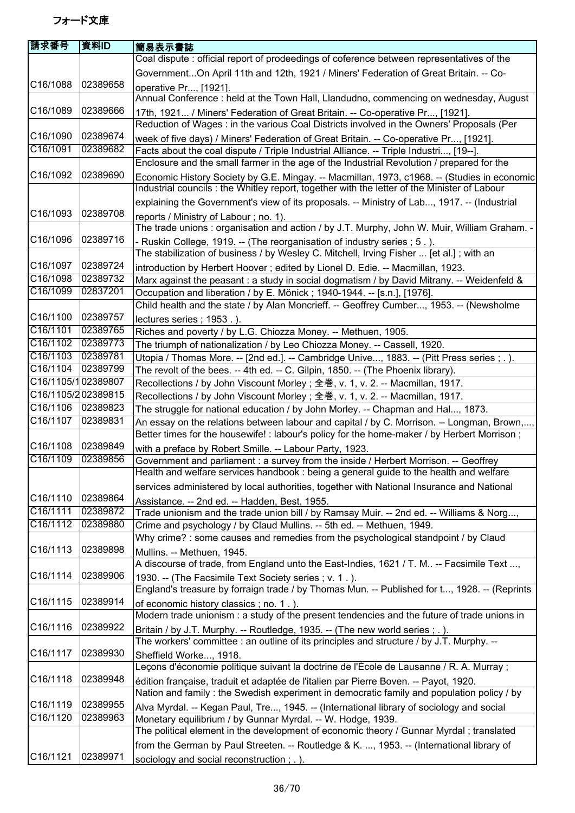| 請求番号                  | 資料ID                 | 簡易表示書誌                                                                                                                                                                    |
|-----------------------|----------------------|---------------------------------------------------------------------------------------------------------------------------------------------------------------------------|
|                       |                      | Coal dispute: official report of prodeedings of coference between representatives of the                                                                                  |
|                       |                      | GovernmentOn April 11th and 12th, 1921 / Miners' Federation of Great Britain. -- Co-                                                                                      |
| C16/1088              | 02389658             | operative Pr, [1921].                                                                                                                                                     |
|                       |                      | Annual Conference : held at the Town Hall, Llandudno, commencing on wednesday, August                                                                                     |
| C16/1089              | 02389666             | 17th, 1921 / Miners' Federation of Great Britain. -- Co-operative Pr, [1921].                                                                                             |
|                       |                      | Reduction of Wages: in the various Coal Districts involved in the Owners' Proposals (Per                                                                                  |
| C16/1090              | 02389674             | week of five days) / Miners' Federation of Great Britain. -- Co-operative Pr, [1921].                                                                                     |
| C16/1091              | 02389682             | Facts about the coal dispute / Triple Industrial Alliance. -- Triple Industri, [19--].                                                                                    |
|                       |                      | Enclosure and the small farmer in the age of the Industrial Revolution / prepared for the                                                                                 |
| C16/1092              | 02389690             | Economic History Society by G.E. Mingay. -- Macmillan, 1973, c1968. -- (Studies in economic                                                                               |
|                       |                      | Industrial councils: the Whitley report, together with the letter of the Minister of Labour                                                                               |
|                       |                      | explaining the Government's view of its proposals. -- Ministry of Lab, 1917. -- (Industrial                                                                               |
| C16/1093              | 02389708             | reports / Ministry of Labour; no. 1).                                                                                                                                     |
|                       |                      | The trade unions: organisation and action / by J.T. Murphy, John W. Muir, William Graham. -                                                                               |
| C16/1096              | 02389716             | - Ruskin College, 1919. -- (The reorganisation of industry series ; 5.).                                                                                                  |
|                       |                      | The stabilization of business / by Wesley C. Mitchell, Irving Fisher  [et al.]; with an                                                                                   |
| C16/1097              | 02389724             | introduction by Herbert Hoover; edited by Lionel D. Edie. -- Macmillan, 1923.                                                                                             |
| C16/1098              | 02389732             | Marx against the peasant : a study in social dogmatism / by David Mitrany. -- Weidenfeld &                                                                                |
| C16/1099              | 02837201             | Occupation and liberation / by E. Mönick; 1940-1944. -- [s.n.], [1976].                                                                                                   |
|                       |                      | Child health and the state / by Alan Moncrieff. -- Geoffrey Cumber, 1953. -- (Newsholme                                                                                   |
| C16/1100              | 02389757             | lectures series; 1953.).                                                                                                                                                  |
| C16/1101              | 02389765             | Riches and poverty / by L.G. Chiozza Money. -- Methuen, 1905.                                                                                                             |
| C16/1102              | 02389773             | The triumph of nationalization / by Leo Chiozza Money. -- Cassell, 1920.                                                                                                  |
| C16/1103              | 02389781             | Utopia / Thomas More. -- [2nd ed.]. -- Cambridge Unive, 1883. -- (Pitt Press series; .).                                                                                  |
| C16/1104              | 02389799             | The revolt of the bees. -- 4th ed. -- C. Gilpin, 1850. -- (The Phoenix library).                                                                                          |
| C16/1105/102389807    |                      | Recollections / by John Viscount Morley; 全巻, v. 1, v. 2. -- Macmillan, 1917.                                                                                              |
| C16/1105/202389815    |                      | Recollections / by John Viscount Morley; 全巻, v. 1, v. 2. -- Macmillan, 1917.                                                                                              |
| C16/1106              | 02389823             | The struggle for national education / by John Morley. -- Chapman and Hal, 1873.                                                                                           |
| C16/1107              | 02389831             | An essay on the relations between labour and capital / by C. Morrison. -- Longman, Brown,,                                                                                |
|                       |                      | Better times for the housewife! : labour's policy for the home-maker / by Herbert Morrison;                                                                               |
| C16/1108              | 02389849             | with a preface by Robert Smille. -- Labour Party, 1923.                                                                                                                   |
| C16/1109              | 02389856             | Government and parliament : a survey from the inside / Herbert Morrison. -- Geoffrey                                                                                      |
|                       |                      | Health and welfare services handbook: being a general guide to the health and welfare                                                                                     |
|                       |                      | services administered by local authorities, together with National Insurance and National                                                                                 |
| C16/1110<br>C16/1111  | 02389864<br>02389872 | Assistance. -- 2nd ed. -- Hadden, Best, 1955.                                                                                                                             |
| C16/1112              | 02389880             | Trade unionism and the trade union bill / by Ramsay Muir. -- 2nd ed. -- Williams & Norg,                                                                                  |
|                       |                      | Crime and psychology / by Claud Mullins. -- 5th ed. -- Methuen, 1949.<br>Why crime?: some causes and remedies from the psychological standpoint / by Claud                |
| C16/1113              | 02389898             |                                                                                                                                                                           |
|                       |                      | Mullins. -- Methuen, 1945.<br>A discourse of trade, from England unto the East-Indies, 1621 / T. M -- Facsimile Text ,                                                    |
| C <sub>16</sub> /1114 | 02389906             |                                                                                                                                                                           |
|                       |                      | 1930. -- (The Facsimile Text Society series; v. 1.).<br>England's treasure by forraign trade / by Thomas Mun. -- Published for t, 1928. -- (Reprints                      |
| C16/1115              | 02389914             |                                                                                                                                                                           |
|                       |                      | of economic history classics; no. 1.).<br>Modern trade unionism : a study of the present tendencies and the future of trade unions in                                     |
| C16/1116              | 02389922             |                                                                                                                                                                           |
|                       |                      | Britain / by J.T. Murphy. -- Routledge, 1935. -- (The new world series ; . ).<br>The workers' committee : an outline of its principles and structure / by J.T. Murphy. -- |
| C16/1117              | 02389930             | Sheffield Worke, 1918.                                                                                                                                                    |
|                       |                      | Leçons d'économie politique suivant la doctrine de l'École de Lausanne / R. A. Murray;                                                                                    |
| C <sub>16</sub> /1118 | 02389948             | édition française, traduit et adaptée de l'italien par Pierre Boven. -- Payot, 1920.                                                                                      |
|                       |                      | Nation and family : the Swedish experiment in democratic family and population policy / by                                                                                |
| C16/1119              | 02389955             | Alva Myrdal. -- Kegan Paul, Tre, 1945. -- (International library of sociology and social                                                                                  |
| C16/1120              | 02389963             | Monetary equilibrium / by Gunnar Myrdal. -- W. Hodge, 1939.                                                                                                               |
|                       |                      | The political element in the development of economic theory / Gunnar Myrdal ; translated                                                                                  |
|                       |                      | from the German by Paul Streeten. -- Routledge & K. , 1953. -- (International library of                                                                                  |
| C16/1121              | 02389971             | sociology and social reconstruction ; . ).                                                                                                                                |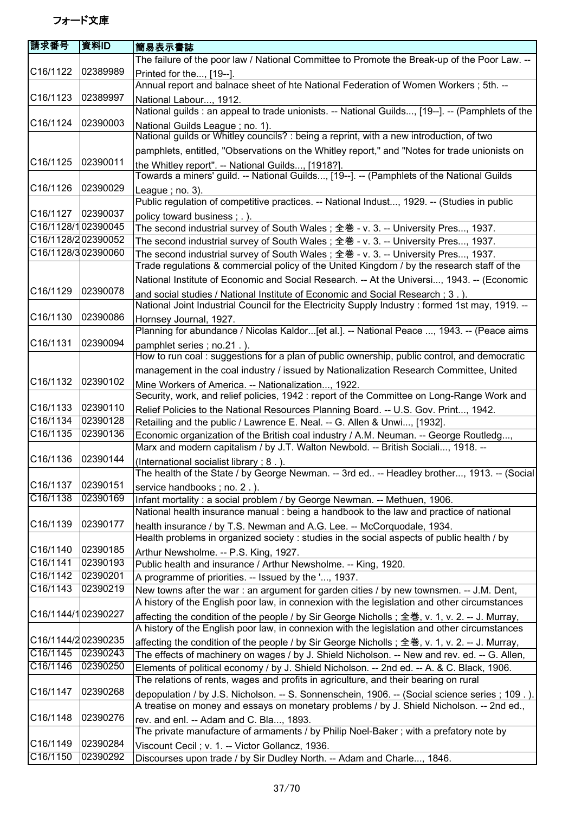| 請求番号                  | 資料ID     | 簡易表示書誌                                                                                                                                                                             |
|-----------------------|----------|------------------------------------------------------------------------------------------------------------------------------------------------------------------------------------|
|                       |          | The failure of the poor law / National Committee to Promote the Break-up of the Poor Law. --                                                                                       |
| C16/1122              | 02389989 | Printed for the, [19--].                                                                                                                                                           |
|                       |          | Annual report and balnace sheet of hte National Federation of Women Workers; 5th. --                                                                                               |
| C16/1123              | 02389997 | National Labour, 1912.                                                                                                                                                             |
|                       |          | National guilds: an appeal to trade unionists. -- National Guilds, [19--]. -- (Pamphlets of the                                                                                    |
| C16/1124              | 02390003 | National Guilds League; no. 1).                                                                                                                                                    |
|                       |          | National guilds or Whitley councils? : being a reprint, with a new introduction, of two                                                                                            |
|                       |          | pamphlets, entitled, "Observations on the Whitley report," and "Notes for trade unionists on                                                                                       |
| C16/1125              | 02390011 | the Whitley report". -- National Guilds, [1918?].                                                                                                                                  |
|                       |          | Towards a miners' guild. -- National Guilds, [19--]. -- (Pamphlets of the National Guilds                                                                                          |
| C <sub>16</sub> /1126 | 02390029 | League; $no. 3$ ).                                                                                                                                                                 |
|                       |          | Public regulation of competitive practices. -- National Indust, 1929. -- (Studies in public                                                                                        |
| C16/1127              | 02390037 |                                                                                                                                                                                    |
| C16/1128/102390045    |          | policy toward business; .).<br>The second industrial survey of South Wales; 全巻 - v. 3. -- University Pres, 1937.                                                                   |
| C16/1128/202390052    |          | The second industrial survey of South Wales; 全巻 - v. 3. -- University Pres, 1937.                                                                                                  |
| C16/1128/302390060    |          | The second industrial survey of South Wales ; 全巻 - v. 3. -- University Pres, 1937.                                                                                                 |
|                       |          | Trade regulations & commercial policy of the United Kingdom / by the research staff of the                                                                                         |
|                       |          | National Institute of Economic and Social Research. -- At the Universi, 1943. -- (Economic                                                                                         |
| C16/1129              | 02390078 |                                                                                                                                                                                    |
|                       |          | and social studies / National Institute of Economic and Social Research ; 3.).<br>National Joint Industrial Council for the Electricity Supply Industry : formed 1st may, 1919. -- |
| C16/1130              | 02390086 |                                                                                                                                                                                    |
|                       |          | Hornsey Journal, 1927.                                                                                                                                                             |
|                       |          | Planning for abundance / Nicolas Kaldor[et al.]. -- National Peace , 1943. -- (Peace aims                                                                                          |
| C16/1131              | 02390094 | pamphlet series; no.21.).                                                                                                                                                          |
|                       |          | How to run coal : suggestions for a plan of public ownership, public control, and democratic                                                                                       |
|                       |          | management in the coal industry / issued by Nationalization Research Committee, United                                                                                             |
| C16/1132              | 02390102 | Mine Workers of America. -- Nationalization, 1922.                                                                                                                                 |
|                       |          | Security, work, and relief policies, 1942 : report of the Committee on Long-Range Work and                                                                                         |
| C16/1133              | 02390110 | Relief Policies to the National Resources Planning Board. -- U.S. Gov. Print, 1942.                                                                                                |
| C16/1134              | 02390128 | Retailing and the public / Lawrence E. Neal. -- G. Allen & Unwi, [1932].                                                                                                           |
| C16/1135              | 02390136 | Economic organization of the British coal industry / A.M. Neuman. -- George Routledg,                                                                                              |
|                       |          | Marx and modern capitalism / by J.T. Walton Newbold. -- British Sociali, 1918. --                                                                                                  |
| C16/1136              | 02390144 | (International socialist library; 8.).                                                                                                                                             |
|                       |          | The health of the State / by George Newman. -- 3rd ed -- Headley brother, 1913. -- (Social                                                                                         |
| C16/1137              | 02390151 | service handbooks; no. 2.).                                                                                                                                                        |
| C16/1138              | 02390169 | Infant mortality : a social problem / by George Newman. -- Methuen, 1906.                                                                                                          |
|                       |          | National health insurance manual : being a handbook to the law and practice of national                                                                                            |
| C16/1139              | 02390177 | health insurance / by T.S. Newman and A.G. Lee. -- McCorquodale, 1934.                                                                                                             |
|                       |          | Health problems in organized society : studies in the social aspects of public health / by                                                                                         |
| C16/1140              | 02390185 | Arthur Newsholme. -- P.S. King, 1927.                                                                                                                                              |
| C16/1141              | 02390193 | Public health and insurance / Arthur Newsholme. -- King, 1920.                                                                                                                     |
| C16/1142              | 02390201 | A programme of priorities. -- Issued by the ', 1937.                                                                                                                               |
| C16/1143              | 02390219 | New towns after the war: an argument for garden cities / by new townsmen. -- J.M. Dent,                                                                                            |
|                       |          | A history of the English poor law, in connexion with the legislation and other circumstances                                                                                       |
| C16/1144/102390227    |          | affecting the condition of the people / by Sir George Nicholls; 全巻, v. 1, v. 2. -- J. Murray,                                                                                      |
|                       |          | A history of the English poor law, in connexion with the legislation and other circumstances                                                                                       |
| C16/1144/202390235    |          | affecting the condition of the people / by Sir George Nicholls; 全巻, v. 1, v. 2. -- J. Murray,                                                                                      |
| C16/1145              | 02390243 | The effects of machinery on wages / by J. Shield Nicholson. -- New and rev. ed. -- G. Allen,                                                                                       |
| C16/1146              | 02390250 | Elements of political economy / by J. Shield Nicholson. -- 2nd ed. -- A. & C. Black, 1906.                                                                                         |
|                       |          | The relations of rents, wages and profits in agriculture, and their bearing on rural                                                                                               |
| C16/1147              | 02390268 | depopulation / by J.S. Nicholson. -- S. Sonnenschein, 1906. -- (Social science series ; 109.).                                                                                     |
|                       |          | A treatise on money and essays on monetary problems / by J. Shield Nicholson. -- 2nd ed.,                                                                                          |
| C16/1148              | 02390276 | rev. and enl. -- Adam and C. Bla, 1893.                                                                                                                                            |
|                       |          | The private manufacture of armaments / by Philip Noel-Baker ; with a prefatory note by                                                                                             |
| C16/1149              | 02390284 | Viscount Cecil; v. 1. -- Victor Gollancz, 1936.                                                                                                                                    |
| C16/1150              | 02390292 | Discourses upon trade / by Sir Dudley North. -- Adam and Charle, 1846.                                                                                                             |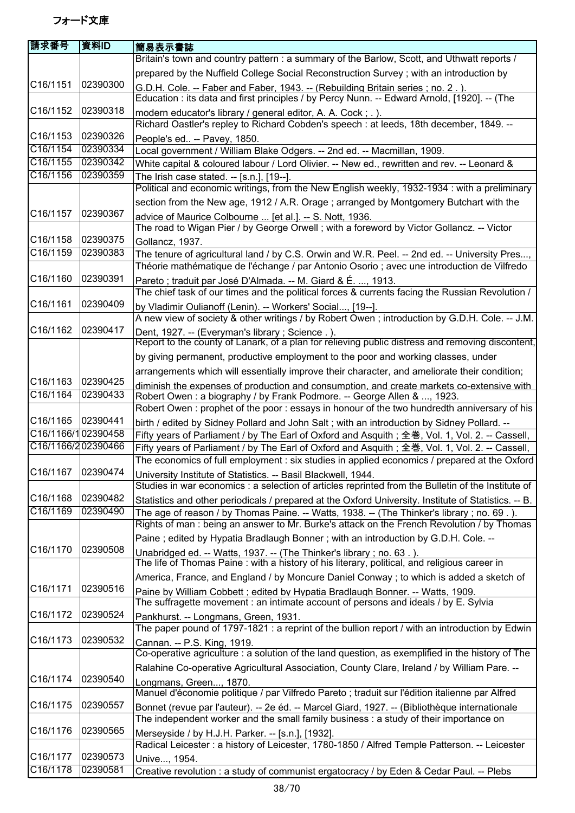| 請求番号                  | 資料ID     | 簡易表示書誌                                                                                                                                                               |
|-----------------------|----------|----------------------------------------------------------------------------------------------------------------------------------------------------------------------|
|                       |          | Britain's town and country pattern : a summary of the Barlow, Scott, and Uthwatt reports /                                                                           |
|                       |          | prepared by the Nuffield College Social Reconstruction Survey; with an introduction by                                                                               |
| C16/1151              | 02390300 | G.D.H. Cole. -- Faber and Faber, 1943. -- (Rebuilding Britain series; no. 2.).                                                                                       |
|                       |          | Education : its data and first principles / by Percy Nunn. -- Edward Arnold, [1920]. -- (The                                                                         |
| C16/1152              | 02390318 | modern educator's library / general editor, A. A. Cock; .).                                                                                                          |
|                       |          | Richard Oastler's repley to Richard Cobden's speech : at leeds, 18th december, 1849. --                                                                              |
| C <sub>16</sub> /1153 | 02390326 | People's ed -- Pavey, 1850.                                                                                                                                          |
| C16/1154              | 02390334 | Local government / William Blake Odgers. -- 2nd ed. -- Macmillan, 1909.                                                                                              |
| C16/1155              | 02390342 | White capital & coloured labour / Lord Olivier. -- New ed., rewritten and rev. -- Leonard &                                                                          |
| C16/1156              | 02390359 | The Irish case stated. -- [s.n.], [19--].                                                                                                                            |
|                       |          | Political and economic writings, from the New English weekly, 1932-1934 : with a preliminary                                                                         |
|                       |          | section from the New age, 1912 / A.R. Orage; arranged by Montgomery Butchart with the                                                                                |
| C16/1157              | 02390367 | advice of Maurice Colbourne  [et al.]. -- S. Nott, 1936.                                                                                                             |
|                       |          | The road to Wigan Pier / by George Orwell; with a foreword by Victor Gollancz. -- Victor                                                                             |
| C16/1158              | 02390375 | Gollancz, 1937.                                                                                                                                                      |
| C16/1159              | 02390383 | The tenure of agricultural land / by C.S. Orwin and W.R. Peel. -- 2nd ed. -- University Pres,                                                                        |
|                       |          | Théorie mathématique de l'échange / par Antonio Osorio ; avec une introduction de Vilfredo                                                                           |
| C16/1160              | 02390391 | Pareto; traduit par José D'Almada. -- M. Giard & É. , 1913.                                                                                                          |
|                       |          | The chief task of our times and the political forces & currents facing the Russian Revolution /                                                                      |
| C16/1161              | 02390409 | by Vladimir Oulianoff (Lenin). -- Workers' Social, [19--].                                                                                                           |
| C16/1162              | 02390417 | A new view of society & other writings / by Robert Owen; introduction by G.D.H. Cole. -- J.M.                                                                        |
|                       |          | Dent, 1927. -- (Everyman's library; Science.).<br>Report to the county of Lanark, of a plan for relieving public distress and removing discontent,                   |
|                       |          |                                                                                                                                                                      |
|                       |          | by giving permanent, productive employment to the poor and working classes, under                                                                                    |
| C16/1163              | 02390425 | arrangements which will essentially improve their character, and ameliorate their condition;                                                                         |
| C16/1164              | 02390433 | diminish the expenses of production and consumption, and create markets co-extensive with                                                                            |
|                       |          | Robert Owen: a biography / by Frank Podmore. -- George Allen & , 1923.<br>Robert Owen: prophet of the poor: essays in honour of the two hundredth anniversary of his |
| C16/1165              | 02390441 | birth / edited by Sidney Pollard and John Salt; with an introduction by Sidney Pollard. --                                                                           |
| C16/1166/102390458    |          | Fifty years of Parliament / by The Earl of Oxford and Asquith; 全巻, Vol. 1, Vol. 2. -- Cassell,                                                                       |
| C16/1166/202390466    |          | Fifty years of Parliament / by The Earl of Oxford and Asquith; 全巻, Vol. 1, Vol. 2. -- Cassell,                                                                       |
|                       |          | The economics of full employment : six studies in applied economics / prepared at the Oxford                                                                         |
| C16/1167 02390474     |          | University Institute of Statistics. -- Basil Blackwell, 1944.                                                                                                        |
|                       |          | Studies in war economics : a selection of articles reprinted from the Bulletin of the Institute of                                                                   |
| C16/1168              | 02390482 | Statistics and other periodicals / prepared at the Oxford University. Institute of Statistics. -- B.                                                                 |
| C16/1169              | 02390490 | The age of reason / by Thomas Paine. -- Watts, 1938. -- (The Thinker's library; no. 69.).                                                                            |
|                       |          | Rights of man: being an answer to Mr. Burke's attack on the French Revolution / by Thomas                                                                            |
|                       |          | Paine; edited by Hypatia Bradlaugh Bonner; with an introduction by G.D.H. Cole. --                                                                                   |
| C16/1170              | 02390508 | Unabridged ed. -- Watts, 1937. -- (The Thinker's library; no. 63.).                                                                                                  |
|                       |          | The life of Thomas Paine: with a history of his literary, political, and religious career in                                                                         |
|                       |          | America, France, and England / by Moncure Daniel Conway ; to which is added a sketch of                                                                              |
| C16/1171              | 02390516 | Paine by William Cobbett; edited by Hypatia Bradlaugh Bonner. -- Watts, 1909.                                                                                        |
|                       |          | The suffragette movement : an intimate account of persons and ideals / by E. Sylvia                                                                                  |
| C16/1172              | 02390524 | Pankhurst. -- Longmans, Green, 1931.                                                                                                                                 |
|                       |          | The paper pound of 1797-1821 : a reprint of the bullion report / with an introduction by Edwin                                                                       |
| C16/1173              | 02390532 | Cannan. -- P.S. King, 1919.                                                                                                                                          |
|                       |          | Co-operative agriculture : a solution of the land question, as exemplified in the history of The                                                                     |
|                       |          | Ralahine Co-operative Agricultural Association, County Clare, Ireland / by William Pare. --                                                                          |
| C16/1174              | 02390540 | Longmans, Green, 1870.                                                                                                                                               |
|                       |          | Manuel d'économie politique / par Vilfredo Pareto ; traduit sur l'édition italienne par Alfred                                                                       |
| C16/1175              | 02390557 | Bonnet (revue par l'auteur). -- 2e éd. -- Marcel Giard, 1927. -- (Bibliothèque internationale                                                                        |
|                       |          | The independent worker and the small family business : a study of their importance on                                                                                |
| C16/1176              | 02390565 | Merseyside / by H.J.H. Parker. -- [s.n.], [1932].                                                                                                                    |
|                       |          | Radical Leicester : a history of Leicester, 1780-1850 / Alfred Temple Patterson. -- Leicester                                                                        |
| C16/1177              | 02390573 | Unive, 1954.                                                                                                                                                         |
| C16/1178              | 02390581 | Creative revolution : a study of communist ergatocracy / by Eden & Cedar Paul. -- Plebs                                                                              |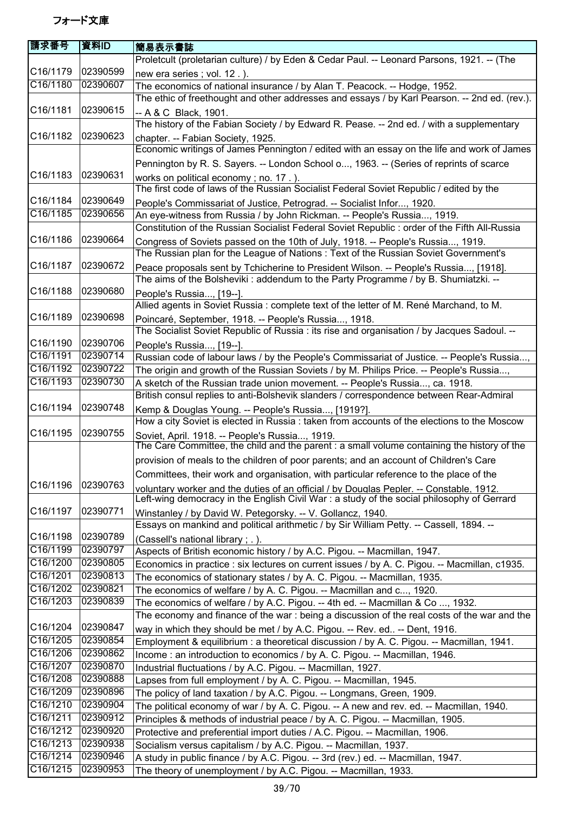| 請求番号                  | 資料ID     | 簡易表示書誌                                                                                                                                                                         |
|-----------------------|----------|--------------------------------------------------------------------------------------------------------------------------------------------------------------------------------|
|                       |          | Proletcult (proletarian culture) / by Eden & Cedar Paul. -- Leonard Parsons, 1921. -- (The                                                                                     |
| C16/1179              | 02390599 | new era series; vol. 12.).                                                                                                                                                     |
| C16/1180              | 02390607 | The economics of national insurance / by Alan T. Peacock. -- Hodge, 1952.                                                                                                      |
|                       |          | The ethic of freethought and other addresses and essays / by Karl Pearson. -- 2nd ed. (rev.).                                                                                  |
| C16/1181              | 02390615 | -- A & C Black, 1901.                                                                                                                                                          |
|                       |          | The history of the Fabian Society / by Edward R. Pease. -- 2nd ed. / with a supplementary                                                                                      |
| C16/1182              | 02390623 | chapter. -- Fabian Society, 1925.                                                                                                                                              |
|                       |          | Economic writings of James Pennington / edited with an essay on the life and work of James                                                                                     |
|                       |          | Pennington by R. S. Sayers. -- London School o, 1963. -- (Series of reprints of scarce                                                                                         |
| C16/1183              | 02390631 | works on political economy; no. 17.).                                                                                                                                          |
|                       |          | The first code of laws of the Russian Socialist Federal Soviet Republic / edited by the                                                                                        |
| C16/1184              | 02390649 | People's Commissariat of Justice, Petrograd. -- Socialist Infor, 1920.                                                                                                         |
| C16/1185              | 02390656 | An eye-witness from Russia / by John Rickman. -- People's Russia, 1919.                                                                                                        |
|                       |          | Constitution of the Russian Socialist Federal Soviet Republic : order of the Fifth All-Russia                                                                                  |
| C16/1186              | 02390664 | Congress of Soviets passed on the 10th of July, 1918. -- People's Russia, 1919.                                                                                                |
|                       |          | The Russian plan for the League of Nations: Text of the Russian Soviet Government's                                                                                            |
| C <sub>16</sub> /1187 | 02390672 | Peace proposals sent by Tchicherine to President Wilson. -- People's Russia, [1918].                                                                                           |
|                       |          | The aims of the Bolsheviki: addendum to the Party Programme / by B. Shumiatzki. --                                                                                             |
| C16/1188              | 02390680 | People's Russia, [19--].                                                                                                                                                       |
|                       |          | Allied agents in Soviet Russia: complete text of the letter of M. René Marchand, to M.                                                                                         |
| C16/1189              | 02390698 | Poincaré, September, 1918. -- People's Russia, 1918.                                                                                                                           |
|                       |          | The Socialist Soviet Republic of Russia : its rise and organisation / by Jacques Sadoul. --                                                                                    |
| C16/1190              | 02390706 | People's Russia, [19--].                                                                                                                                                       |
| C16/1191              | 02390714 | Russian code of labour laws / by the People's Commissariat of Justice. -- People's Russia,                                                                                     |
| C16/1192              | 02390722 | The origin and growth of the Russian Soviets / by M. Philips Price. -- People's Russia,                                                                                        |
| C16/1193              | 02390730 | A sketch of the Russian trade union movement. -- People's Russia, ca. 1918.                                                                                                    |
|                       |          | British consul replies to anti-Bolshevik slanders / correspondence between Rear-Admiral                                                                                        |
| C <sub>16</sub> /1194 | 02390748 | Kemp & Douglas Young. -- People's Russia, [1919?].                                                                                                                             |
|                       |          | How a city Soviet is elected in Russia : taken from accounts of the elections to the Moscow                                                                                    |
| C16/1195              | 02390755 | Soviet, April. 1918. -- People's Russia, 1919.                                                                                                                                 |
|                       |          | The Care Committee, the child and the parent : a small volume containing the history of the                                                                                    |
|                       |          | provision of meals to the children of poor parents; and an account of Children's Care                                                                                          |
|                       |          | Committees, their work and organisation, with particular reference to the place of the                                                                                         |
| C16/1196              | 02390763 | voluntary worker and the duties of an official / by Douglas Pepler. -- Constable. 1912.                                                                                        |
|                       |          | Left-wing democracy in the English Civil War : a study of the social philosophy of Gerrard                                                                                     |
| C16/1197              | 02390771 | Winstanley / by David W. Petegorsky. -- V. Gollancz, 1940.                                                                                                                     |
| C16/1198              | 02390789 | Essays on mankind and political arithmetic / by Sir William Petty. -- Cassell, 1894. --                                                                                        |
| C16/1199              | 02390797 | (Cassell's national library; .).                                                                                                                                               |
| C16/1200              | 02390805 | Aspects of British economic history / by A.C. Pigou. -- Macmillan, 1947.                                                                                                       |
| C16/1201              | 02390813 | Economics in practice : six lectures on current issues / by A. C. Pigou. -- Macmillan, c1935.                                                                                  |
| C16/1202              | 02390821 | The economics of stationary states / by A. C. Pigou. -- Macmillan, 1935.                                                                                                       |
| C16/1203              | 02390839 | The economics of welfare / by A. C. Pigou. -- Macmillan and c, 1920.                                                                                                           |
|                       |          | The economics of welfare / by A.C. Pigou. -- 4th ed. -- Macmillan & Co , 1932.<br>The economy and finance of the war : being a discussion of the real costs of the war and the |
| C16/1204              | 02390847 |                                                                                                                                                                                |
| C16/1205              | 02390854 | way in which they should be met / by A.C. Pigou. -- Rev. ed -- Dent, 1916.                                                                                                     |
| C16/1206              | 02390862 | Employment & equilibrium : a theoretical discussion / by A. C. Pigou. -- Macmillan, 1941.                                                                                      |
| C16/1207              | 02390870 | Income: an introduction to economics / by A. C. Pigou. -- Macmillan, 1946.                                                                                                     |
| C16/1208              | 02390888 | Industrial fluctuations / by A.C. Pigou. -- Macmillan, 1927.                                                                                                                   |
| C16/1209              | 02390896 | Lapses from full employment / by A. C. Pigou. -- Macmillan, 1945.<br>The policy of land taxation / by A.C. Pigou. -- Longmans, Green, 1909.                                    |
| C16/1210              | 02390904 | The political economy of war / by A. C. Pigou. -- A new and rev. ed. -- Macmillan, 1940.                                                                                       |
| C16/1211              | 02390912 | Principles & methods of industrial peace / by A. C. Pigou. -- Macmillan, 1905.                                                                                                 |
| C16/1212              | 02390920 | Protective and preferential import duties / A.C. Pigou. -- Macmillan, 1906.                                                                                                    |
| C16/1213              | 02390938 | Socialism versus capitalism / by A.C. Pigou. -- Macmillan, 1937.                                                                                                               |
| C16/1214              | 02390946 | A study in public finance / by A.C. Pigou. -- 3rd (rev.) ed. -- Macmillan, 1947.                                                                                               |
| C16/1215              | 02390953 | The theory of unemployment / by A.C. Pigou. -- Macmillan, 1933.                                                                                                                |
|                       |          |                                                                                                                                                                                |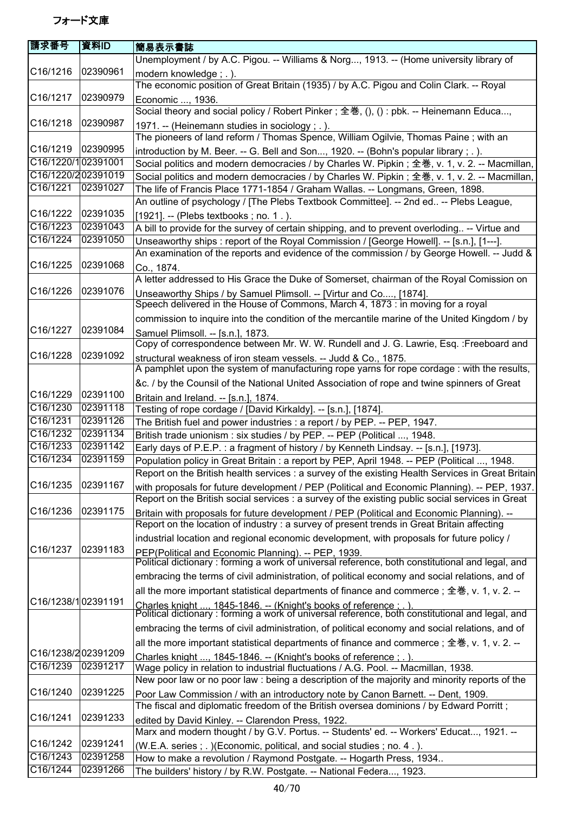| 請求番号               | 資料ID     | 簡易表示書誌                                                                                                                                                                                           |
|--------------------|----------|--------------------------------------------------------------------------------------------------------------------------------------------------------------------------------------------------|
|                    |          | Unemployment / by A.C. Pigou. -- Williams & Norg, 1913. -- (Home university library of                                                                                                           |
| C16/1216           | 02390961 | modern knowledge; .).<br>The economic position of Great Britain (1935) / by A.C. Pigou and Colin Clark. -- Royal                                                                                 |
| C16/1217           | 02390979 | Economic , 1936.                                                                                                                                                                                 |
| C16/1218           | 02390987 | Social theory and social policy / Robert Pinker; 全巻, (), () : pbk. -- Heinemann Educa,                                                                                                           |
|                    |          | 1971. -- (Heinemann studies in sociology; .).<br>The pioneers of land reform / Thomas Spence, William Ogilvie, Thomas Paine; with an                                                             |
| C16/1219           | 02390995 | introduction by M. Beer. -- G. Bell and Son, 1920. -- (Bohn's popular library; .).                                                                                                               |
| C16/1220/102391001 |          | Social politics and modern democracies / by Charles W. Pipkin; 全巻, v. 1, v. 2. -- Macmillan,                                                                                                     |
| C16/1220/202391019 |          | Social politics and modern democracies / by Charles W. Pipkin; 全巻, v. 1, v. 2. -- Macmillan,                                                                                                     |
| C16/1221           | 02391027 | The life of Francis Place 1771-1854 / Graham Wallas. -- Longmans, Green, 1898.                                                                                                                   |
| C16/1222           | 02391035 | An outline of psychology / [The Plebs Textbook Committee]. -- 2nd ed -- Plebs League,<br>[1921]. -- (Plebs textbooks; no. 1.).                                                                   |
| C16/1223           | 02391043 | A bill to provide for the survey of certain shipping, and to prevent overloding -- Virtue and                                                                                                    |
| C16/1224           | 02391050 | Unseaworthy ships : report of the Royal Commission / [George Howell]. -- [s.n.], [1---].                                                                                                         |
|                    |          | An examination of the reports and evidence of the commission / by George Howell. -- Judd &                                                                                                       |
| C16/1225           | 02391068 | Co., 1874.                                                                                                                                                                                       |
|                    |          | A letter addressed to His Grace the Duke of Somerset, chairman of the Royal Comission on                                                                                                         |
| C16/1226           | 02391076 | Unseaworthy Ships / by Samuel Plimsoll. -- [Virtur and Co, [1874].                                                                                                                               |
|                    |          | Speech delivered in the House of Commons, March 4, 1873 : in moving for a royal                                                                                                                  |
|                    |          | commission to inquire into the condition of the mercantile marine of the United Kingdom / by                                                                                                     |
| C16/1227           | 02391084 | Samuel Plimsoll. -- [s.n.], 1873.<br>Copy of correspondence between Mr. W. W. Rundell and J. G. Lawrie, Esq. : Freeboard and                                                                     |
| C16/1228           | 02391092 | structural weakness of iron steam vessels. -- Judd & Co., 1875.<br>A pamphlet upon the system of manufacturing rope yarns for rope cordage : with the results,                                   |
|                    |          | &c. / by the Counsil of the National United Association of rope and twine spinners of Great                                                                                                      |
| C16/1229           | 02391100 | Britain and Ireland. -- [s.n.], 1874.                                                                                                                                                            |
| C16/1230           | 02391118 | Testing of rope cordage / [David Kirkaldy]. -- [s.n.], [1874].                                                                                                                                   |
| C16/1231           | 02391126 | The British fuel and power industries : a report / by PEP. -- PEP, 1947.                                                                                                                         |
| C16/1232           | 02391134 | British trade unionism : six studies / by PEP. -- PEP (Political , 1948.                                                                                                                         |
| C16/1233           | 02391142 | Early days of P.E.P.: a fragment of history / by Kenneth Lindsay. -- [s.n.], [1973].                                                                                                             |
| C16/1234           | 02391159 | Population policy in Great Britain : a report by PEP, April 1948. -- PEP (Political , 1948.<br>Report on the British health services : a survey of the existing Health Services in Great Britain |
| C16/1235           | 02391167 | with proposals for future development / PEP (Political and Economic Planning). -- PEP, 1937.<br>Report on the British social services : a survey of the existing public social services in Great |
| C16/1236           | 02391175 | Britain with proposals for future development / PEP (Political and Economic Planning). --<br>Report on the location of industry : a survey of present trends in Great Britain affecting          |
|                    |          | industrial location and regional economic development, with proposals for future policy /                                                                                                        |
| C16/1237           | 02391183 |                                                                                                                                                                                                  |
|                    |          | PEP(Political and Economic Planning). -- PEP, 1939.<br>Political dictionary : forming a work of universal reference, both constitutional and legal, and                                          |
|                    |          | embracing the terms of civil administration, of political economy and social relations, and of                                                                                                   |
|                    |          | all the more important statistical departments of finance and commerce; 全巻, v. 1, v. 2. --                                                                                                       |
| C16/1238/102391191 |          | Charles knight , 1845-1846. -- (Knight's books of reference : . ).<br>Political dictionary : forming a work of universal reference, both constitutional and legal, and                           |
|                    |          | embracing the terms of civil administration, of political economy and social relations, and of                                                                                                   |
|                    |          | all the more important statistical departments of finance and commerce; 全巻, v. 1, v. 2. --                                                                                                       |
| C16/1238/202391209 |          | Charles knight , 1845-1846. -- (Knight's books of reference : . ).                                                                                                                               |
| C16/1239           | 02391217 | Wage policy in relation to industrial fluctuations / A.G. Pool. -- Macmillan, 1938.                                                                                                              |
|                    |          | New poor law or no poor law : being a description of the majority and minority reports of the                                                                                                    |
| C16/1240           | 02391225 | Poor Law Commission / with an introductory note by Canon Barnett. -- Dent, 1909.                                                                                                                 |
| C16/1241           | 02391233 | The fiscal and diplomatic freedom of the British oversea dominions / by Edward Porritt;                                                                                                          |
|                    |          | edited by David Kinley. -- Clarendon Press, 1922.<br>Marx and modern thought / by G.V. Portus. -- Students' ed. -- Workers' Educat, 1921. --                                                     |
| C16/1242           | 02391241 |                                                                                                                                                                                                  |
| C16/1243           | 02391258 | (W.E.A. series; .) (Economic, political, and social studies; no. 4.).<br>How to make a revolution / Raymond Postgate. -- Hogarth Press, 1934                                                     |
| C16/1244           | 02391266 | The builders' history / by R.W. Postgate. -- National Federa, 1923.                                                                                                                              |
|                    |          |                                                                                                                                                                                                  |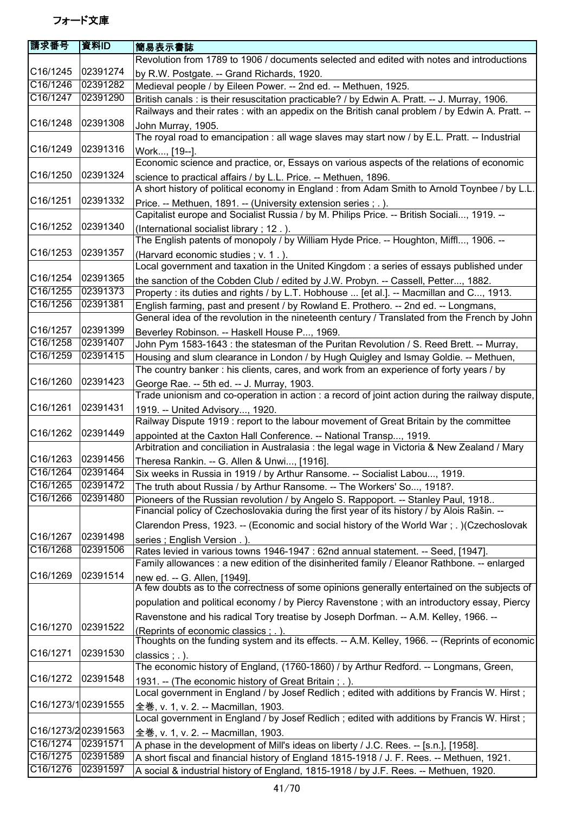| 請求番号                  | 資料ID     | 簡易表示書誌                                                                                                                                                                             |
|-----------------------|----------|------------------------------------------------------------------------------------------------------------------------------------------------------------------------------------|
|                       |          | Revolution from 1789 to 1906 / documents selected and edited with notes and introductions                                                                                          |
| C16/1245              | 02391274 | by R.W. Postgate. -- Grand Richards, 1920.                                                                                                                                         |
| C16/1246              | 02391282 | Medieval people / by Eileen Power. -- 2nd ed. -- Methuen, 1925.                                                                                                                    |
| $\overline{C16/12}47$ | 02391290 | British canals : is their resuscitation practicable? / by Edwin A. Pratt. -- J. Murray, 1906.                                                                                      |
|                       |          | Railways and their rates : with an appedix on the British canal problem / by Edwin A. Pratt. --                                                                                    |
| C16/1248              | 02391308 | John Murray, 1905.                                                                                                                                                                 |
|                       |          | The royal road to emancipation : all wage slaves may start now / by E.L. Pratt. -- Industrial                                                                                      |
| C16/1249              | 02391316 | Work, [19--].                                                                                                                                                                      |
|                       |          | Economic science and practice, or, Essays on various aspects of the relations of economic                                                                                          |
| C16/1250              | 02391324 | science to practical affairs / by L.L. Price. -- Methuen, 1896.                                                                                                                    |
|                       |          | A short history of political economy in England : from Adam Smith to Arnold Toynbee / by L.L.                                                                                      |
| C16/1251              | 02391332 | Price. -- Methuen, 1891. -- (University extension series ; . ).                                                                                                                    |
|                       |          | Capitalist europe and Socialist Russia / by M. Philips Price. -- British Sociali, 1919. --                                                                                         |
| C16/1252              | 02391340 | (International socialist library; 12.).                                                                                                                                            |
|                       |          | The English patents of monopoly / by William Hyde Price. -- Houghton, Miffl, 1906. --                                                                                              |
| C16/1253              | 02391357 | (Harvard economic studies; v. 1.).                                                                                                                                                 |
|                       |          | Local government and taxation in the United Kingdom : a series of essays published under                                                                                           |
| C16/1254              | 02391365 |                                                                                                                                                                                    |
| C16/1255              | 02391373 | the sanction of the Cobden Club / edited by J.W. Probyn. -- Cassell, Petter, 1882.<br>Property : its duties and rights / by L.T. Hobhouse  [et al.]. -- Macmillan and C, 1913.     |
| C16/1256              | 02391381 | English farming, past and present / by Rowland E. Prothero. -- 2nd ed. -- Longmans,                                                                                                |
|                       |          | General idea of the revolution in the nineteenth century / Translated from the French by John                                                                                      |
| C16/1257              | 02391399 |                                                                                                                                                                                    |
| $\overline{C16/1258}$ | 02391407 | Beverley Robinson. -- Haskell House P, 1969.                                                                                                                                       |
| C16/1259              | 02391415 | John Pym 1583-1643 : the statesman of the Puritan Revolution / S. Reed Brett. -- Murray,                                                                                           |
|                       |          | Housing and slum clearance in London / by Hugh Quigley and Ismay Goldie. -- Methuen,                                                                                               |
| C16/1260              | 02391423 | The country banker: his clients, cares, and work from an experience of forty years / by                                                                                            |
|                       |          | George Rae. -- 5th ed. -- J. Murray, 1903.                                                                                                                                         |
| C16/1261              | 02391431 | Trade unionism and co-operation in action : a record of joint action during the railway dispute,                                                                                   |
|                       |          | 1919. -- United Advisory, 1920.                                                                                                                                                    |
| C16/1262              | 02391449 | Railway Dispute 1919 : report to the labour movement of Great Britain by the committee                                                                                             |
|                       |          | appointed at the Caxton Hall Conference. -- National Transp, 1919.                                                                                                                 |
| C16/1263              | 02391456 | Arbitration and conciliation in Australasia : the legal wage in Victoria & New Zealand / Mary                                                                                      |
| C16/1264              | 02391464 | <u> Theresa Rankin. -- G. Allen &amp; Unwi, [1916].</u>                                                                                                                            |
| C16/1265              | 02391472 | Six weeks in Russia in 1919 / by Arthur Ransome. -- Socialist Labou, 1919.                                                                                                         |
| C16/1266              | 02391480 | The truth about Russia / by Arthur Ransome. -- The Workers' So, 1918?.                                                                                                             |
|                       |          | Pioneers of the Russian revolution / by Angelo S. Rappoport. -- Stanley Paul, 1918<br>Financial policy of Czechoslovakia during the first year of its history / by Alois Rašin. -- |
|                       |          |                                                                                                                                                                                    |
| C16/1267              | 02391498 | Clarendon Press, 1923. -- (Economic and social history of the World War; .) (Czechoslovak                                                                                          |
| C16/1268              | 02391506 | series; English Version.)                                                                                                                                                          |
|                       |          | Rates levied in various towns 1946-1947 : 62nd annual statement. -- Seed, [1947].                                                                                                  |
| C16/1269              | 02391514 | Family allowances : a new edition of the disinherited family / Eleanor Rathbone. -- enlarged                                                                                       |
|                       |          | new ed. -- G. Allen, [1949].<br>A few doubts as to the correctness of some opinions generally entertained on the subjects of                                                       |
|                       |          |                                                                                                                                                                                    |
|                       |          | population and political economy / by Piercy Ravenstone ; with an introductory essay, Piercy                                                                                       |
| C16/1270              |          | Ravenstone and his radical Tory treatise by Joseph Dorfman. -- A.M. Kelley, 1966. --                                                                                               |
|                       | 02391522 | (Reprints of economic classics : . ).                                                                                                                                              |
|                       |          | Thoughts on the funding system and its effects. -- A.M. Kelley, 1966. -- (Reprints of economic                                                                                     |
| C16/1271              | 02391530 | classics $;$ $\ldots$ ).                                                                                                                                                           |
|                       |          | The economic history of England, (1760-1860) / by Arthur Redford. -- Longmans, Green,                                                                                              |
| C16/1272              | 02391548 | 1931. -- (The economic history of Great Britain; .).                                                                                                                               |
|                       |          | Local government in England / by Josef Redlich; edited with additions by Francis W. Hirst;                                                                                         |
| C16/1273/102391555    |          | 全巻, v. 1, v. 2. -- Macmillan, 1903.                                                                                                                                                |
|                       |          | Local government in England / by Josef Redlich; edited with additions by Francis W. Hirst;                                                                                         |
| C16/1273/202391563    |          | 全巻, v. 1, v. 2. -- Macmillan, 1903.                                                                                                                                                |
| C16/1274              | 02391571 | A phase in the development of Mill's ideas on liberty / J.C. Rees. -- [s.n.], [1958].                                                                                              |
| C16/1275              | 02391589 | A short fiscal and financial history of England 1815-1918 / J. F. Rees. -- Methuen, 1921.                                                                                          |
| C16/1276              | 02391597 | A social & industrial history of England, 1815-1918 / by J.F. Rees. -- Methuen, 1920.                                                                                              |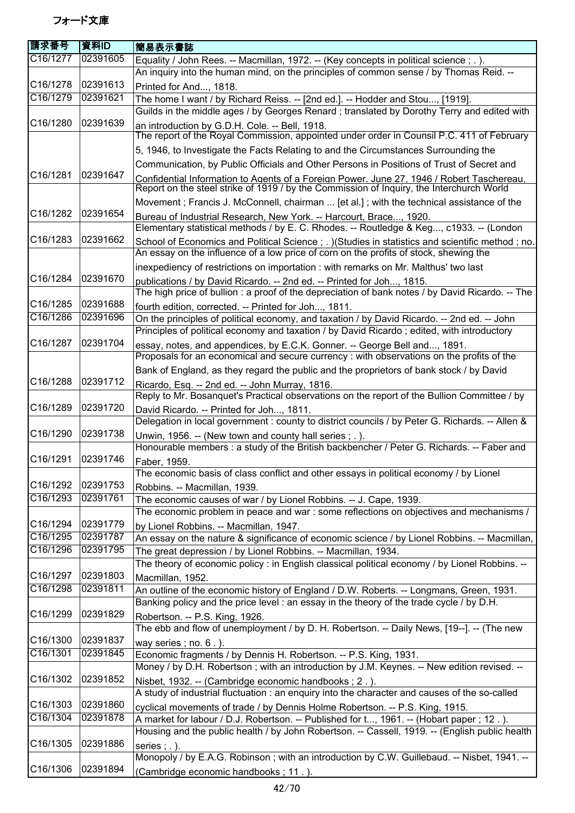| 請求番号                 | 資料ID                 | 簡易表示書誌                                                                                                                                                                                |
|----------------------|----------------------|---------------------------------------------------------------------------------------------------------------------------------------------------------------------------------------|
| C16/1277             | 02391605             | Equality / John Rees. -- Macmillan, 1972. -- (Key concepts in political science; .).                                                                                                  |
|                      |                      | An inquiry into the human mind, on the principles of common sense / by Thomas Reid. --                                                                                                |
| C16/1278             | 02391613             | Printed for And, 1818.                                                                                                                                                                |
| C16/1279             | 02391621             | The home I want / by Richard Reiss. -- [2nd ed.]. -- Hodder and Stou, [1919].                                                                                                         |
|                      |                      | Guilds in the middle ages / by Georges Renard; translated by Dorothy Terry and edited with                                                                                            |
| C16/1280             | 02391639             | an introduction by G.D.H. Cole. -- Bell, 1918.                                                                                                                                        |
|                      |                      | The report of the Royal Commission, appointed under order in Counsil P.C. 411 of February                                                                                             |
|                      |                      | 5, 1946, to Investigate the Facts Relating to and the Circumstances Surrounding the                                                                                                   |
|                      |                      | Communication, by Public Officials and Other Persons in Positions of Trust of Secret and                                                                                              |
| C16/1281             | 02391647             | Confidential Information to Agents of a Foreign Power, June 27, 1946 / Robert Taschereau.<br>Report on the steel strike of 1919 / by the Commission of Inquiry, the Interchurch World |
|                      |                      | Movement; Francis J. McConnell, chairman  [et al.]; with the technical assistance of the                                                                                              |
| C16/1282             | 02391654             | Bureau of Industrial Research, New York. -- Harcourt, Brace, 1920.<br>Elementary statistical methods / by E. C. Rhodes. -- Routledge & Keg, c1933. -- (London                         |
| C16/1283             | 02391662             | School of Economics and Political Science ; . ) (Studies in statistics and scientific method ; no.                                                                                    |
|                      |                      | An essay on the influence of a low price of corn on the profits of stock, shewing the                                                                                                 |
|                      |                      | inexpediency of restrictions on importation : with remarks on Mr. Malthus' two last                                                                                                   |
| C16/1284             | 02391670             | publications / by David Ricardo. -- 2nd ed. -- Printed for Joh, 1815.                                                                                                                 |
|                      |                      | The high price of bullion : a proof of the depreciation of bank notes / by David Ricardo. -- The                                                                                      |
| C16/1285<br>C16/1286 | 02391688<br>02391696 | fourth edition, corrected. -- Printed for Joh, 1811.                                                                                                                                  |
|                      |                      | On the principles of political economy, and taxation / by David Ricardo. -- 2nd ed. -- John                                                                                           |
| C16/1287             | 02391704             | Principles of political economy and taxation / by David Ricardo; edited, with introductory                                                                                            |
|                      |                      | essay, notes, and appendices, by E.C.K. Gonner. -- George Bell and, 1891.<br>Proposals for an economical and secure currency : with observations on the profits of the                |
|                      |                      | Bank of England, as they regard the public and the proprietors of bank stock / by David                                                                                               |
| C16/1288             | 02391712             | Ricardo, Esq. -- 2nd ed. -- John Murray, 1816.                                                                                                                                        |
|                      |                      | Reply to Mr. Bosanquet's Practical observations on the report of the Bullion Committee / by                                                                                           |
| C16/1289             | 02391720             | David Ricardo. -- Printed for Joh, 1811.                                                                                                                                              |
| C16/1290             | 02391738             | Delegation in local government : county to district councils / by Peter G. Richards. -- Allen &                                                                                       |
|                      |                      | Unwin, 1956. -- (New town and county hall series; .).<br>Honourable members : a study of the British backbencher / Peter G. Richards. -- Faber and                                    |
| C16/1291             | 02391746             |                                                                                                                                                                                       |
|                      |                      | Faber, 1959.<br>The economic basis of class conflict and other essays in political economy / by Lionel                                                                                |
| C16/1292             | 02391753             | Robbins. -- Macmillan, 1939.                                                                                                                                                          |
| C16/1293             | 02391761             | The economic causes of war / by Lionel Robbins. -- J. Cape, 1939.                                                                                                                     |
|                      |                      | The economic problem in peace and war: some reflections on objectives and mechanisms /                                                                                                |
| C16/1294             | 02391779             | by Lionel Robbins. -- Macmillan, 1947.                                                                                                                                                |
| C16/1295             | 02391787             | An essay on the nature & significance of economic science / by Lionel Robbins. -- Macmillan,                                                                                          |
| C16/1296             | 02391795             | The great depression / by Lionel Robbins. -- Macmillan, 1934.                                                                                                                         |
|                      |                      | The theory of economic policy : in English classical political economy / by Lionel Robbins. --                                                                                        |
| C16/1297             | 02391803             | Macmillan, 1952.                                                                                                                                                                      |
| C16/1298             | 02391811             | An outline of the economic history of England / D.W. Roberts. -- Longmans, Green, 1931.                                                                                               |
|                      |                      | Banking policy and the price level : an essay in the theory of the trade cycle / by D.H.                                                                                              |
| C16/1299             | 02391829             | Robertson. -- P.S. King, 1926.                                                                                                                                                        |
|                      |                      | The ebb and flow of unemployment / by D. H. Robertson. -- Daily News, [19--]. -- (The new                                                                                             |
| C16/1300             | 02391837             | way series; $no. 6.$ ).                                                                                                                                                               |
| C16/1301             | 02391845             | Economic fragments / by Dennis H. Robertson. -- P.S. King, 1931.                                                                                                                      |
|                      |                      | Money / by D.H. Robertson; with an introduction by J.M. Keynes. -- New edition revised. --                                                                                            |
| C16/1302             | 02391852             | Nisbet, 1932. -- (Cambridge economic handbooks; 2.).                                                                                                                                  |
|                      |                      | A study of industrial fluctuation : an enquiry into the character and causes of the so-called                                                                                         |
| C16/1303             | 02391860             | cyclical movements of trade / by Dennis Holme Robertson. -- P.S. King, 1915.                                                                                                          |
| C16/1304             | 02391878             | A market for labour / D.J. Robertson. -- Published for t, 1961. -- (Hobart paper ; 12.).                                                                                              |
|                      |                      | Housing and the public health / by John Robertson. -- Cassell, 1919. -- (English public health                                                                                        |
| C16/1305             | 02391886             | series $; . ).$                                                                                                                                                                       |
| C16/1306             | 02391894             | Monopoly / by E.A.G. Robinson; with an introduction by C.W. Guillebaud. -- Nisbet, 1941. --                                                                                           |
|                      |                      | (Cambridge economic handbooks; 11.).                                                                                                                                                  |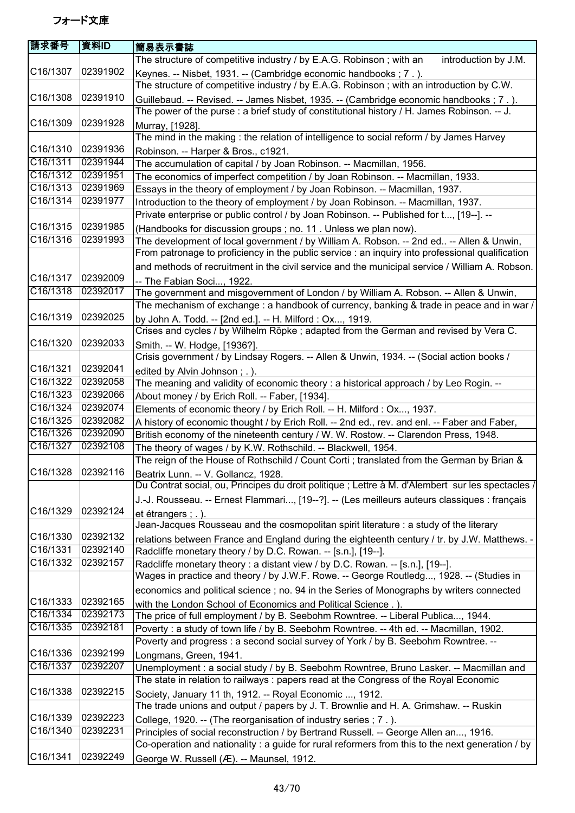| 請求番号                  | 資料ID                 | 簡易表示書誌                                                                                                                                                                                      |
|-----------------------|----------------------|---------------------------------------------------------------------------------------------------------------------------------------------------------------------------------------------|
|                       |                      | The structure of competitive industry / by E.A.G. Robinson; with an<br>introduction by J.M.                                                                                                 |
| C16/1307              | 02391902             | Keynes. -- Nisbet, 1931. -- (Cambridge economic handbooks; 7.).<br>The structure of competitive industry / by E.A.G. Robinson; with an introduction by C.W.                                 |
| C16/1308              | 02391910             | Guillebaud. -- Revised. -- James Nisbet, 1935. -- (Cambridge economic handbooks; 7.).                                                                                                       |
|                       |                      | The power of the purse : a brief study of constitutional history / H. James Robinson. -- J.                                                                                                 |
| C16/1309              | 02391928             | Murray, [1928].                                                                                                                                                                             |
|                       |                      | The mind in the making: the relation of intelligence to social reform / by James Harvey                                                                                                     |
| C16/1310              | 02391936             | Robinson. -- Harper & Bros., c1921.                                                                                                                                                         |
| C16/1311              | 02391944             | The accumulation of capital / by Joan Robinson. -- Macmillan, 1956.                                                                                                                         |
| $\overline{C16/13}12$ | 02391951             | The economics of imperfect competition / by Joan Robinson. -- Macmillan, 1933.                                                                                                              |
| C16/1313              | 02391969             | Essays in the theory of employment / by Joan Robinson. -- Macmillan, 1937.                                                                                                                  |
| C16/1314              | 02391977             | Introduction to the theory of employment / by Joan Robinson. -- Macmillan, 1937.                                                                                                            |
|                       |                      | Private enterprise or public control / by Joan Robinson. -- Published for t, [19--]. --                                                                                                     |
| C16/1315              | 02391985             | (Handbooks for discussion groups; no. 11. Unless we plan now).                                                                                                                              |
| C16/1316              | 02391993             | The development of local government / by William A. Robson. -- 2nd ed -- Allen & Unwin,<br>From patronage to proficiency in the public service : an inquiry into professional qualification |
|                       |                      | and methods of recruitment in the civil service and the municipal service / William A. Robson.                                                                                              |
| C16/1317              | 02392009             | -- The Fabian Soci, 1922.                                                                                                                                                                   |
| C16/1318              | 02392017             | The government and misgovernment of London / by William A. Robson. -- Allen & Unwin,                                                                                                        |
|                       |                      | The mechanism of exchange : a handbook of currency, banking & trade in peace and in war /                                                                                                   |
| C16/1319              | 02392025             | by John A. Todd. -- [2nd ed.]. -- H. Milford: Ox, 1919.                                                                                                                                     |
|                       |                      | Crises and cycles / by Wilhelm Röpke; adapted from the German and revised by Vera C.                                                                                                        |
| C16/1320              | 02392033             | Smith. -- W. Hodge, [1936?].                                                                                                                                                                |
|                       |                      | Crisis government / by Lindsay Rogers. -- Allen & Unwin, 1934. -- (Social action books /                                                                                                    |
| C16/1321              | 02392041             | edited by Alvin Johnson; .).                                                                                                                                                                |
| C16/1322              | 02392058             | The meaning and validity of economic theory : a historical approach / by Leo Rogin. --                                                                                                      |
| C16/1323              | 02392066             | About money / by Erich Roll. -- Faber, [1934].                                                                                                                                              |
| C16/1324              | 02392074             | Elements of economic theory / by Erich Roll. -- H. Milford: Ox, 1937.                                                                                                                       |
| C16/1325              | 02392082             | A history of economic thought / by Erich Roll. -- 2nd ed., rev. and enl. -- Faber and Faber,                                                                                                |
| C16/1326              | 02392090             | British economy of the nineteenth century / W. W. Rostow. -- Clarendon Press, 1948.                                                                                                         |
| C16/1327              | 02392108             | The theory of wages / by K.W. Rothschild. -- Blackwell, 1954.                                                                                                                               |
|                       |                      | The reign of the House of Rothschild / Count Corti ; translated from the German by Brian &                                                                                                  |
| C16/1328 02392116     |                      | Beatrix Lunn. -- V. Gollancz, 1928.                                                                                                                                                         |
|                       |                      | Du Contrat social, ou, Principes du droit politique ; Lettre à M. d'Alembert sur les spectacles /                                                                                           |
|                       |                      | J.-J. Rousseau. -- Ernest Flammari, [19--?]. -- (Les meilleurs auteurs classiques : français                                                                                                |
| C16/1329              | 02392124             | et étrangers ; . ).                                                                                                                                                                         |
|                       |                      | Jean-Jacques Rousseau and the cosmopolitan spirit literature : a study of the literary                                                                                                      |
| C16/1330              | 02392132             | relations between France and England during the eighteenth century / tr. by J.W. Matthews. -                                                                                                |
| C16/1331              | 02392140             | Radcliffe monetary theory / by D.C. Rowan. -- [s.n.], [19--].                                                                                                                               |
| C16/1332              | 02392157             | Radcliffe monetary theory : a distant view / by D.C. Rowan. -- [s.n.], [19--].                                                                                                              |
|                       |                      | Wages in practice and theory / by J.W.F. Rowe. -- George Routledg, 1928. -- (Studies in                                                                                                     |
|                       |                      | economics and political science; no. 94 in the Series of Monographs by writers connected                                                                                                    |
| C16/1333              | 02392165             | with the London School of Economics and Political Science.).                                                                                                                                |
| C16/1334<br>C16/1335  | 02392173<br>02392181 | The price of full employment / by B. Seebohm Rowntree. -- Liberal Publica, 1944.                                                                                                            |
|                       |                      | Poverty : a study of town life / by B. Seebohm Rowntree. -- 4th ed. -- Macmillan, 1902.                                                                                                     |
|                       | 02392199             | Poverty and progress : a second social survey of York / by B. Seebohm Rowntree. --                                                                                                          |
| C16/1336<br>C16/1337  | 02392207             | Longmans, Green, 1941.                                                                                                                                                                      |
|                       |                      | Unemployment : a social study / by B. Seebohm Rowntree, Bruno Lasker. -- Macmillan and                                                                                                      |
|                       |                      | The state in relation to railways: papers read at the Congress of the Royal Economic                                                                                                        |
| C16/1338              | 02392215             | Society, January 11 th, 1912. -- Royal Economic , 1912.                                                                                                                                     |
|                       |                      | The trade unions and output / papers by J. T. Brownlie and H. A. Grimshaw. -- Ruskin                                                                                                        |
| C16/1339              | 02392223             | College, 1920. -- (The reorganisation of industry series; 7.).                                                                                                                              |
| C16/1340              | 02392231             | Principles of social reconstruction / by Bertrand Russell. -- George Allen an, 1916.                                                                                                        |
|                       | 02392249             | Co-operation and nationality : a guide for rural reformers from this to the next generation / by                                                                                            |
| C16/1341              |                      | George W. Russell (Æ). -- Maunsel, 1912.                                                                                                                                                    |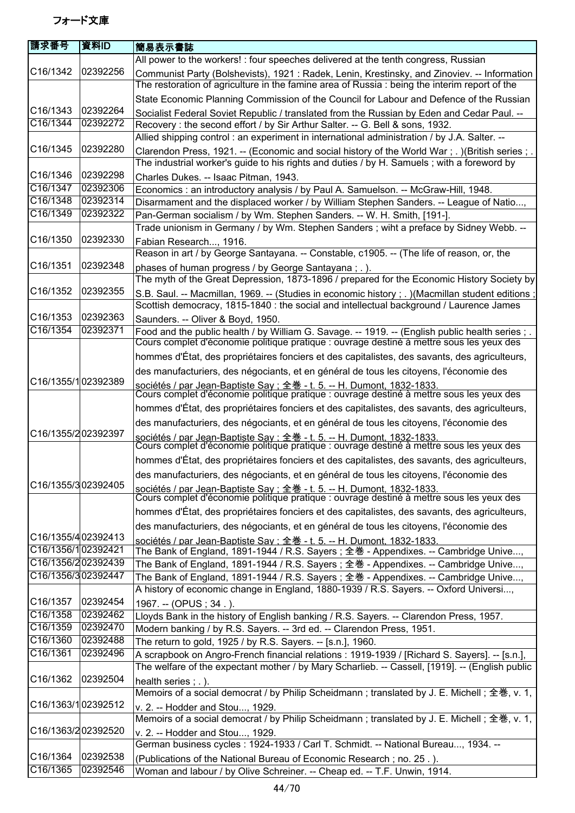| 請求番号               | 資料ID                 | 簡易表示書誌                                                                                                                                                                                       |
|--------------------|----------------------|----------------------------------------------------------------------------------------------------------------------------------------------------------------------------------------------|
|                    |                      | All power to the workers! : four speeches delivered at the tenth congress, Russian                                                                                                           |
| C16/1342           | 02392256             | Communist Party (Bolshevists), 1921: Radek, Lenin, Krestinsky, and Zinoviev. -- Information<br>The restoration of agriculture in the famine area of Russia : being the interim report of the |
|                    |                      | State Economic Planning Commission of the Council for Labour and Defence of the Russian                                                                                                      |
| C16/1343           | 02392264             | Socialist Federal Soviet Republic / translated from the Russian by Eden and Cedar Paul. --                                                                                                   |
| C16/1344           | 02392272             | Recovery: the second effort / by Sir Arthur Salter. -- G. Bell & sons, 1932.                                                                                                                 |
|                    |                      | Allied shipping control: an experiment in international administration / by J.A. Salter. --                                                                                                  |
| C16/1345           | 02392280             | Clarendon Press, 1921. -- (Economic and social history of the World War; .) (British series; .)                                                                                              |
|                    |                      | The industrial worker's guide to his rights and duties / by H. Samuels ; with a foreword by                                                                                                  |
| C16/1346           | 02392298             | Charles Dukes. -- Isaac Pitman, 1943.                                                                                                                                                        |
| C16/1347           | 02392306             | Economics : an introductory analysis / by Paul A. Samuelson. -- McGraw-Hill, 1948.                                                                                                           |
| C16/1348           | 02392314             | Disarmament and the displaced worker / by William Stephen Sanders. -- League of Natio,                                                                                                       |
| C16/1349           | 02392322             | Pan-German socialism / by Wm. Stephen Sanders. -- W. H. Smith, [191-].                                                                                                                       |
|                    | 02392330             | Trade unionism in Germany / by Wm. Stephen Sanders; wiht a preface by Sidney Webb. --                                                                                                        |
| C16/1350           |                      | Fabian Research, 1916.                                                                                                                                                                       |
| C16/1351           | 02392348             | Reason in art / by George Santayana. -- Constable, c1905. -- (The life of reason, or, the                                                                                                    |
|                    |                      | phases of human progress / by George Santayana; .).<br>The myth of the Great Depression, 1873-1896 / prepared for the Economic History Society by                                            |
| C16/1352           | 02392355             |                                                                                                                                                                                              |
|                    |                      | S.B. Saul. -- Macmillan, 1969. -- (Studies in economic history ; .) (Macmillan student editions ;<br>Scottish democracy, 1815-1840 : the social and intellectual background / Laurence James |
| C16/1353           | 02392363             | Saunders. -- Oliver & Boyd, 1950.                                                                                                                                                            |
| C16/1354           | 02392371             | Food and the public health / by William G. Savage. -- 1919. -- (English public health series ; .                                                                                             |
|                    |                      | Cours complet d'économie politique pratique : ouvrage destiné à mettre sous les yeux des                                                                                                     |
|                    |                      | hommes d'État, des propriétaires fonciers et des capitalistes, des savants, des agriculteurs,                                                                                                |
|                    |                      | des manufacturiers, des négociants, et en général de tous les citoyens, l'économie des                                                                                                       |
| C16/1355/102392389 |                      |                                                                                                                                                                                              |
|                    |                      | sociétés / par Jean-Baptiste Say ; 全巻 - t. 5. -- H. Dumont, 1832-1833.<br>Cours complet d'économie politique pratique : ouvrage destiné à mettre sous les yeux des                           |
|                    |                      | hommes d'État, des propriétaires fonciers et des capitalistes, des savants, des agriculteurs,                                                                                                |
|                    |                      | des manufacturiers, des négociants, et en général de tous les citoyens, l'économie des                                                                                                       |
| C16/1355/202392397 |                      | sociétés / par Jean-Baptiste Say : 全巻 - t. 5. -- H. Dumont, 1832-1833.<br>Cours complet d'économie politique pratique : ouvrage destiné à mettre sous les yeux des                           |
|                    |                      | hommes d'État, des propriétaires fonciers et des capitalistes, des savants, des agriculteurs,                                                                                                |
|                    |                      | des manufacturiers, des négociants, et en général de tous les citoyens, l'économie des                                                                                                       |
| C16/1355/302392405 |                      | sociétés / par Jean-Baptiste Say : 全巻 - t. 5. -- H. Dumont, 1832-1833.<br>Cours complet d'économie politique pratique : ouvrage destiné à mettre sous les yeux des                           |
|                    |                      |                                                                                                                                                                                              |
|                    |                      | hommes d'État, des propriétaires fonciers et des capitalistes, des savants, des agriculteurs,                                                                                                |
| C16/1355/402392413 |                      | des manufacturiers, des négociants, et en général de tous les citoyens, l'économie des                                                                                                       |
| C16/1356/102392421 |                      | sociétés / par Jean-Baptiste Sav : 全巻 - t. 5. -- H. Dumont. 1832-1833.                                                                                                                       |
| C16/1356/202392439 |                      | The Bank of England, 1891-1944 / R.S. Sayers; 全巻 - Appendixes. -- Cambridge Unive,<br>The Bank of England, 1891-1944 / R.S. Sayers ; 全巻 - Appendixes. -- Cambridge Unive,                    |
| C16/1356/302392447 |                      | The Bank of England, 1891-1944 / R.S. Sayers; 全巻 - Appendixes. -- Cambridge Unive,                                                                                                           |
|                    |                      | A history of economic change in England, 1880-1939 / R.S. Sayers. -- Oxford Universi,                                                                                                        |
| C16/1357           | 02392454             | 1967. -- (OPUS; 34.).                                                                                                                                                                        |
| C16/1358           | 02392462             | Lloyds Bank in the history of English banking / R.S. Sayers. -- Clarendon Press, 1957.                                                                                                       |
| C16/1359           | 02392470             | Modern banking / by R.S. Sayers. -- 3rd ed. -- Clarendon Press, 1951.                                                                                                                        |
| C16/1360           | 02392488             | The return to gold, 1925 / by R.S. Sayers. -- [s.n.], 1960.                                                                                                                                  |
| C16/1361           | 02392496             | A scrapbook on Angro-French financial relations : 1919-1939 / [Richard S. Sayers]. -- [s.n.],                                                                                                |
|                    |                      | The welfare of the expectant mother / by Mary Scharlieb. -- Cassell, [1919]. -- (English public                                                                                              |
| C16/1362           | 02392504             | health series ; . ).                                                                                                                                                                         |
|                    |                      | Memoirs of a social democrat / by Philip Scheidmann ; translated by J. E. Michell ; 全巻, v. 1,                                                                                                |
| C16/1363/102392512 |                      | v. 2. -- Hodder and Stou, 1929.                                                                                                                                                              |
|                    |                      | Memoirs of a social democrat / by Philip Scheidmann ; translated by J. E. Michell ; 全巻, v. 1,                                                                                                |
| C16/1363/202392520 |                      | v. 2. -- Hodder and Stou, 1929.                                                                                                                                                              |
| C16/1364           |                      | German business cycles : 1924-1933 / Carl T. Schmidt. -- National Bureau, 1934. --                                                                                                           |
| C16/1365           | 02392538<br>02392546 | (Publications of the National Bureau of Economic Research; no. 25.).                                                                                                                         |
|                    |                      | Woman and labour / by Olive Schreiner. -- Cheap ed. -- T.F. Unwin, 1914.                                                                                                                     |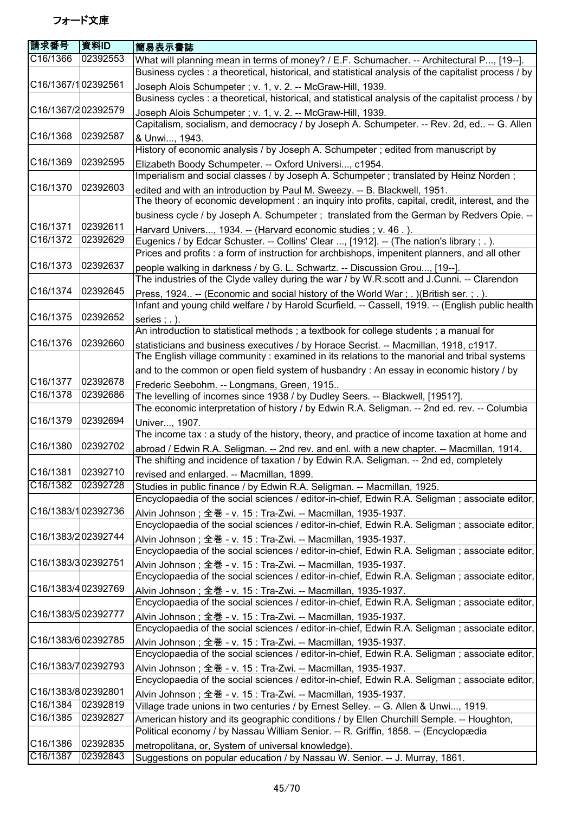| 請求番号               | 資料ID     | 簡易表示書誌                                                                                               |
|--------------------|----------|------------------------------------------------------------------------------------------------------|
| C16/1366           | 02392553 | What will planning mean in terms of money? / E.F. Schumacher. -- Architectural P, [19--].            |
|                    |          | Business cycles: a theoretical, historical, and statistical analysis of the capitalist process / by  |
| C16/1367/102392561 |          | Joseph Alois Schumpeter; v. 1, v. 2. -- McGraw-Hill, 1939.                                           |
|                    |          | Business cycles : a theoretical, historical, and statistical analysis of the capitalist process / by |
| C16/1367/202392579 |          | Joseph Alois Schumpeter; v. 1, v. 2. -- McGraw-Hill, 1939.                                           |
|                    |          | Capitalism, socialism, and democracy / by Joseph A. Schumpeter. -- Rev. 2d, ed -- G. Allen           |
| C16/1368           | 02392587 | & Unwi, 1943.                                                                                        |
|                    |          | History of economic analysis / by Joseph A. Schumpeter ; edited from manuscript by                   |
| C16/1369           | 02392595 | Elizabeth Boody Schumpeter. -- Oxford Universi, c1954.                                               |
|                    |          | Imperialism and social classes / by Joseph A. Schumpeter ; translated by Heinz Norden;               |
| C16/1370           | 02392603 | edited and with an introduction by Paul M. Sweezy. -- B. Blackwell, 1951.                            |
|                    |          | The theory of economic development : an inquiry into profits, capital, credit, interest, and the     |
|                    |          | business cycle / by Joseph A. Schumpeter ; translated from the German by Redvers Opie. --            |
| C16/1371           | 02392611 | Harvard Univers, 1934. -- (Harvard economic studies; v. 46.).                                        |
| C16/1372           | 02392629 | Eugenics / by Edcar Schuster. -- Collins' Clear , [1912]. -- (The nation's library ; . ).            |
|                    |          | Prices and profits : a form of instruction for archbishops, impenitent planners, and all other       |
| C16/1373           | 02392637 | people walking in darkness / by G. L. Schwartz. -- Discussion Grou, [19--].                          |
|                    |          | The industries of the Clyde valley during the war / by W.R.scott and J.Cunni. -- Clarendon           |
| C16/1374           | 02392645 | Press, 1924. -- (Economic and social history of the World War; .) (British ser.; .).                 |
|                    |          | Infant and young child welfare / by Harold Scurfield. -- Cassell, 1919. -- (English public health    |
| C16/1375           | 02392652 | series $; . ).$                                                                                      |
|                    |          | An introduction to statistical methods; a textbook for college students; a manual for                |
| C16/1376           | 02392660 | statisticians and business executives / by Horace Secrist. -- Macmillan, 1918, c1917.                |
|                    |          | The English village community: examined in its relations to the manorial and tribal systems          |
|                    |          | and to the common or open field system of husbandry : An essay in economic history / by              |
| C16/1377           | 02392678 | Frederic Seebohm. -- Longmans, Green, 1915                                                           |
| C16/1378           | 02392686 | The levelling of incomes since 1938 / by Dudley Seers. -- Blackwell, [1951?].                        |
|                    |          | The economic interpretation of history / by Edwin R.A. Seligman. -- 2nd ed. rev. -- Columbia         |
| C16/1379           | 02392694 | Univer, 1907.                                                                                        |
|                    |          | The income tax: a study of the history, theory, and practice of income taxation at home and          |
| C16/1380           | 02392702 | abroad / Edwin R.A. Seligman. -- 2nd rev. and enl. with a new chapter. -- Macmillan, 1914.           |
|                    |          | The shifting and incidence of taxation / by Edwin R.A. Seligman. -- 2nd ed, completely               |
| C16/1381           | 02392710 | revised and enlarged. -- Macmillan, 1899.                                                            |
| C16/1382           | 02392728 | Studies in public finance / by Edwin R.A. Seligman. -- Macmillan, 1925.                              |
|                    |          | Encyclopaedia of the social sciences / editor-in-chief, Edwin R.A. Seligman; associate editor,       |
| C16/1383/102392736 |          | Alvin Johnson; 全巻 - v. 15 : Tra-Zwi. -- Macmillan, 1935-1937.                                        |
|                    |          | Encyclopaedia of the social sciences / editor-in-chief, Edwin R.A. Seligman; associate editor,       |
| C16/1383/202392744 |          | Alvin Johnson; 全巻 - v. 15 : Tra-Zwi. -- Macmillan, 1935-1937.                                        |
|                    |          | Encyclopaedia of the social sciences / editor-in-chief, Edwin R.A. Seligman; associate editor,       |
| C16/1383/302392751 |          | Alvin Johnson; 全巻 - v. 15 : Tra-Zwi. -- Macmillan, 1935-1937.                                        |
|                    |          | Encyclopaedia of the social sciences / editor-in-chief, Edwin R.A. Seligman; associate editor,       |
| C16/1383/402392769 |          | Alvin Johnson; 全巻 - v. 15 : Tra-Zwi. -- Macmillan, 1935-1937.                                        |
|                    |          | Encyclopaedia of the social sciences / editor-in-chief, Edwin R.A. Seligman; associate editor,       |
| C16/1383/502392777 |          | Alvin Johnson; 全巻 - v. 15 : Tra-Zwi. -- Macmillan, 1935-1937.                                        |
|                    |          | Encyclopaedia of the social sciences / editor-in-chief, Edwin R.A. Seligman; associate editor,       |
| C16/1383/602392785 |          | Alvin Johnson; 全巻 - v. 15 : Tra-Zwi. -- Macmillan, 1935-1937.                                        |
|                    |          | Encyclopaedia of the social sciences / editor-in-chief, Edwin R.A. Seligman ; associate editor,      |
| C16/1383/702392793 |          | Alvin Johnson; 全巻 - v. 15 : Tra-Zwi. -- Macmillan, 1935-1937.                                        |
|                    |          | Encyclopaedia of the social sciences / editor-in-chief, Edwin R.A. Seligman ; associate editor,      |
| C16/1383/802392801 |          | Alvin Johnson; 全巻 - v. 15 : Tra-Zwi. -- Macmillan, 1935-1937.                                        |
| C16/1384           | 02392819 | Village trade unions in two centuries / by Ernest Selley. -- G. Allen & Unwi, 1919.                  |
| C16/1385           | 02392827 | American history and its geographic conditions / by Ellen Churchill Semple. -- Houghton,             |
|                    |          | Political economy / by Nassau William Senior. -- R. Griffin, 1858. -- (Encyclopædia                  |
| C16/1386           | 02392835 | metropolitana, or, System of universal knowledge).                                                   |
| C16/1387           | 02392843 | Suggestions on popular education / by Nassau W. Senior. -- J. Murray, 1861.                          |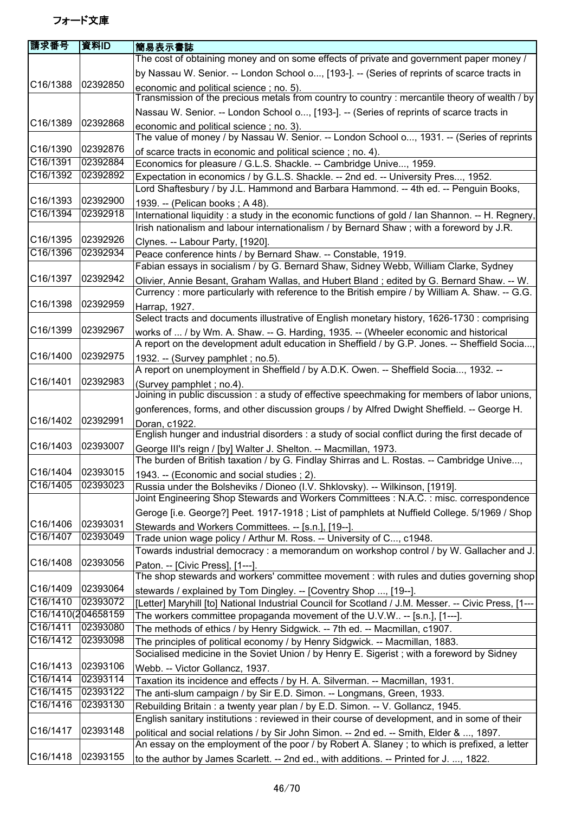| by Nassau W. Senior. -- London School o, [193-]. -- (Series of reprints of scarce tracts in<br>C16/1388<br>02392850<br>economic and political science; no. 5).<br>Nassau W. Senior. -- London School o, [193-]. -- (Series of reprints of scarce tracts in<br>C16/1389<br>02392868<br>economic and political science; no. 3).<br>The value of money / by Nassau W. Senior. -- London School o, 1931. -- (Series of reprints<br>C16/1390<br>02392876<br>of scarce tracts in economic and political science; no. 4).<br>C16/1391<br>02392884<br>Economics for pleasure / G.L.S. Shackle. -- Cambridge Unive, 1959.<br>C16/1392<br>02392892<br>Expectation in economics / by G.L.S. Shackle. -- 2nd ed. -- University Pres, 1952.<br>Lord Shaftesbury / by J.L. Hammond and Barbara Hammond. -- 4th ed. -- Penguin Books,<br>C16/1393<br>02392900<br>1939. -- (Pelican books; A 48).<br>C16/1394<br>02392918<br>Irish nationalism and labour internationalism / by Bernard Shaw; with a foreword by J.R.<br>C16/1395<br>02392926<br>Clynes. -- Labour Party, [1920].<br>C16/1396<br>02392934<br>Peace conference hints / by Bernard Shaw. -- Constable, 1919.<br>Fabian essays in socialism / by G. Bernard Shaw, Sidney Webb, William Clarke, Sydney<br>C16/1397<br>02392942<br>Olivier, Annie Besant, Graham Wallas, and Hubert Bland; edited by G. Bernard Shaw. -- W.<br>Currency : more particularly with reference to the British empire / by William A. Shaw. -- G.G.<br>C16/1398<br>02392959<br>Harrap, 1927.<br>Select tracts and documents illustrative of English monetary history, 1626-1730 : comprising<br>C16/1399<br>02392967<br>works of  / by Wm. A. Shaw. -- G. Harding, 1935. -- (Wheeler economic and historical<br>C16/1400<br>02392975<br>1932. -- (Survey pamphlet; no.5).<br>A report on unemployment in Sheffield / by A.D.K. Owen. -- Sheffield Socia, 1932. --<br>C16/1401<br>02392983<br>(Survey pamphlet; no.4).<br>Joining in public discussion : a study of effective speechmaking for members of labor unions,<br>gonferences, forms, and other discussion groups / by Alfred Dwight Sheffield. -- George H.<br>C16/1402<br>02392991<br>Doran, c1922.<br>English hunger and industrial disorders : a study of social conflict during the first decade of<br>C16/1403<br>02393007<br>George III's reign / [by] Walter J. Shelton. -- Macmillan, 1973.<br>The burden of British taxation / by G. Findlay Shirras and L. Rostas. -- Cambridge Unive,<br>C16/1404 02393015<br>1943. -- (Economic and social studies ; 2).<br>C16/1405<br>02393023<br>Russia under the Bolsheviks / Dioneo (I.V. Shklovsky). -- Wilkinson, [1919].<br>Joint Engineering Shop Stewards and Workers Committees : N.A.C. : misc. correspondence<br>Geroge [i.e. George?] Peet. 1917-1918 ; List of pamphlets at Nuffield College. 5/1969 / Shop<br>C16/1406<br>02393031<br>Stewards and Workers Committees. -- [s.n.], [19--].<br>C16/1407<br>02393049<br>Trade union wage policy / Arthur M. Ross. -- University of C, c1948.<br>Towards industrial democracy : a memorandum on workshop control / by W. Gallacher and J.<br>02393056<br>C <sub>16</sub> /1408<br>Paton. -- [Civic Press], [1---].<br>02393064<br>C16/1409<br>stewards / explained by Tom Dingley. -- [Coventry Shop , [19--].<br>C16/1410<br>02393072<br>[Letter] Maryhill [to] National Industrial Council for Scotland / J.M. Messer. -- Civic Press, [1---<br>C16/1410(204658159<br>The workers committee propaganda movement of the U.V.W -- [s.n.], [1---].<br>C16/1411<br>02393080<br>The methods of ethics / by Henry Sidgwick. -- 7th ed. -- Macmillan, c1907.<br>C16/1412<br>02393098<br>The principles of political economy / by Henry Sidgwick. -- Macmillan, 1883.<br>Socialised medicine in the Soviet Union / by Henry E. Sigerist; with a foreword by Sidney<br>C16/1413<br>02393106<br>Webb. -- Victor Gollancz, 1937.<br>C16/1414<br>02393114<br>Taxation its incidence and effects / by H. A. Silverman. -- Macmillan, 1931.<br>C16/1415<br>02393122<br>The anti-slum campaign / by Sir E.D. Simon. -- Longmans, Green, 1933.<br>C16/1416<br>02393130<br>Rebuilding Britain: a twenty year plan / by E.D. Simon. -- V. Gollancz, 1945.<br>English sanitary institutions : reviewed in their course of development, and in some of their<br>C16/1417<br>02393148<br>political and social relations / by Sir John Simon. -- 2nd ed. -- Smith, Elder & , 1897.<br>An essay on the employment of the poor / by Robert A. Slaney ; to which is prefixed, a letter<br>02393155<br>C16/1418<br>to the author by James Scarlett. -- 2nd ed., with additions. -- Printed for J. , 1822. | 請求番号 | 資料ID | 簡易表示書誌                                                                                  |
|--------------------------------------------------------------------------------------------------------------------------------------------------------------------------------------------------------------------------------------------------------------------------------------------------------------------------------------------------------------------------------------------------------------------------------------------------------------------------------------------------------------------------------------------------------------------------------------------------------------------------------------------------------------------------------------------------------------------------------------------------------------------------------------------------------------------------------------------------------------------------------------------------------------------------------------------------------------------------------------------------------------------------------------------------------------------------------------------------------------------------------------------------------------------------------------------------------------------------------------------------------------------------------------------------------------------------------------------------------------------------------------------------------------------------------------------------------------------------------------------------------------------------------------------------------------------------------------------------------------------------------------------------------------------------------------------------------------------------------------------------------------------------------------------------------------------------------------------------------------------------------------------------------------------------------------------------------------------------------------------------------------------------------------------------------------------------------------------------------------------------------------------------------------------------------------------------------------------------------------------------------------------------------------------------------------------------------------------------------------------------------------------------------------------------------------------------------------------------------------------------------------------------------------------------------------------------------------------------------------------------------------------------------------------------------------------------------------------------------------------------------------------------------------------------------------------------------------------------------------------------------------------------------------------------------------------------------------------------------------------------------------------------------------------------------------------------------------------------------------------------------------------------------------------------------------------------------------------------------------------------------------------------------------------------------------------------------------------------------------------------------------------------------------------------------------------------------------------------------------------------------------------------------------------------------------------------------------------------------------------------------------------------------------------------------------------------------------------------------------------------------------------------------------------------------------------------------------------------------------------------------------------------------------------------------------------------------------------------------------------------------------------------------------------------------------------------------------------------------------------------------------------------------------------------------------------------------------------------------------------------------------------------------------------------------------------------------------------------------------------------------------------------------------------------------------------------------------------------------------------------------------------------------------------------------------------------------------------------------------------------------------------------------------------------|------|------|-----------------------------------------------------------------------------------------|
| Transmission of the precious metals from country to country : mercantile theory of wealth / by<br>International liquidity : a study in the economic functions of gold / Ian Shannon. -- H. Regnery,<br>A report on the development adult education in Sheffield / by G.P. Jones. -- Sheffield Socia,<br>The shop stewards and workers' committee movement : with rules and duties governing shop                                                                                                                                                                                                                                                                                                                                                                                                                                                                                                                                                                                                                                                                                                                                                                                                                                                                                                                                                                                                                                                                                                                                                                                                                                                                                                                                                                                                                                                                                                                                                                                                                                                                                                                                                                                                                                                                                                                                                                                                                                                                                                                                                                                                                                                                                                                                                                                                                                                                                                                                                                                                                                                                                                                                                                                                                                                                                                                                                                                                                                                                                                                                                                                                                                                                                                                                                                                                                                                                                                                                                                                                                                                                                                                                                                                                                                                                                                                                                                                                                                                                                                                                                                                                                                                                         |      |      | The cost of obtaining money and on some effects of private and government paper money / |
|                                                                                                                                                                                                                                                                                                                                                                                                                                                                                                                                                                                                                                                                                                                                                                                                                                                                                                                                                                                                                                                                                                                                                                                                                                                                                                                                                                                                                                                                                                                                                                                                                                                                                                                                                                                                                                                                                                                                                                                                                                                                                                                                                                                                                                                                                                                                                                                                                                                                                                                                                                                                                                                                                                                                                                                                                                                                                                                                                                                                                                                                                                                                                                                                                                                                                                                                                                                                                                                                                                                                                                                                                                                                                                                                                                                                                                                                                                                                                                                                                                                                                                                                                                                                                                                                                                                                                                                                                                                                                                                                                                                                                                                                          |      |      |                                                                                         |
|                                                                                                                                                                                                                                                                                                                                                                                                                                                                                                                                                                                                                                                                                                                                                                                                                                                                                                                                                                                                                                                                                                                                                                                                                                                                                                                                                                                                                                                                                                                                                                                                                                                                                                                                                                                                                                                                                                                                                                                                                                                                                                                                                                                                                                                                                                                                                                                                                                                                                                                                                                                                                                                                                                                                                                                                                                                                                                                                                                                                                                                                                                                                                                                                                                                                                                                                                                                                                                                                                                                                                                                                                                                                                                                                                                                                                                                                                                                                                                                                                                                                                                                                                                                                                                                                                                                                                                                                                                                                                                                                                                                                                                                                          |      |      |                                                                                         |
|                                                                                                                                                                                                                                                                                                                                                                                                                                                                                                                                                                                                                                                                                                                                                                                                                                                                                                                                                                                                                                                                                                                                                                                                                                                                                                                                                                                                                                                                                                                                                                                                                                                                                                                                                                                                                                                                                                                                                                                                                                                                                                                                                                                                                                                                                                                                                                                                                                                                                                                                                                                                                                                                                                                                                                                                                                                                                                                                                                                                                                                                                                                                                                                                                                                                                                                                                                                                                                                                                                                                                                                                                                                                                                                                                                                                                                                                                                                                                                                                                                                                                                                                                                                                                                                                                                                                                                                                                                                                                                                                                                                                                                                                          |      |      |                                                                                         |
|                                                                                                                                                                                                                                                                                                                                                                                                                                                                                                                                                                                                                                                                                                                                                                                                                                                                                                                                                                                                                                                                                                                                                                                                                                                                                                                                                                                                                                                                                                                                                                                                                                                                                                                                                                                                                                                                                                                                                                                                                                                                                                                                                                                                                                                                                                                                                                                                                                                                                                                                                                                                                                                                                                                                                                                                                                                                                                                                                                                                                                                                                                                                                                                                                                                                                                                                                                                                                                                                                                                                                                                                                                                                                                                                                                                                                                                                                                                                                                                                                                                                                                                                                                                                                                                                                                                                                                                                                                                                                                                                                                                                                                                                          |      |      |                                                                                         |
|                                                                                                                                                                                                                                                                                                                                                                                                                                                                                                                                                                                                                                                                                                                                                                                                                                                                                                                                                                                                                                                                                                                                                                                                                                                                                                                                                                                                                                                                                                                                                                                                                                                                                                                                                                                                                                                                                                                                                                                                                                                                                                                                                                                                                                                                                                                                                                                                                                                                                                                                                                                                                                                                                                                                                                                                                                                                                                                                                                                                                                                                                                                                                                                                                                                                                                                                                                                                                                                                                                                                                                                                                                                                                                                                                                                                                                                                                                                                                                                                                                                                                                                                                                                                                                                                                                                                                                                                                                                                                                                                                                                                                                                                          |      |      |                                                                                         |
|                                                                                                                                                                                                                                                                                                                                                                                                                                                                                                                                                                                                                                                                                                                                                                                                                                                                                                                                                                                                                                                                                                                                                                                                                                                                                                                                                                                                                                                                                                                                                                                                                                                                                                                                                                                                                                                                                                                                                                                                                                                                                                                                                                                                                                                                                                                                                                                                                                                                                                                                                                                                                                                                                                                                                                                                                                                                                                                                                                                                                                                                                                                                                                                                                                                                                                                                                                                                                                                                                                                                                                                                                                                                                                                                                                                                                                                                                                                                                                                                                                                                                                                                                                                                                                                                                                                                                                                                                                                                                                                                                                                                                                                                          |      |      |                                                                                         |
|                                                                                                                                                                                                                                                                                                                                                                                                                                                                                                                                                                                                                                                                                                                                                                                                                                                                                                                                                                                                                                                                                                                                                                                                                                                                                                                                                                                                                                                                                                                                                                                                                                                                                                                                                                                                                                                                                                                                                                                                                                                                                                                                                                                                                                                                                                                                                                                                                                                                                                                                                                                                                                                                                                                                                                                                                                                                                                                                                                                                                                                                                                                                                                                                                                                                                                                                                                                                                                                                                                                                                                                                                                                                                                                                                                                                                                                                                                                                                                                                                                                                                                                                                                                                                                                                                                                                                                                                                                                                                                                                                                                                                                                                          |      |      |                                                                                         |
|                                                                                                                                                                                                                                                                                                                                                                                                                                                                                                                                                                                                                                                                                                                                                                                                                                                                                                                                                                                                                                                                                                                                                                                                                                                                                                                                                                                                                                                                                                                                                                                                                                                                                                                                                                                                                                                                                                                                                                                                                                                                                                                                                                                                                                                                                                                                                                                                                                                                                                                                                                                                                                                                                                                                                                                                                                                                                                                                                                                                                                                                                                                                                                                                                                                                                                                                                                                                                                                                                                                                                                                                                                                                                                                                                                                                                                                                                                                                                                                                                                                                                                                                                                                                                                                                                                                                                                                                                                                                                                                                                                                                                                                                          |      |      |                                                                                         |
|                                                                                                                                                                                                                                                                                                                                                                                                                                                                                                                                                                                                                                                                                                                                                                                                                                                                                                                                                                                                                                                                                                                                                                                                                                                                                                                                                                                                                                                                                                                                                                                                                                                                                                                                                                                                                                                                                                                                                                                                                                                                                                                                                                                                                                                                                                                                                                                                                                                                                                                                                                                                                                                                                                                                                                                                                                                                                                                                                                                                                                                                                                                                                                                                                                                                                                                                                                                                                                                                                                                                                                                                                                                                                                                                                                                                                                                                                                                                                                                                                                                                                                                                                                                                                                                                                                                                                                                                                                                                                                                                                                                                                                                                          |      |      |                                                                                         |
|                                                                                                                                                                                                                                                                                                                                                                                                                                                                                                                                                                                                                                                                                                                                                                                                                                                                                                                                                                                                                                                                                                                                                                                                                                                                                                                                                                                                                                                                                                                                                                                                                                                                                                                                                                                                                                                                                                                                                                                                                                                                                                                                                                                                                                                                                                                                                                                                                                                                                                                                                                                                                                                                                                                                                                                                                                                                                                                                                                                                                                                                                                                                                                                                                                                                                                                                                                                                                                                                                                                                                                                                                                                                                                                                                                                                                                                                                                                                                                                                                                                                                                                                                                                                                                                                                                                                                                                                                                                                                                                                                                                                                                                                          |      |      |                                                                                         |
|                                                                                                                                                                                                                                                                                                                                                                                                                                                                                                                                                                                                                                                                                                                                                                                                                                                                                                                                                                                                                                                                                                                                                                                                                                                                                                                                                                                                                                                                                                                                                                                                                                                                                                                                                                                                                                                                                                                                                                                                                                                                                                                                                                                                                                                                                                                                                                                                                                                                                                                                                                                                                                                                                                                                                                                                                                                                                                                                                                                                                                                                                                                                                                                                                                                                                                                                                                                                                                                                                                                                                                                                                                                                                                                                                                                                                                                                                                                                                                                                                                                                                                                                                                                                                                                                                                                                                                                                                                                                                                                                                                                                                                                                          |      |      |                                                                                         |
|                                                                                                                                                                                                                                                                                                                                                                                                                                                                                                                                                                                                                                                                                                                                                                                                                                                                                                                                                                                                                                                                                                                                                                                                                                                                                                                                                                                                                                                                                                                                                                                                                                                                                                                                                                                                                                                                                                                                                                                                                                                                                                                                                                                                                                                                                                                                                                                                                                                                                                                                                                                                                                                                                                                                                                                                                                                                                                                                                                                                                                                                                                                                                                                                                                                                                                                                                                                                                                                                                                                                                                                                                                                                                                                                                                                                                                                                                                                                                                                                                                                                                                                                                                                                                                                                                                                                                                                                                                                                                                                                                                                                                                                                          |      |      |                                                                                         |
|                                                                                                                                                                                                                                                                                                                                                                                                                                                                                                                                                                                                                                                                                                                                                                                                                                                                                                                                                                                                                                                                                                                                                                                                                                                                                                                                                                                                                                                                                                                                                                                                                                                                                                                                                                                                                                                                                                                                                                                                                                                                                                                                                                                                                                                                                                                                                                                                                                                                                                                                                                                                                                                                                                                                                                                                                                                                                                                                                                                                                                                                                                                                                                                                                                                                                                                                                                                                                                                                                                                                                                                                                                                                                                                                                                                                                                                                                                                                                                                                                                                                                                                                                                                                                                                                                                                                                                                                                                                                                                                                                                                                                                                                          |      |      |                                                                                         |
|                                                                                                                                                                                                                                                                                                                                                                                                                                                                                                                                                                                                                                                                                                                                                                                                                                                                                                                                                                                                                                                                                                                                                                                                                                                                                                                                                                                                                                                                                                                                                                                                                                                                                                                                                                                                                                                                                                                                                                                                                                                                                                                                                                                                                                                                                                                                                                                                                                                                                                                                                                                                                                                                                                                                                                                                                                                                                                                                                                                                                                                                                                                                                                                                                                                                                                                                                                                                                                                                                                                                                                                                                                                                                                                                                                                                                                                                                                                                                                                                                                                                                                                                                                                                                                                                                                                                                                                                                                                                                                                                                                                                                                                                          |      |      |                                                                                         |
|                                                                                                                                                                                                                                                                                                                                                                                                                                                                                                                                                                                                                                                                                                                                                                                                                                                                                                                                                                                                                                                                                                                                                                                                                                                                                                                                                                                                                                                                                                                                                                                                                                                                                                                                                                                                                                                                                                                                                                                                                                                                                                                                                                                                                                                                                                                                                                                                                                                                                                                                                                                                                                                                                                                                                                                                                                                                                                                                                                                                                                                                                                                                                                                                                                                                                                                                                                                                                                                                                                                                                                                                                                                                                                                                                                                                                                                                                                                                                                                                                                                                                                                                                                                                                                                                                                                                                                                                                                                                                                                                                                                                                                                                          |      |      |                                                                                         |
|                                                                                                                                                                                                                                                                                                                                                                                                                                                                                                                                                                                                                                                                                                                                                                                                                                                                                                                                                                                                                                                                                                                                                                                                                                                                                                                                                                                                                                                                                                                                                                                                                                                                                                                                                                                                                                                                                                                                                                                                                                                                                                                                                                                                                                                                                                                                                                                                                                                                                                                                                                                                                                                                                                                                                                                                                                                                                                                                                                                                                                                                                                                                                                                                                                                                                                                                                                                                                                                                                                                                                                                                                                                                                                                                                                                                                                                                                                                                                                                                                                                                                                                                                                                                                                                                                                                                                                                                                                                                                                                                                                                                                                                                          |      |      |                                                                                         |
|                                                                                                                                                                                                                                                                                                                                                                                                                                                                                                                                                                                                                                                                                                                                                                                                                                                                                                                                                                                                                                                                                                                                                                                                                                                                                                                                                                                                                                                                                                                                                                                                                                                                                                                                                                                                                                                                                                                                                                                                                                                                                                                                                                                                                                                                                                                                                                                                                                                                                                                                                                                                                                                                                                                                                                                                                                                                                                                                                                                                                                                                                                                                                                                                                                                                                                                                                                                                                                                                                                                                                                                                                                                                                                                                                                                                                                                                                                                                                                                                                                                                                                                                                                                                                                                                                                                                                                                                                                                                                                                                                                                                                                                                          |      |      |                                                                                         |
|                                                                                                                                                                                                                                                                                                                                                                                                                                                                                                                                                                                                                                                                                                                                                                                                                                                                                                                                                                                                                                                                                                                                                                                                                                                                                                                                                                                                                                                                                                                                                                                                                                                                                                                                                                                                                                                                                                                                                                                                                                                                                                                                                                                                                                                                                                                                                                                                                                                                                                                                                                                                                                                                                                                                                                                                                                                                                                                                                                                                                                                                                                                                                                                                                                                                                                                                                                                                                                                                                                                                                                                                                                                                                                                                                                                                                                                                                                                                                                                                                                                                                                                                                                                                                                                                                                                                                                                                                                                                                                                                                                                                                                                                          |      |      |                                                                                         |
|                                                                                                                                                                                                                                                                                                                                                                                                                                                                                                                                                                                                                                                                                                                                                                                                                                                                                                                                                                                                                                                                                                                                                                                                                                                                                                                                                                                                                                                                                                                                                                                                                                                                                                                                                                                                                                                                                                                                                                                                                                                                                                                                                                                                                                                                                                                                                                                                                                                                                                                                                                                                                                                                                                                                                                                                                                                                                                                                                                                                                                                                                                                                                                                                                                                                                                                                                                                                                                                                                                                                                                                                                                                                                                                                                                                                                                                                                                                                                                                                                                                                                                                                                                                                                                                                                                                                                                                                                                                                                                                                                                                                                                                                          |      |      |                                                                                         |
|                                                                                                                                                                                                                                                                                                                                                                                                                                                                                                                                                                                                                                                                                                                                                                                                                                                                                                                                                                                                                                                                                                                                                                                                                                                                                                                                                                                                                                                                                                                                                                                                                                                                                                                                                                                                                                                                                                                                                                                                                                                                                                                                                                                                                                                                                                                                                                                                                                                                                                                                                                                                                                                                                                                                                                                                                                                                                                                                                                                                                                                                                                                                                                                                                                                                                                                                                                                                                                                                                                                                                                                                                                                                                                                                                                                                                                                                                                                                                                                                                                                                                                                                                                                                                                                                                                                                                                                                                                                                                                                                                                                                                                                                          |      |      |                                                                                         |
|                                                                                                                                                                                                                                                                                                                                                                                                                                                                                                                                                                                                                                                                                                                                                                                                                                                                                                                                                                                                                                                                                                                                                                                                                                                                                                                                                                                                                                                                                                                                                                                                                                                                                                                                                                                                                                                                                                                                                                                                                                                                                                                                                                                                                                                                                                                                                                                                                                                                                                                                                                                                                                                                                                                                                                                                                                                                                                                                                                                                                                                                                                                                                                                                                                                                                                                                                                                                                                                                                                                                                                                                                                                                                                                                                                                                                                                                                                                                                                                                                                                                                                                                                                                                                                                                                                                                                                                                                                                                                                                                                                                                                                                                          |      |      |                                                                                         |
|                                                                                                                                                                                                                                                                                                                                                                                                                                                                                                                                                                                                                                                                                                                                                                                                                                                                                                                                                                                                                                                                                                                                                                                                                                                                                                                                                                                                                                                                                                                                                                                                                                                                                                                                                                                                                                                                                                                                                                                                                                                                                                                                                                                                                                                                                                                                                                                                                                                                                                                                                                                                                                                                                                                                                                                                                                                                                                                                                                                                                                                                                                                                                                                                                                                                                                                                                                                                                                                                                                                                                                                                                                                                                                                                                                                                                                                                                                                                                                                                                                                                                                                                                                                                                                                                                                                                                                                                                                                                                                                                                                                                                                                                          |      |      |                                                                                         |
|                                                                                                                                                                                                                                                                                                                                                                                                                                                                                                                                                                                                                                                                                                                                                                                                                                                                                                                                                                                                                                                                                                                                                                                                                                                                                                                                                                                                                                                                                                                                                                                                                                                                                                                                                                                                                                                                                                                                                                                                                                                                                                                                                                                                                                                                                                                                                                                                                                                                                                                                                                                                                                                                                                                                                                                                                                                                                                                                                                                                                                                                                                                                                                                                                                                                                                                                                                                                                                                                                                                                                                                                                                                                                                                                                                                                                                                                                                                                                                                                                                                                                                                                                                                                                                                                                                                                                                                                                                                                                                                                                                                                                                                                          |      |      |                                                                                         |
|                                                                                                                                                                                                                                                                                                                                                                                                                                                                                                                                                                                                                                                                                                                                                                                                                                                                                                                                                                                                                                                                                                                                                                                                                                                                                                                                                                                                                                                                                                                                                                                                                                                                                                                                                                                                                                                                                                                                                                                                                                                                                                                                                                                                                                                                                                                                                                                                                                                                                                                                                                                                                                                                                                                                                                                                                                                                                                                                                                                                                                                                                                                                                                                                                                                                                                                                                                                                                                                                                                                                                                                                                                                                                                                                                                                                                                                                                                                                                                                                                                                                                                                                                                                                                                                                                                                                                                                                                                                                                                                                                                                                                                                                          |      |      |                                                                                         |
|                                                                                                                                                                                                                                                                                                                                                                                                                                                                                                                                                                                                                                                                                                                                                                                                                                                                                                                                                                                                                                                                                                                                                                                                                                                                                                                                                                                                                                                                                                                                                                                                                                                                                                                                                                                                                                                                                                                                                                                                                                                                                                                                                                                                                                                                                                                                                                                                                                                                                                                                                                                                                                                                                                                                                                                                                                                                                                                                                                                                                                                                                                                                                                                                                                                                                                                                                                                                                                                                                                                                                                                                                                                                                                                                                                                                                                                                                                                                                                                                                                                                                                                                                                                                                                                                                                                                                                                                                                                                                                                                                                                                                                                                          |      |      |                                                                                         |
|                                                                                                                                                                                                                                                                                                                                                                                                                                                                                                                                                                                                                                                                                                                                                                                                                                                                                                                                                                                                                                                                                                                                                                                                                                                                                                                                                                                                                                                                                                                                                                                                                                                                                                                                                                                                                                                                                                                                                                                                                                                                                                                                                                                                                                                                                                                                                                                                                                                                                                                                                                                                                                                                                                                                                                                                                                                                                                                                                                                                                                                                                                                                                                                                                                                                                                                                                                                                                                                                                                                                                                                                                                                                                                                                                                                                                                                                                                                                                                                                                                                                                                                                                                                                                                                                                                                                                                                                                                                                                                                                                                                                                                                                          |      |      |                                                                                         |
|                                                                                                                                                                                                                                                                                                                                                                                                                                                                                                                                                                                                                                                                                                                                                                                                                                                                                                                                                                                                                                                                                                                                                                                                                                                                                                                                                                                                                                                                                                                                                                                                                                                                                                                                                                                                                                                                                                                                                                                                                                                                                                                                                                                                                                                                                                                                                                                                                                                                                                                                                                                                                                                                                                                                                                                                                                                                                                                                                                                                                                                                                                                                                                                                                                                                                                                                                                                                                                                                                                                                                                                                                                                                                                                                                                                                                                                                                                                                                                                                                                                                                                                                                                                                                                                                                                                                                                                                                                                                                                                                                                                                                                                                          |      |      |                                                                                         |
|                                                                                                                                                                                                                                                                                                                                                                                                                                                                                                                                                                                                                                                                                                                                                                                                                                                                                                                                                                                                                                                                                                                                                                                                                                                                                                                                                                                                                                                                                                                                                                                                                                                                                                                                                                                                                                                                                                                                                                                                                                                                                                                                                                                                                                                                                                                                                                                                                                                                                                                                                                                                                                                                                                                                                                                                                                                                                                                                                                                                                                                                                                                                                                                                                                                                                                                                                                                                                                                                                                                                                                                                                                                                                                                                                                                                                                                                                                                                                                                                                                                                                                                                                                                                                                                                                                                                                                                                                                                                                                                                                                                                                                                                          |      |      |                                                                                         |
|                                                                                                                                                                                                                                                                                                                                                                                                                                                                                                                                                                                                                                                                                                                                                                                                                                                                                                                                                                                                                                                                                                                                                                                                                                                                                                                                                                                                                                                                                                                                                                                                                                                                                                                                                                                                                                                                                                                                                                                                                                                                                                                                                                                                                                                                                                                                                                                                                                                                                                                                                                                                                                                                                                                                                                                                                                                                                                                                                                                                                                                                                                                                                                                                                                                                                                                                                                                                                                                                                                                                                                                                                                                                                                                                                                                                                                                                                                                                                                                                                                                                                                                                                                                                                                                                                                                                                                                                                                                                                                                                                                                                                                                                          |      |      |                                                                                         |
|                                                                                                                                                                                                                                                                                                                                                                                                                                                                                                                                                                                                                                                                                                                                                                                                                                                                                                                                                                                                                                                                                                                                                                                                                                                                                                                                                                                                                                                                                                                                                                                                                                                                                                                                                                                                                                                                                                                                                                                                                                                                                                                                                                                                                                                                                                                                                                                                                                                                                                                                                                                                                                                                                                                                                                                                                                                                                                                                                                                                                                                                                                                                                                                                                                                                                                                                                                                                                                                                                                                                                                                                                                                                                                                                                                                                                                                                                                                                                                                                                                                                                                                                                                                                                                                                                                                                                                                                                                                                                                                                                                                                                                                                          |      |      |                                                                                         |
|                                                                                                                                                                                                                                                                                                                                                                                                                                                                                                                                                                                                                                                                                                                                                                                                                                                                                                                                                                                                                                                                                                                                                                                                                                                                                                                                                                                                                                                                                                                                                                                                                                                                                                                                                                                                                                                                                                                                                                                                                                                                                                                                                                                                                                                                                                                                                                                                                                                                                                                                                                                                                                                                                                                                                                                                                                                                                                                                                                                                                                                                                                                                                                                                                                                                                                                                                                                                                                                                                                                                                                                                                                                                                                                                                                                                                                                                                                                                                                                                                                                                                                                                                                                                                                                                                                                                                                                                                                                                                                                                                                                                                                                                          |      |      |                                                                                         |
|                                                                                                                                                                                                                                                                                                                                                                                                                                                                                                                                                                                                                                                                                                                                                                                                                                                                                                                                                                                                                                                                                                                                                                                                                                                                                                                                                                                                                                                                                                                                                                                                                                                                                                                                                                                                                                                                                                                                                                                                                                                                                                                                                                                                                                                                                                                                                                                                                                                                                                                                                                                                                                                                                                                                                                                                                                                                                                                                                                                                                                                                                                                                                                                                                                                                                                                                                                                                                                                                                                                                                                                                                                                                                                                                                                                                                                                                                                                                                                                                                                                                                                                                                                                                                                                                                                                                                                                                                                                                                                                                                                                                                                                                          |      |      |                                                                                         |
|                                                                                                                                                                                                                                                                                                                                                                                                                                                                                                                                                                                                                                                                                                                                                                                                                                                                                                                                                                                                                                                                                                                                                                                                                                                                                                                                                                                                                                                                                                                                                                                                                                                                                                                                                                                                                                                                                                                                                                                                                                                                                                                                                                                                                                                                                                                                                                                                                                                                                                                                                                                                                                                                                                                                                                                                                                                                                                                                                                                                                                                                                                                                                                                                                                                                                                                                                                                                                                                                                                                                                                                                                                                                                                                                                                                                                                                                                                                                                                                                                                                                                                                                                                                                                                                                                                                                                                                                                                                                                                                                                                                                                                                                          |      |      |                                                                                         |
|                                                                                                                                                                                                                                                                                                                                                                                                                                                                                                                                                                                                                                                                                                                                                                                                                                                                                                                                                                                                                                                                                                                                                                                                                                                                                                                                                                                                                                                                                                                                                                                                                                                                                                                                                                                                                                                                                                                                                                                                                                                                                                                                                                                                                                                                                                                                                                                                                                                                                                                                                                                                                                                                                                                                                                                                                                                                                                                                                                                                                                                                                                                                                                                                                                                                                                                                                                                                                                                                                                                                                                                                                                                                                                                                                                                                                                                                                                                                                                                                                                                                                                                                                                                                                                                                                                                                                                                                                                                                                                                                                                                                                                                                          |      |      |                                                                                         |
|                                                                                                                                                                                                                                                                                                                                                                                                                                                                                                                                                                                                                                                                                                                                                                                                                                                                                                                                                                                                                                                                                                                                                                                                                                                                                                                                                                                                                                                                                                                                                                                                                                                                                                                                                                                                                                                                                                                                                                                                                                                                                                                                                                                                                                                                                                                                                                                                                                                                                                                                                                                                                                                                                                                                                                                                                                                                                                                                                                                                                                                                                                                                                                                                                                                                                                                                                                                                                                                                                                                                                                                                                                                                                                                                                                                                                                                                                                                                                                                                                                                                                                                                                                                                                                                                                                                                                                                                                                                                                                                                                                                                                                                                          |      |      |                                                                                         |
|                                                                                                                                                                                                                                                                                                                                                                                                                                                                                                                                                                                                                                                                                                                                                                                                                                                                                                                                                                                                                                                                                                                                                                                                                                                                                                                                                                                                                                                                                                                                                                                                                                                                                                                                                                                                                                                                                                                                                                                                                                                                                                                                                                                                                                                                                                                                                                                                                                                                                                                                                                                                                                                                                                                                                                                                                                                                                                                                                                                                                                                                                                                                                                                                                                                                                                                                                                                                                                                                                                                                                                                                                                                                                                                                                                                                                                                                                                                                                                                                                                                                                                                                                                                                                                                                                                                                                                                                                                                                                                                                                                                                                                                                          |      |      |                                                                                         |
|                                                                                                                                                                                                                                                                                                                                                                                                                                                                                                                                                                                                                                                                                                                                                                                                                                                                                                                                                                                                                                                                                                                                                                                                                                                                                                                                                                                                                                                                                                                                                                                                                                                                                                                                                                                                                                                                                                                                                                                                                                                                                                                                                                                                                                                                                                                                                                                                                                                                                                                                                                                                                                                                                                                                                                                                                                                                                                                                                                                                                                                                                                                                                                                                                                                                                                                                                                                                                                                                                                                                                                                                                                                                                                                                                                                                                                                                                                                                                                                                                                                                                                                                                                                                                                                                                                                                                                                                                                                                                                                                                                                                                                                                          |      |      |                                                                                         |
|                                                                                                                                                                                                                                                                                                                                                                                                                                                                                                                                                                                                                                                                                                                                                                                                                                                                                                                                                                                                                                                                                                                                                                                                                                                                                                                                                                                                                                                                                                                                                                                                                                                                                                                                                                                                                                                                                                                                                                                                                                                                                                                                                                                                                                                                                                                                                                                                                                                                                                                                                                                                                                                                                                                                                                                                                                                                                                                                                                                                                                                                                                                                                                                                                                                                                                                                                                                                                                                                                                                                                                                                                                                                                                                                                                                                                                                                                                                                                                                                                                                                                                                                                                                                                                                                                                                                                                                                                                                                                                                                                                                                                                                                          |      |      |                                                                                         |
|                                                                                                                                                                                                                                                                                                                                                                                                                                                                                                                                                                                                                                                                                                                                                                                                                                                                                                                                                                                                                                                                                                                                                                                                                                                                                                                                                                                                                                                                                                                                                                                                                                                                                                                                                                                                                                                                                                                                                                                                                                                                                                                                                                                                                                                                                                                                                                                                                                                                                                                                                                                                                                                                                                                                                                                                                                                                                                                                                                                                                                                                                                                                                                                                                                                                                                                                                                                                                                                                                                                                                                                                                                                                                                                                                                                                                                                                                                                                                                                                                                                                                                                                                                                                                                                                                                                                                                                                                                                                                                                                                                                                                                                                          |      |      |                                                                                         |
|                                                                                                                                                                                                                                                                                                                                                                                                                                                                                                                                                                                                                                                                                                                                                                                                                                                                                                                                                                                                                                                                                                                                                                                                                                                                                                                                                                                                                                                                                                                                                                                                                                                                                                                                                                                                                                                                                                                                                                                                                                                                                                                                                                                                                                                                                                                                                                                                                                                                                                                                                                                                                                                                                                                                                                                                                                                                                                                                                                                                                                                                                                                                                                                                                                                                                                                                                                                                                                                                                                                                                                                                                                                                                                                                                                                                                                                                                                                                                                                                                                                                                                                                                                                                                                                                                                                                                                                                                                                                                                                                                                                                                                                                          |      |      |                                                                                         |
|                                                                                                                                                                                                                                                                                                                                                                                                                                                                                                                                                                                                                                                                                                                                                                                                                                                                                                                                                                                                                                                                                                                                                                                                                                                                                                                                                                                                                                                                                                                                                                                                                                                                                                                                                                                                                                                                                                                                                                                                                                                                                                                                                                                                                                                                                                                                                                                                                                                                                                                                                                                                                                                                                                                                                                                                                                                                                                                                                                                                                                                                                                                                                                                                                                                                                                                                                                                                                                                                                                                                                                                                                                                                                                                                                                                                                                                                                                                                                                                                                                                                                                                                                                                                                                                                                                                                                                                                                                                                                                                                                                                                                                                                          |      |      |                                                                                         |
|                                                                                                                                                                                                                                                                                                                                                                                                                                                                                                                                                                                                                                                                                                                                                                                                                                                                                                                                                                                                                                                                                                                                                                                                                                                                                                                                                                                                                                                                                                                                                                                                                                                                                                                                                                                                                                                                                                                                                                                                                                                                                                                                                                                                                                                                                                                                                                                                                                                                                                                                                                                                                                                                                                                                                                                                                                                                                                                                                                                                                                                                                                                                                                                                                                                                                                                                                                                                                                                                                                                                                                                                                                                                                                                                                                                                                                                                                                                                                                                                                                                                                                                                                                                                                                                                                                                                                                                                                                                                                                                                                                                                                                                                          |      |      |                                                                                         |
|                                                                                                                                                                                                                                                                                                                                                                                                                                                                                                                                                                                                                                                                                                                                                                                                                                                                                                                                                                                                                                                                                                                                                                                                                                                                                                                                                                                                                                                                                                                                                                                                                                                                                                                                                                                                                                                                                                                                                                                                                                                                                                                                                                                                                                                                                                                                                                                                                                                                                                                                                                                                                                                                                                                                                                                                                                                                                                                                                                                                                                                                                                                                                                                                                                                                                                                                                                                                                                                                                                                                                                                                                                                                                                                                                                                                                                                                                                                                                                                                                                                                                                                                                                                                                                                                                                                                                                                                                                                                                                                                                                                                                                                                          |      |      |                                                                                         |
|                                                                                                                                                                                                                                                                                                                                                                                                                                                                                                                                                                                                                                                                                                                                                                                                                                                                                                                                                                                                                                                                                                                                                                                                                                                                                                                                                                                                                                                                                                                                                                                                                                                                                                                                                                                                                                                                                                                                                                                                                                                                                                                                                                                                                                                                                                                                                                                                                                                                                                                                                                                                                                                                                                                                                                                                                                                                                                                                                                                                                                                                                                                                                                                                                                                                                                                                                                                                                                                                                                                                                                                                                                                                                                                                                                                                                                                                                                                                                                                                                                                                                                                                                                                                                                                                                                                                                                                                                                                                                                                                                                                                                                                                          |      |      |                                                                                         |
|                                                                                                                                                                                                                                                                                                                                                                                                                                                                                                                                                                                                                                                                                                                                                                                                                                                                                                                                                                                                                                                                                                                                                                                                                                                                                                                                                                                                                                                                                                                                                                                                                                                                                                                                                                                                                                                                                                                                                                                                                                                                                                                                                                                                                                                                                                                                                                                                                                                                                                                                                                                                                                                                                                                                                                                                                                                                                                                                                                                                                                                                                                                                                                                                                                                                                                                                                                                                                                                                                                                                                                                                                                                                                                                                                                                                                                                                                                                                                                                                                                                                                                                                                                                                                                                                                                                                                                                                                                                                                                                                                                                                                                                                          |      |      |                                                                                         |
|                                                                                                                                                                                                                                                                                                                                                                                                                                                                                                                                                                                                                                                                                                                                                                                                                                                                                                                                                                                                                                                                                                                                                                                                                                                                                                                                                                                                                                                                                                                                                                                                                                                                                                                                                                                                                                                                                                                                                                                                                                                                                                                                                                                                                                                                                                                                                                                                                                                                                                                                                                                                                                                                                                                                                                                                                                                                                                                                                                                                                                                                                                                                                                                                                                                                                                                                                                                                                                                                                                                                                                                                                                                                                                                                                                                                                                                                                                                                                                                                                                                                                                                                                                                                                                                                                                                                                                                                                                                                                                                                                                                                                                                                          |      |      |                                                                                         |
|                                                                                                                                                                                                                                                                                                                                                                                                                                                                                                                                                                                                                                                                                                                                                                                                                                                                                                                                                                                                                                                                                                                                                                                                                                                                                                                                                                                                                                                                                                                                                                                                                                                                                                                                                                                                                                                                                                                                                                                                                                                                                                                                                                                                                                                                                                                                                                                                                                                                                                                                                                                                                                                                                                                                                                                                                                                                                                                                                                                                                                                                                                                                                                                                                                                                                                                                                                                                                                                                                                                                                                                                                                                                                                                                                                                                                                                                                                                                                                                                                                                                                                                                                                                                                                                                                                                                                                                                                                                                                                                                                                                                                                                                          |      |      |                                                                                         |
|                                                                                                                                                                                                                                                                                                                                                                                                                                                                                                                                                                                                                                                                                                                                                                                                                                                                                                                                                                                                                                                                                                                                                                                                                                                                                                                                                                                                                                                                                                                                                                                                                                                                                                                                                                                                                                                                                                                                                                                                                                                                                                                                                                                                                                                                                                                                                                                                                                                                                                                                                                                                                                                                                                                                                                                                                                                                                                                                                                                                                                                                                                                                                                                                                                                                                                                                                                                                                                                                                                                                                                                                                                                                                                                                                                                                                                                                                                                                                                                                                                                                                                                                                                                                                                                                                                                                                                                                                                                                                                                                                                                                                                                                          |      |      |                                                                                         |
|                                                                                                                                                                                                                                                                                                                                                                                                                                                                                                                                                                                                                                                                                                                                                                                                                                                                                                                                                                                                                                                                                                                                                                                                                                                                                                                                                                                                                                                                                                                                                                                                                                                                                                                                                                                                                                                                                                                                                                                                                                                                                                                                                                                                                                                                                                                                                                                                                                                                                                                                                                                                                                                                                                                                                                                                                                                                                                                                                                                                                                                                                                                                                                                                                                                                                                                                                                                                                                                                                                                                                                                                                                                                                                                                                                                                                                                                                                                                                                                                                                                                                                                                                                                                                                                                                                                                                                                                                                                                                                                                                                                                                                                                          |      |      |                                                                                         |
|                                                                                                                                                                                                                                                                                                                                                                                                                                                                                                                                                                                                                                                                                                                                                                                                                                                                                                                                                                                                                                                                                                                                                                                                                                                                                                                                                                                                                                                                                                                                                                                                                                                                                                                                                                                                                                                                                                                                                                                                                                                                                                                                                                                                                                                                                                                                                                                                                                                                                                                                                                                                                                                                                                                                                                                                                                                                                                                                                                                                                                                                                                                                                                                                                                                                                                                                                                                                                                                                                                                                                                                                                                                                                                                                                                                                                                                                                                                                                                                                                                                                                                                                                                                                                                                                                                                                                                                                                                                                                                                                                                                                                                                                          |      |      |                                                                                         |
|                                                                                                                                                                                                                                                                                                                                                                                                                                                                                                                                                                                                                                                                                                                                                                                                                                                                                                                                                                                                                                                                                                                                                                                                                                                                                                                                                                                                                                                                                                                                                                                                                                                                                                                                                                                                                                                                                                                                                                                                                                                                                                                                                                                                                                                                                                                                                                                                                                                                                                                                                                                                                                                                                                                                                                                                                                                                                                                                                                                                                                                                                                                                                                                                                                                                                                                                                                                                                                                                                                                                                                                                                                                                                                                                                                                                                                                                                                                                                                                                                                                                                                                                                                                                                                                                                                                                                                                                                                                                                                                                                                                                                                                                          |      |      |                                                                                         |
|                                                                                                                                                                                                                                                                                                                                                                                                                                                                                                                                                                                                                                                                                                                                                                                                                                                                                                                                                                                                                                                                                                                                                                                                                                                                                                                                                                                                                                                                                                                                                                                                                                                                                                                                                                                                                                                                                                                                                                                                                                                                                                                                                                                                                                                                                                                                                                                                                                                                                                                                                                                                                                                                                                                                                                                                                                                                                                                                                                                                                                                                                                                                                                                                                                                                                                                                                                                                                                                                                                                                                                                                                                                                                                                                                                                                                                                                                                                                                                                                                                                                                                                                                                                                                                                                                                                                                                                                                                                                                                                                                                                                                                                                          |      |      |                                                                                         |
|                                                                                                                                                                                                                                                                                                                                                                                                                                                                                                                                                                                                                                                                                                                                                                                                                                                                                                                                                                                                                                                                                                                                                                                                                                                                                                                                                                                                                                                                                                                                                                                                                                                                                                                                                                                                                                                                                                                                                                                                                                                                                                                                                                                                                                                                                                                                                                                                                                                                                                                                                                                                                                                                                                                                                                                                                                                                                                                                                                                                                                                                                                                                                                                                                                                                                                                                                                                                                                                                                                                                                                                                                                                                                                                                                                                                                                                                                                                                                                                                                                                                                                                                                                                                                                                                                                                                                                                                                                                                                                                                                                                                                                                                          |      |      |                                                                                         |
|                                                                                                                                                                                                                                                                                                                                                                                                                                                                                                                                                                                                                                                                                                                                                                                                                                                                                                                                                                                                                                                                                                                                                                                                                                                                                                                                                                                                                                                                                                                                                                                                                                                                                                                                                                                                                                                                                                                                                                                                                                                                                                                                                                                                                                                                                                                                                                                                                                                                                                                                                                                                                                                                                                                                                                                                                                                                                                                                                                                                                                                                                                                                                                                                                                                                                                                                                                                                                                                                                                                                                                                                                                                                                                                                                                                                                                                                                                                                                                                                                                                                                                                                                                                                                                                                                                                                                                                                                                                                                                                                                                                                                                                                          |      |      |                                                                                         |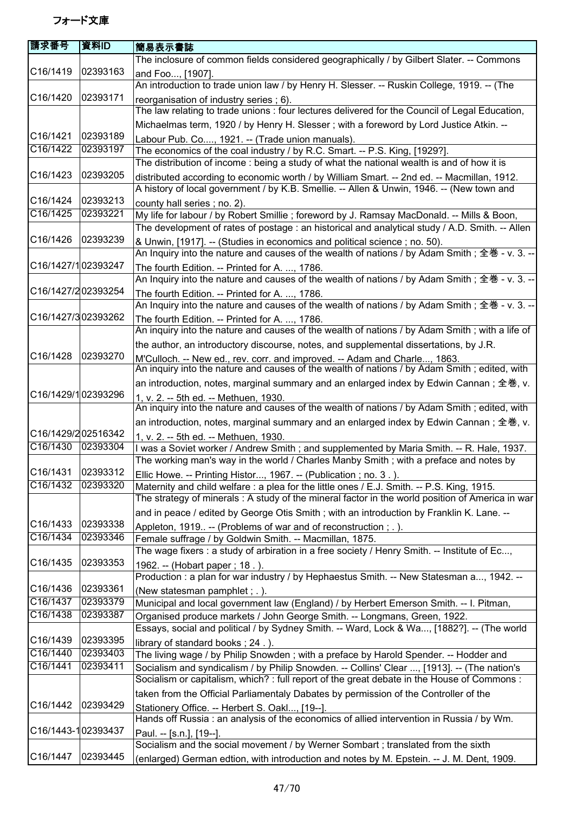| 請求番号               | 資料ID     | 簡易表示書誌                                                                                                                                                                            |
|--------------------|----------|-----------------------------------------------------------------------------------------------------------------------------------------------------------------------------------|
|                    |          | The inclosure of common fields considered geographically / by Gilbert Slater. -- Commons                                                                                          |
| C16/1419           | 02393163 | and Foo, [1907].                                                                                                                                                                  |
|                    |          | An introduction to trade union law / by Henry H. Slesser. -- Ruskin College, 1919. -- (The                                                                                        |
| C16/1420           | 02393171 | reorganisation of industry series; 6).                                                                                                                                            |
|                    |          | The law relating to trade unions: four lectures delivered for the Council of Legal Education,                                                                                     |
|                    |          | Michaelmas term, 1920 / by Henry H. Slesser; with a foreword by Lord Justice Atkin. --                                                                                            |
| C16/1421           | 02393189 | Labour Pub. Co, 1921. -- (Trade union manuals).                                                                                                                                   |
| C16/1422           | 02393197 | The economics of the coal industry / by R.C. Smart. -- P.S. King, [1929?].                                                                                                        |
|                    |          | The distribution of income: being a study of what the national wealth is and of how it is                                                                                         |
| C16/1423           | 02393205 | distributed according to economic worth / by William Smart. -- 2nd ed. -- Macmillan, 1912.                                                                                        |
|                    |          | A history of local government / by K.B. Smellie. -- Allen & Unwin, 1946. -- (New town and                                                                                         |
| C16/1424           | 02393213 | county hall series; no. 2).                                                                                                                                                       |
| C16/1425           | 02393221 | My life for labour / by Robert Smillie ; foreword by J. Ramsay MacDonald. -- Mills & Boon,                                                                                        |
|                    |          | The development of rates of postage : an historical and analytical study / A.D. Smith. -- Allen                                                                                   |
| C16/1426           | 02393239 | & Unwin, [1917]. -- (Studies in economics and political science; no. 50).                                                                                                         |
|                    |          | An Inquiry into the nature and causes of the wealth of nations / by Adam Smith; 全巻 - v. 3. --                                                                                     |
| C16/1427/102393247 |          | The fourth Edition. -- Printed for A. , 1786.                                                                                                                                     |
|                    |          | An Inquiry into the nature and causes of the wealth of nations / by Adam Smith; 全巻 - v. 3. --                                                                                     |
| C16/1427/202393254 |          | The fourth Edition. -- Printed for A. , 1786.                                                                                                                                     |
|                    |          | An Inquiry into the nature and causes of the wealth of nations / by Adam Smith; 全巻 - v. 3. --                                                                                     |
| C16/1427/302393262 |          | The fourth Edition. -- Printed for A. , 1786.                                                                                                                                     |
|                    |          | An inquiry into the nature and causes of the wealth of nations / by Adam Smith; with a life of                                                                                    |
|                    |          | the author, an introductory discourse, notes, and supplemental dissertations, by J.R.                                                                                             |
| C16/1428           | 02393270 | M'Culloch. -- New ed., rev. corr. and improved. -- Adam and Charle, 1863.                                                                                                         |
|                    |          | An inquiry into the nature and causes of the wealth of nations / by Adam Smith; edited, with                                                                                      |
|                    |          | an introduction, notes, marginal summary and an enlarged index by Edwin Cannan; 全巻, v.                                                                                            |
| C16/1429/102393296 |          | 1, v. 2. -- 5th ed. -- Methuen, 1930.                                                                                                                                             |
|                    |          | An inquiry into the nature and causes of the wealth of nations / by Adam Smith; edited, with                                                                                      |
| C16/1429/202516342 |          | an introduction, notes, marginal summary and an enlarged index by Edwin Cannan; 全巻, v.                                                                                            |
| C16/1430           | 02393304 | 1, v. 2. -- 5th ed. -- Methuen, 1930.                                                                                                                                             |
|                    |          | I was a Soviet worker / Andrew Smith; and supplemented by Maria Smith. -- R. Hale, 1937.<br>The working man's way in the world / Charles Manby Smith; with a preface and notes by |
| C16/1431 02393312  |          |                                                                                                                                                                                   |
| C16/1432           | 02393320 | Ellic Howe. -- Printing Histor, 1967. -- (Publication ; no. 3.).<br>Maternity and child welfare : a plea for the little ones / E.J. Smith. -- P.S. King, 1915.                    |
|                    |          | The strategy of minerals: A study of the mineral factor in the world position of America in war                                                                                   |
|                    |          |                                                                                                                                                                                   |
| C16/1433           | 02393338 | and in peace / edited by George Otis Smith ; with an introduction by Franklin K. Lane. --                                                                                         |
| C16/1434           | 02393346 | Appleton, 1919. -- (Problems of war and of reconstruction; .).<br>Female suffrage / by Goldwin Smith. -- Macmillan, 1875.                                                         |
|                    |          | The wage fixers : a study of arbiration in a free society / Henry Smith. -- Institute of Ec,                                                                                      |
| C16/1435           | 02393353 | 1962. -- (Hobart paper; 18.).                                                                                                                                                     |
|                    |          | Production : a plan for war industry / by Hephaestus Smith. -- New Statesman a, 1942. --                                                                                          |
| C16/1436           | 02393361 | (New statesman pamphlet; .).                                                                                                                                                      |
| C16/1437           | 02393379 | Municipal and local government law (England) / by Herbert Emerson Smith. -- I. Pitman,                                                                                            |
| C16/1438           | 02393387 | Organised produce markets / John George Smith. -- Longmans, Green, 1922.                                                                                                          |
|                    |          | Essays, social and political / by Sydney Smith. -- Ward, Lock & Wa, [1882?]. -- (The world                                                                                        |
| C16/1439           | 02393395 | library of standard books; 24.).                                                                                                                                                  |
| C16/1440           | 02393403 | The living wage / by Philip Snowden ; with a preface by Harold Spender. -- Hodder and                                                                                             |
| C16/1441           | 02393411 | Socialism and syndicalism / by Philip Snowden. -- Collins' Clear , [1913]. -- (The nation's                                                                                       |
|                    |          | Socialism or capitalism, which? : full report of the great debate in the House of Commons :                                                                                       |
|                    |          | taken from the Official Parliamentaly Dabates by permission of the Controller of the                                                                                              |
| C16/1442           | 02393429 | Stationery Office. -- Herbert S. Oakl, [19--].                                                                                                                                    |
|                    |          | Hands off Russia : an analysis of the economics of allied intervention in Russia / by Wm.                                                                                         |
| C16/1443-102393437 |          | Paul. -- [s.n.], [19--].                                                                                                                                                          |
|                    |          | Socialism and the social movement / by Werner Sombart ; translated from the sixth                                                                                                 |
| C16/1447           | 02393445 | (enlarged) German edtion, with introduction and notes by M. Epstein. -- J. M. Dent, 1909.                                                                                         |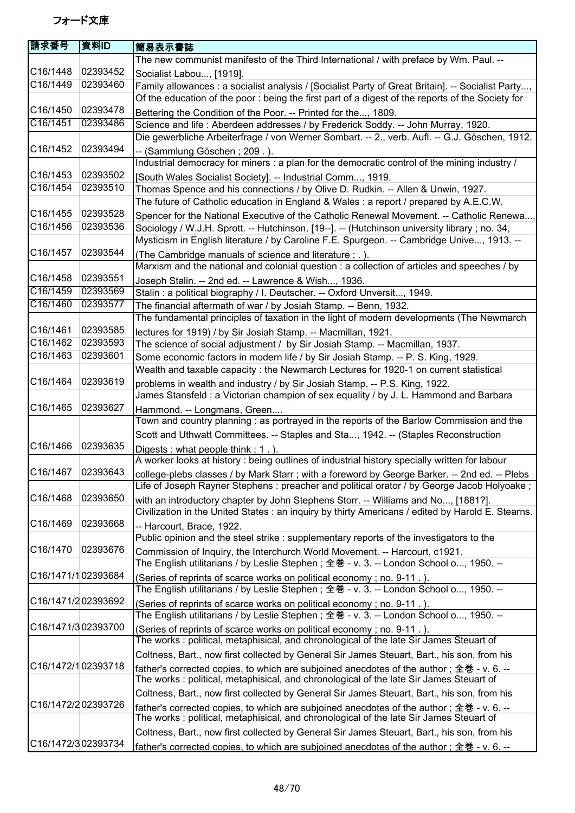| <b>請求番号</b>           | 資料ID     | 簡易表示書誌                                                                                                                                                                              |
|-----------------------|----------|-------------------------------------------------------------------------------------------------------------------------------------------------------------------------------------|
|                       |          | The new communist manifesto of the Third International / with preface by Wm. Paul. --                                                                                               |
| C16/1448              | 02393452 | Socialist Labou, [1919].                                                                                                                                                            |
| C16/1449              | 02393460 | Family allowances : a socialist analysis / [Socialist Party of Great Britain]. -- Socialist Party,                                                                                  |
|                       |          | Of the education of the poor : being the first part of a digest of the reports of the Society for                                                                                   |
| C16/1450              | 02393478 | Bettering the Condition of the Poor. -- Printed for the, 1809.                                                                                                                      |
| C16/1451              | 02393486 | Science and life: Aberdeen addresses / by Frederick Soddy. -- John Murray, 1920.                                                                                                    |
|                       |          | Die gewerbliche Arbeiterfrage / von Werner Sombart. -- 2., verb. Aufl. -- G.J. Göschen, 1912.                                                                                       |
| C16/1452              | 02393494 | -- (Sammlung Göschen; 209.).                                                                                                                                                        |
|                       |          | Industrial democracy for miners : a plan for the democratic control of the mining industry /                                                                                        |
| C16/1453              | 02393502 | [South Wales Socialist Society]. -- Industrial Comm, 1919.                                                                                                                          |
| C16/1454              | 02393510 | Thomas Spence and his connections / by Olive D. Rudkin. -- Allen & Unwin, 1927.                                                                                                     |
|                       |          | The future of Catholic education in England & Wales : a report / prepared by A.E.C.W.                                                                                               |
| C16/1455              | 02393528 | Spencer for the National Executive of the Catholic Renewal Movement. -- Catholic Renewa,                                                                                            |
| C16/1456              | 02393536 | Sociology / W.J.H. Sprott. -- Hutchinson, [19--]. -- (Hutchinson university library; no. 34,                                                                                        |
|                       |          | Mysticism in English literature / by Caroline F.E. Spurgeon. -- Cambridge Unive, 1913. --                                                                                           |
| C16/1457              | 02393544 | (The Cambridge manuals of science and literature ; . ).                                                                                                                             |
|                       |          | Marxism and the national and colonial question : a collection of articles and speeches / by                                                                                         |
| C16/1458              | 02393551 | Joseph Stalin. -- 2nd ed. -- Lawrence & Wish, 1936.                                                                                                                                 |
| C16/1459              | 02393569 | Stalin: a political biography / I. Deutscher. -- Oxford Unversit, 1949.                                                                                                             |
| C16/1460              | 02393577 | The financial aftermath of war / by Josiah Stamp. -- Benn, 1932.                                                                                                                    |
|                       |          | The fundamental principles of taxation in the light of modern developments (The Newmarch                                                                                            |
| C16/1461              | 02393585 | lectures for 1919) / by Sir Josiah Stamp. -- Macmillan, 1921.                                                                                                                       |
| C16/1462              | 02393593 | The science of social adjustment / by Sir Josiah Stamp. -- Macmillan, 1937.                                                                                                         |
| C16/1463              | 02393601 | Some economic factors in modern life / by Sir Josiah Stamp. -- P. S. King, 1929.                                                                                                    |
|                       |          | Wealth and taxable capacity : the Newmarch Lectures for 1920-1 on current statistical                                                                                               |
| C16/1464              | 02393619 | problems in wealth and industry / by Sir Josiah Stamp. -- P.S. King, 1922.                                                                                                          |
|                       |          | James Stansfeld : a Victorian champion of sex equality / by J. L. Hammond and Barbara                                                                                               |
| C16/1465              | 02393627 | Hammond. -- Longmans, Green                                                                                                                                                         |
|                       |          | Town and country planning : as portrayed in the reports of the Barlow Commission and the                                                                                            |
|                       |          | Scott and Uthwatt Committees. -- Staples and Sta, 1942. -- (Staples Reconstruction                                                                                                  |
| C16/1466              | 02393635 | Digests: what people think; 1.).                                                                                                                                                    |
|                       |          | A worker looks at history : being outlines of industrial history specially written for labour                                                                                       |
| C16/1467 02393643     |          | college-plebs classes / by Mark Starr ; with a foreword by George Barker. -- 2nd ed. -- Plebs                                                                                       |
|                       |          | Life of Joseph Rayner Stephens : preacher and political orator / by George Jacob Holyoake;                                                                                          |
| C16/1468              | 02393650 | with an introductory chapter by John Stephens Storr. -- Williams and No, [1881?].                                                                                                   |
|                       |          | Civilization in the United States: an inquiry by thirty Americans / edited by Harold E. Stearns.                                                                                    |
| C <sub>16</sub> /1469 | 02393668 | -- Harcourt, Brace, 1922.                                                                                                                                                           |
|                       |          | Public opinion and the steel strike : supplementary reports of the investigators to the                                                                                             |
| C16/1470              | 02393676 | Commission of Inquiry, the Interchurch World Movement. -- Harcourt, c1921.                                                                                                          |
|                       |          | The English utilitarians / by Leslie Stephen ; 全巻 - v. 3. -- London School o, 1950. --                                                                                              |
| C16/1471/102393684    |          | (Series of reprints of scarce works on political economy; no. 9-11.).                                                                                                               |
|                       |          | The English utilitarians / by Leslie Stephen ; 全巻 - v. 3. -- London School o, 1950. --                                                                                              |
| C16/1471/202393692    |          | (Series of reprints of scarce works on political economy; no. 9-11.).                                                                                                               |
| C16/1471/302393700    |          | The English utilitarians / by Leslie Stephen ; 全巻 - v. 3. -- London School o, 1950. --                                                                                              |
|                       |          | (Series of reprints of scarce works on political economy; no. 9-11.).<br>The works: political, metaphisical, and chronological of the late Sir James Steuart of                     |
|                       |          |                                                                                                                                                                                     |
| C16/1472/102393718    |          | Coltness, Bart., now first collected by General Sir James Steuart, Bart., his son, from his                                                                                         |
|                       |          | father's corrected copies, to which are subjoined anecdotes of the author ; 全巻 - v. 6. --<br>The works: political, metaphisical, and chronological of the late Sir James Steuart of |
|                       |          |                                                                                                                                                                                     |
| C16/1472/202393726    |          | Coltness, Bart., now first collected by General Sir James Steuart, Bart., his son, from his                                                                                         |
|                       |          | father's corrected copies, to which are subjoined anecdotes of the author; 全巻 - v. 6. --<br>The works: political, metaphisical, and chronological of the late Sir James Steuart of  |
|                       |          |                                                                                                                                                                                     |
| C16/1472/302393734    |          | Coltness, Bart., now first collected by General Sir James Steuart, Bart., his son, from his                                                                                         |
|                       |          | father's corrected copies, to which are subjoined anecdotes of the author; 全巻 - v. 6. --                                                                                            |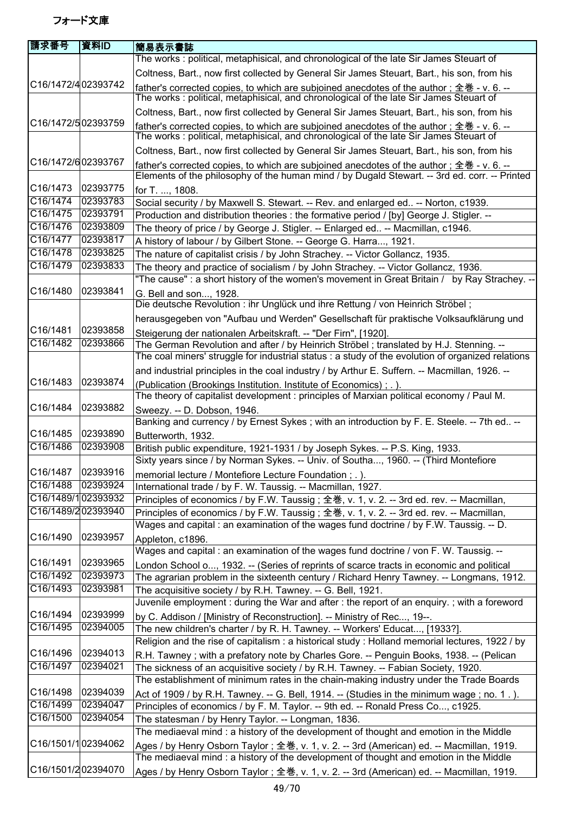| 請求番号                  | 資料ID     | 簡易表示書誌                                                                                                                                                                                    |
|-----------------------|----------|-------------------------------------------------------------------------------------------------------------------------------------------------------------------------------------------|
|                       |          | The works: political, metaphisical, and chronological of the late Sir James Steuart of                                                                                                    |
|                       |          | Coltness, Bart., now first collected by General Sir James Steuart, Bart., his son, from his                                                                                               |
| C16/1472/402393742    |          | father's corrected copies, to which are subjoined anecdotes of the author ; 全巻 - v. 6. --                                                                                                 |
|                       |          | The works : political, metaphisical, and chronological of the late Sir James Steuart of                                                                                                   |
|                       |          | Coltness, Bart., now first collected by General Sir James Steuart, Bart., his son, from his                                                                                               |
| C16/1472/502393759    |          | father's corrected copies, to which are subjoined anecdotes of the author; 全巻 - v. 6. --<br>The works: political, metaphisical, and chronological of the late Sir James Steuart of        |
|                       |          | Coltness, Bart., now first collected by General Sir James Steuart, Bart., his son, from his                                                                                               |
| C16/1472/602393767    |          | father's corrected copies, to which are subjoined anecdotes of the author; 全巻 - v. 6. --<br>Elements of the philosophy of the human mind / by Dugald Stewart. -- 3rd ed. corr. -- Printed |
| C16/1473              | 02393775 | for T. , 1808.                                                                                                                                                                            |
| C16/1474              | 02393783 | Social security / by Maxwell S. Stewart. -- Rev. and enlarged ed -- Norton, c1939.                                                                                                        |
| C16/1475              | 02393791 | Production and distribution theories : the formative period / [by] George J. Stigler. --                                                                                                  |
| C16/1476              | 02393809 | The theory of price / by George J. Stigler. -- Enlarged ed -- Macmillan, c1946.                                                                                                           |
| C16/1477              | 02393817 | A history of labour / by Gilbert Stone. -- George G. Harra, 1921.                                                                                                                         |
| C16/1478              | 02393825 | The nature of capitalist crisis / by John Strachey. -- Victor Gollancz, 1935.                                                                                                             |
| C16/1479              | 02393833 | The theory and practice of socialism / by John Strachey. -- Victor Gollancz, 1936.                                                                                                        |
|                       |          | "The cause": a short history of the women's movement in Great Britain / by Ray Strachey. --                                                                                               |
| C <sub>16</sub> /1480 | 02393841 | G. Bell and son, 1928.                                                                                                                                                                    |
|                       |          | Die deutsche Revolution : ihr Unglück und ihre Rettung / von Heinrich Ströbel;                                                                                                            |
|                       |          | herausgegeben von "Aufbau und Werden" Gesellschaft für praktische Volksaufklärung und                                                                                                     |
| C16/1481              | 02393858 | Steigerung der nationalen Arbeitskraft. -- "Der Firn", [1920].                                                                                                                            |
| C16/1482              | 02393866 | The German Revolution and after / by Heinrich Ströbel; translated by H.J. Stenning. --                                                                                                    |
|                       |          | The coal miners' struggle for industrial status : a study of the evolution of organized relations                                                                                         |
|                       |          | and industrial principles in the coal industry / by Arthur E. Suffern. -- Macmillan, 1926. --                                                                                             |
| C16/1483              | 02393874 | (Publication (Brookings Institution. Institute of Economics); .).<br>The theory of capitalist development : principles of Marxian political economy / Paul M.                             |
| C16/1484              | 02393882 | Sweezy. -- D. Dobson, 1946.                                                                                                                                                               |
|                       |          | Banking and currency / by Ernest Sykes; with an introduction by F. E. Steele. -- 7th ed --                                                                                                |
| C16/1485              | 02393890 | Butterworth, 1932.                                                                                                                                                                        |
| C16/1486              | 02393908 | British public expenditure, 1921-1931 / by Joseph Sykes. -- P.S. King, 1933.                                                                                                              |
|                       |          | Sixty years since / by Norman Sykes. -- Univ. of Southa, 1960. -- (Third Montefiore                                                                                                       |
| C16/1487 02393916     |          | memorial lecture / Montefiore Lecture Foundation ; . ).                                                                                                                                   |
| C16/1488              | 02393924 | International trade / by F. W. Taussig. -- Macmillan, 1927.                                                                                                                               |
| C16/1489/102393932    |          | Principles of economics / by F.W. Taussig; 全巻, v. 1, v. 2. -- 3rd ed. rev. -- Macmillan,                                                                                                  |
| C16/1489/202393940    |          | Principles of economics / by F.W. Taussig; 全巻, v. 1, v. 2. -- 3rd ed. rev. -- Macmillan,                                                                                                  |
|                       |          | Wages and capital : an examination of the wages fund doctrine / by F.W. Taussig. -- D.                                                                                                    |
| C16/1490              | 02393957 | Appleton, c1896.                                                                                                                                                                          |
|                       |          | Wages and capital : an examination of the wages fund doctrine / von F. W. Taussig. --                                                                                                     |
| C16/1491              | 02393965 | London School o, 1932. -- (Series of reprints of scarce tracts in economic and political                                                                                                  |
| C16/1492              | 02393973 | The agrarian problem in the sixteenth century / Richard Henry Tawney. -- Longmans, 1912.                                                                                                  |
| C16/1493              | 02393981 | The acquisitive society / by R.H. Tawney. -- G. Bell, 1921.                                                                                                                               |
|                       |          | Juvenile employment : during the War and after : the report of an enquiry. ; with a foreword                                                                                              |
| C16/1494<br>C16/1495  | 02393999 | by C. Addison / [Ministry of Reconstruction]. -- Ministry of Rec, 19--.                                                                                                                   |
|                       | 02394005 | The new children's charter / by R. H. Tawney. -- Workers' Educat, [1933?].                                                                                                                |
|                       |          | Religion and the rise of capitalism : a historical study : Holland memorial lectures, 1922 / by                                                                                           |
| C16/1496              | 02394013 | R.H. Tawney; with a prefatory note by Charles Gore. -- Penguin Books, 1938. -- (Pelican                                                                                                   |
| C16/1497              | 02394021 | The sickness of an acquisitive society / by R.H. Tawney. -- Fabian Society, 1920.<br>The establishment of minimum rates in the chain-making industry under the Trade Boards               |
| C16/1498              | 02394039 | Act of 1909 / by R.H. Tawney. -- G. Bell, 1914. -- (Studies in the minimum wage; no. 1.).                                                                                                 |
| C16/1499              | 02394047 | Principles of economics / by F. M. Taylor. -- 9th ed. -- Ronald Press Co, c1925.                                                                                                          |
| C16/1500              | 02394054 | The statesman / by Henry Taylor. -- Longman, 1836.                                                                                                                                        |
|                       |          | The mediaeval mind : a history of the development of thought and emotion in the Middle                                                                                                    |
| C16/1501/102394062    |          |                                                                                                                                                                                           |
|                       |          | Ages / by Henry Osborn Taylor; 全巻, v. 1, v. 2. -- 3rd (American) ed. -- Macmillan, 1919.<br>The mediaeval mind : a history of the development of thought and emotion in the Middle        |
| C16/1501/202394070    |          | Ages / by Henry Osborn Taylor; 全巻, v. 1, v. 2. -- 3rd (American) ed. -- Macmillan, 1919.                                                                                                  |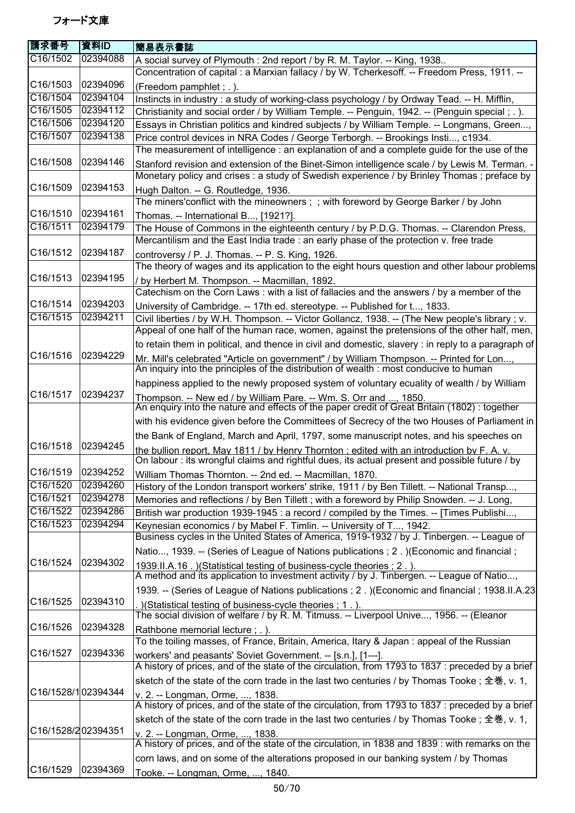| 請求番号                  | 資料ID     | 簡易表示書誌                                                                                                                                                                           |
|-----------------------|----------|----------------------------------------------------------------------------------------------------------------------------------------------------------------------------------|
| C16/1502              | 02394088 | A social survey of Plymouth: 2nd report / by R. M. Taylor. -- King, 1938                                                                                                         |
|                       |          | Concentration of capital : a Marxian fallacy / by W. Tcherkesoff. -- Freedom Press, 1911. --                                                                                     |
| C16/1503              | 02394096 | (Freedom pamphlet; .).                                                                                                                                                           |
| C16/1504              | 02394104 | Instincts in industry : a study of working-class psychology / by Ordway Tead. -- H. Mifflin,                                                                                     |
| C16/1505              | 02394112 | Christianity and social order / by William Temple. -- Penguin, 1942. -- (Penguin special; .).                                                                                    |
| C16/1506              | 02394120 | Essays in Christian politics and kindred subjects / by William Temple. -- Longmans, Green,                                                                                       |
| C16/1507              | 02394138 | Price control devices in NRA Codes / George Terborgh. -- Brookings Insti, c1934.                                                                                                 |
|                       |          | The measurement of intelligence : an explanation of and a complete guide for the use of the                                                                                      |
| C16/1508              | 02394146 | Stanford revision and extension of the Binet-Simon intelligence scale / by Lewis M. Terman. -                                                                                    |
|                       |          | Monetary policy and crises: a study of Swedish experience / by Brinley Thomas; preface by                                                                                        |
| C <sub>16</sub> /1509 | 02394153 | Hugh Dalton. -- G. Routledge, 1936.                                                                                                                                              |
|                       |          | The miners' conflict with the mineowners; ; with foreword by George Barker / by John                                                                                             |
| C16/1510              | 02394161 |                                                                                                                                                                                  |
| C16/1511              | 02394179 | Thomas. -- International B, [1921?].                                                                                                                                             |
|                       |          | The House of Commons in the eighteenth century / by P.D.G. Thomas. -- Clarendon Press,<br>Mercantilism and the East India trade : an early phase of the protection v. free trade |
| C16/1512              | 02394187 |                                                                                                                                                                                  |
|                       |          | controversy / P. J. Thomas. -- P. S. King, 1926.                                                                                                                                 |
|                       |          | The theory of wages and its application to the eight hours question and other labour problems                                                                                    |
| C16/1513              | 02394195 | / by Herbert M. Thompson. -- Macmillan, 1892.                                                                                                                                    |
|                       |          | Catechism on the Corn Laws: with a list of fallacies and the answers / by a member of the                                                                                        |
| C16/1514              | 02394203 | University of Cambridge. -- 17th ed. stereotype. -- Published for t, 1833.                                                                                                       |
| C16/1515              | 02394211 | Civil liberties / by W.H. Thompson. -- Victor Gollancz, 1938. -- (The New people's library; v.                                                                                   |
|                       |          | Appeal of one half of the human race, women, against the pretensions of the other half, men,                                                                                     |
|                       |          | to retain them in political, and thence in civil and domestic, slavery : in reply to a paragraph of                                                                              |
| C16/1516              | 02394229 | Mr. Mill's celebrated "Article on government" / by William Thompson. -- Printed for Lon,                                                                                         |
|                       |          | An inquiry into the principles of the distribution of wealth : most conducive to human                                                                                           |
|                       |          | happiness applied to the newly proposed system of voluntary ecuality of wealth / by William                                                                                      |
| C16/1517              | 02394237 |                                                                                                                                                                                  |
|                       |          | Thompson. -- New ed / by William Pare. -- Wm. S. Orr and , 1850.<br>An enquiry into the nature and effects of the paper credit of Great Britain (1802): together                 |
|                       |          | with his evidence given before the Committees of Secrecy of the two Houses of Parliament in                                                                                      |
|                       |          | the Bank of England, March and April, 1797, some manuscript notes, and his speeches on                                                                                           |
| C16/1518              | 02394245 | the bullion report. May 1811 / by Henry Thornton : edited with an introduction by F. A. v.                                                                                       |
|                       |          | On labour : its wrongful claims and rightful dues, its actual present and possible future / by                                                                                   |
| C16/1519 02394252     |          | William Thomas Thornton. -- 2nd ed. -- Macmillan, 1870.                                                                                                                          |
| C16/1520              | 02394260 | History of the London transport workers' strike, 1911 / by Ben Tillett. -- National Transp,                                                                                      |
| C16/1521              | 02394278 | Memories and reflections / by Ben Tillett; with a foreword by Philip Snowden. -- J. Long,                                                                                        |
| C16/1522              | 02394286 | British war production 1939-1945 : a record / compiled by the Times. -- [Times Publishi,                                                                                         |
| C16/1523              | 02394294 | Keynesian economics / by Mabel F. Timlin. -- University of T, 1942.                                                                                                              |
|                       |          | Business cycles in the United States of America, 1919-1932 / by J. Tinbergen. -- League of                                                                                       |
|                       |          | Natio, 1939. -- (Series of League of Nations publications ; 2. ) (Economic and financial;                                                                                        |
| C16/1524              | 02394302 |                                                                                                                                                                                  |
|                       |          | 1939.II.A.16. ) (Statistical testing of business-cycle theories ; 2.).<br>A method and its application to investment activity / by J. Tinbergen. -- League of Natio,             |
|                       |          |                                                                                                                                                                                  |
| C16/1525              | 02394310 | 1939. -- (Series of League of Nations publications ; 2. ) (Economic and financial ; 1938. II.A.23                                                                                |
|                       |          | .) (Statistical testing of business-cycle theories; 1.).                                                                                                                         |
| C16/1526              | 02394328 | The social division of welfare / by R. M. Titmuss. -- Liverpool Unive, 1956. -- (Eleanor                                                                                         |
|                       |          | Rathbone memorial lecture; .).                                                                                                                                                   |
|                       |          | To the toiling masses, of France, Britain, America, Itary & Japan: appeal of the Russian                                                                                         |
| C16/1527              | 02394336 | workers' and peasants' Soviet Government. -- [s.n.], [1---].                                                                                                                     |
|                       |          | A history of prices, and of the state of the circulation, from 1793 to 1837 : preceded by a brief                                                                                |
|                       |          | sketch of the state of the corn trade in the last two centuries / by Thomas Tooke; 全巻, v. 1,                                                                                     |
| C16/1528/102394344    |          | v. 2. -- Longman, Orme, , 1838.                                                                                                                                                  |
|                       |          | A history of prices, and of the state of the circulation, from 1793 to 1837 : preceded by a brief                                                                                |
|                       |          | sketch of the state of the corn trade in the last two centuries / by Thomas Tooke; 全巻, v. 1,                                                                                     |
| C16/1528/202394351    |          | v. 2. -- Longman, Orme, , 1838.                                                                                                                                                  |
|                       |          | A history of prices, and of the state of the circulation, in 1838 and 1839 : with remarks on the                                                                                 |
|                       |          | corn laws, and on some of the alterations proposed in our banking system / by Thomas                                                                                             |
| C16/1529              | 02394369 | Tooke. -- Longman, Orme, , 1840.                                                                                                                                                 |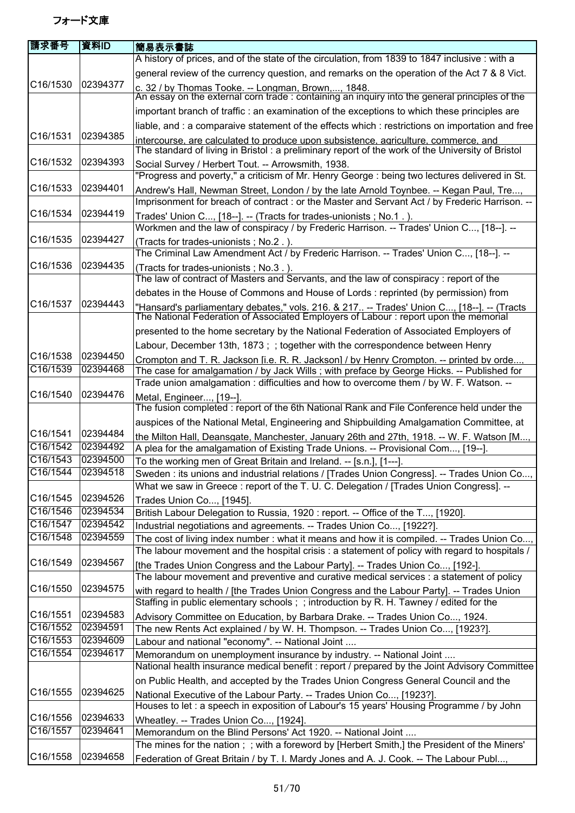| 請求番号                  | 資料ID                 | 簡易表示書誌                                                                                                                                                                                       |
|-----------------------|----------------------|----------------------------------------------------------------------------------------------------------------------------------------------------------------------------------------------|
|                       |                      | A history of prices, and of the state of the circulation, from 1839 to 1847 inclusive : with a                                                                                               |
| C16/1530              |                      | general review of the currency question, and remarks on the operation of the Act 7 & 8 Vict.                                                                                                 |
|                       | 02394377             | c. 32 / by Thomas Tooke. -- Longman, Brown,, 1848.<br>An essay on the external corn trade : containing an inquiry into the general principles of the                                         |
|                       |                      | important branch of traffic : an examination of the exceptions to which these principles are                                                                                                 |
|                       |                      | liable, and : a comparaive statement of the effects which : restrictions on importation and free                                                                                             |
| C16/1531              | 02394385             | intercourse, are calculated to produce upon subsistence, agriculture, commerce, and                                                                                                          |
| C <sub>16</sub> /1532 | 02394393             | The standard of living in Bristol: a preliminary report of the work of the University of Bristol                                                                                             |
|                       |                      | Social Survey / Herbert Tout. -- Arrowsmith, 1938.<br>"Progress and poverty," a criticism of Mr. Henry George : being two lectures delivered in St.                                          |
| C <sub>16</sub> /1533 | 02394401             |                                                                                                                                                                                              |
|                       |                      | Andrew's Hall, Newman Street, London / by the late Arnold Toynbee. -- Kegan Paul, Tre,<br>Imprisonment for breach of contract : or the Master and Servant Act / by Frederic Harrison. --     |
| C16/1534              | 02394419             |                                                                                                                                                                                              |
|                       |                      | Trades' Union C, [18--]. -- (Tracts for trades-unionists ; No.1.).<br>Workmen and the law of conspiracy / by Frederic Harrison. -- Trades' Union C, [18--]. --                               |
| C16/1535              | 02394427             |                                                                                                                                                                                              |
|                       |                      | (Tracts for trades-unionists; No.2.).<br>The Criminal Law Amendment Act / by Frederic Harrison. -- Trades' Union C, [18--]. --                                                               |
| C16/1536              | 02394435             | (Tracts for trades-unionists; No.3.).                                                                                                                                                        |
|                       |                      | The law of contract of Masters and Servants, and the law of conspiracy : report of the                                                                                                       |
|                       |                      | debates in the House of Commons and House of Lords : reprinted (by permission) from                                                                                                          |
| C16/1537              | 02394443             | "Hansard's parliamentary debates," vols. 216. & 217 -- Trades' Union C, [18--]. -- (Tracts<br>The National Federation of Associated Employers of Labour : report upon the memorial           |
|                       |                      | presented to the home secretary by the National Federation of Associated Employers of                                                                                                        |
|                       |                      | Labour, December 13th, 1873; ; together with the correspondence between Henry                                                                                                                |
| C16/1538              | 02394450             | Crompton and T. R. Jackson [i.e. R. R. Jackson] / by Henry Crompton. -- printed by orde                                                                                                      |
| C16/1539              | 02394468             | The case for amalgamation / by Jack Wills; with preface by George Hicks. -- Published for                                                                                                    |
|                       |                      | Trade union amalgamation: difficulties and how to overcome them / by W. F. Watson. --                                                                                                        |
| C16/1540              | 02394476             | Metal, Engineer, [19--].                                                                                                                                                                     |
|                       |                      | The fusion completed : report of the 6th National Rank and File Conference held under the                                                                                                    |
|                       |                      | auspices of the National Metal, Engineering and Shipbuilding Amalgamation Committee, at                                                                                                      |
| C16/1541              | 02394484             | the Milton Hall, Deansgate, Manchester, January 26th and 27th, 1918. -- W. F. Watson [M                                                                                                      |
| C16/1542              | 02394492             | A plea for the amalgamation of Existing Trade Unions. -- Provisional Com, [19--].                                                                                                            |
| C16/1543              | 02394500             | To the working men of Great Britain and Ireland. -- [s.n.], [1---].                                                                                                                          |
| C16/1544              | 02394518             | Sweden : its unions and industrial relations / [Trades Union Congress]. -- Trades Union Co,                                                                                                  |
|                       |                      | What we saw in Greece : report of the T. U. C. Delegation / [Trades Union Congress]. --                                                                                                      |
| C16/1545<br>C16/1546  | 02394526<br>02394534 | Trades Union Co, [1945].                                                                                                                                                                     |
| C16/1547              | 02394542             | British Labour Delegation to Russia, 1920 : report. -- Office of the T, [1920].                                                                                                              |
| C16/1548              | 02394559             | Industrial negotiations and agreements. -- Trades Union Co, [1922?].                                                                                                                         |
|                       |                      | The cost of living index number: what it means and how it is compiled. -- Trades Union Co,<br>The labour movement and the hospital crisis : a statement of policy with regard to hospitals / |
| C16/1549              | 02394567             | [the Trades Union Congress and the Labour Party]. -- Trades Union Co, [192-].                                                                                                                |
|                       |                      | The labour movement and preventive and curative medical services : a statement of policy                                                                                                     |
| C16/1550              | 02394575             | with regard to health / [the Trades Union Congress and the Labour Party]. -- Trades Union                                                                                                    |
|                       |                      | Staffing in public elementary schools; ; introduction by R. H. Tawney / edited for the                                                                                                       |
| C16/1551              | 02394583             | Advisory Committee on Education, by Barbara Drake. -- Trades Union Co, 1924.                                                                                                                 |
| C16/1552              | 02394591             | The new Rents Act explained / by W. H. Thompson. -- Trades Union Co, [1923?].                                                                                                                |
| C16/1553              | 02394609             | Labour and national "economy". -- National Joint                                                                                                                                             |
| C16/1554              | 02394617             | Memorandum on unemployment insurance by industry. -- National Joint                                                                                                                          |
|                       |                      | National health insurance medical benefit : report / prepared by the Joint Advisory Committee                                                                                                |
|                       |                      | on Public Health, and accepted by the Trades Union Congress General Council and the                                                                                                          |
| C16/1555              | 02394625             | National Executive of the Labour Party. -- Trades Union Co, [1923?].                                                                                                                         |
|                       |                      | Houses to let : a speech in exposition of Labour's 15 years' Housing Programme / by John                                                                                                     |
| C16/1556              | 02394633             | Wheatley. -- Trades Union Co, [1924].                                                                                                                                                        |
| C16/1557              | 02394641             | Memorandum on the Blind Persons' Act 1920. -- National Joint                                                                                                                                 |
|                       |                      | The mines for the nation; ; with a foreword by [Herbert Smith,] the President of the Miners'                                                                                                 |
| C16/1558              | 02394658             | Federation of Great Britain / by T. I. Mardy Jones and A. J. Cook. -- The Labour Publ,                                                                                                       |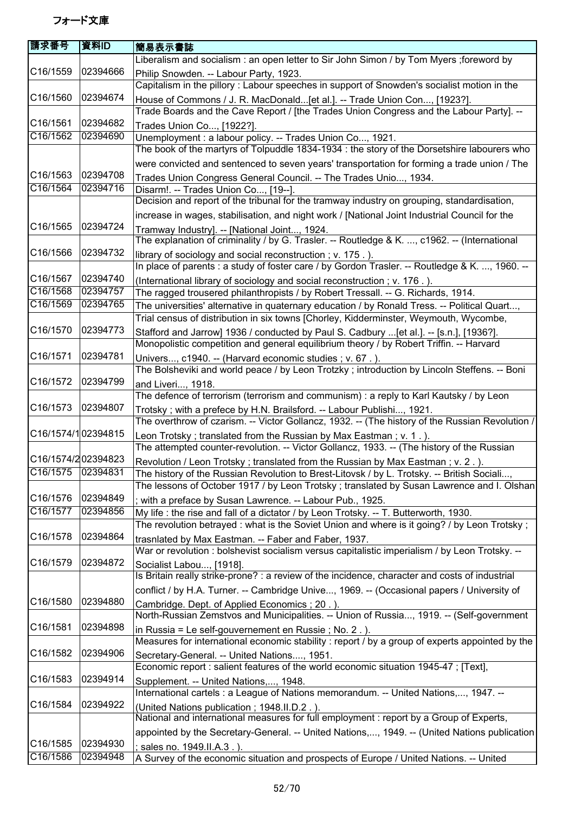| 請求番号                  | 資料ID     | 簡易表示書誌                                                                                                                                 |
|-----------------------|----------|----------------------------------------------------------------------------------------------------------------------------------------|
|                       |          | Liberalism and socialism : an open letter to Sir John Simon / by Tom Myers ; foreword by                                               |
| C16/1559              | 02394666 | Philip Snowden. -- Labour Party, 1923.                                                                                                 |
|                       |          | Capitalism in the pillory : Labour speeches in support of Snowden's socialist motion in the                                            |
| C16/1560              | 02394674 | House of Commons / J. R. MacDonald [et al.]. -- Trade Union Con, [1923?].                                                              |
|                       |          | Trade Boards and the Cave Report / [the Trades Union Congress and the Labour Party]. --                                                |
| C16/1561              | 02394682 | Trades Union Co, [1922?].                                                                                                              |
| C16/1562              | 02394690 | Unemployment : a labour policy. -- Trades Union Co, 1921.                                                                              |
|                       |          | The book of the martyrs of Tolpuddle 1834-1934 : the story of the Dorsetshire labourers who                                            |
|                       |          |                                                                                                                                        |
|                       |          | were convicted and sentenced to seven years' transportation for forming a trade union / The                                            |
| C16/1563              | 02394708 | Trades Union Congress General Council. -- The Trades Unio, 1934.                                                                       |
| C16/1564              | 02394716 | Disarm!. -- Trades Union Co, [19--].                                                                                                   |
|                       |          | Decision and report of the tribunal for the tramway industry on grouping, standardisation,                                             |
|                       |          | increase in wages, stabilisation, and night work / [National Joint Industrial Council for the                                          |
| C16/1565              | 02394724 | Tramway Industry]. -- [National Joint, 1924.                                                                                           |
|                       |          | The explanation of criminality / by G. Trasler. -- Routledge & K. , c1962. -- (International                                           |
| C16/1566              | 02394732 | library of sociology and social reconstruction; v. 175.).                                                                              |
|                       |          | In place of parents : a study of foster care / by Gordon Trasler. -- Routledge & K. , 1960. --                                         |
| C16/1567              | 02394740 | (International library of sociology and social reconstruction; v. 176.).                                                               |
| C16/1568              | 02394757 | The ragged trousered philanthropists / by Robert Tressall. -- G. Richards, 1914.                                                       |
| C16/1569              | 02394765 | The universities' alternative in quaternary education / by Ronald Tress. -- Political Quart,                                           |
|                       |          | Trial census of distribution in six towns [Chorley, Kidderminster, Weymouth, Wycombe,                                                  |
| C16/1570              | 02394773 |                                                                                                                                        |
|                       |          | Stafford and Jarrow] 1936 / conducted by Paul S. Cadbury [et al.]. -- [s.n.], [1936?].                                                 |
|                       |          | Monopolistic competition and general equilibrium theory / by Robert Triffin. -- Harvard                                                |
| C16/1571              | 02394781 | Univers, c1940. -- (Harvard economic studies ; v. 67.).                                                                                |
|                       |          | The Bolsheviki and world peace / by Leon Trotzky ; introduction by Lincoln Steffens. -- Boni                                           |
| C16/1572              | 02394799 | and Liveri, 1918.                                                                                                                      |
|                       |          | The defence of terrorism (terrorism and communism) : a reply to Karl Kautsky / by Leon                                                 |
| C <sub>16</sub> /1573 | 02394807 | Trotsky; with a prefece by H.N. Brailsford. -- Labour Publishi, 1921.                                                                  |
|                       |          | The overthrow of czarism. -- Victor Gollancz, 1932. -- (The history of the Russian Revolution /                                        |
| C16/1574/102394815    |          | Leon Trotsky; translated from the Russian by Max Eastman; v. 1.).                                                                      |
|                       |          | The attempted counter-revolution. -- Victor Gollancz, 1933. -- (The history of the Russian                                             |
| C16/1574/202394823    |          | Revolution / Leon Trotsky; translated from the Russian by Max Eastman; v. 2.).                                                         |
| C16/1575 02394831     |          | The history of the Russian Revolution to Brest-Litovsk / by L. Trotsky. -- British Sociali,                                            |
|                       |          | The lessons of October 1917 / by Leon Trotsky ; translated by Susan Lawrence and I. Olshan                                             |
| C16/1576              | 02394849 | with a preface by Susan Lawrence. -- Labour Pub., 1925.                                                                                |
| C16/1577              | 02394856 | My life : the rise and fall of a dictator / by Leon Trotsky. -- T. Butterworth, 1930.                                                  |
|                       |          | The revolution betrayed: what is the Soviet Union and where is it going? / by Leon Trotsky;                                            |
| C16/1578              | 02394864 |                                                                                                                                        |
|                       |          | trasnlated by Max Eastman. -- Faber and Faber, 1937.                                                                                   |
|                       |          | War or revolution : bolshevist socialism versus capitalistic imperialism / by Leon Trotsky. --                                         |
| C16/1579              | 02394872 | Socialist Labou, [1918].                                                                                                               |
|                       |          | Is Britain really strike-prone? : a review of the incidence, character and costs of industrial                                         |
|                       |          | conflict / by H.A. Turner. -- Cambridge Unive, 1969. -- (Occasional papers / University of                                             |
| C16/1580              | 02394880 | Cambridge. Dept. of Applied Economics; 20.).                                                                                           |
|                       |          | North-Russian Zemstvos and Municipalities. -- Union of Russia, 1919. -- (Self-government                                               |
| C16/1581              | 02394898 | in Russia = Le self-gouvernement en Russie; No. 2.).                                                                                   |
|                       |          | Measures for international economic stability : report / by a group of experts appointed by the                                        |
| C16/1582              | 02394906 | Secretary-General. -- United Nations, 1951.                                                                                            |
|                       |          | Economic report : salient features of the world economic situation 1945-47 ; [Text],                                                   |
| C16/1583              | 02394914 | Supplement. -- United Nations,, 1948.                                                                                                  |
|                       |          | International cartels : a League of Nations memorandum. -- United Nations,, 1947. --                                                   |
| C16/1584              | 02394922 |                                                                                                                                        |
|                       |          | (United Nations publication; 1948.II.D.2.).<br>National and international measures for full employment : report by a Group of Experts, |
|                       |          |                                                                                                                                        |
|                       |          | appointed by the Secretary-General. -- United Nations,, 1949. -- (United Nations publication)                                          |
| C16/1585              | 02394930 | ; sales no. 1949.II.A.3.).                                                                                                             |
| C16/1586              | 02394948 | A Survey of the economic situation and prospects of Europe / United Nations. -- United                                                 |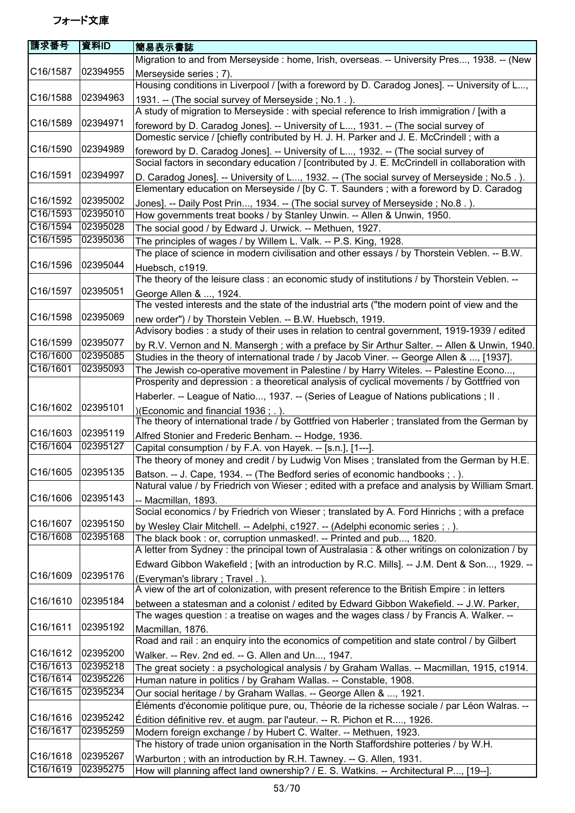| 請求番号                 | 資料ID     | 簡易表示書誌                                                                                                                                                    |
|----------------------|----------|-----------------------------------------------------------------------------------------------------------------------------------------------------------|
|                      |          | Migration to and from Merseyside : home, Irish, overseas. -- University Pres, 1938. -- (New                                                               |
| C16/1587             | 02394955 | Merseyside series ; 7).                                                                                                                                   |
|                      |          | Housing conditions in Liverpool / [with a foreword by D. Caradog Jones]. -- University of L,                                                              |
| C16/1588             | 02394963 | 1931. -- (The social survey of Merseyside; No.1.).                                                                                                        |
|                      |          | A study of migration to Merseyside : with special reference to Irish immigration / [with a                                                                |
| C16/1589             | 02394971 | foreword by D. Caradog Jones]. -- University of L, 1931. -- (The social survey of                                                                         |
|                      |          | Domestic service / [chiefly contributed by H. J. H. Parker and J. E. McCrindell; with a                                                                   |
| C16/1590             | 02394989 | foreword by D. Caradog Jones]. -- University of L, 1932. -- (The social survey of                                                                         |
|                      |          | Social factors in secondary education / [contributed by J. E. McCrindell in collaboration with                                                            |
| C16/1591             | 02394997 | D. Caradog Jones]. -- University of L, 1932. -- (The social survey of Merseyside; No.5.).                                                                 |
|                      |          | Elementary education on Merseyside / [by C. T. Saunders ; with a foreword by D. Caradog                                                                   |
| C16/1592             | 02395002 |                                                                                                                                                           |
| C16/1593             | 02395010 | Jones]. -- Daily Post Prin, 1934. -- (The social survey of Merseyside; No.8.).<br>How governments treat books / by Stanley Unwin. -- Allen & Unwin, 1950. |
| C16/1594             | 02395028 | The social good / by Edward J. Urwick. -- Methuen, 1927.                                                                                                  |
| C16/1595             | 02395036 | The principles of wages / by Willem L. Valk. -- P.S. King, 1928.                                                                                          |
|                      |          | The place of science in modern civilisation and other essays / by Thorstein Veblen. -- B.W.                                                               |
| C16/1596             | 02395044 |                                                                                                                                                           |
|                      |          | Huebsch, c1919.<br>The theory of the leisure class : an economic study of institutions / by Thorstein Veblen. --                                          |
| C16/1597             | 02395051 |                                                                                                                                                           |
|                      |          | George Allen & , 1924.<br>The vested interests and the state of the industrial arts ("the modern point of view and the                                    |
| C16/1598             | 02395069 |                                                                                                                                                           |
|                      |          | new order") / by Thorstein Veblen. -- B.W. Huebsch, 1919.                                                                                                 |
|                      |          | Advisory bodies : a study of their uses in relation to central government, 1919-1939 / edited                                                             |
| C16/1599<br>C16/1600 | 02395077 | by R.V. Vernon and N. Mansergh; with a preface by Sir Arthur Salter. -- Allen & Unwin, 1940.                                                              |
|                      | 02395085 | Studies in the theory of international trade / by Jacob Viner. -- George Allen & , [1937].                                                                |
| C16/1601             | 02395093 | The Jewish co-operative movement in Palestine / by Harry Witeles. -- Palestine Econo,                                                                     |
|                      |          | Prosperity and depression : a theoretical analysis of cyclical movements / by Gottfried von                                                               |
|                      |          | Haberler. -- League of Natio, 1937. -- (Series of League of Nations publications ; II.                                                                    |
| C16/1602             | 02395101 | )(Economic and financial 1936; .).                                                                                                                        |
|                      |          | The theory of international trade / by Gottfried von Haberler ; translated from the German by                                                             |
| C16/1603             | 02395119 | Alfred Stonier and Frederic Benham. -- Hodge, 1936.                                                                                                       |
| C16/1604             | 02395127 | Capital consumption / by F.A. von Hayek. -- [s.n.], [1---].                                                                                               |
|                      |          | The theory of money and credit / by Ludwig Von Mises; translated from the German by H.E.                                                                  |
| C16/1605             | 02395135 | Batson. -- J. Cape, 1934. -- (The Bedford series of economic handbooks ; . ).                                                                             |
|                      |          | Natural value / by Friedrich von Wieser ; edited with a preface and analysis by William Smart.                                                            |
| C16/1606             | 02395143 | -- Macmillan, 1893.                                                                                                                                       |
|                      |          | Social economics / by Friedrich von Wieser; translated by A. Ford Hinrichs; with a preface                                                                |
| C16/1607             | 02395150 | by Wesley Clair Mitchell. -- Adelphi, c1927. -- (Adelphi economic series ; . ).                                                                           |
| C16/1608             | 02395168 | The black book: or, corruption unmasked!. -- Printed and pub, 1820.                                                                                       |
|                      |          | A letter from Sydney : the principal town of Australasia : & other writings on colonization / by                                                          |
|                      |          | Edward Gibbon Wakefield; [with an introduction by R.C. Mills]. -- J.M. Dent & Son, 1929. --                                                               |
| C16/1609             | 02395176 | (Everyman's library; Travel.).                                                                                                                            |
|                      |          | A view of the art of colonization, with present reference to the British Empire : in letters                                                              |
| C16/1610             | 02395184 | between a statesman and a colonist / edited by Edward Gibbon Wakefield. -- J.W. Parker,                                                                   |
|                      |          | The wages question : a treatise on wages and the wages class / by Francis A. Walker. --                                                                   |
| C16/1611             | 02395192 | Macmillan, 1876.                                                                                                                                          |
|                      |          | Road and rail: an enquiry into the economics of competition and state control / by Gilbert                                                                |
| C16/1612             | 02395200 | Walker. -- Rev. 2nd ed. -- G. Allen and Un, 1947.                                                                                                         |
| C16/1613             | 02395218 | The great society : a psychological analysis / by Graham Wallas. -- Macmillan, 1915, c1914.                                                               |
| C16/1614             | 02395226 | Human nature in politics / by Graham Wallas. -- Constable, 1908.                                                                                          |
| C16/1615             | 02395234 | Our social heritage / by Graham Wallas. -- George Allen & , 1921.                                                                                         |
|                      |          | Éléments d'économie politique pure, ou, Théorie de la richesse sociale / par Léon Walras. --                                                              |
| C16/1616             | 02395242 | Édition définitive rev. et augm. par l'auteur. -- R. Pichon et R, 1926.                                                                                   |
| C16/1617             | 02395259 | Modern foreign exchange / by Hubert C. Walter. -- Methuen, 1923.                                                                                          |
|                      |          | The history of trade union organisation in the North Staffordshire potteries / by W.H.                                                                    |
| C16/1618             | 02395267 | Warburton; with an introduction by R.H. Tawney. -- G. Allen, 1931.                                                                                        |
| C16/1619             | 02395275 | How will planning affect land ownership? / E. S. Watkins. -- Architectural P, [19--].                                                                     |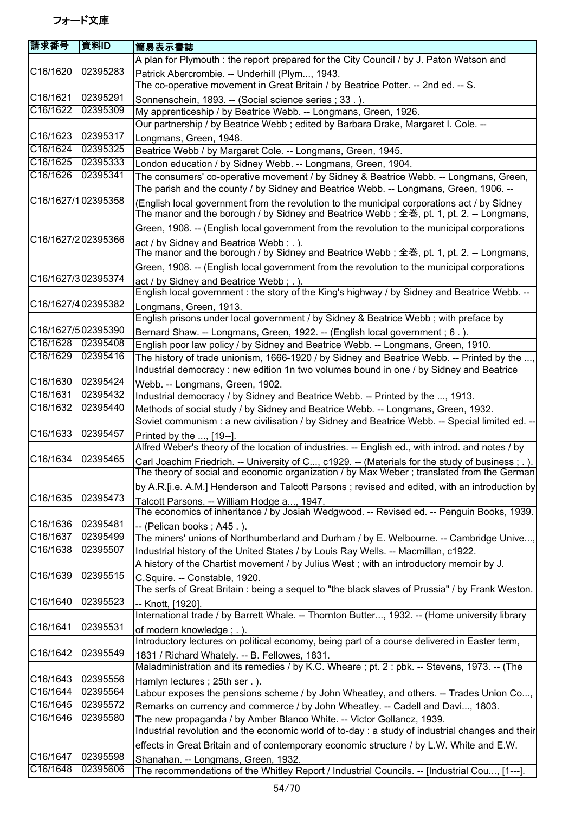| 請求番号               | 資料ID     | 簡易表示書誌                                                                                                                                                                                 |
|--------------------|----------|----------------------------------------------------------------------------------------------------------------------------------------------------------------------------------------|
|                    |          | A plan for Plymouth : the report prepared for the City Council / by J. Paton Watson and                                                                                                |
| C16/1620           | 02395283 | Patrick Abercrombie. -- Underhill (Plym, 1943.                                                                                                                                         |
|                    |          | The co-operative movement in Great Britain / by Beatrice Potter. -- 2nd ed. -- S.                                                                                                      |
| C16/1621           | 02395291 | Sonnenschein, 1893. -- (Social science series ; 33.).                                                                                                                                  |
| C16/1622           | 02395309 | My apprenticeship / by Beatrice Webb. -- Longmans, Green, 1926.                                                                                                                        |
|                    |          | Our partnership / by Beatrice Webb; edited by Barbara Drake, Margaret I. Cole. --                                                                                                      |
| C16/1623           | 02395317 | Longmans, Green, 1948.                                                                                                                                                                 |
| C16/1624           | 02395325 | Beatrice Webb / by Margaret Cole. -- Longmans, Green, 1945.                                                                                                                            |
| C16/1625           | 02395333 | London education / by Sidney Webb. -- Longmans, Green, 1904.                                                                                                                           |
| C16/1626           | 02395341 | The consumers' co-operative movement / by Sidney & Beatrice Webb. -- Longmans, Green,                                                                                                  |
|                    |          | The parish and the county / by Sidney and Beatrice Webb. -- Longmans, Green, 1906. --                                                                                                  |
| C16/1627/102395358 |          | (English local government from the revolution to the municipal corporations act / by Sidney<br>The manor and the borough / by Sidney and Beatrice Webb; 全巻, pt. 1, pt. 2. -- Longmans, |
|                    |          | Green, 1908. -- (English local government from the revolution to the municipal corporations                                                                                            |
| C16/1627/202395366 |          | act / by Sidney and Beatrice Webb; .).                                                                                                                                                 |
|                    |          | The manor and the borough / by Sidney and Beatrice Webb; 全巻, pt. 1, pt. 2. -- Longmans,                                                                                                |
|                    |          | Green, 1908. -- (English local government from the revolution to the municipal corporations                                                                                            |
| C16/1627/302395374 |          | act / by Sidney and Beatrice Webb; .).                                                                                                                                                 |
|                    |          | English local government : the story of the King's highway / by Sidney and Beatrice Webb. --                                                                                           |
| C16/1627/402395382 |          | Longmans, Green, 1913.                                                                                                                                                                 |
|                    |          | English prisons under local government / by Sidney & Beatrice Webb; with preface by                                                                                                    |
| C16/1627/502395390 |          | Bernard Shaw. -- Longmans, Green, 1922. -- (English local government; 6.).                                                                                                             |
| C16/1628           | 02395408 | English poor law policy / by Sidney and Beatrice Webb. -- Longmans, Green, 1910.                                                                                                       |
| C16/1629           | 02395416 | The history of trade unionism, 1666-1920 / by Sidney and Beatrice Webb. -- Printed by the ,                                                                                            |
|                    |          | Industrial democracy : new edition 1n two volumes bound in one / by Sidney and Beatrice                                                                                                |
| C16/1630           | 02395424 | Webb. -- Longmans, Green, 1902.                                                                                                                                                        |
| C16/1631           | 02395432 | Industrial democracy / by Sidney and Beatrice Webb. -- Printed by the , 1913.                                                                                                          |
| C16/1632           | 02395440 | Methods of social study / by Sidney and Beatrice Webb. -- Longmans, Green, 1932.                                                                                                       |
|                    |          | Soviet communism : a new civilisation / by Sidney and Beatrice Webb. -- Special limited ed. --                                                                                         |
| C16/1633           | 02395457 | Printed by the , [19--].                                                                                                                                                               |
|                    |          | Alfred Weber's theory of the location of industries. -- English ed., with introd. and notes / by                                                                                       |
| C16/1634           | 02395465 | Carl Joachim Friedrich. -- University of C, c1929. -- (Materials for the study of business ; . ).                                                                                      |
|                    |          | The theory of social and economic organization / by Max Weber; translated from the German                                                                                              |
|                    |          | by A.R. [i.e. A.M.] Henderson and Talcott Parsons; revised and edited, with an introduction by                                                                                         |
| C16/1635           | 02395473 | Talcott Parsons. -- William Hodge a, 1947.                                                                                                                                             |
|                    |          | The economics of inheritance / by Josiah Wedgwood. -- Revised ed. -- Penguin Books, 1939.                                                                                              |
| C16/1636           | 02395481 | -- (Pelican books; A45.).                                                                                                                                                              |
| C16/1637           | 02395499 | The miners' unions of Northumberland and Durham / by E. Welbourne. -- Cambridge Unive,                                                                                                 |
| C16/1638           | 02395507 | Industrial history of the United States / by Louis Ray Wells. -- Macmillan, c1922.                                                                                                     |
|                    |          | A history of the Chartist movement / by Julius West; with an introductory memoir by J.                                                                                                 |
| C16/1639           | 02395515 | C.Squire. -- Constable, 1920.                                                                                                                                                          |
|                    |          | The serfs of Great Britain: being a sequel to "the black slaves of Prussia" / by Frank Weston.                                                                                         |
| C16/1640           | 02395523 | -- Knott, [1920].                                                                                                                                                                      |
|                    |          | International trade / by Barrett Whale. -- Thornton Butter, 1932. -- (Home university library                                                                                          |
| C16/1641           | 02395531 | of modern knowledge; .).                                                                                                                                                               |
|                    |          | Introductory lectures on political economy, being part of a course delivered in Easter term,                                                                                           |
| C16/1642           | 02395549 | 1831 / Richard Whately. -- B. Fellowes, 1831.                                                                                                                                          |
|                    |          | Maladministration and its remedies / by K.C. Wheare ; pt. 2 : pbk. -- Stevens, 1973. -- (The                                                                                           |
| C16/1643           | 02395556 | Hamlyn lectures; 25th ser.).                                                                                                                                                           |
| C16/1644           | 02395564 | Labour exposes the pensions scheme / by John Wheatley, and others. -- Trades Union Co,                                                                                                 |
| C16/1645           | 02395572 | Remarks on currency and commerce / by John Wheatley. -- Cadell and Davi, 1803.                                                                                                         |
| C16/1646           | 02395580 | The new propaganda / by Amber Blanco White. -- Victor Gollancz, 1939.                                                                                                                  |
|                    |          | Industrial revolution and the economic world of to-day : a study of industrial changes and their                                                                                       |
|                    |          | effects in Great Britain and of contemporary economic structure / by L.W. White and E.W.                                                                                               |
| C16/1647           | 02395598 | Shanahan. -- Longmans, Green, 1932.                                                                                                                                                    |
| C16/1648           | 02395606 | The recommendations of the Whitley Report / Industrial Councils. -- [Industrial Cou, [1---].                                                                                           |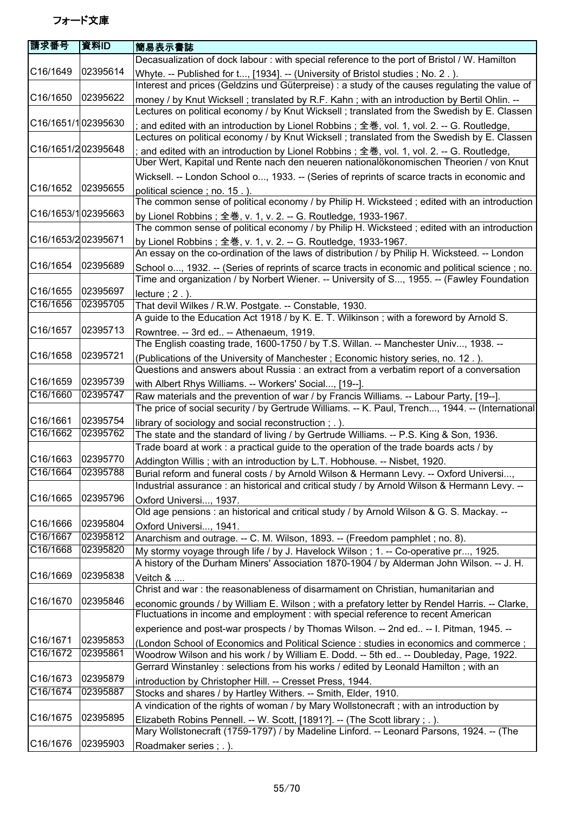| 請求番号                  | 資料ID                 | 簡易表示書誌                                                                                                                                                                                        |
|-----------------------|----------------------|-----------------------------------------------------------------------------------------------------------------------------------------------------------------------------------------------|
|                       |                      | Decasualization of dock labour: with special reference to the port of Bristol / W. Hamilton                                                                                                   |
| C16/1649              | 02395614             | Whyte. -- Published for t, [1934]. -- (University of Bristol studies; No. 2.).<br>Interest and prices (Geldzins und Güterpreise) : a study of the causes regulating the value of              |
| C16/1650              | 02395622             | money / by Knut Wicksell; translated by R.F. Kahn; with an introduction by Bertil Ohlin. --                                                                                                   |
|                       |                      | Lectures on political economy / by Knut Wicksell ; translated from the Swedish by E. Classen                                                                                                  |
| C16/1651/102395630    |                      | and edited with an introduction by Lionel Robbins; 全巻, vol. 1, vol. 2. -- G. Routledge,<br>Lectures on political economy / by Knut Wicksell; translated from the Swedish by E. Classen        |
| C16/1651/202395648    |                      | and edited with an introduction by Lionel Robbins; 全巻, vol. 1, vol. 2. -- G. Routledge,                                                                                                       |
|                       |                      | Über Wert, Kapital und Rente nach den neueren nationalökonomischen Theorien / von Knut                                                                                                        |
|                       |                      | Wicksell. -- London School o, 1933. -- (Series of reprints of scarce tracts in economic and                                                                                                   |
| C16/1652              | 02395655             | political science; no. 15.).<br>The common sense of political economy / by Philip H. Wicksteed; edited with an introduction                                                                   |
| C16/1653/102395663    |                      | by Lionel Robbins; 全巻, v. 1, v. 2. -- G. Routledge, 1933-1967.                                                                                                                                |
|                       |                      | The common sense of political economy / by Philip H. Wicksteed; edited with an introduction                                                                                                   |
| C16/1653/202395671    |                      | by Lionel Robbins; 全巻, v. 1, v. 2. -- G. Routledge, 1933-1967.                                                                                                                                |
| C16/1654              | 02395689             | An essay on the co-ordination of the laws of distribution / by Philip H. Wicksteed. -- London                                                                                                 |
|                       |                      | School o, 1932. -- (Series of reprints of scarce tracts in economic and political science ; no.<br>Time and organization / by Norbert Wiener. -- University of S, 1955. -- (Fawley Foundation |
| C16/1655              | 02395697             |                                                                                                                                                                                               |
| C16/1656              | 02395705             | $lecture$ ; $2$ .).<br>That devil Wilkes / R.W. Postgate. -- Constable, 1930.                                                                                                                 |
|                       |                      | A guide to the Education Act 1918 / by K. E. T. Wilkinson; with a foreword by Arnold S.                                                                                                       |
| C16/1657              | 02395713             |                                                                                                                                                                                               |
|                       |                      | Rowntree. -- 3rd ed -- Athenaeum, 1919.<br>The English coasting trade, 1600-1750 / by T.S. Willan. -- Manchester Univ, 1938. --                                                               |
| C16/1658              | 02395721             | (Publications of the University of Manchester; Economic history series, no. 12.).                                                                                                             |
|                       |                      | Questions and answers about Russia : an extract from a verbatim report of a conversation                                                                                                      |
| C16/1659              | 02395739             | with Albert Rhys Williams. -- Workers' Social, [19--].                                                                                                                                        |
| C16/1660              | 02395747             | Raw materials and the prevention of war / by Francis Williams. -- Labour Party, [19--].                                                                                                       |
|                       |                      | The price of social security / by Gertrude Williams. -- K. Paul, Trench, 1944. -- (International                                                                                              |
| C16/1661              | 02395754             | library of sociology and social reconstruction; .).                                                                                                                                           |
| C16/1662              | 02395762             | The state and the standard of living / by Gertrude Williams. -- P.S. King & Son, 1936.                                                                                                        |
|                       |                      | Trade board at work : a practical guide to the operation of the trade boards acts / by                                                                                                        |
| C16/1663              | 02395770             | Addington Willis; with an introduction by L.T. Hobhouse. -- Nisbet, 1920.                                                                                                                     |
| C16/1664              | 02395788             | Burial reform and funeral costs / by Arnold Wilson & Hermann Levy. -- Oxford Universi                                                                                                         |
|                       |                      | Industrial assurance : an historical and critical study / by Arnold Wilson & Hermann Levy. --                                                                                                 |
| C16/1665              | 02395796             | Oxford Universi, 1937.                                                                                                                                                                        |
|                       |                      | Old age pensions : an historical and critical study / by Arnold Wilson & G. S. Mackay. --                                                                                                     |
| C16/1666              | 02395804             | Oxford Universi, 1941.                                                                                                                                                                        |
| C16/1667              | 02395812             | Anarchism and outrage. -- C. M. Wilson, 1893. -- (Freedom pamphlet; no. 8).                                                                                                                   |
| C16/1668              | 02395820             | My stormy voyage through life / by J. Havelock Wilson; 1. -- Co-operative pr, 1925.                                                                                                           |
|                       |                      | A history of the Durham Miners' Association 1870-1904 / by Alderman John Wilson. -- J. H.                                                                                                     |
| C <sub>16</sub> /1669 | 02395838             | Veitch &                                                                                                                                                                                      |
|                       |                      | Christ and war: the reasonableness of disarmament on Christian, humanitarian and                                                                                                              |
| C16/1670              | 02395846             | economic grounds / by William E. Wilson; with a prefatory letter by Rendel Harris. -- Clarke,                                                                                                 |
|                       |                      | Fluctuations in income and employment : with special reference to recent American                                                                                                             |
|                       |                      | experience and post-war prospects / by Thomas Wilson. -- 2nd ed -- I. Pitman, 1945. --                                                                                                        |
| C16/1671<br>C16/1672  | 02395853<br>02395861 | (London School of Economics and Political Science : studies in economics and commerce ;                                                                                                       |
|                       |                      | Woodrow Wilson and his work / by William E. Dodd. -- 5th ed -- Doubleday, Page, 1922.<br>Gerrard Winstanley: selections from his works / edited by Leonald Hamilton; with an                  |
| C16/1673              | 02395879             | introduction by Christopher Hill. -- Cresset Press, 1944.                                                                                                                                     |
| C16/1674              | 02395887             | Stocks and shares / by Hartley Withers. -- Smith, Elder, 1910.                                                                                                                                |
|                       |                      | A vindication of the rights of woman / by Mary Wollstonecraft; with an introduction by                                                                                                        |
| C16/1675              | 02395895             | Elizabeth Robins Pennell. -- W. Scott, [1891?]. -- (The Scott library ; . ).                                                                                                                  |
|                       |                      | Mary Wollstonecraft (1759-1797) / by Madeline Linford. -- Leonard Parsons, 1924. -- (The                                                                                                      |
| C16/1676              | 02395903             | Roadmaker series; .).                                                                                                                                                                         |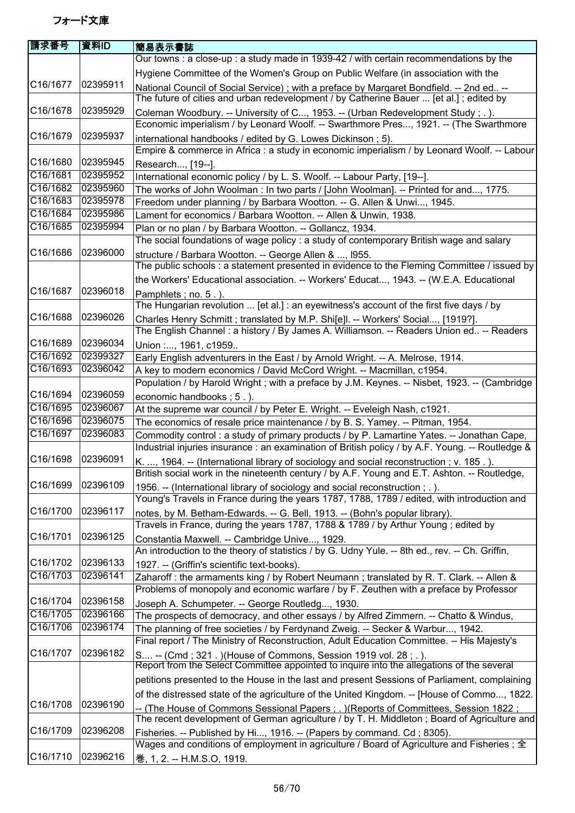| 請求番号     | 資料ID     | 簡易表示書誌                                                                                                                                                                                 |
|----------|----------|----------------------------------------------------------------------------------------------------------------------------------------------------------------------------------------|
|          |          | Our towns : a close-up : a study made in 1939-42 / with certain recommendations by the                                                                                                 |
|          |          | Hygiene Committee of the Women's Group on Public Welfare (in association with the                                                                                                      |
| C16/1677 | 02395911 | National Council of Social Service); with a preface by Margaret Bondfield. -- 2nd ed --                                                                                                |
|          |          | The future of cities and urban redevelopment / by Catherine Bauer  [et al.]; edited by                                                                                                 |
| C16/1678 | 02395929 | Coleman Woodbury. -- University of C, 1953. -- (Urban Redevelopment Study; .).                                                                                                         |
|          |          | Economic imperialism / by Leonard Woolf. -- Swarthmore Pres, 1921. -- (The Swarthmore                                                                                                  |
| C16/1679 | 02395937 | international handbooks / edited by G. Lowes Dickinson; 5).<br>Empire & commerce in Africa : a study in economic imperialism / by Leonard Woolf. -- Labour                             |
| C16/1680 | 02395945 | Research, [19--].                                                                                                                                                                      |
| C16/1681 | 02395952 | International economic policy / by L. S. Woolf. -- Labour Party, [19--].                                                                                                               |
| C16/1682 | 02395960 | The works of John Woolman: In two parts / [John Woolman]. -- Printed for and, 1775.                                                                                                    |
| C16/1683 | 02395978 | Freedom under planning / by Barbara Wootton. -- G. Allen & Unwi, 1945.                                                                                                                 |
| C16/1684 | 02395986 | Lament for economics / Barbara Wootton. -- Allen & Unwin, 1938.                                                                                                                        |
| C16/1685 | 02395994 | Plan or no plan / by Barbara Wootton. -- Gollancz, 1934.                                                                                                                               |
|          |          | The social foundations of wage policy : a study of contemporary British wage and salary                                                                                                |
| C16/1686 | 02396000 | structure / Barbara Wootton. -- George Allen & , 1955.                                                                                                                                 |
|          |          | The public schools : a statement presented in evidence to the Fleming Committee / issued by                                                                                            |
|          |          | the Workers' Educational association. -- Workers' Educat, 1943. -- (W.E.A. Educational                                                                                                 |
| C16/1687 | 02396018 | Pamphlets; no. 5.).                                                                                                                                                                    |
|          |          | The Hungarian revolution  [et al.] : an eyewitness's account of the first five days / by                                                                                               |
| C16/1688 | 02396026 | Charles Henry Schmitt ; translated by M.P. Shi[e]l. -- Workers' Social, [1919?].                                                                                                       |
|          |          | The English Channel : a history / By James A. Williamson. -- Readers Union ed -- Readers                                                                                               |
| C16/1689 | 02396034 | Union :, 1961, c1959                                                                                                                                                                   |
| C16/1692 | 02399327 | Early English adventurers in the East / by Arnold Wright. -- A. Melrose, 1914.                                                                                                         |
| C16/1693 | 02396042 | A key to modern economics / David McCord Wright. -- Macmillan, c1954.                                                                                                                  |
|          |          | Population / by Harold Wright; with a preface by J.M. Keynes. -- Nisbet, 1923. -- (Cambridge                                                                                           |
| C16/1694 | 02396059 |                                                                                                                                                                                        |
| C16/1695 | 02396067 | economic handbooks; 5.).<br>At the supreme war council / by Peter E. Wright. -- Eveleigh Nash, c1921.                                                                                  |
| C16/1696 | 02396075 | The economics of resale price maintenance / by B. S. Yamey. -- Pitman, 1954.                                                                                                           |
| C16/1697 | 02396083 | Commodity control: a study of primary products / by P. Lamartine Yates. -- Jonathan Cape,                                                                                              |
|          |          | Industrial injuries insurance : an examination of British policy / by A.F. Young. -- Routledge &                                                                                       |
| C16/1698 | 02396091 | K. , 1964. -- (International library of sociology and social reconstruction; v. 185.).<br>British social work in the nineteenth century / by A.F. Young and E.T. Ashton. -- Routledge, |
| C16/1699 | 02396109 | 1956. -- (International library of sociology and social reconstruction; .).                                                                                                            |
|          |          | Young's Travels in France during the years 1787, 1788, 1789 / edited, with introduction and                                                                                            |
| C16/1700 | 02396117 | notes, by M. Betham-Edwards. -- G. Bell, 1913. -- (Bohn's popular library).                                                                                                            |
|          |          | Travels in France, during the years 1787, 1788 & 1789 / by Arthur Young; edited by                                                                                                     |
| C16/1701 | 02396125 | Constantia Maxwell. -- Cambridge Unive, 1929.                                                                                                                                          |
|          |          | An introduction to the theory of statistics / by G. Udny Yule. -- 8th ed., rev. -- Ch. Griffin,                                                                                        |
| C16/1702 | 02396133 | 1927. -- (Griffin's scientific text-books).                                                                                                                                            |
| C16/1703 | 02396141 | Zaharoff : the armaments king / by Robert Neumann ; translated by R. T. Clark. -- Allen &                                                                                              |
|          |          | Problems of monopoly and economic warfare / by F. Zeuthen with a preface by Professor                                                                                                  |
| C16/1704 | 02396158 | Joseph A. Schumpeter. -- George Routledg, 1930.                                                                                                                                        |
| C16/1705 | 02396166 | The prospects of democracy, and other essays / by Alfred Zimmern. -- Chatto & Windus,                                                                                                  |
| C16/1706 | 02396174 | The planning of free societies / by Ferdynand Zweig. -- Secker & Warbur, 1942.                                                                                                         |
|          |          | Final report / The Ministry of Reconstruction, Adult Education Committee. -- His Majesty's                                                                                             |
| C16/1707 | 02396182 | S -- (Cmd; 321.) (House of Commons, Session 1919 vol. 28; .).                                                                                                                          |
|          |          | Report from the Select Committee appointed to inquire into the allegations of the several                                                                                              |
|          |          | petitions presented to the House in the last and present Sessions of Parliament, complaining                                                                                           |
|          |          | of the distressed state of the agriculture of the United Kingdom. -- [House of Commo, 1822.                                                                                            |
| C16/1708 | 02396190 |                                                                                                                                                                                        |
|          |          | -- (The House of Commons Sessional Papers : . ) (Reports of Committees. Session 1822 :<br>The recent development of German agriculture / by T. H. Middleton; Board of Agriculture and  |
| C16/1709 | 02396208 |                                                                                                                                                                                        |
|          |          | Fisheries. -- Published by Hi, 1916. -- (Papers by command. Cd; 8305).<br>Wages and conditions of employment in agriculture / Board of Agriculture and Fisheries; $\pm$                |
| C16/1710 | 02396216 | 巻, 1, 2. -- H.M.S.O, 1919.                                                                                                                                                             |
|          |          |                                                                                                                                                                                        |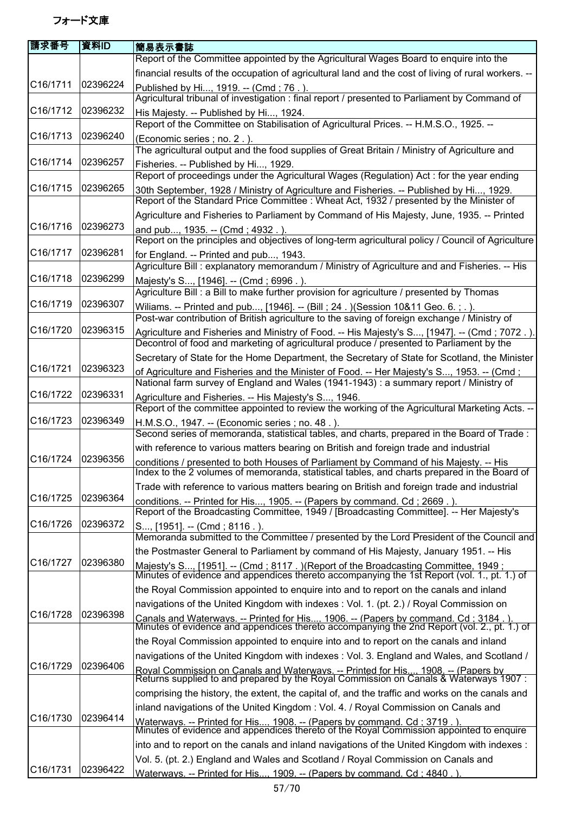| 請求番号                  | 資料ID     | 簡易表示書誌                                                                                                                                                                                    |
|-----------------------|----------|-------------------------------------------------------------------------------------------------------------------------------------------------------------------------------------------|
|                       |          | Report of the Committee appointed by the Agricultural Wages Board to enquire into the                                                                                                     |
|                       |          | financial results of the occupation of agricultural land and the cost of living of rural workers. --                                                                                      |
| C16/1711              | 02396224 | Published by Hi, 1919. -- (Cmd; 76.).<br>Agricultural tribunal of investigation : final report / presented to Parliament by Command of                                                    |
| C16/1712              | 02396232 | His Majesty. -- Published by Hi, 1924.<br>Report of the Committee on Stabilisation of Agricultural Prices. -- H.M.S.O., 1925. --                                                          |
| C16/1713              | 02396240 | (Economic series; no. 2.).                                                                                                                                                                |
| C <sub>16</sub> /1714 | 02396257 | The agricultural output and the food supplies of Great Britain / Ministry of Agriculture and<br>Fisheries. -- Published by Hi, 1929.                                                      |
|                       |          | Report of proceedings under the Agricultural Wages (Regulation) Act : for the year ending                                                                                                 |
| C <sub>16</sub> /1715 | 02396265 | 30th September, 1928 / Ministry of Agriculture and Fisheries. -- Published by Hi, 1929.                                                                                                   |
|                       |          | Report of the Standard Price Committee : Wheat Act, 1932 / presented by the Minister of                                                                                                   |
| C16/1716              | 02396273 | Agriculture and Fisheries to Parliament by Command of His Majesty, June, 1935. -- Printed                                                                                                 |
|                       |          | and pub, 1935. -- (Cmd; 4932.)<br>Report on the principles and objectives of long-term agricultural policy / Council of Agriculture                                                       |
| C16/1717              | 02396281 | for England. -- Printed and pub, 1943.                                                                                                                                                    |
| C16/1718              | 02396299 | Agriculture Bill : explanatory memorandum / Ministry of Agriculture and and Fisheries. -- His                                                                                             |
|                       |          | Majesty's S, [1946]. -- (Cmd; 6996.).<br>Agriculture Bill : a Bill to make further provision for agriculture / presented by Thomas                                                        |
| C16/1719              | 02396307 | Wiliams. -- Printed and pub, [1946]. -- (Bill; 24.) (Session 10&11 Geo. 6.; .).                                                                                                           |
|                       |          | Post-war contribution of British agriculture to the saving of foreign exchange / Ministry of                                                                                              |
| C16/1720              | 02396315 | Agriculture and Fisheries and Ministry of Food. -- His Majesty's S, [1947]. -- (Cmd ; 7072.).<br>Decontrol of food and marketing of agricultural produce / presented to Parliament by the |
|                       |          | Secretary of State for the Home Department, the Secretary of State for Scotland, the Minister                                                                                             |
| C16/1721              | 02396323 | of Agriculture and Fisheries and the Minister of Food. -- Her Majesty's S, 1953. -- (Cmd;                                                                                                 |
| C16/1722              | 02396331 | National farm survey of England and Wales (1941-1943) : a summary report / Ministry of                                                                                                    |
|                       |          | Agriculture and Fisheries. -- His Majesty's S, 1946.<br>Report of the committee appointed to review the working of the Agricultural Marketing Acts. --                                    |
| C16/1723              | 02396349 | H.M.S.O., 1947. -- (Economic series; no. 48.).<br>Second series of memoranda, statistical tables, and charts, prepared in the Board of Trade:                                             |
|                       |          | with reference to various matters bearing on British and foreign trade and industrial                                                                                                     |
| C16/1724              | 02396356 | conditions / presented to both Houses of Parliament by Command of his Majesty. -- His                                                                                                     |
|                       |          | Index to the 2 volumes of memoranda, statistical tables, and charts prepared in the Board of                                                                                              |
|                       |          | Trade with reference to various matters bearing on British and foreign trade and industrial                                                                                               |
| C16/1725              | 02396364 | conditions. -- Printed for His, 1905. -- (Papers by command. Cd; 2669.).                                                                                                                  |
| C16/1726              | 02396372 | Report of the Broadcasting Committee, 1949 / [Broadcasting Committee]. -- Her Majesty's                                                                                                   |
|                       |          | S, [1951]. -- (Cmd; 8116.).<br>Memoranda submitted to the Committee / presented by the Lord President of the Council and                                                                  |
|                       |          | the Postmaster General to Parliament by command of His Majesty, January 1951. -- His                                                                                                      |
| C16/1727              | 02396380 | Majesty's S, [1951]. -- (Cmd ; 8117 . )(Report of the Broadcasting Committee, 1949 ;<br>Minutes of evidence and appendices thereto accompanying the 1st Report (vol. 1., pt. 1.) of       |
|                       |          | the Royal Commission appointed to enquire into and to report on the canals and inland                                                                                                     |
|                       |          | navigations of the United Kingdom with indexes: Vol. 1. (pt. 2.) / Royal Commission on                                                                                                    |
| C16/1728              | 02396398 | Canals and Waterways. -- Printed for His, 1906. -- (Papers by command. Cd : 3184.).<br>Minutes of evidence and appendices thereto accompanying the 2nd Report (vol. 2., pt. 1.) of        |
|                       |          | the Royal Commission appointed to enquire into and to report on the canals and inland                                                                                                     |
|                       |          | navigations of the United Kingdom with indexes : Vol. 3. England and Wales, and Scotland /                                                                                                |
| C16/1729              | 02396406 | Royal Commission on Canals and Waterways. -- Printed for His 1908. -- (Papers by<br>Returns supplied to and prepared by the Royal Commission on Canals & Waterways 1907 :                 |
|                       |          | comprising the history, the extent, the capital of, and the traffic and works on the canals and                                                                                           |
|                       |          | inland navigations of the United Kingdom: Vol. 4. / Royal Commission on Canals and                                                                                                        |
| C16/1730              | 02396414 | Waterways. -- Printed for His, 1908. -- (Papers by command. Cd : 3719.).<br>Minutes of evidence and appendices thereto of the Royal Commission appointed to enquire                       |
|                       |          | into and to report on the canals and inland navigations of the United Kingdom with indexes :                                                                                              |
|                       |          | Vol. 5. (pt. 2.) England and Wales and Scotland / Royal Commission on Canals and                                                                                                          |
| C <sub>16</sub> /1731 | 02396422 | Waterways. -- Printed for His 1909. -- (Papers by command. Cd : 4840.)                                                                                                                    |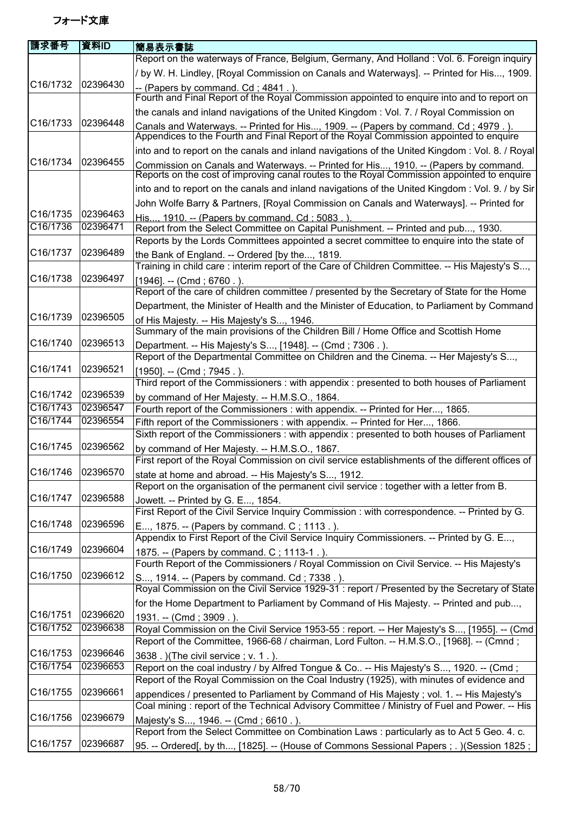| 請求番号              | 資料ID     | 簡易表示書誌                                                                                                                                                                                   |
|-------------------|----------|------------------------------------------------------------------------------------------------------------------------------------------------------------------------------------------|
|                   |          | Report on the waterways of France, Belgium, Germany, And Holland : Vol. 6. Foreign inquiry                                                                                               |
|                   |          | / by W. H. Lindley, [Royal Commission on Canals and Waterways]. -- Printed for His, 1909.                                                                                                |
| C16/1732          | 02396430 | -- (Papers by command. Cd; 4841.).<br>Fourth and Final Report of the Royal Commission appointed to enquire into and to report on                                                         |
|                   |          | the canals and inland navigations of the United Kingdom: Vol. 7. / Royal Commission on                                                                                                   |
| C16/1733          | 02396448 | Canals and Waterways. -- Printed for His, 1909. -- (Papers by command. Cd; 4979.).<br>Appendices to the Fourth and Final Report of the Royal Commission appointed to enquire             |
|                   |          | into and to report on the canals and inland navigations of the United Kingdom : Vol. 8. / Royal                                                                                          |
| C16/1734          | 02396455 | Commission on Canals and Waterways. -- Printed for His, 1910. -- (Papers by command.<br>Reports on the cost of improving canal routes to the Royal Commission appointed to enquire       |
|                   |          | into and to report on the canals and inland navigations of the United Kingdom : Vol. 9. / by Sir                                                                                         |
|                   |          | John Wolfe Barry & Partners, [Royal Commission on Canals and Waterways]. -- Printed for                                                                                                  |
| C16/1735          | 02396463 | His, 1910. -- (Papers by command. Cd; 5083.).                                                                                                                                            |
| C16/1736          | 02396471 | Report from the Select Committee on Capital Punishment. -- Printed and pub, 1930.                                                                                                        |
|                   |          | Reports by the Lords Committees appointed a secret committee to enquire into the state of                                                                                                |
| C16/1737          | 02396489 | the Bank of England. -- Ordered [by the, 1819.                                                                                                                                           |
|                   |          | Training in child care: interim report of the Care of Children Committee. -- His Majesty's S,                                                                                            |
| C16/1738          | 02396497 | $[1946]$ . -- (Cmd; 6760.).                                                                                                                                                              |
|                   |          | Report of the care of children committee / presented by the Secretary of State for the Home                                                                                              |
|                   |          | Department, the Minister of Health and the Minister of Education, to Parliament by Command                                                                                               |
| C16/1739          | 02396505 | of His Majesty. -- His Majesty's S, 1946.<br>Summary of the main provisions of the Children Bill / Home Office and Scottish Home                                                         |
| C16/1740          | 02396513 | Department. -- His Majesty's S, [1948]. -- (Cmd; 7306.).                                                                                                                                 |
|                   |          | Report of the Departmental Committee on Children and the Cinema. -- Her Majesty's S,                                                                                                     |
| C16/1741          | 02396521 | [1950]. -- (Cmd; 7945.).<br>Third report of the Commissioners: with appendix: presented to both houses of Parliament                                                                     |
| C16/1742          | 02396539 | by command of Her Majesty. -- H.M.S.O., 1864.                                                                                                                                            |
| C16/1743          | 02396547 | Fourth report of the Commissioners : with appendix. -- Printed for Her, 1865.                                                                                                            |
| C16/1744          | 02396554 | Fifth report of the Commissioners: with appendix. -- Printed for Her, 1866.                                                                                                              |
|                   |          | Sixth report of the Commissioners : with appendix : presented to both houses of Parliament                                                                                               |
| C16/1745          | 02396562 | by command of Her Majesty. -- H.M.S.O., 1867.                                                                                                                                            |
|                   |          | First report of the Royal Commission on civil service establishments of the different offices of                                                                                         |
| C16/1746 02396570 |          | state at home and abroad. -- His Majesty's S, 1912.                                                                                                                                      |
|                   |          | Report on the organisation of the permanent civil service : together with a letter from B.                                                                                               |
| C16/1747          | 02396588 | Jowett. -- Printed by G. E, 1854.                                                                                                                                                        |
|                   |          | First Report of the Civil Service Inquiry Commission : with correspondence. -- Printed by G.                                                                                             |
| C16/1748          | 02396596 | E, 1875. -- (Papers by command. C; 1113.).<br>Appendix to First Report of the Civil Service Inquiry Commissioners. -- Printed by G. E,                                                   |
| C16/1749          | 02396604 | 1875. -- (Papers by command. C; 1113-1.).                                                                                                                                                |
|                   |          | Fourth Report of the Commissioners / Royal Commission on Civil Service. -- His Majesty's                                                                                                 |
| C16/1750          | 02396612 | S, 1914. -- (Papers by command. Cd; 7338.).<br>Royal Commission on the Civil Service 1929-31 : report / Presented by the Secretary of State                                              |
|                   |          | for the Home Department to Parliament by Command of His Majesty. -- Printed and pub,                                                                                                     |
| C16/1751          | 02396620 | 1931. -- (Cmd; 3909.).                                                                                                                                                                   |
| C16/1752          | 02396638 | Royal Commission on the Civil Service 1953-55 : report. -- Her Majesty's S, [1955]. -- (Cmd                                                                                              |
|                   |          | Report of the Committee, 1966-68 / chairman, Lord Fulton. -- H.M.S.O., [1968]. -- (Cmnd;                                                                                                 |
| C16/1753          | 02396646 | 3638. ) (The civil service; v. 1.).                                                                                                                                                      |
| C16/1754          | 02396653 | Report on the coal industry / by Alfred Tongue & Co -- His Majesty's S, 1920. -- (Cmd;                                                                                                   |
|                   |          | Report of the Royal Commission on the Coal Industry (1925), with minutes of evidence and                                                                                                 |
| C16/1755          | 02396661 | appendices / presented to Parliament by Command of His Majesty; vol. 1. -- His Majesty's<br>Coal mining: report of the Technical Advisory Committee / Ministry of Fuel and Power. -- His |
| C16/1756          | 02396679 | Majesty's S, 1946. -- (Cmd; 6610.).                                                                                                                                                      |
|                   |          | Report from the Select Committee on Combination Laws : particularly as to Act 5 Geo. 4. c.                                                                                               |
| C16/1757          | 02396687 | 95. -- Ordered[, by th, [1825]. -- (House of Commons Sessional Papers ; . ) (Session 1825 ;                                                                                              |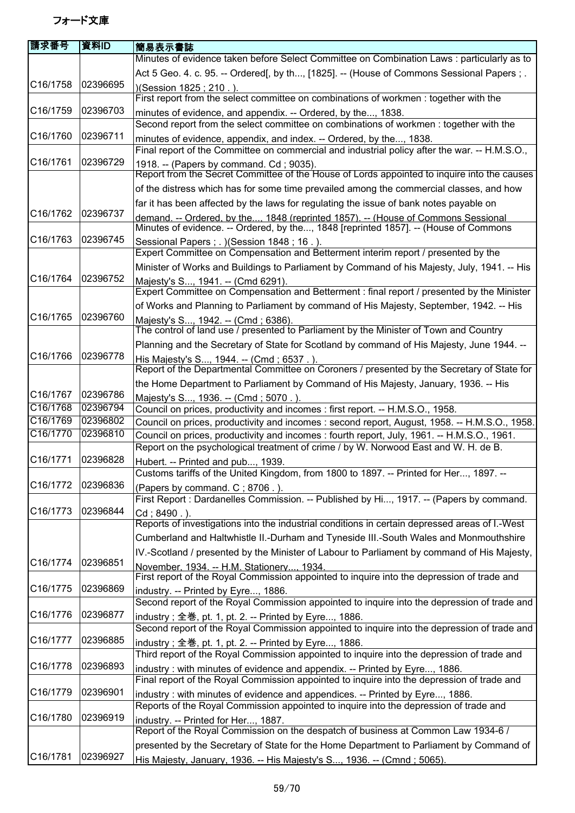| 請求番号                  | l資料ID    | 簡易表示書誌                                                                                                                                                                    |
|-----------------------|----------|---------------------------------------------------------------------------------------------------------------------------------------------------------------------------|
|                       |          | Minutes of evidence taken before Select Committee on Combination Laws : particularly as to                                                                                |
|                       |          | Act 5 Geo. 4. c. 95. -- Ordered[, by th, [1825]. -- (House of Commons Sessional Papers ; .                                                                                |
| C16/1758              | 02396695 | )(Session 1825; 210.).                                                                                                                                                    |
|                       |          | First report from the select committee on combinations of workmen : together with the                                                                                     |
| C16/1759              | 02396703 | minutes of evidence, and appendix. -- Ordered, by the, 1838.                                                                                                              |
|                       |          | Second report from the select committee on combinations of workmen : together with the                                                                                    |
| C16/1760              | 02396711 | minutes of evidence, appendix, and index. -- Ordered, by the, 1838.                                                                                                       |
|                       |          | Final report of the Committee on commercial and industrial policy after the war. -- H.M.S.O.,                                                                             |
| C16/1761              | 02396729 | 1918. -- (Papers by command. Cd; 9035).                                                                                                                                   |
|                       |          | Report from the Secret Committee of the House of Lords appointed to inquire into the causes                                                                               |
|                       |          | of the distress which has for some time prevailed among the commercial classes, and how                                                                                   |
|                       |          |                                                                                                                                                                           |
| C16/1762              | 02396737 | far it has been affected by the laws for regulating the issue of bank notes payable on                                                                                    |
|                       |          | demand. -- Ordered, by the, 1848 (reprinted 1857). -- (House of Commons Sessional<br>Minutes of evidence. -- Ordered, by the, 1848 [reprinted 1857]. -- (House of Commons |
| C16/1763              | 02396745 | Sessional Papers ; . ) (Session 1848 ; 16 . ).                                                                                                                            |
|                       |          | Expert Committee on Compensation and Betterment interim report / presented by the                                                                                         |
|                       |          | Minister of Works and Buildings to Parliament by Command of his Majesty, July, 1941. -- His                                                                               |
| C16/1764              | 02396752 | Majesty's S, 1941. -- (Cmd 6291).                                                                                                                                         |
|                       |          | Expert Committee on Compensation and Betterment : final report / presented by the Minister                                                                                |
|                       |          | of Works and Planning to Parliament by command of His Majesty, September, 1942. -- His                                                                                    |
| C16/1765              | 02396760 | Majesty's S, 1942. -- (Cmd; 6386).                                                                                                                                        |
|                       |          | The control of land use / presented to Parliament by the Minister of Town and Country                                                                                     |
|                       |          | Planning and the Secretary of State for Scotland by command of His Majesty, June 1944. --                                                                                 |
| C16/1766              | 02396778 | His Majesty's S, 1944. -- (Cmd; 6537.).                                                                                                                                   |
|                       |          | Report of the Departmental Committee on Coroners / presented by the Secretary of State for                                                                                |
|                       |          | the Home Department to Parliament by Command of His Majesty, January, 1936. -- His                                                                                        |
| C16/1767              | 02396786 | Majesty's S, 1936. -- (Cmd; 5070.)                                                                                                                                        |
| C16/1768              | 02396794 | Council on prices, productivity and incomes : first report. -- H.M.S.O., 1958.                                                                                            |
| C16/1769              | 02396802 | Council on prices, productivity and incomes: second report, August, 1958. -- H.M.S.O., 1958.                                                                              |
| C16/1770              | 02396810 | Council on prices, productivity and incomes : fourth report, July, 1961. -- H.M.S.O., 1961.                                                                               |
|                       |          | Report on the psychological treatment of crime / by W. Norwood East and W. H. de B.                                                                                       |
| C16/1771              | 02396828 | Hubert. -- Printed and pub, 1939.                                                                                                                                         |
|                       |          | Customs tariffs of the United Kingdom, from 1800 to 1897. -- Printed for Her, 1897. --                                                                                    |
| C16/1772              | 02396836 | (Papers by command. C; 8706.).                                                                                                                                            |
|                       |          | First Report : Dardanelles Commission. -- Published by Hi, 1917. -- (Papers by command.                                                                                   |
| C16/1773              | 02396844 | Cd; 8490.).                                                                                                                                                               |
|                       |          | Reports of investigations into the industrial conditions in certain depressed areas of I.-West                                                                            |
|                       |          | Cumberland and Haltwhistle II.-Durham and Tyneside III.-South Wales and Monmouthshire                                                                                     |
|                       |          | IV.-Scotland / presented by the Minister of Labour to Parliament by command of His Majesty,                                                                               |
| C16/1774              | 02396851 | November. 1934. -- H.M. Stationerv 1934.                                                                                                                                  |
|                       |          | First report of the Royal Commission appointed to inquire into the depression of trade and                                                                                |
| C16/1775              | 02396869 | industry. -- Printed by Eyre, 1886.                                                                                                                                       |
|                       |          | Second report of the Royal Commission appointed to inquire into the depression of trade and                                                                               |
| C16/1776              | 02396877 | industry; 全巻, pt. 1, pt. 2. -- Printed by Eyre, 1886.                                                                                                                     |
|                       |          | Second report of the Royal Commission appointed to inquire into the depression of trade and                                                                               |
| C16/1777              | 02396885 | industry; 全巻, pt. 1, pt. 2. -- Printed by Eyre, 1886.                                                                                                                     |
|                       |          | Third report of the Royal Commission appointed to inquire into the depression of trade and                                                                                |
| C <sub>16</sub> /1778 | 02396893 | industry: with minutes of evidence and appendix. -- Printed by Eyre, 1886.                                                                                                |
|                       |          | Final report of the Royal Commission appointed to inquire into the depression of trade and                                                                                |
| C16/1779              | 02396901 | industry: with minutes of evidence and appendices. -- Printed by Eyre, 1886.                                                                                              |
|                       |          | Reports of the Royal Commission appointed to inquire into the depression of trade and                                                                                     |
| C16/1780              | 02396919 | industry. -- Printed for Her, 1887.                                                                                                                                       |
|                       |          | Report of the Royal Commission on the despatch of business at Common Law 1934-6 /                                                                                         |
|                       |          | presented by the Secretary of State for the Home Department to Parliament by Command of                                                                                   |
| C16/1781              | 02396927 | His Majesty, January, 1936. -- His Majesty's S, 1936. -- (Cmnd ; 5065).                                                                                                   |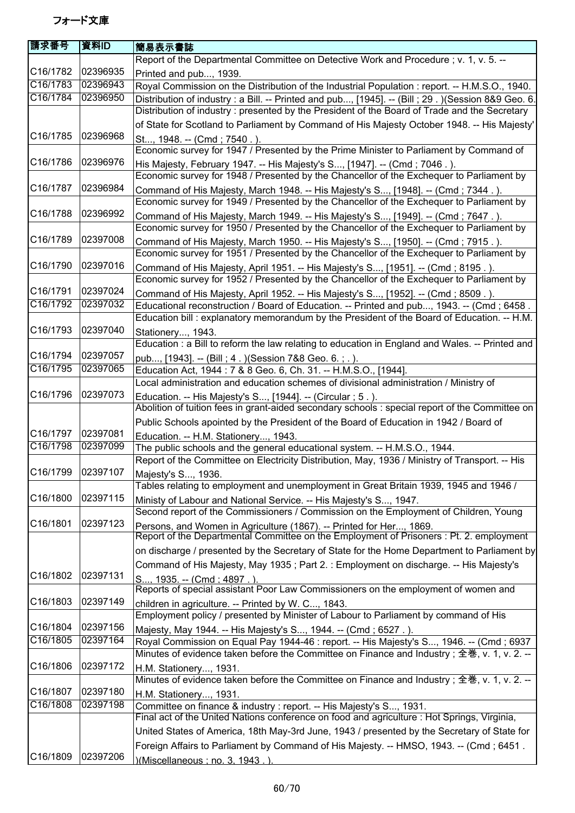| 請求番号                  | 資料ID                 | 簡易表示書誌                                                                                                                                                                       |
|-----------------------|----------------------|------------------------------------------------------------------------------------------------------------------------------------------------------------------------------|
|                       |                      | Report of the Departmental Committee on Detective Work and Procedure; v. 1, v. 5. --                                                                                         |
| C16/1782              | 02396935             | Printed and pub, 1939.                                                                                                                                                       |
| C16/1783              | 02396943             | Royal Commission on the Distribution of the Industrial Population : report. -- H.M.S.O., 1940.                                                                               |
| C16/1784              | 02396950             | Distribution of industry : a Bill. -- Printed and pub, [1945]. -- (Bill ; 29.) (Session 8&9 Geo. 6.                                                                          |
|                       |                      | Distribution of industry: presented by the President of the Board of Trade and the Secretary                                                                                 |
|                       |                      | of State for Scotland to Parliament by Command of His Majesty October 1948. -- His Majesty'                                                                                  |
| C16/1785              | 02396968             | St, 1948. -- (Cmd; 7540.).                                                                                                                                                   |
|                       |                      | Economic survey for 1947 / Presented by the Prime Minister to Parliament by Command of                                                                                       |
| C <sub>16</sub> /1786 | 02396976             | His Majesty, February 1947. -- His Majesty's S, [1947]. -- (Cmd; 7046.).                                                                                                     |
|                       |                      | Economic survey for 1948 / Presented by the Chancellor of the Exchequer to Parliament by                                                                                     |
| C16/1787              | 02396984             | Command of His Majesty, March 1948. -- His Majesty's S, [1948]. -- (Cmd; 7344.).                                                                                             |
|                       |                      | Economic survey for 1949 / Presented by the Chancellor of the Exchequer to Parliament by                                                                                     |
| C16/1788              | 02396992             |                                                                                                                                                                              |
|                       |                      | Command of His Majesty, March 1949. -- His Majesty's S, [1949]. -- (Cmd; 7647.).<br>Economic survey for 1950 / Presented by the Chancellor of the Exchequer to Parliament by |
| C16/1789              | 02397008             |                                                                                                                                                                              |
|                       |                      | Command of His Majesty, March 1950. -- His Majesty's S, [1950]. -- (Cmd; 7915.).<br>Economic survey for 1951 / Presented by the Chancellor of the Exchequer to Parliament by |
| C16/1790              | 02397016             |                                                                                                                                                                              |
|                       |                      | Command of His Majesty, April 1951. -- His Majesty's S, [1951]. -- (Cmd; 8195.).<br>Economic survey for 1952 / Presented by the Chancellor of the Exchequer to Parliament by |
| C16/1791              | 02397024             |                                                                                                                                                                              |
| C16/1792              | 02397032             | Command of His Majesty, April 1952. -- His Majesty's S, [1952]. -- (Cmd; 8509.).                                                                                             |
|                       |                      | Educational reconstruction / Board of Education. -- Printed and pub, 1943. -- (Cmd; 6458.                                                                                    |
| C16/1793              | 02397040             | Education bill : explanatory memorandum by the President of the Board of Education. -- H.M.                                                                                  |
|                       |                      | Stationery, 1943.                                                                                                                                                            |
|                       |                      | Education : a Bill to reform the law relating to education in England and Wales. -- Printed and                                                                              |
| C16/1794              | 02397057<br>02397065 | pub, [1943]. -- (Bill; 4.) (Session 7&8 Geo. 6.; .).                                                                                                                         |
| C16/1795              |                      | Education Act, 1944 : 7 & 8 Geo. 6, Ch. 31. -- H.M.S.O., [1944].                                                                                                             |
|                       |                      | Local administration and education schemes of divisional administration / Ministry of                                                                                        |
| C16/1796              | 02397073             | Education. -- His Majesty's S, [1944]. -- (Circular ; 5.).                                                                                                                   |
|                       |                      | Abolition of tuition fees in grant-aided secondary schools : special report of the Committee on                                                                              |
|                       |                      | Public Schools apointed by the President of the Board of Education in 1942 / Board of                                                                                        |
| C16/1797              | 02397081             | Education. -- H.M. Stationery, 1943.                                                                                                                                         |
| C16/1798              | 02397099             | The public schools and the general educational system. -- H.M.S.O., 1944.                                                                                                    |
|                       |                      | Report of the Committee on Electricity Distribution, May, 1936 / Ministry of Transport. -- His                                                                               |
| C16/1799 02397107     |                      | Majesty's S, 1936.                                                                                                                                                           |
|                       |                      | Tables relating to employment and unemployment in Great Britain 1939, 1945 and 1946 /                                                                                        |
| C16/1800              | 02397115             | Ministy of Labour and National Service. -- His Majesty's S, 1947.                                                                                                            |
|                       |                      | Second report of the Commissioners / Commission on the Employment of Children, Young                                                                                         |
| C16/1801              | 02397123             | Persons, and Women in Agriculture (1867). -- Printed for Her, 1869.                                                                                                          |
|                       |                      | Report of the Departmental Committee on the Employment of Prisoners : Pt. 2. employment                                                                                      |
|                       |                      | on discharge / presented by the Secretary of State for the Home Department to Parliament by                                                                                  |
|                       |                      | Command of His Majesty, May 1935; Part 2.: Employment on discharge. -- His Majesty's                                                                                         |
| C16/1802              | 02397131             | S 1935. -- (Cmd : 4897 . ).                                                                                                                                                  |
|                       |                      | Reports of special assistant Poor Law Commissioners on the employment of women and                                                                                           |
| C16/1803              | 02397149             | children in agriculture. -- Printed by W. C, 1843.                                                                                                                           |
|                       |                      | Employment policy / presented by Minister of Labour to Parliament by command of His                                                                                          |
| C16/1804              | 02397156             | Majesty, May 1944. -- His Majesty's S, 1944. -- (Cmd ; 6527.).                                                                                                               |
| C16/1805              | 02397164             | Royal Commission on Equal Pay 1944-46 : report. -- His Majesty's S, 1946. -- (Cmd ; 6937                                                                                     |
|                       |                      | Minutes of evidence taken before the Committee on Finance and Industry; 全巻, v. 1, v. 2. --                                                                                   |
| C <sub>16</sub> /1806 | 02397172             | H.M. Stationery, 1931.                                                                                                                                                       |
|                       |                      | Minutes of evidence taken before the Committee on Finance and Industry ; 全巻, v. 1, v. 2. --                                                                                  |
| C16/1807              | 02397180             | H.M. Stationery, 1931.                                                                                                                                                       |
| C16/1808              | 02397198             | Committee on finance & industry : report. -- His Majesty's S, 1931.                                                                                                          |
|                       |                      | Final act of the United Nations conference on food and agriculture : Hot Springs, Virginia,                                                                                  |
|                       |                      | United States of America, 18th May-3rd June, 1943 / presented by the Secretary of State for                                                                                  |
|                       |                      | Foreign Affairs to Parliament by Command of His Majesty. -- HMSO, 1943. -- (Cmd; 6451.                                                                                       |
| C16/1809              | 02397206             | )(Miscellaneous : no. 3. 1943 .)                                                                                                                                             |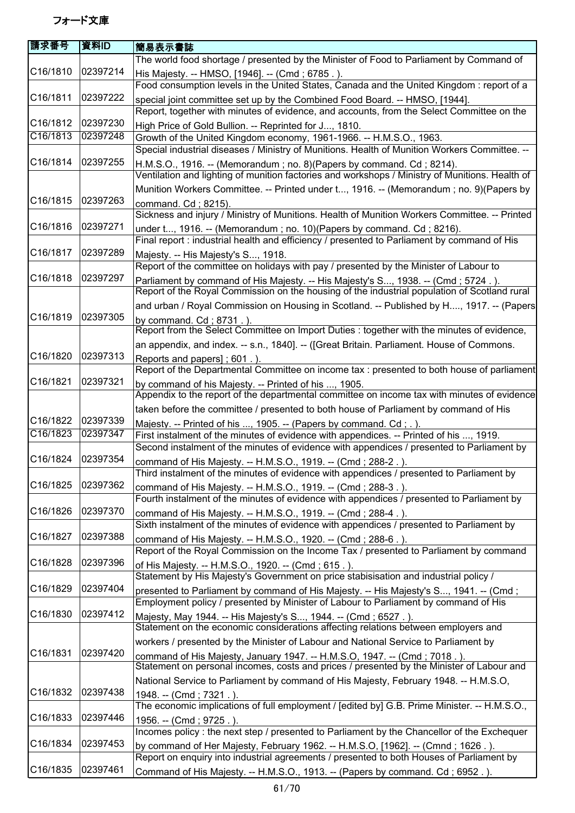| 請求番号     | 資料ID     | 簡易表示書誌                                                                                                                                                                       |
|----------|----------|------------------------------------------------------------------------------------------------------------------------------------------------------------------------------|
|          |          | The world food shortage / presented by the Minister of Food to Parliament by Command of                                                                                      |
| C16/1810 | 02397214 | His Majesty. -- HMSO, [1946]. -- (Cmd; 6785.).                                                                                                                               |
|          |          | Food consumption levels in the United States, Canada and the United Kingdom: report of a                                                                                     |
| C16/1811 | 02397222 | special joint committee set up by the Combined Food Board. -- HMSO, [1944].                                                                                                  |
|          |          | Report, together with minutes of evidence, and accounts, from the Select Committee on the                                                                                    |
| C16/1812 | 02397230 | High Price of Gold Bullion. -- Reprinted for J, 1810.                                                                                                                        |
| C16/1813 | 02397248 | Growth of the United Kingdom economy, 1961-1966. -- H.M.S.O., 1963.                                                                                                          |
|          |          | Special industrial diseases / Ministry of Munitions. Health of Munition Workers Committee. --                                                                                |
| C16/1814 | 02397255 | H.M.S.O., 1916. -- (Memorandum; no. 8) (Papers by command. Cd; 8214).                                                                                                        |
|          |          | Ventilation and lighting of munition factories and workshops / Ministry of Munitions. Health of                                                                              |
|          |          | Munition Workers Committee. -- Printed under t, 1916. -- (Memorandum ; no. 9) (Papers by                                                                                     |
| C16/1815 | 02397263 | command. Cd; 8215).                                                                                                                                                          |
|          |          | Sickness and injury / Ministry of Munitions. Health of Munition Workers Committee. -- Printed                                                                                |
| C16/1816 | 02397271 | under t, 1916. -- (Memorandum; no. 10) (Papers by command. Cd; 8216).                                                                                                        |
|          |          | Final report : industrial health and efficiency / presented to Parliament by command of His                                                                                  |
| C16/1817 | 02397289 | Majesty. -- His Majesty's S, 1918.                                                                                                                                           |
|          |          | Report of the committee on holidays with pay / presented by the Minister of Labour to                                                                                        |
| C16/1818 | 02397297 | Parliament by command of His Majesty. -- His Majesty's S, 1938. -- (Cmd; 5724.).                                                                                             |
|          |          | Report of the Royal Commission on the housing of the industrial population of Scotland rural                                                                                 |
|          |          | and urban / Royal Commission on Housing in Scotland. -- Published by H, 1917. -- (Papers                                                                                     |
| C16/1819 | 02397305 | by command. Cd; 8731.).                                                                                                                                                      |
|          |          | Report from the Select Committee on Import Duties : together with the minutes of evidence,                                                                                   |
|          |          | an appendix, and index. -- s.n., 1840]. -- ([Great Britain. Parliament. House of Commons.                                                                                    |
| C16/1820 | 02397313 | Reports and papers]; 601.)                                                                                                                                                   |
|          |          | Report of the Departmental Committee on income tax : presented to both house of parliament                                                                                   |
| C16/1821 | 02397321 | by command of his Majesty. -- Printed of his , 1905.                                                                                                                         |
|          |          | Appendix to the report of the departmental committee on income tax with minutes of evidence                                                                                  |
|          |          | taken before the committee / presented to both house of Parliament by command of His                                                                                         |
| C16/1822 | 02397339 | Majesty. -- Printed of his , 1905. -- (Papers by command. Cd; .).                                                                                                            |
| C16/1823 | 02397347 | First instalment of the minutes of evidence with appendices. -- Printed of his , 1919.                                                                                       |
|          |          | Second instalment of the minutes of evidence with appendices / presented to Parliament by                                                                                    |
| C16/1824 | 02397354 | command of His Majesty. -- H.M.S.O., 1919. -- (Cmd; 288-2.).                                                                                                                 |
|          |          | Third instalment of the minutes of evidence with appendices / presented to Parliament by                                                                                     |
| C16/1825 | 02397362 | command of His Majesty. -- H.M.S.O., 1919. -- (Cmd; 288-3.).                                                                                                                 |
|          |          | Fourth instalment of the minutes of evidence with appendices / presented to Parliament by                                                                                    |
| C16/1826 | 02397370 | command of His Majesty. -- H.M.S.O., 1919. -- (Cmd ; 288-4.).                                                                                                                |
|          |          | Sixth instalment of the minutes of evidence with appendices / presented to Parliament by                                                                                     |
| C16/1827 | 02397388 | command of His Majesty. -- H.M.S.O., 1920. -- (Cmd; 288-6.).                                                                                                                 |
| C16/1828 | 02397396 | Report of the Royal Commission on the Income Tax / presented to Parliament by command                                                                                        |
|          |          | of His Majesty. -- H.M.S.O., 1920. -- (Cmd; 615.).                                                                                                                           |
| C16/1829 | 02397404 | Statement by His Majesty's Government on price stabisisation and industrial policy /                                                                                         |
|          |          | presented to Parliament by command of His Majesty. -- His Majesty's S, 1941. -- (Cmd;<br>Employment policy / presented by Minister of Labour to Parliament by command of His |
| C16/1830 | 02397412 |                                                                                                                                                                              |
|          |          | Majesty, May 1944. -- His Majesty's S, 1944. -- (Cmd; 6527.).<br>Statement on the economic considerations affecting relations between employers and                          |
|          |          | workers / presented by the Minister of Labour and National Service to Parliament by                                                                                          |
| C16/1831 | 02397420 |                                                                                                                                                                              |
|          |          | command of His Majesty, January 1947. -- H.M.S.O, 1947. -- (Cmd ; 7018.).<br>Statement on personal incomes, costs and prices / presented by the Minister of Labour and       |
|          |          | National Service to Parliament by command of His Majesty, February 1948. -- H.M.S.O,                                                                                         |
| C16/1832 | 02397438 |                                                                                                                                                                              |
|          |          | 1948. -- (Cmd; 7321.).<br>The economic implications of full employment / [edited by] G.B. Prime Minister. -- H.M.S.O.,                                                       |
| C16/1833 | 02397446 | 1956. -- (Cmd; 9725.).                                                                                                                                                       |
|          |          | Incomes policy : the next step / presented to Parliament by the Chancellor of the Exchequer                                                                                  |
| C16/1834 | 02397453 | by command of Her Majesty, February 1962. -- H.M.S.O, [1962]. -- (Cmnd; 1626.).                                                                                              |
|          |          | Report on enquiry into industrial agreements / presented to both Houses of Parliament by                                                                                     |
| C16/1835 | 02397461 | Command of His Majesty. -- H.M.S.O., 1913. -- (Papers by command. Cd; 6952.).                                                                                                |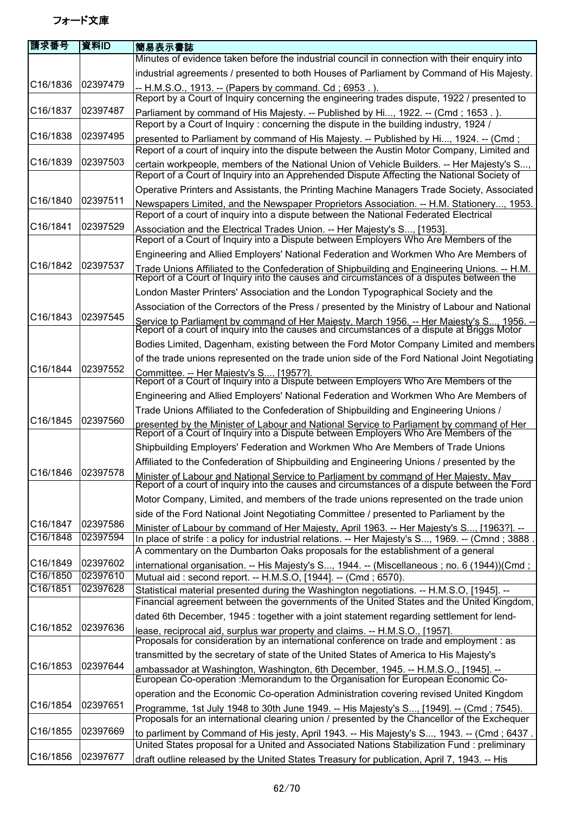| 請求番号                 | 資料ID                 | 簡易表示書誌                                                                                                                                                                                                                                                                       |
|----------------------|----------------------|------------------------------------------------------------------------------------------------------------------------------------------------------------------------------------------------------------------------------------------------------------------------------|
|                      |                      | Minutes of evidence taken before the industrial council in connection with their enquiry into                                                                                                                                                                                |
|                      |                      | industrial agreements / presented to both Houses of Parliament by Command of His Majesty.                                                                                                                                                                                    |
| C16/1836             | 02397479             | -- H.M.S.O., 1913. -- (Papers by command. Cd; 6953.).<br>Report by a Court of Inquiry concerning the engineering trades dispute, 1922 / presented to                                                                                                                         |
| C16/1837             | 02397487             | Parliament by command of His Majesty. -- Published by Hi, 1922. -- (Cmd; 1653.).                                                                                                                                                                                             |
|                      |                      | Report by a Court of Inquiry: concerning the dispute in the building industry, 1924 /                                                                                                                                                                                        |
| C16/1838             | 02397495             | presented to Parliament by command of His Majesty. -- Published by Hi, 1924. -- (Cmd;                                                                                                                                                                                        |
|                      |                      | Report of a court of inquiry into the dispute between the Austin Motor Company, Limited and                                                                                                                                                                                  |
| C16/1839             | 02397503             | certain workpeople, members of the National Union of Vehicle Builders. -- Her Majesty's S,<br>Report of a Court of Inquiry into an Apprehended Dispute Affecting the National Society of                                                                                     |
|                      |                      | Operative Printers and Assistants, the Printing Machine Managers Trade Society, Associated                                                                                                                                                                                   |
| C16/1840             | 02397511             | Newspapers Limited, and the Newspaper Proprietors Association. -- H.M. Stationery, 1953.<br>Report of a court of inquiry into a dispute between the National Federated Electrical                                                                                            |
| C16/1841             | 02397529             | Association and the Electrical Trades Union. -- Her Majesty's S, [1953].<br>Report of a Court of Inquiry into a Dispute between Employers Who Are Members of the                                                                                                             |
|                      |                      | Engineering and Allied Employers' National Federation and Workmen Who Are Members of                                                                                                                                                                                         |
| C16/1842             | 02397537             |                                                                                                                                                                                                                                                                              |
|                      |                      | Trade Unions Affiliated to the Confederation of Shipbuilding and Engineering Unions. -- H.M.<br>Report of a Court of Inquiry into the causes and circumstances of a disputes between the<br>London Master Printers' Association and the London Typographical Society and the |
|                      |                      |                                                                                                                                                                                                                                                                              |
| C16/1843             | 02397545             | Association of the Correctors of the Press / presented by the Ministry of Labour and National                                                                                                                                                                                |
|                      |                      | Service to Parliament by command of Her Maiesty. March 1956. -- Her Maiesty's S 1956. --<br>Report of a court of inquiry into the causes and circumstances of a dispute at Briggs Motor                                                                                      |
|                      |                      | Bodies Limited, Dagenham, existing between the Ford Motor Company Limited and members                                                                                                                                                                                        |
| C16/1844             | 02397552             | of the trade unions represented on the trade union side of the Ford National Joint Negotiating                                                                                                                                                                               |
|                      |                      | Committee. -- Her Maiesty's S [1957?].<br>Report of a Court of Inquiry into a Dispute between Employers Who Are Members of the                                                                                                                                               |
|                      |                      | Engineering and Allied Employers' National Federation and Workmen Who Are Members of                                                                                                                                                                                         |
|                      |                      | Trade Unions Affiliated to the Confederation of Shipbuilding and Engineering Unions /                                                                                                                                                                                        |
| C16/1845             | 02397560             | presented by the Minister of Labour and National Service to Parliament by command of Her<br>Report of a Court of Inquiry into a Dispute between Employers Who Are Members of the                                                                                             |
|                      |                      | Shipbuilding Employers' Federation and Workmen Who Are Members of Trade Unions                                                                                                                                                                                               |
|                      |                      | Affiliated to the Confederation of Shipbuilding and Engineering Unions / presented by the                                                                                                                                                                                    |
| C16/1846 02397578    |                      | Minister of Labour and National Service to Parliament by command of Her Maiesty. May<br>Report of a court of inquiry into the causes and circumstances of a dispute between the Ford                                                                                         |
|                      |                      | Motor Company, Limited, and members of the trade unions represented on the trade union                                                                                                                                                                                       |
|                      |                      | side of the Ford National Joint Negotiating Committee / presented to Parliament by the                                                                                                                                                                                       |
| C16/1847<br>C16/1848 | 02397586<br>02397594 | Minister of Labour by command of Her Maiesty. April 1963. -- Her Maiesty's S [1963?]. --<br>In place of strife : a policy for industrial relations. -- Her Majesty's S, 1969. -- (Cmnd ; 3888                                                                                |
|                      |                      | A commentary on the Dumbarton Oaks proposals for the establishment of a general                                                                                                                                                                                              |
| C16/1849             | 02397602             | international organisation. -- His Majesty's S, 1944. -- (Miscellaneous ; no. 6 (1944))(Cmd ;                                                                                                                                                                                |
| C16/1850             | 02397610             | Mutual aid: second report. -- H.M.S.O, [1944]. -- (Cmd; 6570).                                                                                                                                                                                                               |
| C16/1851             | 02397628             | Statistical material presented during the Washington negotiations. -- H.M.S.O, [1945]. --                                                                                                                                                                                    |
|                      |                      | Financial agreement between the governments of the United States and the United Kingdom,                                                                                                                                                                                     |
|                      |                      | dated 6th December, 1945 : together with a joint statement regarding settlement for lend-                                                                                                                                                                                    |
| C16/1852             | 02397636             | lease, reciprocal aid, surplus war property and claims. -- H.M.S.O., [1957].<br>Proposals for consideration by an international conference on trade and employment : as                                                                                                      |
|                      |                      | transmitted by the secretary of state of the United States of America to His Majesty's                                                                                                                                                                                       |
| C16/1853             | 02397644             | ambassador at Washington, Washington, 6th December, 1945. -- H.M.S.O., [1945]. --<br>European Co-operation : Memorandum to the Organisation for European Economic Co-                                                                                                        |
|                      |                      | operation and the Economic Co-operation Administration covering revised United Kingdom                                                                                                                                                                                       |
| C16/1854             | 02397651             | Programme, 1st July 1948 to 30th June 1949. -- His Majesty's S, [1949]. -- (Cmd; 7545).                                                                                                                                                                                      |
|                      |                      | Proposals for an international clearing union / presented by the Chancellor of the Exchequer                                                                                                                                                                                 |
| C16/1855             | 02397669             | to parliment by Command of His jesty, April 1943. -- His Majesty's S, 1943. -- (Cmd; 6437.                                                                                                                                                                                   |
|                      |                      | United States proposal for a United and Associated Nations Stabilization Fund : preliminary                                                                                                                                                                                  |
| C16/1856             | 02397677             | draft outline released by the United States Treasury for publication, April 7, 1943. -- His                                                                                                                                                                                  |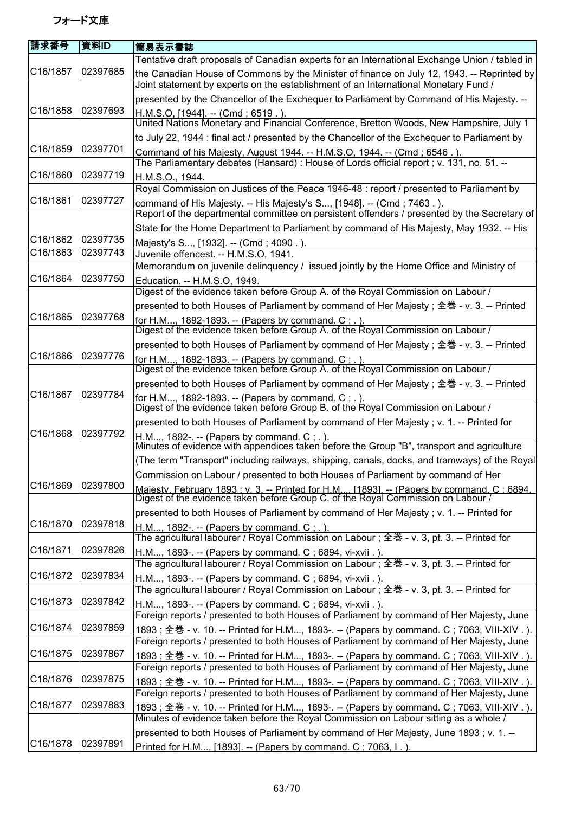| 資料ID     | 簡易表示書誌                                                                                                                                                                             |
|----------|------------------------------------------------------------------------------------------------------------------------------------------------------------------------------------|
|          | Tentative draft proposals of Canadian experts for an International Exchange Union / tabled in                                                                                      |
| 02397685 | the Canadian House of Commons by the Minister of finance on July 12, 1943. -- Reprinted by<br>Joint statement by experts on the establishment of an International Monetary Fund /  |
|          | presented by the Chancellor of the Exchequer to Parliament by Command of His Majesty. --                                                                                           |
| 02397693 | H.M.S.O, [1944]. -- (Cmd; 6519.).<br>United Nations Monetary and Financial Conference, Bretton Woods, New Hampshire, July 1                                                        |
|          | to July 22, 1944 : final act / presented by the Chancellor of the Exchequer to Parliament by                                                                                       |
| 02397701 | Command of his Majesty, August 1944. -- H.M.S.O, 1944. -- (Cmd; 6546.).                                                                                                            |
|          | The Parliamentary debates (Hansard) : House of Lords official report ; v. 131, no. 51. --                                                                                          |
| 02397719 | H.M.S.O., 1944.                                                                                                                                                                    |
|          | Royal Commission on Justices of the Peace 1946-48 : report / presented to Parliament by                                                                                            |
|          | command of His Majesty. -- His Majesty's S, [1948]. -- (Cmd; 7463.).                                                                                                               |
|          | Report of the departmental committee on persistent offenders / presented by the Secretary of                                                                                       |
|          | State for the Home Department to Parliament by command of His Majesty, May 1932. -- His                                                                                            |
|          | Majesty's S, [1932]. -- (Cmd; 4090.).                                                                                                                                              |
|          | Juvenile offencest. -- H.M.S.O, 1941.                                                                                                                                              |
|          | Memorandum on juvenile delinguency / issued jointly by the Home Office and Ministry of                                                                                             |
|          | Education. -- H.M.S.O, 1949.<br>Digest of the evidence taken before Group A. of the Royal Commission on Labour /                                                                   |
|          | presented to both Houses of Parliament by command of Her Majesty; 全巻 - v. 3. -- Printed                                                                                            |
|          |                                                                                                                                                                                    |
|          | for H.M, 1892-1893. -- (Papers by command. C; .).<br>Digest of the evidence taken before Group A. of the Royal Commission on Labour /                                              |
|          | presented to both Houses of Parliament by command of Her Majesty; 全巻 - v. 3. -- Printed                                                                                            |
| 02397776 |                                                                                                                                                                                    |
|          | for H.M, 1892-1893. -- (Papers by command. C ; . ).<br>Digest of the evidence taken before Group A. of the Royal Commission on Labour /                                            |
|          | presented to both Houses of Parliament by command of Her Majesty; 全巻 - v. 3. -- Printed                                                                                            |
| 02397784 | for H.M, 1892-1893. -- (Papers by command. C; .).                                                                                                                                  |
|          | Digest of the evidence taken before Group B. of the Royal Commission on Labour /                                                                                                   |
|          | presented to both Houses of Parliament by command of Her Majesty; v. 1. -- Printed for                                                                                             |
|          | H.M, 1892-. -- (Papers by command. C ; . ).<br>Minutes of evidence with appendices taken before the Group "B", transport and agriculture                                           |
|          | (The term "Transport" including railways, shipping, canals, docks, and tramways) of the Royal                                                                                      |
|          | Commission on Labour / presented to both Houses of Parliament by command of Her                                                                                                    |
| 02397800 |                                                                                                                                                                                    |
|          | Maiesty. February 1893 : v. 3. -- Printed for H.M [1893]. -- (Papers by command. C : 6894.                                                                                         |
|          | presented to both Houses of Parliament by command of Her Majesty; v. 1. -- Printed for                                                                                             |
|          | H.M, 1892-. -- (Papers by command. $C$ ; .).<br>The agricultural labourer / Royal Commission on Labour ; 全巻 - v. 3, pt. 3. -- Printed for                                          |
|          | H.M, 1893-. -- (Papers by command. C; 6894, vi-xvii.).                                                                                                                             |
|          | The agricultural labourer / Royal Commission on Labour ; 全巻 - v. 3, pt. 3. -- Printed for                                                                                          |
|          | H.M, 1893-. -- (Papers by command. C; 6894, vi-xvii.).                                                                                                                             |
|          | The agricultural labourer / Royal Commission on Labour ; 全巻 - v. 3, pt. 3. -- Printed for                                                                                          |
| 02397842 | H.M, 1893-. -- (Papers by command. C; 6894, vi-xvii.).                                                                                                                             |
|          | Foreign reports / presented to both Houses of Parliament by command of Her Majesty, June                                                                                           |
| 02397859 | 1893; 全巻 - v. 10. -- Printed for H.M, 1893-. -- (Papers by command. C; 7063, VIII-XIV.).                                                                                           |
|          | Foreign reports / presented to both Houses of Parliament by command of Her Majesty, June                                                                                           |
| 02397867 | 1893; 全巻 - v. 10. -- Printed for H.M, 1893-. -- (Papers by command. C; 7063, VIII-XIV.).                                                                                           |
|          | Foreign reports / presented to both Houses of Parliament by command of Her Majesty, June                                                                                           |
| 02397875 | 1893; 全巻 - v. 10. -- Printed for H.M, 1893-. -- (Papers by command. C; 7063, VIII-XIV.).                                                                                           |
|          | Foreign reports / presented to both Houses of Parliament by command of Her Majesty, June                                                                                           |
|          | 1893; 全巻 - v. 10. -- Printed for H.M, 1893-. -- (Papers by command. C; 7063, VIII-XIV.).  <br>Minutes of evidence taken before the Royal Commission on Labour sitting as a whole / |
|          | presented to both Houses of Parliament by command of Her Majesty, June 1893; v. 1. --                                                                                              |
| 02397891 | Printed for H.M, [1893]. -- (Papers by command. C; 7063, I.).                                                                                                                      |
|          | 02397727<br>02397735<br>02397743<br>02397750<br>02397768<br>02397792<br>02397818<br>02397826<br>02397834<br>02397883                                                               |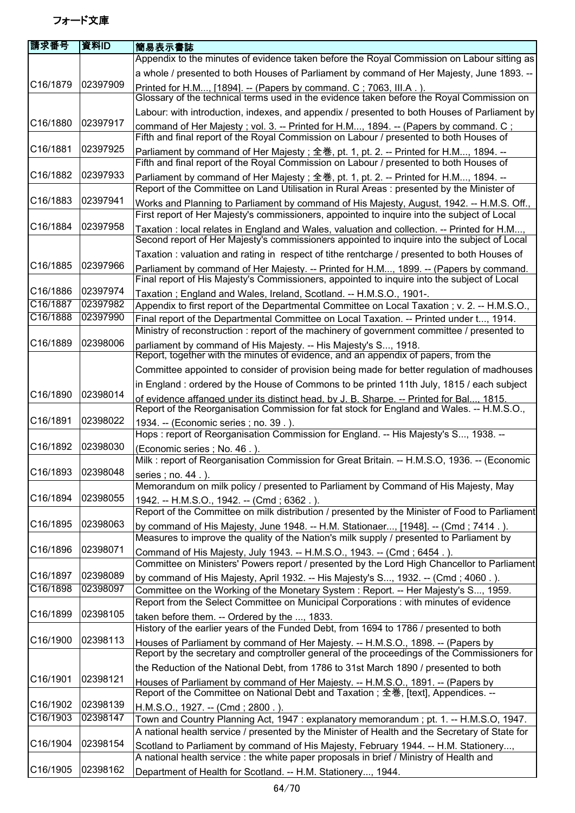| 請求番号              | 資料ID     | 簡易表示書誌                                                                                                                                                                                     |
|-------------------|----------|--------------------------------------------------------------------------------------------------------------------------------------------------------------------------------------------|
|                   |          | Appendix to the minutes of evidence taken before the Royal Commission on Labour sitting as                                                                                                 |
| C16/1879          | 02397909 | a whole / presented to both Houses of Parliament by command of Her Majesty, June 1893. --                                                                                                  |
|                   |          | Printed for H.M, [1894]. -- (Papers by command. C; 7063, III.A.).<br>Glossary of the technical terms used in the evidence taken before the Royal Commission on                             |
|                   |          | Labour: with introduction, indexes, and appendix / presented to both Houses of Parliament by                                                                                               |
| C16/1880          | 02397917 |                                                                                                                                                                                            |
|                   |          | command of Her Majesty; vol. 3. -- Printed for H.M, 1894. -- (Papers by command. C;<br>Fifth and final report of the Royal Commission on Labour / presented to both Houses of              |
| C16/1881          | 02397925 | Parliament by command of Her Majesty; 全巻, pt. 1, pt. 2. -- Printed for H.M, 1894. --                                                                                                       |
|                   |          | Fifth and final report of the Royal Commission on Labour / presented to both Houses of                                                                                                     |
| C16/1882          | 02397933 | Parliament by command of Her Majesty; 全巻, pt. 1, pt. 2. -- Printed for H.M, 1894. --<br>Report of the Committee on Land Utilisation in Rural Areas : presented by the Minister of          |
| C16/1883          | 02397941 | Works and Planning to Parliament by command of His Majesty, August, 1942. -- H.M.S. Off.,                                                                                                  |
|                   |          | First report of Her Majesty's commissioners, appointed to inquire into the subject of Local                                                                                                |
| C16/1884          | 02397958 | Taxation: local relates in England and Wales, valuation and collection. -- Printed for H.M,<br>Second report of Her Majesty's commissioners appointed to inquire into the subject of Local |
|                   |          | Taxation: valuation and rating in respect of tithe rentcharge / presented to both Houses of                                                                                                |
| C16/1885          | 02397966 | Parliament by command of Her Majesty. -- Printed for H.M, 1899. -- (Papers by command.                                                                                                     |
|                   |          | Final report of His Majesty's Commissioners, appointed to inquire into the subject of Local                                                                                                |
| C16/1886          | 02397974 | Taxation; England and Wales, Ireland, Scotland. -- H.M.S.O., 1901-.                                                                                                                        |
| C16/1887          | 02397982 | Appendix to first report of the Departmental Committee on Local Taxation ; v. 2. -- H.M.S.O.,                                                                                              |
| C16/1888          | 02397990 | Final report of the Departmental Committee on Local Taxation. -- Printed under t, 1914.                                                                                                    |
|                   |          | Ministry of reconstruction : report of the machinery of government committee / presented to                                                                                                |
| C16/1889          | 02398006 | parliament by command of His Majesty. -- His Majesty's S, 1918.<br>Report, together with the minutes of evidence, and an appendix of papers, from the                                      |
|                   |          | Committee appointed to consider of provision being made for better regulation of madhouses                                                                                                 |
|                   |          | in England : ordered by the House of Commons to be printed 11th July, 1815 / each subject                                                                                                  |
| C16/1890          | 02398014 | of evidence affanged under its distinct head, by J. B. Sharpe. -- Printed for Bal, 1815.<br>Report of the Reorganisation Commission for fat stock for England and Wales. -- H.M.S.O.,      |
| C16/1891          | 02398022 | 1934. -- (Economic series ; no. 39.).<br>Hops: report of Reorganisation Commission for England. -- His Majesty's S, 1938. --                                                               |
| C16/1892          | 02398030 | (Economic series ; No. 46.).                                                                                                                                                               |
|                   |          | Milk : report of Reorganisation Commission for Great Britain. -- H.M.S.O, 1936. -- (Economic                                                                                               |
| C16/1893 02398048 |          | series ; no. 44 . ).                                                                                                                                                                       |
|                   |          | Memorandum on milk policy / presented to Parliament by Command of His Majesty, May                                                                                                         |
| C16/1894          | 02398055 | 1942. -- H.M.S.O., 1942. -- (Cmd; 6362.).                                                                                                                                                  |
| C16/1895          | 02398063 | Report of the Committee on milk distribution / presented by the Minister of Food to Parliament                                                                                             |
|                   |          | by command of His Majesty, June 1948. -- H.M. Stationaer, [1948]. -- (Cmd; 7414.).<br>Measures to improve the quality of the Nation's milk supply / presented to Parliament by             |
| C16/1896          | 02398071 |                                                                                                                                                                                            |
|                   |          | Command of His Majesty, July 1943. -- H.M.S.O., 1943. -- (Cmd; 6454.).<br>Committee on Ministers' Powers report / presented by the Lord High Chancellor to Parliament                      |
| C16/1897          | 02398089 |                                                                                                                                                                                            |
| C16/1898          | 02398097 | by command of His Majesty, April 1932. -- His Majesty's S, 1932. -- (Cmd; 4060.).<br>Committee on the Working of the Monetary System: Report. -- Her Majesty's S, 1959.                    |
|                   |          | Report from the Select Committee on Municipal Corporations : with minutes of evidence                                                                                                      |
| C16/1899          | 02398105 | taken before them. -- Ordered by the , 1833.                                                                                                                                               |
|                   |          | History of the earlier years of the Funded Debt, from 1694 to 1786 / presented to both                                                                                                     |
| C16/1900          | 02398113 | Houses of Parliament by command of Her Majesty. -- H.M.S.O., 1898. -- (Papers by                                                                                                           |
|                   |          | Report by the secretary and comptroller general of the proceedings of the Commissioners for                                                                                                |
|                   |          | the Reduction of the National Debt, from 1786 to 31st March 1890 / presented to both                                                                                                       |
| C16/1901          | 02398121 | Houses of Parliament by command of Her Majesty. -- H.M.S.O., 1891. -- (Papers by                                                                                                           |
|                   |          | Report of the Committee on National Debt and Taxation; 全巻, [text], Appendices. --                                                                                                          |
| C16/1902          | 02398139 | H.M.S.O., 1927. -- (Cmd; 2800.).                                                                                                                                                           |
| C16/1903          | 02398147 | Town and Country Planning Act, 1947: explanatory memorandum; pt. 1. -- H.M.S.O, 1947.                                                                                                      |
|                   |          | A national health service / presented by the Minister of Health and the Secretary of State for                                                                                             |
| C16/1904          | 02398154 | Scotland to Parliament by command of His Majesty, February 1944. -- H.M. Stationery,                                                                                                       |
|                   |          | A national health service : the white paper proposals in brief / Ministry of Health and                                                                                                    |
| C16/1905          | 02398162 | Department of Health for Scotland. -- H.M. Stationery, 1944.                                                                                                                               |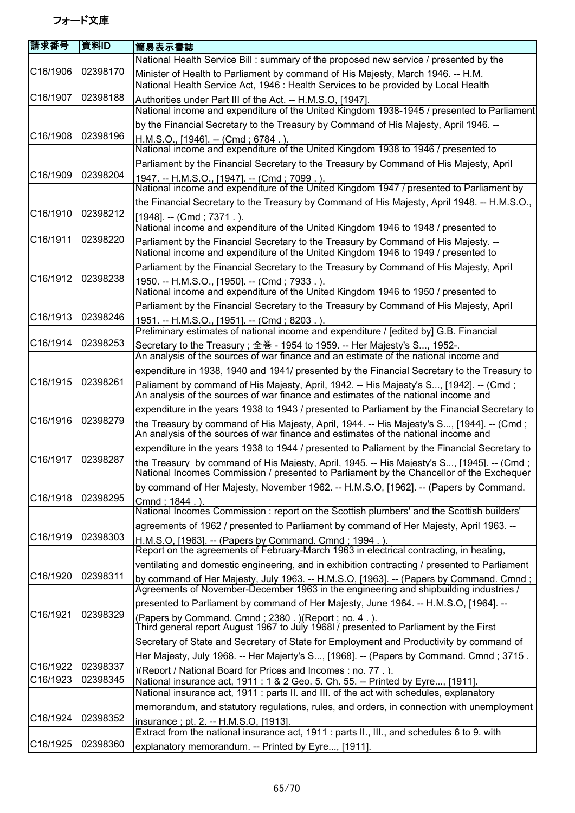| 請求番号     | 資料ID     | 簡易表示書誌                                                                                                                                                                              |
|----------|----------|-------------------------------------------------------------------------------------------------------------------------------------------------------------------------------------|
|          |          | National Health Service Bill: summary of the proposed new service / presented by the                                                                                                |
| C16/1906 | 02398170 | Minister of Health to Parliament by command of His Majesty, March 1946. -- H.M.                                                                                                     |
|          |          | National Health Service Act, 1946 : Health Services to be provided by Local Health                                                                                                  |
| C16/1907 | 02398188 | Authorities under Part III of the Act. -- H.M.S.O, [1947].                                                                                                                          |
|          |          | National income and expenditure of the United Kingdom 1938-1945 / presented to Parliament                                                                                           |
|          |          | by the Financial Secretary to the Treasury by Command of His Majesty, April 1946. --                                                                                                |
| C16/1908 | 02398196 | H.M.S.O., [1946]. -- (Cmd; 6784.)<br>National income and expenditure of the United Kingdom 1938 to 1946 / presented to                                                              |
|          |          | Parliament by the Financial Secretary to the Treasury by Command of His Majesty, April                                                                                              |
| C16/1909 | 02398204 |                                                                                                                                                                                     |
|          |          | 1947. -- H.M.S.O., [1947]. -- (Cmd; 7099.).<br>National income and expenditure of the United Kingdom 1947 / presented to Parliament by                                              |
|          |          | the Financial Secretary to the Treasury by Command of His Majesty, April 1948. -- H.M.S.O.,                                                                                         |
| C16/1910 | 02398212 | [1948]. -- (Cmd; 7371.).                                                                                                                                                            |
|          |          | National income and expenditure of the United Kingdom 1946 to 1948 / presented to                                                                                                   |
| C16/1911 | 02398220 | Parliament by the Financial Secretary to the Treasury by Command of His Majesty. --                                                                                                 |
|          |          | National income and expenditure of the United Kingdom 1946 to 1949 / presented to                                                                                                   |
|          |          | Parliament by the Financial Secretary to the Treasury by Command of His Majesty, April                                                                                              |
| C16/1912 | 02398238 | 1950. -- H.M.S.O., [1950]. -- (Cmd; 7933.).                                                                                                                                         |
|          |          | National income and expenditure of the United Kingdom 1946 to 1950 / presented to                                                                                                   |
| C16/1913 | 02398246 | Parliament by the Financial Secretary to the Treasury by Command of His Majesty, April                                                                                              |
|          |          | 1951. -- H.M.S.O., [1951]. -- (Cmd; 8203.).<br>Preliminary estimates of national income and expenditure / [edited by] G.B. Financial                                                |
| C16/1914 | 02398253 | Secretary to the Treasury; 全巻 - 1954 to 1959. -- Her Majesty's S, 1952-.                                                                                                            |
|          |          | An analysis of the sources of war finance and an estimate of the national income and                                                                                                |
|          |          | expenditure in 1938, 1940 and 1941/ presented by the Financial Secretary to the Treasury to                                                                                         |
| C16/1915 | 02398261 | Paliament by command of His Majesty, April, 1942. -- His Majesty's S, [1942]. -- (Cmd;                                                                                              |
|          |          | An analysis of the sources of war finance and estimates of the national income and                                                                                                  |
|          |          | expenditure in the years 1938 to 1943 / presented to Parliament by the Financial Secretary to                                                                                       |
| C16/1916 | 02398279 | the Treasury by command of His Majesty, April, 1944. -- His Majesty's S, [1944]. -- (Cmd;<br>An analysis of the sources of war finance and estimates of the national income and     |
|          |          | expenditure in the years 1938 to 1944 / presented to Paliament by the Financial Secretary to                                                                                        |
| C16/1917 | 02398287 | the Treasury by command of His Majesty, April, 1945. -- His Majesty's S, [1945]. -- (Cmd ; National Incomes Commission / presented to Parliament by the Chancellor of the Exchequer |
|          |          | by command of Her Majesty, November 1962. -- H.M.S.O, [1962]. -- (Papers by Command.                                                                                                |
| C16/1918 | 02398295 | Cmnd; 1844.).                                                                                                                                                                       |
|          |          | National Incomes Commission : report on the Scottish plumbers' and the Scottish builders'                                                                                           |
| C16/1919 | 02398303 | agreements of 1962 / presented to Parliament by command of Her Majesty, April 1963. --                                                                                              |
|          |          | H.M.S.O, [1963]. -- (Papers by Command. Cmnd; 1994.).<br>Report on the agreements of February-March 1963 in electrical contracting, in heating,                                     |
|          |          | ventilating and domestic engineering, and in exhibition contracting / presented to Parliament                                                                                       |
| C16/1920 | 02398311 | by command of Her Majesty, July 1963. -- H.M.S.O, [1963]. -- (Papers by Command. Cmnd;                                                                                              |
|          |          | Agreements of November-December 1963 in the engineering and shipbuilding industries /                                                                                               |
|          |          | presented to Parliament by command of Her Majesty, June 1964. -- H.M.S.O, [1964]. --                                                                                                |
| C16/1921 | 02398329 | (Papers by Command. Cmnd ; 2380 . ) (Report ; no. 4 . ).<br>Third general report August 1967 to July 1968l / presented to Parliament by the First                                   |
|          |          |                                                                                                                                                                                     |
|          |          | Secretary of State and Secretary of State for Employment and Productivity by command of                                                                                             |
| C16/1922 | 02398337 | Her Majesty, July 1968. -- Her Majerty's S, [1968]. -- (Papers by Command. Cmnd; 3715.                                                                                              |
| C16/1923 | 02398345 | )(Report / National Board for Prices and Incomes ; no. 77.)                                                                                                                         |
|          |          | National insurance act, 1911 : 1 & 2 Geo. 5. Ch. 55. -- Printed by Eyre, [1911].<br>National insurance act, 1911 : parts II. and III. of the act with schedules, explanatory        |
|          |          | memorandum, and statutory regulations, rules, and orders, in connection with unemployment                                                                                           |
| C16/1924 | 02398352 | insurance; pt. 2. -- H.M.S.O, [1913].                                                                                                                                               |
|          |          | Extract from the national insurance act, 1911 : parts II., III., and schedules 6 to 9. with                                                                                         |
| C16/1925 | 02398360 | explanatory memorandum. -- Printed by Eyre, [1911].                                                                                                                                 |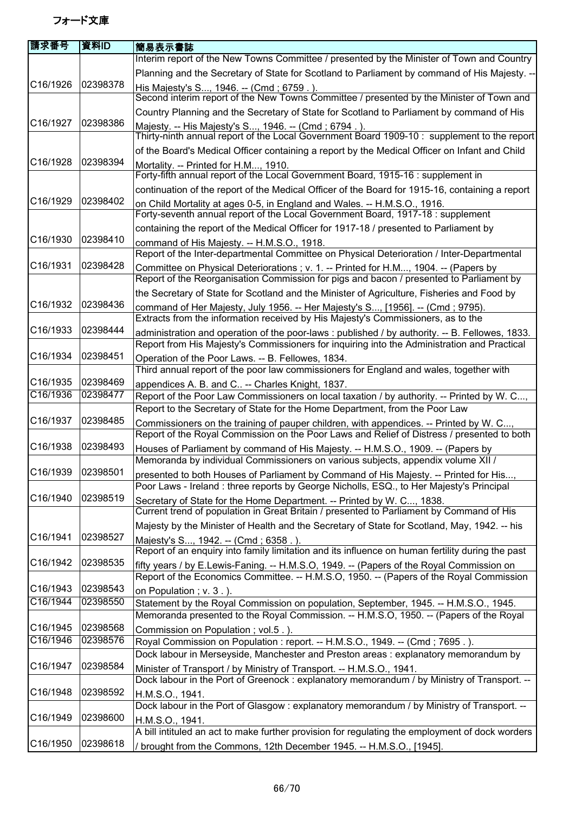| 請求番号              | 資料ID     | 簡易表示書誌                                                                                                                                                                                        |
|-------------------|----------|-----------------------------------------------------------------------------------------------------------------------------------------------------------------------------------------------|
|                   |          | Interim report of the New Towns Committee / presented by the Minister of Town and Country                                                                                                     |
|                   |          | Planning and the Secretary of State for Scotland to Parliament by command of His Majesty. --                                                                                                  |
| C16/1926          | 02398378 | His Majesty's S, 1946. -- (Cmd; 6759.).                                                                                                                                                       |
|                   |          | Second interim report of the New Towns Committee / presented by the Minister of Town and                                                                                                      |
|                   |          | Country Planning and the Secretary of State for Scotland to Parliament by command of His                                                                                                      |
| C16/1927          | 02398386 | Majesty. -- His Majesty's S, 1946. -- (Cmd ; 6794.).                                                                                                                                          |
|                   |          | Thirty-ninth annual report of the Local Government Board 1909-10 : supplement to the report                                                                                                   |
|                   |          | of the Board's Medical Officer containing a report by the Medical Officer on Infant and Child                                                                                                 |
| C16/1928          | 02398394 | Mortality. -- Printed for H.M, 1910.                                                                                                                                                          |
|                   |          | Forty-fifth annual report of the Local Government Board, 1915-16 : supplement in                                                                                                              |
|                   |          | continuation of the report of the Medical Officer of the Board for 1915-16, containing a report                                                                                               |
| C16/1929          | 02398402 | on Child Mortality at ages 0-5, in England and Wales. -- H.M.S.O., 1916.                                                                                                                      |
|                   |          | Forty-seventh annual report of the Local Government Board, 1917-18 : supplement                                                                                                               |
|                   |          | containing the report of the Medical Officer for 1917-18 / presented to Parliament by                                                                                                         |
| C16/1930          | 02398410 | command of His Majesty. -- H.M.S.O., 1918.                                                                                                                                                    |
|                   |          | Report of the Inter-departmental Committee on Physical Deterioration / Inter-Departmental                                                                                                     |
| C16/1931          | 02398428 | Committee on Physical Deteriorations; v. 1. -- Printed for H.M, 1904. -- (Papers by                                                                                                           |
|                   |          | Report of the Reorganisation Commission for pigs and bacon / presented to Parliament by                                                                                                       |
| C16/1932          | 02398436 | the Secretary of State for Scotland and the Minister of Agriculture, Fisheries and Food by                                                                                                    |
|                   |          | command of Her Majesty, July 1956. -- Her Majesty's S, [1956]. -- (Cmd ; 9795).<br>Extracts from the information received by His Majesty's Commissioners, as to the                           |
| C16/1933          | 02398444 |                                                                                                                                                                                               |
|                   |          | administration and operation of the poor-laws: published / by authority. -- B. Fellowes, 1833.<br>Report from His Majesty's Commissioners for inquiring into the Administration and Practical |
| C16/1934          | 02398451 |                                                                                                                                                                                               |
|                   |          | Operation of the Poor Laws. -- B. Fellowes, 1834.<br>Third annual report of the poor law commissioners for England and wales, together with                                                   |
| C16/1935          | 02398469 | appendices A. B. and C -- Charles Knight, 1837.                                                                                                                                               |
| C16/1936          | 02398477 | Report of the Poor Law Commissioners on local taxation / by authority. -- Printed by W. C,                                                                                                    |
|                   |          | Report to the Secretary of State for the Home Department, from the Poor Law                                                                                                                   |
| C16/1937          | 02398485 | Commissioners on the training of pauper children, with appendices. -- Printed by W. C,                                                                                                        |
|                   |          | Report of the Royal Commission on the Poor Laws and Relief of Distress / presented to both                                                                                                    |
| C16/1938          | 02398493 | Houses of Parliament by command of His Majesty. -- H.M.S.O., 1909. -- (Papers by                                                                                                              |
|                   |          | Memoranda by individual Commissioners on various subjects, appendix volume XII /                                                                                                              |
| C16/1939 02398501 |          | presented to both Houses of Parliament by Command of His Majesty. -- Printed for His,                                                                                                         |
|                   |          | Poor Laws - Ireland : three reports by George Nicholls, ESQ., to Her Majesty's Principal                                                                                                      |
| C16/1940          | 02398519 | Secretary of State for the Home Department. -- Printed by W. C, 1838.                                                                                                                         |
|                   |          | Current trend of population in Great Britain / presented to Parliament by Command of His                                                                                                      |
|                   |          | Majesty by the Minister of Health and the Secretary of State for Scotland, May, 1942. -- his                                                                                                  |
| C16/1941          | 02398527 | Majesty's S, 1942. -- (Cmd; 6358.).                                                                                                                                                           |
|                   |          | Report of an enquiry into family limitation and its influence on human fertility during the past                                                                                              |
| C16/1942          | 02398535 | fifty years / by E.Lewis-Faning. -- H.M.S.O, 1949. -- (Papers of the Royal Commission on                                                                                                      |
|                   |          | Report of the Economics Committee. -- H.M.S.O, 1950. -- (Papers of the Royal Commission                                                                                                       |
| C16/1943          | 02398543 | on Population; v. 3.).                                                                                                                                                                        |
| C16/1944          | 02398550 | Statement by the Royal Commission on population, September, 1945. -- H.M.S.O., 1945.                                                                                                          |
| C16/1945          | 02398568 | Memoranda presented to the Royal Commission. -- H.M.S.O, 1950. -- (Papers of the Royal                                                                                                        |
| C16/1946          | 02398576 | Commission on Population; vol.5.).                                                                                                                                                            |
|                   |          | Royal Commission on Population : report. -- H.M.S.O., 1949. -- (Cmd; 7695.).<br>Dock labour in Merseyside, Manchester and Preston areas : explanatory memorandum by                           |
| C16/1947          | 02398584 |                                                                                                                                                                                               |
|                   |          | Minister of Transport / by Ministry of Transport. -- H.M.S.O., 1941.<br>Dock labour in the Port of Greenock : explanatory memorandum / by Ministry of Transport. --                           |
| C16/1948          | 02398592 |                                                                                                                                                                                               |
|                   |          | H.M.S.O., 1941.<br>Dock labour in the Port of Glasgow: explanatory memorandum / by Ministry of Transport. --                                                                                  |
| C16/1949          | 02398600 | H.M.S.O., 1941.                                                                                                                                                                               |
|                   |          | A bill intituled an act to make further provision for regulating the employment of dock worders                                                                                               |
| C16/1950          | 02398618 | / brought from the Commons, 12th December 1945. -- H.M.S.O., [1945].                                                                                                                          |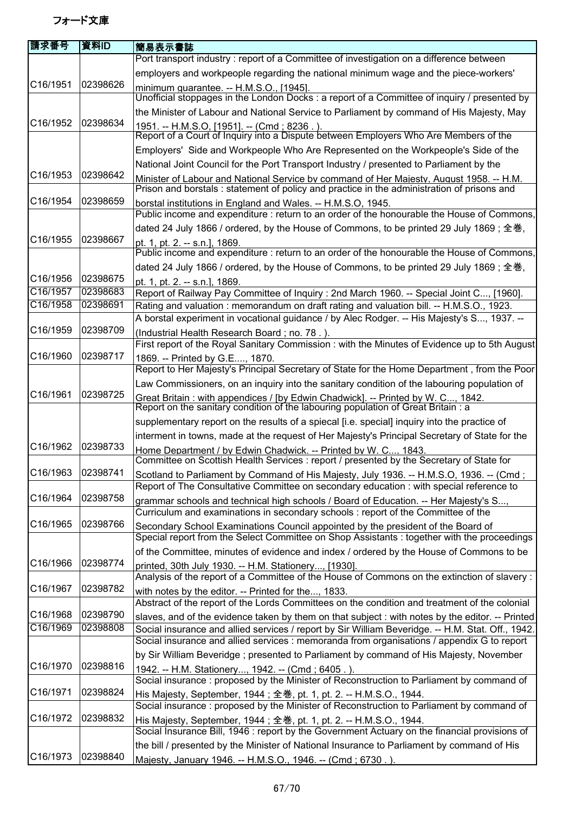| 請求番号              | 資料ID     | 簡易表示書誌                                                                                                                                                                                |
|-------------------|----------|---------------------------------------------------------------------------------------------------------------------------------------------------------------------------------------|
|                   |          | Port transport industry : report of a Committee of investigation on a difference between                                                                                              |
|                   |          | employers and workpeople regarding the national minimum wage and the piece-workers'                                                                                                   |
| C16/1951          | 02398626 | minimum guarantee. -- H.M.S.O., [1945].                                                                                                                                               |
|                   |          | Unofficial stoppages in the London Docks : a report of a Committee of inquiry / presented by                                                                                          |
|                   |          | the Minister of Labour and National Service to Parliament by command of His Majesty, May                                                                                              |
| C16/1952          | 02398634 | 1951. -- H.M.S.O, [1951]. -- (Cmd ; 8236 . ).<br>Report of a Court of Inquiry into a Dispute between Employers Who Are Members of the                                                 |
|                   |          | Employers' Side and Workpeople Who Are Represented on the Workpeople's Side of the                                                                                                    |
|                   |          | National Joint Council for the Port Transport Industry / presented to Parliament by the                                                                                               |
| C16/1953          | 02398642 | Minister of Labour and National Service by command of Her Majesty, August 1958. -- H.M.                                                                                               |
|                   |          | Prison and borstals : statement of policy and practice in the administration of prisons and                                                                                           |
| C16/1954          | 02398659 | borstal institutions in England and Wales. -- H.M.S.O, 1945.<br>Public income and expenditure : return to an order of the honourable the House of Commons,                            |
|                   |          | dated 24 July 1866 / ordered, by the House of Commons, to be printed 29 July 1869; 全巻,                                                                                                |
| C16/1955          | 02398667 | pt. 1, pt. 2. -- s.n.], 1869.<br>Public income and expenditure : return to an order of the honourable the House of Commons,                                                           |
|                   |          | dated 24 July 1866 / ordered, by the House of Commons, to be printed 29 July 1869; 全巻,                                                                                                |
| C16/1956          | 02398675 | pt. 1, pt. 2. -- s.n.], 1869.                                                                                                                                                         |
| C16/1957          | 02398683 | Report of Railway Pay Committee of Inquiry : 2nd March 1960. -- Special Joint C, [1960].                                                                                              |
| C16/1958          | 02398691 | Rating and valuation: memorandum on draft rating and valuation bill. -- H.M.S.O., 1923.<br>A borstal experiment in vocational guidance / by Alec Rodger. -- His Majesty's S, 1937. -- |
| C16/1959          | 02398709 | (Industrial Health Research Board; no. 78.).                                                                                                                                          |
|                   |          | First report of the Royal Sanitary Commission : with the Minutes of Evidence up to 5th August                                                                                         |
| C16/1960          | 02398717 | 1869. -- Printed by G.E, 1870.<br>Report to Her Majesty's Principal Secretary of State for the Home Department, from the Poor                                                         |
|                   |          | Law Commissioners, on an inquiry into the sanitary condition of the labouring population of                                                                                           |
| C16/1961          | 02398725 | Great Britain: with appendices / [by Edwin Chadwick]. -- Printed by W. C, 1842.<br>Report on the sanitary condition of the labouring population of Great Britain: a                   |
|                   |          | supplementary report on the results of a spiecal [i.e. special] inquiry into the practice of                                                                                          |
|                   |          | interment in towns, made at the request of Her Majesty's Principal Secretary of State for the                                                                                         |
| C16/1962          | 02398733 | Home Department / by Edwin Chadwick. -- Printed by W. C, 1843.<br>Committee on Scottish Health Services : report / presented by the Secretary of State for                            |
| C16/1963 02398741 |          | Scotland to Parliament by Command of His Majesty, July 1936. -- H.M.S.O, 1936. -- (Cmd;                                                                                               |
|                   |          | Report of The Consultative Committee on secondary education : with special reference to                                                                                               |
| C16/1964          | 02398758 | grammar schools and technical high schools / Board of Education. -- Her Majesty's S,                                                                                                  |
|                   |          | Curriculum and examinations in secondary schools : report of the Committee of the                                                                                                     |
| C16/1965          | 02398766 | Secondary School Examinations Council appointed by the president of the Board of                                                                                                      |
|                   |          | Special report from the Select Committee on Shop Assistants : together with the proceedings                                                                                           |
|                   |          | of the Committee, minutes of evidence and index / ordered by the House of Commons to be                                                                                               |
| C16/1966          | 02398774 | printed, 30th July 1930. -- H.M. Stationery, [1930].                                                                                                                                  |
| C16/1967          | 02398782 | Analysis of the report of a Committee of the House of Commons on the extinction of slavery :                                                                                          |
|                   |          | with notes by the editor. -- Printed for the, 1833.<br>Abstract of the report of the Lords Committees on the condition and treatment of the colonial                                  |
| C16/1968          | 02398790 | slaves, and of the evidence taken by them on that subject : with notes by the editor. -- Printed                                                                                      |
| C16/1969          | 02398808 | Social insurance and allied services / report by Sir William Beveridge. -- H.M. Stat. Off., 1942.                                                                                     |
|                   |          | Social insurance and allied services : memoranda from organisations / appendix G to report                                                                                            |
|                   |          | by Sir William Beveridge; presented to Parliament by command of His Majesty, November                                                                                                 |
| C16/1970          | 02398816 | 1942. -- H.M. Stationery, 1942. -- (Cmd; 6405.).                                                                                                                                      |
|                   |          | Social insurance: proposed by the Minister of Reconstruction to Parliament by command of                                                                                              |
| C16/1971          | 02398824 | His Majesty, September, 1944; 全巻, pt. 1, pt. 2. -- H.M.S.O., 1944.                                                                                                                    |
|                   |          | Social insurance: proposed by the Minister of Reconstruction to Parliament by command of                                                                                              |
| C16/1972          | 02398832 | His Majesty, September, 1944; 全巻, pt. 1, pt. 2. -- H.M.S.O., 1944.                                                                                                                    |
|                   |          | Social Insurance Bill, 1946 : report by the Government Actuary on the financial provisions of                                                                                         |
|                   |          | the bill / presented by the Minister of National Insurance to Parliament by command of His                                                                                            |
| C16/1973          | 02398840 | Majesty, January 1946. -- H.M.S.O., 1946. -- (Cmd; 6730.).                                                                                                                            |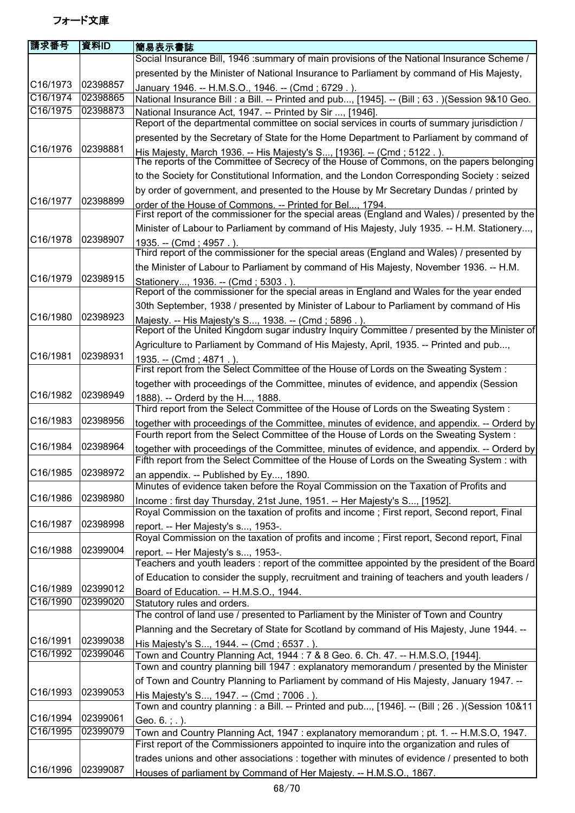| 請求番号                 | 資料ID                 | <b> 簡易表示書誌</b>                                                                                                                                                                            |
|----------------------|----------------------|-------------------------------------------------------------------------------------------------------------------------------------------------------------------------------------------|
|                      |                      | Social Insurance Bill, 1946 :summary of main provisions of the National Insurance Scheme /                                                                                                |
|                      |                      | presented by the Minister of National Insurance to Parliament by command of His Majesty,                                                                                                  |
| C16/1973             | 02398857             | January 1946. -- H.M.S.O., 1946. -- (Cmd; 6729.).                                                                                                                                         |
| C16/1974             | 02398865             | National Insurance Bill : a Bill. -- Printed and pub, [1945]. -- (Bill ; 63. ) (Session 9&10 Geo.                                                                                         |
| C16/1975             | 02398873             | National Insurance Act, 1947. -- Printed by Sir , [1946].                                                                                                                                 |
|                      |                      | Report of the departmental committee on social services in courts of summary jurisdiction /                                                                                               |
|                      |                      | presented by the Secretary of State for the Home Department to Parliament by command of                                                                                                   |
| C16/1976             | 02398881             | His Majesty, March 1936. -- His Majesty's S, [1936]. -- (Cmd ; 5122.).<br>The reports of the Committee of Secrecy of the House of Commons, on the papers belonging                        |
|                      |                      | to the Society for Constitutional Information, and the London Corresponding Society : seized                                                                                              |
|                      |                      | by order of government, and presented to the House by Mr Secretary Dundas / printed by                                                                                                    |
| C16/1977             | 02398899             |                                                                                                                                                                                           |
|                      |                      | order of the House of Commons. -- Printed for Bel 1794.<br>First report of the commissioner for the special areas (England and Wales) / presented by the                                  |
|                      |                      | Minister of Labour to Parliament by command of His Majesty, July 1935. -- H.M. Stationery,                                                                                                |
| C16/1978             | 02398907             | 1935. -- (Cmd; 4957.).                                                                                                                                                                    |
|                      |                      | Third report of the commissioner for the special areas (England and Wales) / presented by                                                                                                 |
|                      |                      | the Minister of Labour to Parliament by command of His Majesty, November 1936. -- H.M.                                                                                                    |
| C16/1979             | 02398915             | Stationery, 1936. -- (Cmd; 5303.)                                                                                                                                                         |
|                      |                      | Report of the commissioner for the special areas in England and Wales for the year ended                                                                                                  |
| C16/1980             | 02398923             | 30th September, 1938 / presented by Minister of Labour to Parliament by command of His                                                                                                    |
|                      |                      | Majesty. -- His Majesty's S, 1938. -- (Cmd ; 5896.).<br>Report of the United Kingdom sugar industry Inquiry Committee / presented by the Minister of                                      |
|                      |                      | Agriculture to Parliament by Command of His Majesty, April, 1935. -- Printed and pub,                                                                                                     |
| C16/1981             | 02398931             | 1935. -- (Cmd; 4871.).                                                                                                                                                                    |
|                      |                      | First report from the Select Committee of the House of Lords on the Sweating System :                                                                                                     |
|                      |                      | together with proceedings of the Committee, minutes of evidence, and appendix (Session                                                                                                    |
| C16/1982             | 02398949             | 1888). -- Orderd by the H, 1888.                                                                                                                                                          |
|                      |                      | Third report from the Select Committee of the House of Lords on the Sweating System:                                                                                                      |
| C16/1983             | 02398956             | together with proceedings of the Committee, minutes of evidence, and appendix. -- Orderd by                                                                                               |
|                      |                      | Fourth report from the Select Committee of the House of Lords on the Sweating System:                                                                                                     |
| C16/1984             | 02398964             | together with proceedings of the Committee, minutes of evidence, and appendix. -- Orderd by<br>Fifth report from the Select Committee of the House of Lords on the Sweating System : with |
| C16/1985 02398972    |                      |                                                                                                                                                                                           |
|                      |                      | an appendix. -- Published by Ey, 1890.<br>Minutes of evidence taken before the Royal Commission on the Taxation of Profits and                                                            |
| C16/1986             | 02398980             | Income : first day Thursday, 21st June, 1951. -- Her Majesty's S, [1952].                                                                                                                 |
|                      |                      | Royal Commission on the taxation of profits and income; First report, Second report, Final                                                                                                |
| C16/1987             | 02398998             | report. -- Her Majesty's s, 1953-.                                                                                                                                                        |
|                      |                      | Royal Commission on the taxation of profits and income; First report, Second report, Final                                                                                                |
| C16/1988             | 02399004             | report. -- Her Majesty's s, 1953-.                                                                                                                                                        |
|                      |                      | Teachers and youth leaders : report of the committee appointed by the president of the Board                                                                                              |
| C16/1989             | 02399012             | of Education to consider the supply, recruitment and training of teachers and youth leaders /                                                                                             |
| C16/1990             | 02399020             | Board of Education. -- H.M.S.O., 1944.<br>Statutory rules and orders.                                                                                                                     |
|                      |                      | The control of land use / presented to Parliament by the Minister of Town and Country                                                                                                     |
|                      |                      | Planning and the Secretary of State for Scotland by command of His Majesty, June 1944. --                                                                                                 |
| C16/1991             | 02399038             | His Majesty's S, 1944. -- (Cmd; 6537.).                                                                                                                                                   |
| C16/1992             | 02399046             | Town and Country Planning Act, 1944 : 7 & 8 Geo. 6. Ch. 47. -- H.M.S.O, [1944].                                                                                                           |
|                      |                      | Town and country planning bill 1947 : explanatory memorandum / presented by the Minister                                                                                                  |
|                      |                      | of Town and Country Planning to Parliament by command of His Majesty, January 1947. --                                                                                                    |
| C16/1993             | 02399053             | His Majesty's S, 1947. -- (Cmd; 7006.).                                                                                                                                                   |
|                      |                      | Town and country planning : a Bill. -- Printed and pub, [1946]. -- (Bill ; 26 . ) (Session 10&11                                                                                          |
| C16/1994<br>C16/1995 | 02399061<br>02399079 | Geo. $6. ; .$ ).                                                                                                                                                                          |
|                      |                      | Town and Country Planning Act, 1947: explanatory memorandum; pt. 1. -- H.M.S.O, 1947.<br>First report of the Commissioners appointed to inquire into the organization and rules of        |
|                      |                      | trades unions and other associations : together with minutes of evidence / presented to both                                                                                              |
| C16/1996             | 02399087             | Houses of parliament by Command of Her Majesty. -- H.M.S.O., 1867.                                                                                                                        |
|                      |                      |                                                                                                                                                                                           |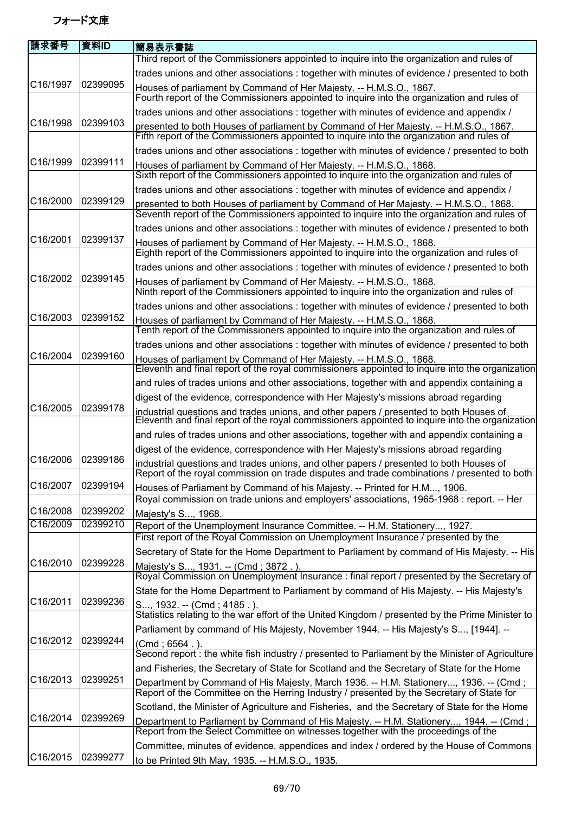| 請求番号     | 資料ID     | 簡易表示書誌                                                                                                                                                                                    |
|----------|----------|-------------------------------------------------------------------------------------------------------------------------------------------------------------------------------------------|
| C16/1997 | 02399095 | Third report of the Commissioners appointed to inquire into the organization and rules of                                                                                                 |
|          |          | trades unions and other associations : together with minutes of evidence / presented to both                                                                                              |
|          |          | Houses of parliament by Command of Her Majesty. -- H.M.S.O., 1867.<br>Fourth report of the Commissioners appointed to inquire into the organization and rules of                          |
|          |          | trades unions and other associations : together with minutes of evidence and appendix /                                                                                                   |
| C16/1998 | 02399103 | presented to both Houses of parliament by Command of Her Majesty. -- H.M.S.O., 1867.<br>Fifth report of the Commissioners appointed to inquire into the organization and rules of         |
|          |          | trades unions and other associations : together with minutes of evidence / presented to both                                                                                              |
| C16/1999 | 02399111 | Houses of parliament by Command of Her Majesty. -- H.M.S.O., 1868.<br>Sixth report of the Commissioners appointed to inquire into the organization and rules of                           |
|          |          | trades unions and other associations : together with minutes of evidence and appendix /                                                                                                   |
| C16/2000 | 02399129 | presented to both Houses of parliament by Command of Her Majesty. -- H.M.S.O., 1868.<br>Seventh report of the Commissioners appointed to inquire into the organization and rules of       |
|          |          | trades unions and other associations : together with minutes of evidence / presented to both                                                                                              |
| C16/2001 | 02399137 | Houses of parliament by Command of Her Majesty. -- H.M.S.O., 1868.<br>Eighth report of the Commissioners appointed to inquire into the organization and rules of                          |
|          |          | trades unions and other associations : together with minutes of evidence / presented to both                                                                                              |
| C16/2002 | 02399145 | Houses of parliament by Command of Her Majesty. -- H.M.S.O., 1868.<br>Ninth report of the Commissioners appointed to inquire into the organization and rules of                           |
|          |          | trades unions and other associations : together with minutes of evidence / presented to both                                                                                              |
| C16/2003 | 02399152 | Houses of parliament by Command of Her Majesty. -- H.M.S.O., 1868.<br>Tenth report of the Commissioners appointed to inquire into the organization and rules of                           |
|          |          | trades unions and other associations : together with minutes of evidence / presented to both                                                                                              |
| C16/2004 | 02399160 | Houses of parliament by Command of Her Majesty. -- H.M.S.O., 1868.<br>Eleventh and final report of the royal commissioners appointed to inquire into the organization                     |
|          |          | and rules of trades unions and other associations, together with and appendix containing a                                                                                                |
|          |          | digest of the evidence, correspondence with Her Majesty's missions abroad regarding                                                                                                       |
| C16/2005 | 02399178 | industrial questions and trades unions, and other papers / presented to both Houses of<br>Eleventh and final report of the royal commissioners appointed to inquire into the organization |
|          |          | and rules of trades unions and other associations, together with and appendix containing a                                                                                                |
| C16/2006 | 02399186 | digest of the evidence, correspondence with Her Majesty's missions abroad regarding                                                                                                       |
|          |          | industrial questions and trades unions, and other papers / presented to both Houses of<br>Report of the royal commission on trade disputes and trade combinations / presented to both     |
| C16/2007 | 02399194 | Houses of Parliament by Command of his Majesty. -- Printed for H.M, 1906.<br>Royal commission on trade unions and employers' associations, 1965-1968 : report. -- Her                     |
| C16/2008 | 02399202 | Majesty's S, 1968.                                                                                                                                                                        |
| C16/2009 | 02399210 | Report of the Unemployment Insurance Committee. -- H.M. Stationery, 1927.<br>First report of the Royal Commission on Unemployment Insurance / presented by the                            |
|          | 02399228 | Secretary of State for the Home Department to Parliament by command of His Majesty. -- His                                                                                                |
| C16/2010 |          | Majesty's S, 1931. -- (Cmd; 3872.).<br>Royal Commission on Unemployment Insurance : final report / presented by the Secretary of                                                          |
| C16/2011 | 02399236 | State for the Home Department to Parliament by command of His Majesty. -- His Majesty's                                                                                                   |
|          |          | S, 1932. -- (Cmd; 4185.).<br>Statistics relating to the war effort of the United Kingdom / presented by the Prime Minister to                                                             |
|          |          | Parliament by command of His Majesty, November 1944. -- His Majesty's S, [1944]. --                                                                                                       |
| C16/2012 | 02399244 | $(Cmd; 6564)$ .                                                                                                                                                                           |
|          |          | Second report : the white fish industry / presented to Parliament by the Minister of Agriculture                                                                                          |
|          |          | and Fisheries, the Secretary of State for Scotland and the Secretary of State for the Home                                                                                                |
| C16/2013 | 02399251 | Department by Command of His Majesty, March 1936. -- H.M. Stationery, 1936. -- (Cmd;<br>Report of the Committee on the Herring Industry / presented by the Secretary of State for         |
|          |          | Scotland, the Minister of Agriculture and Fisheries, and the Secretary of State for the Home                                                                                              |
| C16/2014 | 02399269 | Department to Parliament by Command of His Majesty. -- H.M. Stationery, 1944. -- (Cmd ;<br>Report from the Select Committee on witnesses together with the proceedings of the             |
|          |          | Committee, minutes of evidence, appendices and index / ordered by the House of Commons                                                                                                    |
| C16/2015 | 02399277 | to be Printed 9th May, 1935. -- H.M.S.O., 1935.                                                                                                                                           |